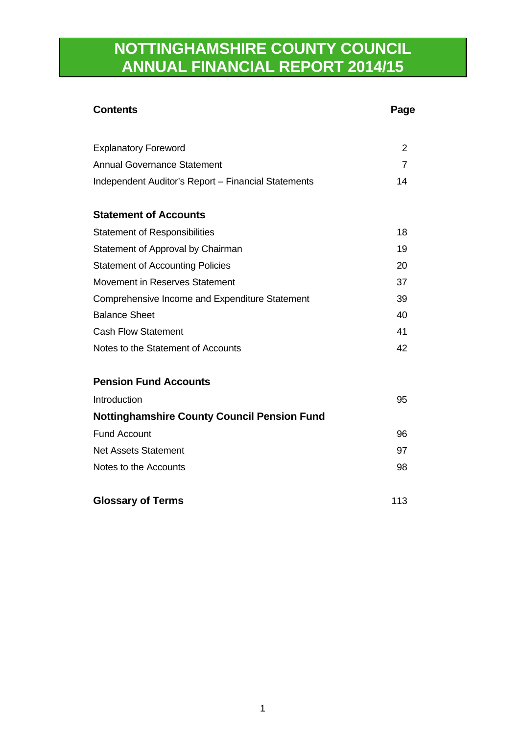# **NOTTINGHAMSHIRE COUNTY COUNCIL ANNUAL FINANCIAL REPORT 2014/15**

# **Contents** Page Explanatory Foreword 2 Annual Governance Statement 7 and 7 Independent Auditor's Report – Financial Statements 14 **Statement of Accounts**  Statement of Responsibilities 18 Statement of Approval by Chairman 19 Statement of Accounting Policies 20 Movement in Reserves Statement 37 Comprehensive Income and Expenditure Statement 39 Balance Sheet 40 Cash Flow Statement 41 Notes to the Statement of Accounts 42 **Pension Fund Accounts**  Introduction 95 **Nottinghamshire County Council Pension Fund** Fund Account 96 Net Assets Statement 97 Notes to the Accounts **98 Glossary of Terms** 113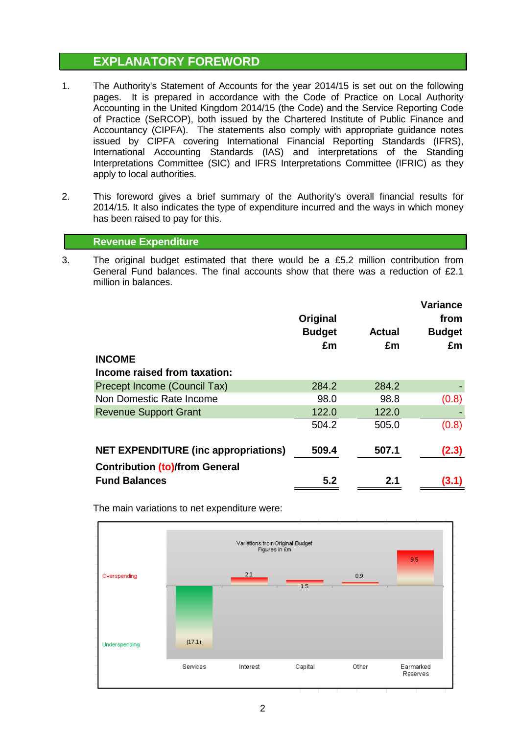# **EXPLANATORY FOREWORD**

- 1. The Authority's Statement of Accounts for the year 2014/15 is set out on the following pages. It is prepared in accordance with the Code of Practice on Local Authority Accounting in the United Kingdom 2014/15 (the Code) and the Service Reporting Code of Practice (SeRCOP), both issued by the Chartered Institute of Public Finance and Accountancy (CIPFA). The statements also comply with appropriate guidance notes issued by CIPFA covering International Financial Reporting Standards (IFRS), International Accounting Standards (IAS) and interpretations of the Standing Interpretations Committee (SIC) and IFRS Interpretations Committee (IFRIC) as they apply to local authorities.
- 2. This foreword gives a brief summary of the Authority's overall financial results for 2014/15. It also indicates the type of expenditure incurred and the ways in which money has been raised to pay for this.

# **Revenue Expenditure**

3. The original budget estimated that there would be a £5.2 million contribution from General Fund balances. The final accounts show that there was a reduction of £2.1 million in balances.

|                                             | Original<br><b>Budget</b><br>£m | <b>Actual</b><br>£m | Variance<br>from<br><b>Budget</b><br>£m |
|---------------------------------------------|---------------------------------|---------------------|-----------------------------------------|
| <b>INCOME</b>                               |                                 |                     |                                         |
| Income raised from taxation:                |                                 |                     |                                         |
| Precept Income (Council Tax)                | 284.2                           | 284.2               |                                         |
| Non Domestic Rate Income                    | 98.0                            | 98.8                | (0.8)                                   |
| <b>Revenue Support Grant</b>                | 122.0                           | 122.0               |                                         |
|                                             | 504.2                           | 505.0               | (0.8)                                   |
| <b>NET EXPENDITURE (inc appropriations)</b> | 509.4                           | 507.1               | (2.3)                                   |
| <b>Contribution (to)/from General</b>       |                                 |                     |                                         |
| <b>Fund Balances</b>                        | 5.2                             | 2.1                 | (3.1)                                   |



The main variations to net expenditure were: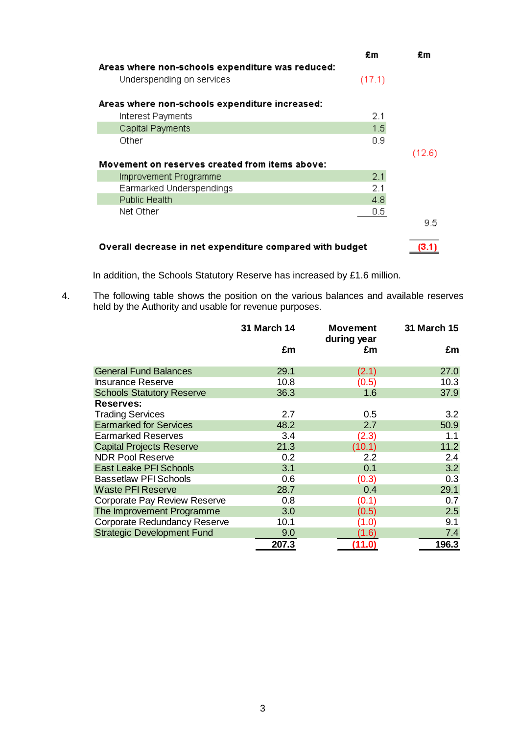| £m                                                       | £m     |
|----------------------------------------------------------|--------|
|                                                          |        |
| (17.1)                                                   |        |
|                                                          |        |
|                                                          |        |
| 2.1                                                      |        |
| 1.5                                                      |        |
| 0.9                                                      |        |
|                                                          | (12.6) |
|                                                          |        |
| 2.1                                                      |        |
| 2.1                                                      |        |
| 4.8                                                      |        |
| 0.5                                                      |        |
|                                                          | 9.5    |
|                                                          |        |
| Overall decrease in net expenditure compared with budget |        |
|                                                          |        |

In addition, the Schools Statutory Reserve has increased by £1.6 million.

4. The following table shows the position on the various balances and available reserves held by the Authority and usable for revenue purposes.

|                                     | <b>31 March 14</b> | Movement<br>during year | 31 March 15 |
|-------------------------------------|--------------------|-------------------------|-------------|
|                                     | £m                 | £m                      | £m          |
| <b>General Fund Balances</b>        | 29.1               | (2.1)                   | 27.0        |
| <b>Insurance Reserve</b>            | 10.8               | (0.5)                   | 10.3        |
| <b>Schools Statutory Reserve</b>    | 36.3               | 1.6                     | 37.9        |
| Reserves:                           |                    |                         |             |
| <b>Trading Services</b>             | 2.7                | 0.5                     | 3.2         |
| <b>Earmarked for Services</b>       | 48.2               | 2.7                     | 50.9        |
| <b>Earmarked Reserves</b>           | 3.4                | (2.3)                   | 1.1         |
| <b>Capital Projects Reserve</b>     | 21.3               | (10.1)                  | 11.2        |
| <b>NDR Pool Reserve</b>             | 0.2                | 2.2                     | 2.4         |
| <b>East Leake PFI Schools</b>       | 3.1                | 0.1                     | 3.2         |
| <b>Bassetlaw PFI Schools</b>        | 0.6                | (0.3)                   | 0.3         |
| <b>Waste PFI Reserve</b>            | 28.7               | 0.4                     | 29.1        |
| Corporate Pay Review Reserve        | 0.8                | (0.1)                   | 0.7         |
| The Improvement Programme           | 3.0                | (0.5)                   | 2.5         |
| <b>Corporate Redundancy Reserve</b> | 10.1               | (1.0)                   | 9.1         |
| <b>Strategic Development Fund</b>   | 9.0                | (1.6)                   | 7.4         |
|                                     | 207.3              | (11.0)                  | 196.3       |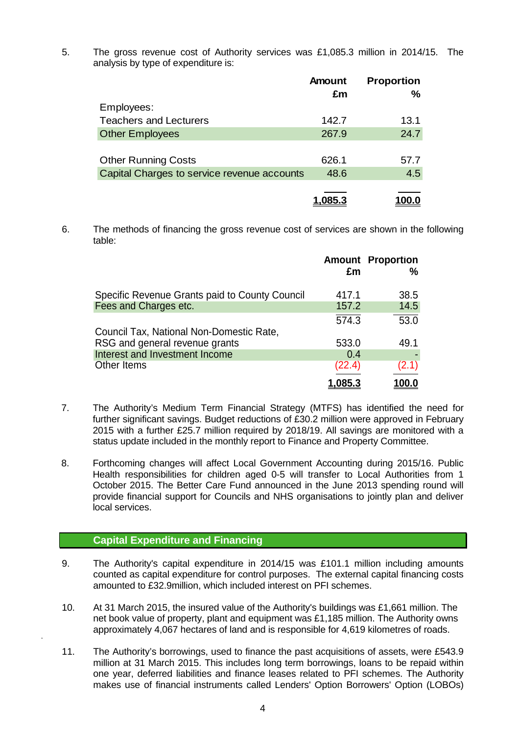5. The gross revenue cost of Authority services was £1,085.3 million in 2014/15. The analysis by type of expenditure is:

|                                             | <b>Amount</b> | <b>Proportion</b> |
|---------------------------------------------|---------------|-------------------|
|                                             | £m            | $\%$              |
| Employees:                                  |               |                   |
| <b>Teachers and Lecturers</b>               | 142.7         | 13.1              |
| <b>Other Employees</b>                      | 267.9         | 24.7              |
|                                             |               |                   |
| <b>Other Running Costs</b>                  | 626.1         | 57.7              |
| Capital Charges to service revenue accounts | 48.6          | 4.5               |
|                                             |               |                   |
|                                             | .085.3        | 100.0             |
|                                             |               |                   |

6. The methods of financing the gross revenue cost of services are shown in the following table:

|                                                | £m      | <b>Amount Proportion</b><br>% |
|------------------------------------------------|---------|-------------------------------|
| Specific Revenue Grants paid to County Council | 417.1   | 38.5                          |
| Fees and Charges etc.                          | 157.2   | 14.5                          |
|                                                | 574.3   | 53.0                          |
| Council Tax, National Non-Domestic Rate,       |         |                               |
| RSG and general revenue grants                 | 533.0   | 49.1                          |
| Interest and Investment Income                 | 0.4     |                               |
| Other Items                                    | (22.4)  | (2.1)                         |
|                                                | 1,085.3 | <u>100.0</u>                  |

- 7. The Authority's Medium Term Financial Strategy (MTFS) has identified the need for further significant savings. Budget reductions of £30.2 million were approved in February 2015 with a further £25.7 million required by 2018/19. All savings are monitored with a status update included in the monthly report to Finance and Property Committee.
- 8. Forthcoming changes will affect Local Government Accounting during 2015/16. Public Health responsibilities for children aged 0-5 will transfer to Local Authorities from 1 October 2015. The Better Care Fund announced in the June 2013 spending round will provide financial support for Councils and NHS organisations to jointly plan and deliver local services.

# **Capital Expenditure and Financing**

- 9. The Authority's capital expenditure in 2014/15 was £101.1 million including amounts counted as capital expenditure for control purposes. The external capital financing costs amounted to £32.9million, which included interest on PFI schemes.
- 10. At 31 March 2015, the insured value of the Authority's buildings was £1,661 million. The net book value of property, plant and equipment was £1,185 million. The Authority owns approximately 4,067 hectares of land and is responsible for 4,619 kilometres of roads.
- 11. The Authority's borrowings, used to finance the past acquisitions of assets, were £543.9 million at 31 March 2015. This includes long term borrowings, loans to be repaid within one year, deferred liabilities and finance leases related to PFI schemes. The Authority makes use of financial instruments called Lenders' Option Borrowers' Option (LOBOs)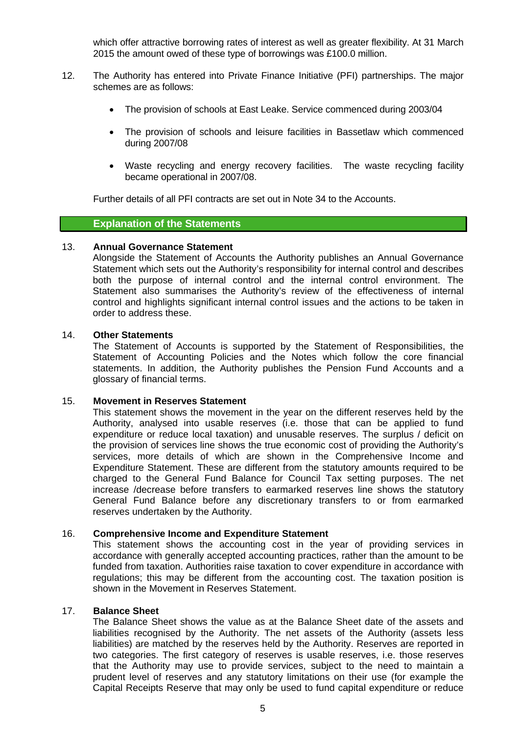which offer attractive borrowing rates of interest as well as greater flexibility. At 31 March 2015 the amount owed of these type of borrowings was £100.0 million.

- 12. The Authority has entered into Private Finance Initiative (PFI) partnerships. The major schemes are as follows:
	- The provision of schools at East Leake. Service commenced during 2003/04
	- The provision of schools and leisure facilities in Bassetlaw which commenced during 2007/08
	- Waste recycling and energy recovery facilities. The waste recycling facility became operational in 2007/08.

Further details of all PFI contracts are set out in Note 34 to the Accounts.

# **Explanation of the Statements**

#### 13. **Annual Governance Statement**

Alongside the Statement of Accounts the Authority publishes an Annual Governance Statement which sets out the Authority's responsibility for internal control and describes both the purpose of internal control and the internal control environment. The Statement also summarises the Authority's review of the effectiveness of internal control and highlights significant internal control issues and the actions to be taken in order to address these.

#### 14. **Other Statements**

The Statement of Accounts is supported by the Statement of Responsibilities, the Statement of Accounting Policies and the Notes which follow the core financial statements. In addition, the Authority publishes the Pension Fund Accounts and a glossary of financial terms.

#### 15. **Movement in Reserves Statement**

This statement shows the movement in the year on the different reserves held by the Authority, analysed into usable reserves (i.e. those that can be applied to fund expenditure or reduce local taxation) and unusable reserves. The surplus / deficit on the provision of services line shows the true economic cost of providing the Authority's services, more details of which are shown in the Comprehensive Income and Expenditure Statement. These are different from the statutory amounts required to be charged to the General Fund Balance for Council Tax setting purposes. The net increase /decrease before transfers to earmarked reserves line shows the statutory General Fund Balance before any discretionary transfers to or from earmarked reserves undertaken by the Authority.

#### 16. **Comprehensive Income and Expenditure Statement**

This statement shows the accounting cost in the year of providing services in accordance with generally accepted accounting practices, rather than the amount to be funded from taxation. Authorities raise taxation to cover expenditure in accordance with regulations; this may be different from the accounting cost. The taxation position is shown in the Movement in Reserves Statement.

#### 17. **Balance Sheet**

The Balance Sheet shows the value as at the Balance Sheet date of the assets and liabilities recognised by the Authority. The net assets of the Authority (assets less liabilities) are matched by the reserves held by the Authority. Reserves are reported in two categories. The first category of reserves is usable reserves, i.e. those reserves that the Authority may use to provide services, subject to the need to maintain a prudent level of reserves and any statutory limitations on their use (for example the Capital Receipts Reserve that may only be used to fund capital expenditure or reduce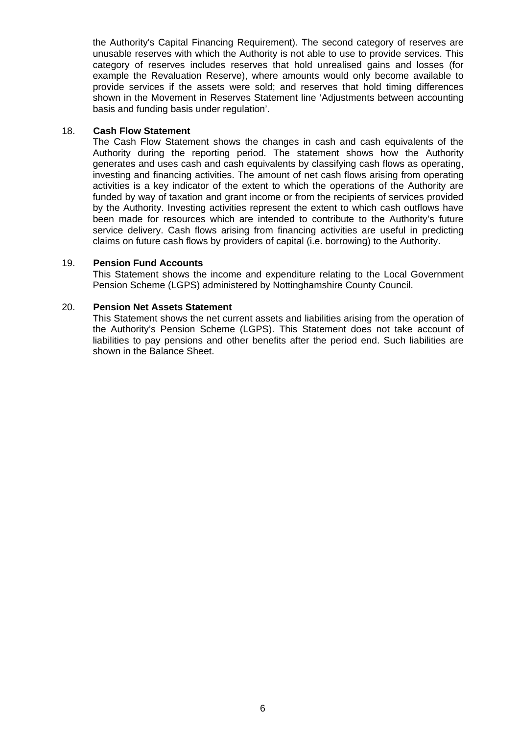the Authority's Capital Financing Requirement). The second category of reserves are unusable reserves with which the Authority is not able to use to provide services. This category of reserves includes reserves that hold unrealised gains and losses (for example the Revaluation Reserve), where amounts would only become available to provide services if the assets were sold; and reserves that hold timing differences shown in the Movement in Reserves Statement line 'Adjustments between accounting basis and funding basis under regulation'.

#### 18. **Cash Flow Statement**

The Cash Flow Statement shows the changes in cash and cash equivalents of the Authority during the reporting period. The statement shows how the Authority generates and uses cash and cash equivalents by classifying cash flows as operating, investing and financing activities. The amount of net cash flows arising from operating activities is a key indicator of the extent to which the operations of the Authority are funded by way of taxation and grant income or from the recipients of services provided by the Authority. Investing activities represent the extent to which cash outflows have been made for resources which are intended to contribute to the Authority's future service delivery. Cash flows arising from financing activities are useful in predicting claims on future cash flows by providers of capital (i.e. borrowing) to the Authority.

# 19. **Pension Fund Accounts**

This Statement shows the income and expenditure relating to the Local Government Pension Scheme (LGPS) administered by Nottinghamshire County Council.

#### 20. **Pension Net Assets Statement**

This Statement shows the net current assets and liabilities arising from the operation of the Authority's Pension Scheme (LGPS). This Statement does not take account of liabilities to pay pensions and other benefits after the period end. Such liabilities are shown in the Balance Sheet.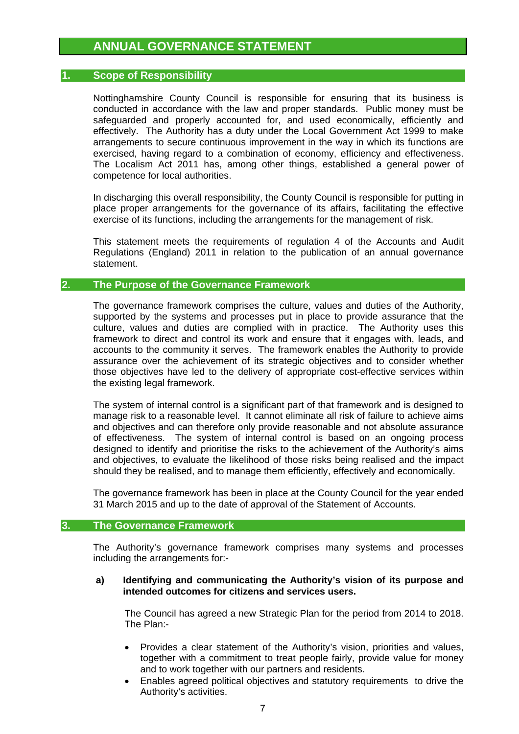# **ANNUAL GOVERNANCE STATEMENT**

#### **Scope of Responsibility**

 Nottinghamshire County Council is responsible for ensuring that its business is conducted in accordance with the law and proper standards. Public money must be safeguarded and properly accounted for, and used economically, efficiently and effectively. The Authority has a duty under the Local Government Act 1999 to make arrangements to secure continuous improvement in the way in which its functions are exercised, having regard to a combination of economy, efficiency and effectiveness. The Localism Act 2011 has, among other things, established a general power of competence for local authorities.

 In discharging this overall responsibility, the County Council is responsible for putting in place proper arrangements for the governance of its affairs, facilitating the effective exercise of its functions, including the arrangements for the management of risk.

 This statement meets the requirements of regulation 4 of the Accounts and Audit Regulations (England) 2011 in relation to the publication of an annual governance statement.

# **2. The Purpose of the Governance Framework**

The governance framework comprises the culture, values and duties of the Authority, supported by the systems and processes put in place to provide assurance that the culture, values and duties are complied with in practice. The Authority uses this framework to direct and control its work and ensure that it engages with, leads, and accounts to the community it serves. The framework enables the Authority to provide assurance over the achievement of its strategic objectives and to consider whether those objectives have led to the delivery of appropriate cost-effective services within the existing legal framework.

 The system of internal control is a significant part of that framework and is designed to manage risk to a reasonable level. It cannot eliminate all risk of failure to achieve aims and objectives and can therefore only provide reasonable and not absolute assurance of effectiveness. The system of internal control is based on an ongoing process designed to identify and prioritise the risks to the achievement of the Authority's aims and objectives, to evaluate the likelihood of those risks being realised and the impact should they be realised, and to manage them efficiently, effectively and economically.

The governance framework has been in place at the County Council for the year ended 31 March 2015 and up to the date of approval of the Statement of Accounts.

#### **3. The Governance Framework**

 The Authority's governance framework comprises many systems and processes including the arrangements for:-

#### **a) Identifying and communicating the Authority's vision of its purpose and intended outcomes for citizens and services users.**

 The Council has agreed a new Strategic Plan for the period from 2014 to 2018. The Plan:-

- Provides a clear statement of the Authority's vision, priorities and values, together with a commitment to treat people fairly, provide value for money and to work together with our partners and residents.
- Enables agreed political objectives and statutory requirements to drive the Authority's activities.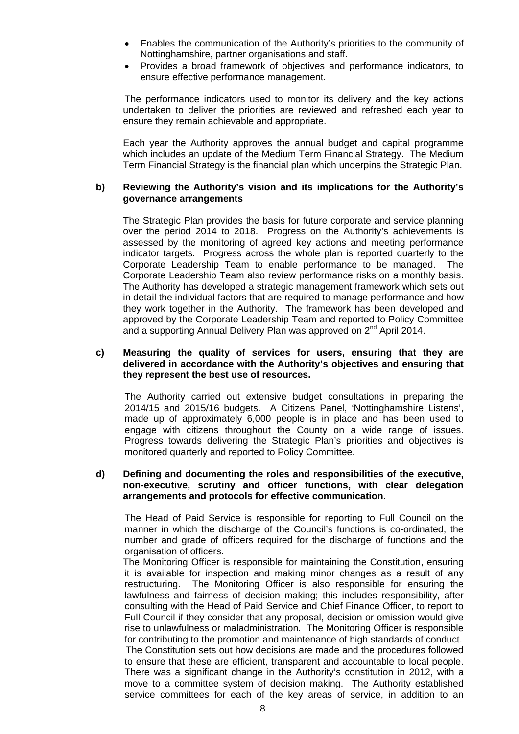- Enables the communication of the Authority's priorities to the community of Nottinghamshire, partner organisations and staff.
- Provides a broad framework of objectives and performance indicators, to ensure effective performance management.

 The performance indicators used to monitor its delivery and the key actions undertaken to deliver the priorities are reviewed and refreshed each year to ensure they remain achievable and appropriate.

Each year the Authority approves the annual budget and capital programme which includes an update of the Medium Term Financial Strategy. The Medium Term Financial Strategy is the financial plan which underpins the Strategic Plan.

#### **b) Reviewing the Authority's vision and its implications for the Authority's governance arrangements**

 The Strategic Plan provides the basis for future corporate and service planning over the period 2014 to 2018. Progress on the Authority's achievements is assessed by the monitoring of agreed key actions and meeting performance indicator targets. Progress across the whole plan is reported quarterly to the Corporate Leadership Team to enable performance to be managed. The Corporate Leadership Team also review performance risks on a monthly basis. The Authority has developed a strategic management framework which sets out in detail the individual factors that are required to manage performance and how they work together in the Authority. The framework has been developed and approved by the Corporate Leadership Team and reported to Policy Committee and a supporting Annual Delivery Plan was approved on 2<sup>nd</sup> April 2014.

#### **c) Measuring the quality of services for users, ensuring that they are delivered in accordance with the Authority's objectives and ensuring that they represent the best use of resources.**

 The Authority carried out extensive budget consultations in preparing the 2014/15 and 2015/16 budgets. A Citizens Panel, 'Nottinghamshire Listens', made up of approximately 6,000 people is in place and has been used to engage with citizens throughout the County on a wide range of issues. Progress towards delivering the Strategic Plan's priorities and objectives is monitored quarterly and reported to Policy Committee.

#### **d) Defining and documenting the roles and responsibilities of the executive, non-executive, scrutiny and officer functions, with clear delegation arrangements and protocols for effective communication.**

 The Head of Paid Service is responsible for reporting to Full Council on the manner in which the discharge of the Council's functions is co-ordinated, the number and grade of officers required for the discharge of functions and the organisation of officers.

The Monitoring Officer is responsible for maintaining the Constitution, ensuring it is available for inspection and making minor changes as a result of any restructuring. The Monitoring Officer is also responsible for ensuring the lawfulness and fairness of decision making; this includes responsibility, after consulting with the Head of Paid Service and Chief Finance Officer, to report to Full Council if they consider that any proposal, decision or omission would give rise to unlawfulness or maladministration. The Monitoring Officer is responsible for contributing to the promotion and maintenance of high standards of conduct. The Constitution sets out how decisions are made and the procedures followed to ensure that these are efficient, transparent and accountable to local people. There was a significant change in the Authority's constitution in 2012, with a move to a committee system of decision making. The Authority established service committees for each of the key areas of service, in addition to an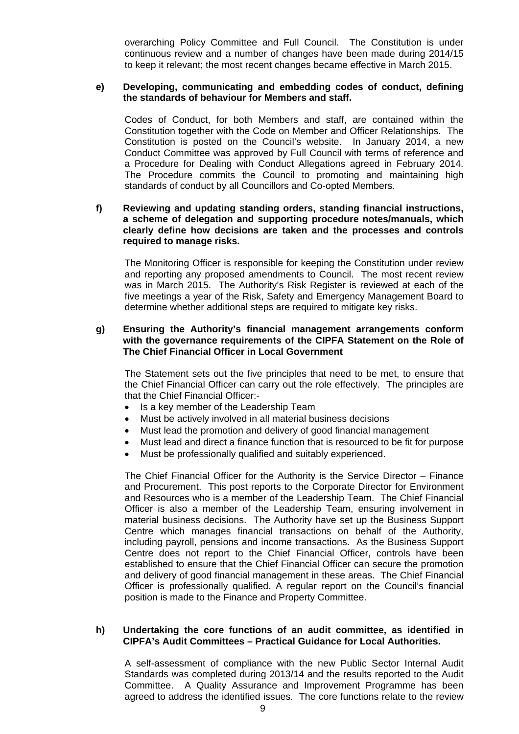overarching Policy Committee and Full Council. The Constitution is under continuous review and a number of changes have been made during 2014/15 to keep it relevant; the most recent changes became effective in March 2015.

#### **e) Developing, communicating and embedding codes of conduct, defining the standards of behaviour for Members and staff.**

 Codes of Conduct, for both Members and staff, are contained within the Constitution together with the Code on Member and Officer Relationships. The Constitution is posted on the Council's website. In January 2014, a new Conduct Committee was approved by Full Council with terms of reference and a Procedure for Dealing with Conduct Allegations agreed in February 2014. The Procedure commits the Council to promoting and maintaining high standards of conduct by all Councillors and Co-opted Members.

#### **f) Reviewing and updating standing orders, standing financial instructions, a scheme of delegation and supporting procedure notes/manuals, which clearly define how decisions are taken and the processes and controls required to manage risks.**

 The Monitoring Officer is responsible for keeping the Constitution under review and reporting any proposed amendments to Council. The most recent review was in March 2015. The Authority's Risk Register is reviewed at each of the five meetings a year of the Risk, Safety and Emergency Management Board to determine whether additional steps are required to mitigate key risks.

#### **g) Ensuring the Authority's financial management arrangements conform with the governance requirements of the CIPFA Statement on the Role of The Chief Financial Officer in Local Government**

The Statement sets out the five principles that need to be met, to ensure that the Chief Financial Officer can carry out the role effectively. The principles are that the Chief Financial Officer:-

- Is a key member of the Leadership Team
- Must be actively involved in all material business decisions
- Must lead the promotion and delivery of good financial management
- Must lead and direct a finance function that is resourced to be fit for purpose
- Must be professionally qualified and suitably experienced.

The Chief Financial Officer for the Authority is the Service Director – Finance and Procurement. This post reports to the Corporate Director for Environment and Resources who is a member of the Leadership Team. The Chief Financial Officer is also a member of the Leadership Team, ensuring involvement in material business decisions. The Authority have set up the Business Support Centre which manages financial transactions on behalf of the Authority, including payroll, pensions and income transactions. As the Business Support Centre does not report to the Chief Financial Officer, controls have been established to ensure that the Chief Financial Officer can secure the promotion and delivery of good financial management in these areas. The Chief Financial Officer is professionally qualified. A regular report on the Council's financial position is made to the Finance and Property Committee.

#### **h) Undertaking the core functions of an audit committee, as identified in CIPFA's Audit Committees – Practical Guidance for Local Authorities.**

A self-assessment of compliance with the new Public Sector Internal Audit Standards was completed during 2013/14 and the results reported to the Audit Committee. A Quality Assurance and Improvement Programme has been agreed to address the identified issues. The core functions relate to the review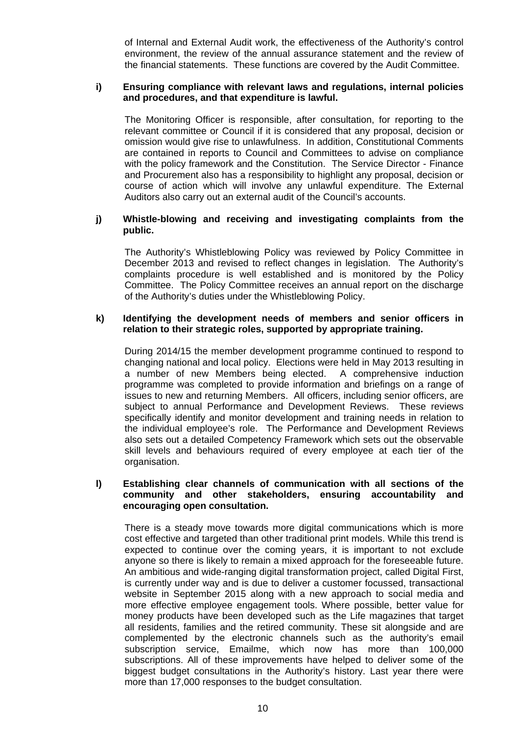of Internal and External Audit work, the effectiveness of the Authority's control environment, the review of the annual assurance statement and the review of the financial statements. These functions are covered by the Audit Committee.

#### **i) Ensuring compliance with relevant laws and regulations, internal policies and procedures, and that expenditure is lawful.**

 The Monitoring Officer is responsible, after consultation, for reporting to the relevant committee or Council if it is considered that any proposal, decision or omission would give rise to unlawfulness. In addition, Constitutional Comments are contained in reports to Council and Committees to advise on compliance with the policy framework and the Constitution. The Service Director - Finance and Procurement also has a responsibility to highlight any proposal, decision or course of action which will involve any unlawful expenditure. The External Auditors also carry out an external audit of the Council's accounts.

#### **j) Whistle-blowing and receiving and investigating complaints from the public.**

 The Authority's Whistleblowing Policy was reviewed by Policy Committee in December 2013 and revised to reflect changes in legislation. The Authority's complaints procedure is well established and is monitored by the Policy Committee. The Policy Committee receives an annual report on the discharge of the Authority's duties under the Whistleblowing Policy.

#### **k) Identifying the development needs of members and senior officers in relation to their strategic roles, supported by appropriate training.**

 During 2014/15 the member development programme continued to respond to changing national and local policy. Elections were held in May 2013 resulting in a number of new Members being elected. A comprehensive induction programme was completed to provide information and briefings on a range of issues to new and returning Members. All officers, including senior officers, are subject to annual Performance and Development Reviews. These reviews specifically identify and monitor development and training needs in relation to the individual employee's role. The Performance and Development Reviews also sets out a detailed Competency Framework which sets out the observable skill levels and behaviours required of every employee at each tier of the organisation.

#### **l) Establishing clear channels of communication with all sections of the community and other stakeholders, ensuring accountability and encouraging open consultation.**

 There is a steady move towards more digital communications which is more cost effective and targeted than other traditional print models. While this trend is expected to continue over the coming years, it is important to not exclude anyone so there is likely to remain a mixed approach for the foreseeable future. An ambitious and wide-ranging digital transformation project, called Digital First, is currently under way and is due to deliver a customer focussed, transactional website in September 2015 along with a new approach to social media and more effective employee engagement tools. Where possible, better value for money products have been developed such as the Life magazines that target all residents, families and the retired community. These sit alongside and are complemented by the electronic channels such as the authority's email subscription service, Emailme, which now has more than 100,000 subscriptions. All of these improvements have helped to deliver some of the biggest budget consultations in the Authority's history. Last year there were more than 17,000 responses to the budget consultation.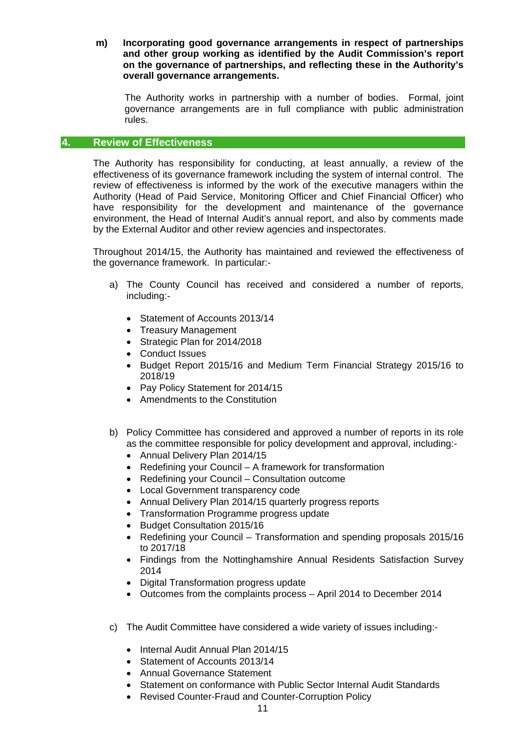**m) Incorporating good governance arrangements in respect of partnerships and other group working as identified by the Audit Commission's report on the governance of partnerships, and reflecting these in the Authority's overall governance arrangements.**

 The Authority works in partnership with a number of bodies. Formal, joint governance arrangements are in full compliance with public administration rules.

#### **4. Review of Effectiveness**

The Authority has responsibility for conducting, at least annually, a review of the effectiveness of its governance framework including the system of internal control. The review of effectiveness is informed by the work of the executive managers within the Authority (Head of Paid Service, Monitoring Officer and Chief Financial Officer) who have responsibility for the development and maintenance of the governance environment, the Head of Internal Audit's annual report, and also by comments made by the External Auditor and other review agencies and inspectorates.

 Throughout 2014/15, the Authority has maintained and reviewed the effectiveness of the governance framework. In particular:-

- a) The County Council has received and considered a number of reports, including:-
	- Statement of Accounts 2013/14
	- Treasury Management
	- Strategic Plan for 2014/2018
	- Conduct Issues
	- Budget Report 2015/16 and Medium Term Financial Strategy 2015/16 to 2018/19
	- Pay Policy Statement for 2014/15
	- Amendments to the Constitution
- b) Policy Committee has considered and approved a number of reports in its role as the committee responsible for policy development and approval, including:-
	- Annual Delivery Plan 2014/15
	- Redefining your Council A framework for transformation
	- Redefining your Council Consultation outcome
	- Local Government transparency code
	- Annual Delivery Plan 2014/15 quarterly progress reports
	- Transformation Programme progress update
	- Budget Consultation 2015/16
	- Redefining your Council Transformation and spending proposals 2015/16 to 2017/18
	- Findings from the Nottinghamshire Annual Residents Satisfaction Survey 2014
	- Digital Transformation progress update
	- Outcomes from the complaints process April 2014 to December 2014
- c) The Audit Committee have considered a wide variety of issues including:-
	- Internal Audit Annual Plan 2014/15
	- Statement of Accounts 2013/14
	- Annual Governance Statement
	- Statement on conformance with Public Sector Internal Audit Standards
	- Revised Counter-Fraud and Counter-Corruption Policy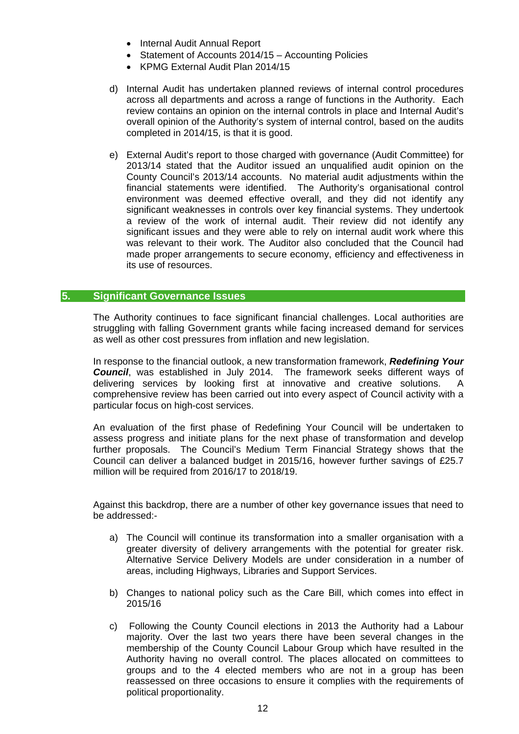- Internal Audit Annual Report
- Statement of Accounts 2014/15 Accounting Policies
- KPMG External Audit Plan 2014/15
- d) Internal Audit has undertaken planned reviews of internal control procedures across all departments and across a range of functions in the Authority. Each review contains an opinion on the internal controls in place and Internal Audit's overall opinion of the Authority's system of internal control, based on the audits completed in 2014/15, is that it is good.
- e) External Audit's report to those charged with governance (Audit Committee) for 2013/14 stated that the Auditor issued an unqualified audit opinion on the County Council's 2013/14 accounts. No material audit adjustments within the financial statements were identified. The Authority's organisational control environment was deemed effective overall, and they did not identify any significant weaknesses in controls over key financial systems. They undertook a review of the work of internal audit. Their review did not identify any significant issues and they were able to rely on internal audit work where this was relevant to their work. The Auditor also concluded that the Council had made proper arrangements to secure economy, efficiency and effectiveness in its use of resources.

# **5. Significant Governance Issues**

 The Authority continues to face significant financial challenges. Local authorities are struggling with falling Government grants while facing increased demand for services as well as other cost pressures from inflation and new legislation.

 In response to the financial outlook, a new transformation framework, *Redefining Your Council*, was established in July 2014. The framework seeks different ways of delivering services by looking first at innovative and creative solutions. A comprehensive review has been carried out into every aspect of Council activity with a particular focus on high-cost services.

 An evaluation of the first phase of Redefining Your Council will be undertaken to assess progress and initiate plans for the next phase of transformation and develop further proposals. The Council's Medium Term Financial Strategy shows that the Council can deliver a balanced budget in 2015/16, however further savings of £25.7 million will be required from 2016/17 to 2018/19.

 Against this backdrop, there are a number of other key governance issues that need to be addressed:-

- a) The Council will continue its transformation into a smaller organisation with a greater diversity of delivery arrangements with the potential for greater risk. Alternative Service Delivery Models are under consideration in a number of areas, including Highways, Libraries and Support Services.
- b) Changes to national policy such as the Care Bill, which comes into effect in 2015/16
- c) Following the County Council elections in 2013 the Authority had a Labour majority. Over the last two years there have been several changes in the membership of the County Council Labour Group which have resulted in the Authority having no overall control. The places allocated on committees to groups and to the 4 elected members who are not in a group has been reassessed on three occasions to ensure it complies with the requirements of political proportionality.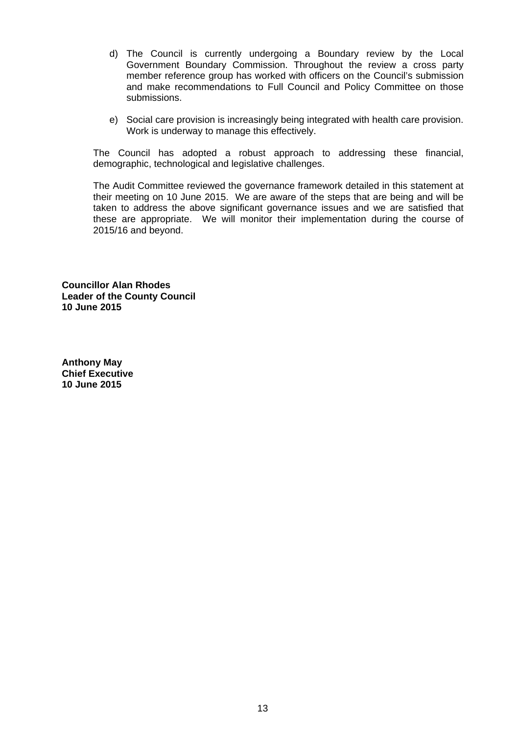- d) The Council is currently undergoing a Boundary review by the Local Government Boundary Commission. Throughout the review a cross party member reference group has worked with officers on the Council's submission and make recommendations to Full Council and Policy Committee on those submissions.
- e) Social care provision is increasingly being integrated with health care provision. Work is underway to manage this effectively.

 The Council has adopted a robust approach to addressing these financial, demographic, technological and legislative challenges.

 The Audit Committee reviewed the governance framework detailed in this statement at their meeting on 10 June 2015. We are aware of the steps that are being and will be taken to address the above significant governance issues and we are satisfied that these are appropriate. We will monitor their implementation during the course of 2015/16 and beyond.

**Councillor Alan Rhodes Leader of the County Council 10 June 2015** 

**Anthony May Chief Executive 10 June 2015**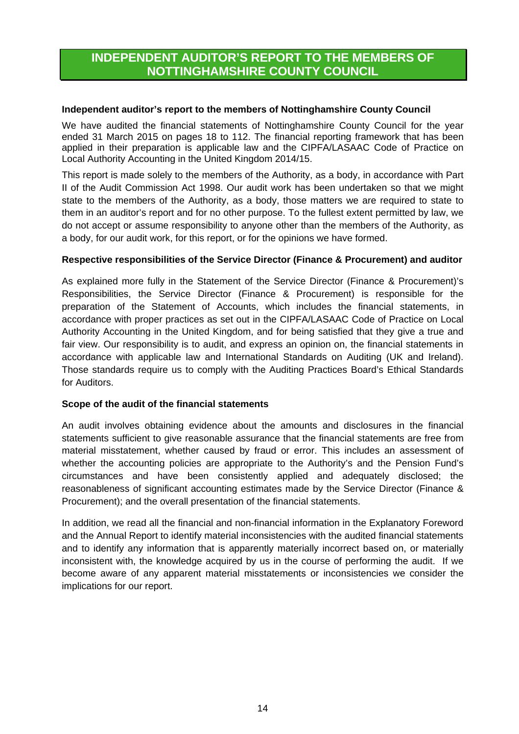# **INDEPENDENT AUDITOR'S REPORT TO THE MEMBERS OF NOTTINGHAMSHIRE COUNTY COUNCIL**

# **Independent auditor's report to the members of Nottinghamshire County Council**

We have audited the financial statements of Nottinghamshire County Council for the year ended 31 March 2015 on pages 18 to 112. The financial reporting framework that has been applied in their preparation is applicable law and the CIPFA/LASAAC Code of Practice on Local Authority Accounting in the United Kingdom 2014/15.

This report is made solely to the members of the Authority, as a body, in accordance with Part II of the Audit Commission Act 1998. Our audit work has been undertaken so that we might state to the members of the Authority, as a body, those matters we are required to state to them in an auditor's report and for no other purpose. To the fullest extent permitted by law, we do not accept or assume responsibility to anyone other than the members of the Authority, as a body, for our audit work, for this report, or for the opinions we have formed.

# **Respective responsibilities of the Service Director (Finance & Procurement) and auditor**

As explained more fully in the Statement of the Service Director (Finance & Procurement)'s Responsibilities, the Service Director (Finance & Procurement) is responsible for the preparation of the Statement of Accounts, which includes the financial statements, in accordance with proper practices as set out in the CIPFA/LASAAC Code of Practice on Local Authority Accounting in the United Kingdom, and for being satisfied that they give a true and fair view. Our responsibility is to audit, and express an opinion on, the financial statements in accordance with applicable law and International Standards on Auditing (UK and Ireland). Those standards require us to comply with the Auditing Practices Board's Ethical Standards for Auditors.

# **Scope of the audit of the financial statements**

An audit involves obtaining evidence about the amounts and disclosures in the financial statements sufficient to give reasonable assurance that the financial statements are free from material misstatement, whether caused by fraud or error. This includes an assessment of whether the accounting policies are appropriate to the Authority's and the Pension Fund's circumstances and have been consistently applied and adequately disclosed; the reasonableness of significant accounting estimates made by the Service Director (Finance & Procurement); and the overall presentation of the financial statements.

In addition, we read all the financial and non-financial information in the Explanatory Foreword and the Annual Report to identify material inconsistencies with the audited financial statements and to identify any information that is apparently materially incorrect based on, or materially inconsistent with, the knowledge acquired by us in the course of performing the audit. If we become aware of any apparent material misstatements or inconsistencies we consider the implications for our report.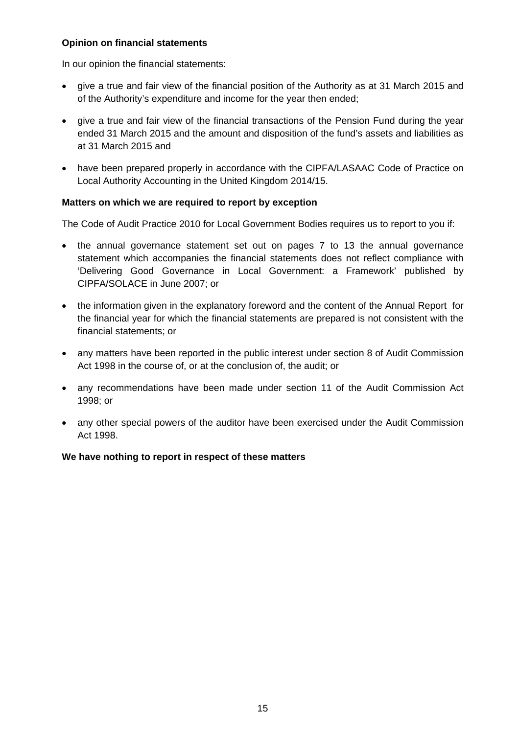# **Opinion on financial statements**

In our opinion the financial statements:

- give a true and fair view of the financial position of the Authority as at 31 March 2015 and of the Authority's expenditure and income for the year then ended;
- give a true and fair view of the financial transactions of the Pension Fund during the year ended 31 March 2015 and the amount and disposition of the fund's assets and liabilities as at 31 March 2015 and
- have been prepared properly in accordance with the CIPFA/LASAAC Code of Practice on Local Authority Accounting in the United Kingdom 2014/15.

# **Matters on which we are required to report by exception**

The Code of Audit Practice 2010 for Local Government Bodies requires us to report to you if:

- the annual governance statement set out on pages 7 to 13 the annual governance statement which accompanies the financial statements does not reflect compliance with 'Delivering Good Governance in Local Government: a Framework' published by CIPFA/SOLACE in June 2007; or
- the information given in the explanatory foreword and the content of the Annual Report for the financial year for which the financial statements are prepared is not consistent with the financial statements; or
- any matters have been reported in the public interest under section 8 of Audit Commission Act 1998 in the course of, or at the conclusion of, the audit; or
- any recommendations have been made under section 11 of the Audit Commission Act 1998; or
- any other special powers of the auditor have been exercised under the Audit Commission Act 1998.

# **We have nothing to report in respect of these matters**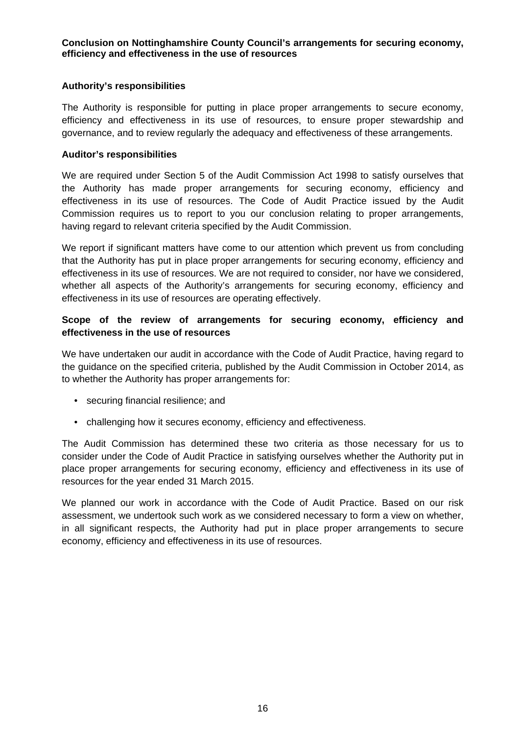# **Conclusion on Nottinghamshire County Council's arrangements for securing economy, efficiency and effectiveness in the use of resources**

# **Authority's responsibilities**

The Authority is responsible for putting in place proper arrangements to secure economy, efficiency and effectiveness in its use of resources, to ensure proper stewardship and governance, and to review regularly the adequacy and effectiveness of these arrangements.

#### **Auditor's responsibilities**

We are required under Section 5 of the Audit Commission Act 1998 to satisfy ourselves that the Authority has made proper arrangements for securing economy, efficiency and effectiveness in its use of resources. The Code of Audit Practice issued by the Audit Commission requires us to report to you our conclusion relating to proper arrangements, having regard to relevant criteria specified by the Audit Commission.

We report if significant matters have come to our attention which prevent us from concluding that the Authority has put in place proper arrangements for securing economy, efficiency and effectiveness in its use of resources. We are not required to consider, nor have we considered, whether all aspects of the Authority's arrangements for securing economy, efficiency and effectiveness in its use of resources are operating effectively.

# **Scope of the review of arrangements for securing economy, efficiency and effectiveness in the use of resources**

We have undertaken our audit in accordance with the Code of Audit Practice, having regard to the guidance on the specified criteria, published by the Audit Commission in October 2014, as to whether the Authority has proper arrangements for:

- securing financial resilience; and
- challenging how it secures economy, efficiency and effectiveness.

The Audit Commission has determined these two criteria as those necessary for us to consider under the Code of Audit Practice in satisfying ourselves whether the Authority put in place proper arrangements for securing economy, efficiency and effectiveness in its use of resources for the year ended 31 March 2015.

We planned our work in accordance with the Code of Audit Practice. Based on our risk assessment, we undertook such work as we considered necessary to form a view on whether, in all significant respects, the Authority had put in place proper arrangements to secure economy, efficiency and effectiveness in its use of resources.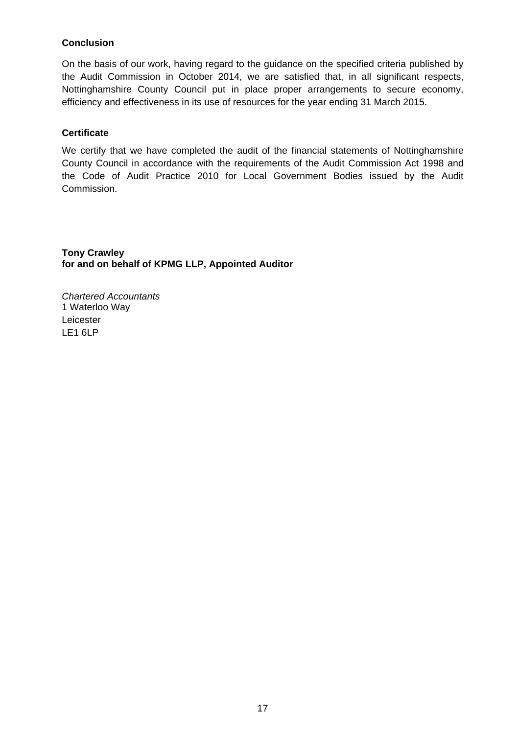# **Conclusion**

On the basis of our work, having regard to the guidance on the specified criteria published by the Audit Commission in October 2014, we are satisfied that, in all significant respects, Nottinghamshire County Council put in place proper arrangements to secure economy, efficiency and effectiveness in its use of resources for the year ending 31 March 2015.

# **Certificate**

We certify that we have completed the audit of the financial statements of Nottinghamshire County Council in accordance with the requirements of the Audit Commission Act 1998 and the Code of Audit Practice 2010 for Local Government Bodies issued by the Audit Commission.

**Tony Crawley for and on behalf of KPMG LLP, Appointed Auditor**

*Chartered Accountants* 1 Waterloo Way Leicester LE1 6LP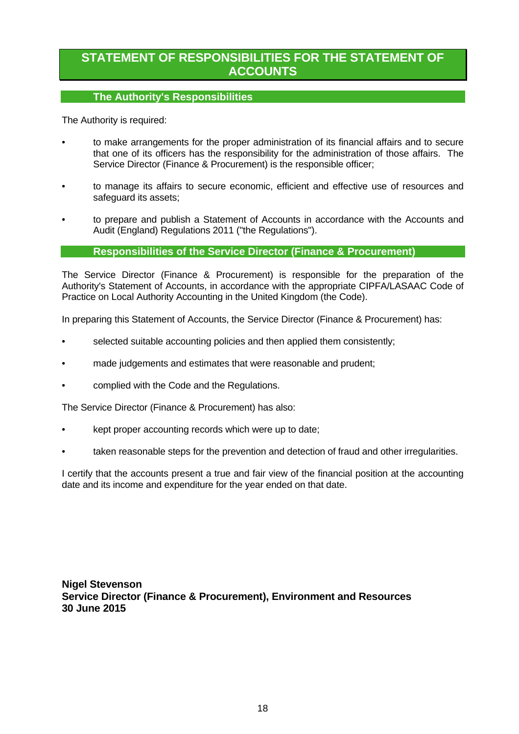# **STATEMENT OF RESPONSIBILITIES FOR THE STATEMENT OF ACCOUNTS**

# **The Authority's Responsibilities**

The Authority is required:

- to make arrangements for the proper administration of its financial affairs and to secure that one of its officers has the responsibility for the administration of those affairs. The Service Director (Finance & Procurement) is the responsible officer;
- to manage its affairs to secure economic, efficient and effective use of resources and safeguard its assets;
- to prepare and publish a Statement of Accounts in accordance with the Accounts and Audit (England) Regulations 2011 ("the Regulations").

# **Responsibilities of the Service Director (Finance & Procurement)**

The Service Director (Finance & Procurement) is responsible for the preparation of the Authority's Statement of Accounts, in accordance with the appropriate CIPFA/LASAAC Code of Practice on Local Authority Accounting in the United Kingdom (the Code).

In preparing this Statement of Accounts, the Service Director (Finance & Procurement) has:

- selected suitable accounting policies and then applied them consistently;
- made judgements and estimates that were reasonable and prudent;
- complied with the Code and the Regulations.

The Service Director (Finance & Procurement) has also:

- kept proper accounting records which were up to date;
- taken reasonable steps for the prevention and detection of fraud and other irregularities.

I certify that the accounts present a true and fair view of the financial position at the accounting date and its income and expenditure for the year ended on that date.

**Nigel Stevenson Service Director (Finance & Procurement), Environment and Resources 30 June 2015**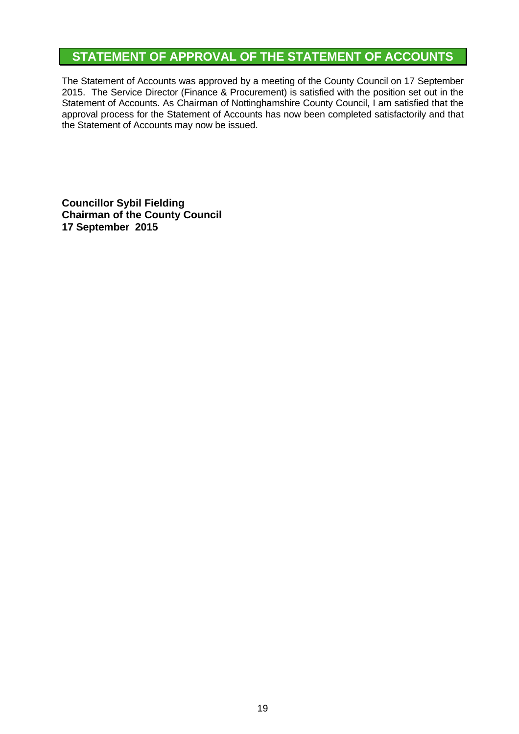# **STATEMENT OF APPROVAL OF THE STATEMENT OF ACCOUNTS**

The Statement of Accounts was approved by a meeting of the County Council on 17 September 2015. The Service Director (Finance & Procurement) is satisfied with the position set out in the Statement of Accounts. As Chairman of Nottinghamshire County Council, I am satisfied that the approval process for the Statement of Accounts has now been completed satisfactorily and that the Statement of Accounts may now be issued.

**Councillor Sybil Fielding Chairman of the County Council 17 September 2015**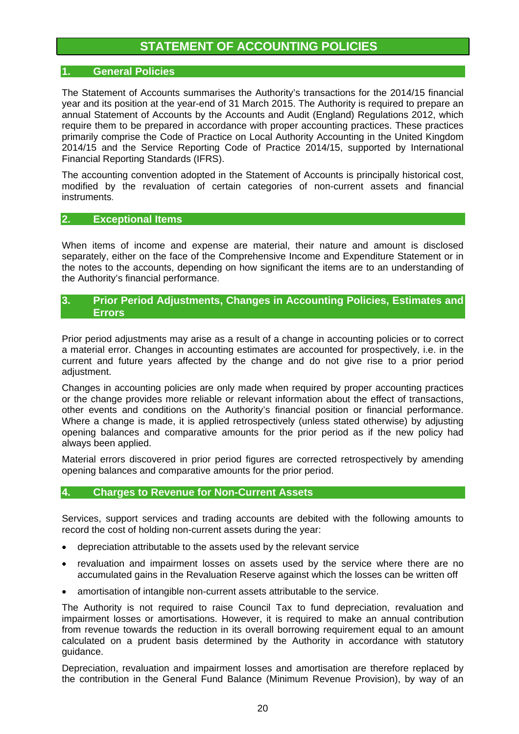# **STATEMENT OF ACCOUNTING POLICIES**

# **1. General Policies**

The Statement of Accounts summarises the Authority's transactions for the 2014/15 financial year and its position at the year-end of 31 March 2015. The Authority is required to prepare an annual Statement of Accounts by the Accounts and Audit (England) Regulations 2012, which require them to be prepared in accordance with proper accounting practices. These practices primarily comprise the Code of Practice on Local Authority Accounting in the United Kingdom 2014/15 and the Service Reporting Code of Practice 2014/15, supported by International Financial Reporting Standards (IFRS).

The accounting convention adopted in the Statement of Accounts is principally historical cost, modified by the revaluation of certain categories of non-current assets and financial instruments.

#### **2. Exceptional Items**

When items of income and expense are material, their nature and amount is disclosed separately, either on the face of the Comprehensive Income and Expenditure Statement or in the notes to the accounts, depending on how significant the items are to an understanding of the Authority's financial performance.

# **3. Prior Period Adjustments, Changes in Accounting Policies, Estimates and Errors**

Prior period adjustments may arise as a result of a change in accounting policies or to correct a material error. Changes in accounting estimates are accounted for prospectively, i.e. in the current and future years affected by the change and do not give rise to a prior period adjustment.

Changes in accounting policies are only made when required by proper accounting practices or the change provides more reliable or relevant information about the effect of transactions, other events and conditions on the Authority's financial position or financial performance. Where a change is made, it is applied retrospectively (unless stated otherwise) by adjusting opening balances and comparative amounts for the prior period as if the new policy had always been applied.

Material errors discovered in prior period figures are corrected retrospectively by amending opening balances and comparative amounts for the prior period.

# **4. Charges to Revenue for Non-Current Assets**

Services, support services and trading accounts are debited with the following amounts to record the cost of holding non-current assets during the year:

- depreciation attributable to the assets used by the relevant service
- revaluation and impairment losses on assets used by the service where there are no accumulated gains in the Revaluation Reserve against which the losses can be written off
- amortisation of intangible non-current assets attributable to the service.

The Authority is not required to raise Council Tax to fund depreciation, revaluation and impairment losses or amortisations. However, it is required to make an annual contribution from revenue towards the reduction in its overall borrowing requirement equal to an amount calculated on a prudent basis determined by the Authority in accordance with statutory guidance.

Depreciation, revaluation and impairment losses and amortisation are therefore replaced by the contribution in the General Fund Balance (Minimum Revenue Provision), by way of an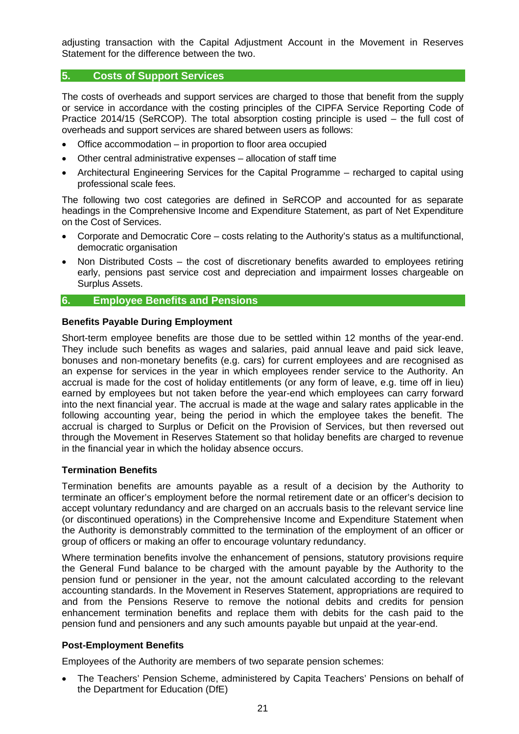adjusting transaction with the Capital Adjustment Account in the Movement in Reserves Statement for the difference between the two.

# **5. Costs of Support Services**

The costs of overheads and support services are charged to those that benefit from the supply or service in accordance with the costing principles of the CIPFA Service Reporting Code of Practice 2014/15 (SeRCOP). The total absorption costing principle is used – the full cost of overheads and support services are shared between users as follows:

- Office accommodation in proportion to floor area occupied
- Other central administrative expenses allocation of staff time
- Architectural Engineering Services for the Capital Programme recharged to capital using professional scale fees.

The following two cost categories are defined in SeRCOP and accounted for as separate headings in the Comprehensive Income and Expenditure Statement, as part of Net Expenditure on the Cost of Services.

- Corporate and Democratic Core costs relating to the Authority's status as a multifunctional, democratic organisation
- Non Distributed Costs the cost of discretionary benefits awarded to employees retiring early, pensions past service cost and depreciation and impairment losses chargeable on Surplus Assets.

#### **6. Employee Benefits and Pensions**

#### **Benefits Payable During Employment**

Short-term employee benefits are those due to be settled within 12 months of the year-end. They include such benefits as wages and salaries, paid annual leave and paid sick leave, bonuses and non-monetary benefits (e.g. cars) for current employees and are recognised as an expense for services in the year in which employees render service to the Authority. An accrual is made for the cost of holiday entitlements (or any form of leave, e.g. time off in lieu) earned by employees but not taken before the year-end which employees can carry forward into the next financial year. The accrual is made at the wage and salary rates applicable in the following accounting year, being the period in which the employee takes the benefit. The accrual is charged to Surplus or Deficit on the Provision of Services, but then reversed out through the Movement in Reserves Statement so that holiday benefits are charged to revenue in the financial year in which the holiday absence occurs.

#### **Termination Benefits**

Termination benefits are amounts payable as a result of a decision by the Authority to terminate an officer's employment before the normal retirement date or an officer's decision to accept voluntary redundancy and are charged on an accruals basis to the relevant service line (or discontinued operations) in the Comprehensive Income and Expenditure Statement when the Authority is demonstrably committed to the termination of the employment of an officer or group of officers or making an offer to encourage voluntary redundancy.

Where termination benefits involve the enhancement of pensions, statutory provisions require the General Fund balance to be charged with the amount payable by the Authority to the pension fund or pensioner in the year, not the amount calculated according to the relevant accounting standards. In the Movement in Reserves Statement, appropriations are required to and from the Pensions Reserve to remove the notional debits and credits for pension enhancement termination benefits and replace them with debits for the cash paid to the pension fund and pensioners and any such amounts payable but unpaid at the year-end.

# **Post-Employment Benefits**

Employees of the Authority are members of two separate pension schemes:

 The Teachers' Pension Scheme, administered by Capita Teachers' Pensions on behalf of the Department for Education (DfE)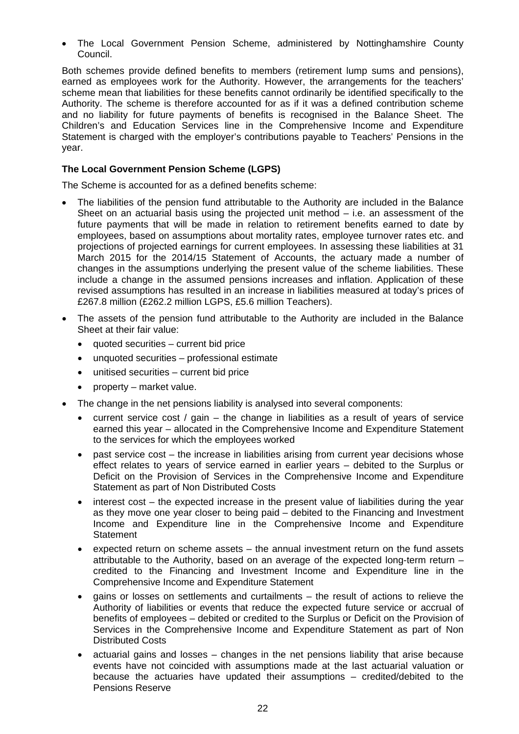The Local Government Pension Scheme, administered by Nottinghamshire County Council.

Both schemes provide defined benefits to members (retirement lump sums and pensions), earned as employees work for the Authority. However, the arrangements for the teachers' scheme mean that liabilities for these benefits cannot ordinarily be identified specifically to the Authority. The scheme is therefore accounted for as if it was a defined contribution scheme and no liability for future payments of benefits is recognised in the Balance Sheet. The Children's and Education Services line in the Comprehensive Income and Expenditure Statement is charged with the employer's contributions payable to Teachers' Pensions in the year.

# **The Local Government Pension Scheme (LGPS)**

The Scheme is accounted for as a defined benefits scheme:

- The liabilities of the pension fund attributable to the Authority are included in the Balance Sheet on an actuarial basis using the projected unit method – i.e. an assessment of the future payments that will be made in relation to retirement benefits earned to date by employees, based on assumptions about mortality rates, employee turnover rates etc. and projections of projected earnings for current employees. In assessing these liabilities at 31 March 2015 for the 2014/15 Statement of Accounts, the actuary made a number of changes in the assumptions underlying the present value of the scheme liabilities. These include a change in the assumed pensions increases and inflation. Application of these revised assumptions has resulted in an increase in liabilities measured at today's prices of £267.8 million (£262.2 million LGPS, £5.6 million Teachers).
- The assets of the pension fund attributable to the Authority are included in the Balance Sheet at their fair value:
	- quoted securities current bid price
	- unquoted securities professional estimate
	- unitised securities current bid price
	- property market value.
- The change in the net pensions liability is analysed into several components:
	- $\bullet$  current service cost / gain the change in liabilities as a result of years of service earned this year – allocated in the Comprehensive Income and Expenditure Statement to the services for which the employees worked
	- past service cost the increase in liabilities arising from current year decisions whose effect relates to years of service earned in earlier years – debited to the Surplus or Deficit on the Provision of Services in the Comprehensive Income and Expenditure Statement as part of Non Distributed Costs
	- $\bullet$  interest cost the expected increase in the present value of liabilities during the year as they move one year closer to being paid – debited to the Financing and Investment Income and Expenditure line in the Comprehensive Income and Expenditure **Statement**
	- expected return on scheme assets the annual investment return on the fund assets attributable to the Authority, based on an average of the expected long-term return – credited to the Financing and Investment Income and Expenditure line in the Comprehensive Income and Expenditure Statement
	- gains or losses on settlements and curtailments the result of actions to relieve the Authority of liabilities or events that reduce the expected future service or accrual of benefits of employees – debited or credited to the Surplus or Deficit on the Provision of Services in the Comprehensive Income and Expenditure Statement as part of Non Distributed Costs
	- actuarial gains and losses changes in the net pensions liability that arise because events have not coincided with assumptions made at the last actuarial valuation or because the actuaries have updated their assumptions – credited/debited to the Pensions Reserve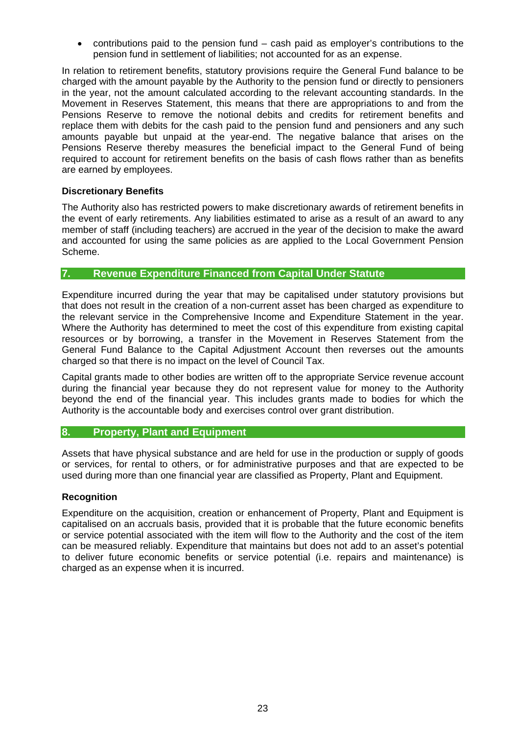contributions paid to the pension fund – cash paid as employer's contributions to the pension fund in settlement of liabilities; not accounted for as an expense.

In relation to retirement benefits, statutory provisions require the General Fund balance to be charged with the amount payable by the Authority to the pension fund or directly to pensioners in the year, not the amount calculated according to the relevant accounting standards. In the Movement in Reserves Statement, this means that there are appropriations to and from the Pensions Reserve to remove the notional debits and credits for retirement benefits and replace them with debits for the cash paid to the pension fund and pensioners and any such amounts payable but unpaid at the year-end. The negative balance that arises on the Pensions Reserve thereby measures the beneficial impact to the General Fund of being required to account for retirement benefits on the basis of cash flows rather than as benefits are earned by employees.

# **Discretionary Benefits**

The Authority also has restricted powers to make discretionary awards of retirement benefits in the event of early retirements. Any liabilities estimated to arise as a result of an award to any member of staff (including teachers) are accrued in the year of the decision to make the award and accounted for using the same policies as are applied to the Local Government Pension Scheme.

# **7. Revenue Expenditure Financed from Capital Under Statute**

Expenditure incurred during the year that may be capitalised under statutory provisions but that does not result in the creation of a non-current asset has been charged as expenditure to the relevant service in the Comprehensive Income and Expenditure Statement in the year. Where the Authority has determined to meet the cost of this expenditure from existing capital resources or by borrowing, a transfer in the Movement in Reserves Statement from the General Fund Balance to the Capital Adjustment Account then reverses out the amounts charged so that there is no impact on the level of Council Tax.

Capital grants made to other bodies are written off to the appropriate Service revenue account during the financial year because they do not represent value for money to the Authority beyond the end of the financial year. This includes grants made to bodies for which the Authority is the accountable body and exercises control over grant distribution.

# **8. Property, Plant and Equipment**

Assets that have physical substance and are held for use in the production or supply of goods or services, for rental to others, or for administrative purposes and that are expected to be used during more than one financial year are classified as Property, Plant and Equipment.

# **Recognition**

Expenditure on the acquisition, creation or enhancement of Property, Plant and Equipment is capitalised on an accruals basis, provided that it is probable that the future economic benefits or service potential associated with the item will flow to the Authority and the cost of the item can be measured reliably. Expenditure that maintains but does not add to an asset's potential to deliver future economic benefits or service potential (i.e. repairs and maintenance) is charged as an expense when it is incurred.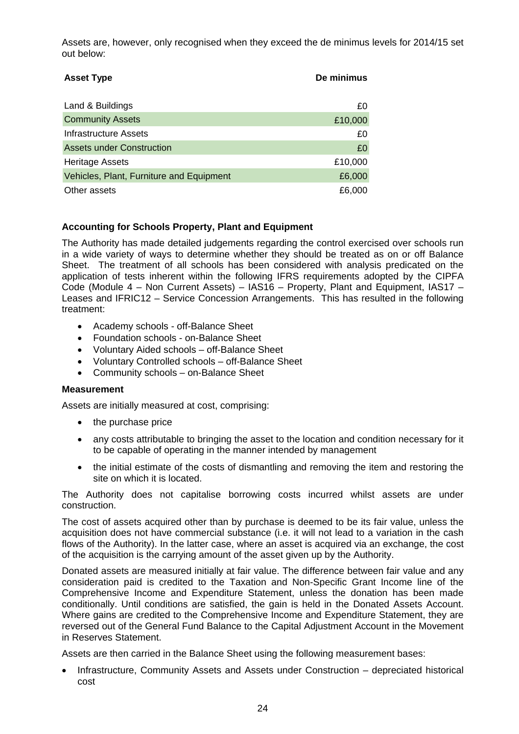Assets are, however, only recognised when they exceed the de minimus levels for 2014/15 set out below:

| <b>Asset Type</b>                        | De minimus |
|------------------------------------------|------------|
| Land & Buildings                         | £0         |
| <b>Community Assets</b>                  | £10,000    |
| Infrastructure Assets                    | £0         |
| <b>Assets under Construction</b>         | £0         |
| <b>Heritage Assets</b>                   | £10,000    |
| Vehicles, Plant, Furniture and Equipment | £6,000     |
| Other assets                             | £6,000     |

# **Accounting for Schools Property, Plant and Equipment**

The Authority has made detailed judgements regarding the control exercised over schools run in a wide variety of ways to determine whether they should be treated as on or off Balance Sheet. The treatment of all schools has been considered with analysis predicated on the application of tests inherent within the following IFRS requirements adopted by the CIPFA Code (Module 4 – Non Current Assets) – IAS16 – Property, Plant and Equipment, IAS17 – Leases and IFRIC12 – Service Concession Arrangements. This has resulted in the following treatment:

- Academy schools off-Balance Sheet
- Foundation schools on-Balance Sheet
- Voluntary Aided schools off-Balance Sheet
- Voluntary Controlled schools off-Balance Sheet
- Community schools on-Balance Sheet

#### **Measurement**

Assets are initially measured at cost, comprising:

- the purchase price
- any costs attributable to bringing the asset to the location and condition necessary for it to be capable of operating in the manner intended by management
- the initial estimate of the costs of dismantling and removing the item and restoring the site on which it is located.

The Authority does not capitalise borrowing costs incurred whilst assets are under construction.

The cost of assets acquired other than by purchase is deemed to be its fair value, unless the acquisition does not have commercial substance (i.e. it will not lead to a variation in the cash flows of the Authority). In the latter case, where an asset is acquired via an exchange, the cost of the acquisition is the carrying amount of the asset given up by the Authority.

Donated assets are measured initially at fair value. The difference between fair value and any consideration paid is credited to the Taxation and Non-Specific Grant Income line of the Comprehensive Income and Expenditure Statement, unless the donation has been made conditionally. Until conditions are satisfied, the gain is held in the Donated Assets Account. Where gains are credited to the Comprehensive Income and Expenditure Statement, they are reversed out of the General Fund Balance to the Capital Adjustment Account in the Movement in Reserves Statement.

Assets are then carried in the Balance Sheet using the following measurement bases:

 Infrastructure, Community Assets and Assets under Construction – depreciated historical cost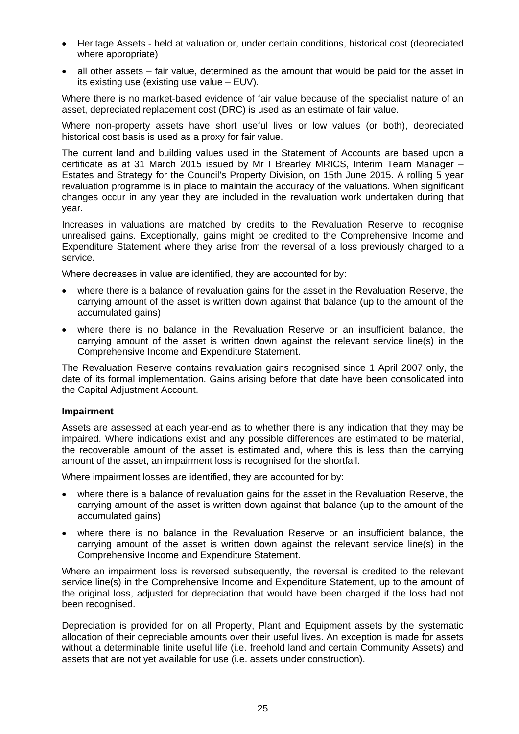- Heritage Assets held at valuation or, under certain conditions, historical cost (depreciated where appropriate)
- all other assets fair value, determined as the amount that would be paid for the asset in its existing use (existing use value – EUV).

Where there is no market-based evidence of fair value because of the specialist nature of an asset, depreciated replacement cost (DRC) is used as an estimate of fair value.

Where non-property assets have short useful lives or low values (or both), depreciated historical cost basis is used as a proxy for fair value.

The current land and building values used in the Statement of Accounts are based upon a certificate as at 31 March 2015 issued by Mr I Brearley MRICS, Interim Team Manager – Estates and Strategy for the Council's Property Division, on 15th June 2015. A rolling 5 year revaluation programme is in place to maintain the accuracy of the valuations. When significant changes occur in any year they are included in the revaluation work undertaken during that year.

Increases in valuations are matched by credits to the Revaluation Reserve to recognise unrealised gains. Exceptionally, gains might be credited to the Comprehensive Income and Expenditure Statement where they arise from the reversal of a loss previously charged to a service.

Where decreases in value are identified, they are accounted for by:

- where there is a balance of revaluation gains for the asset in the Revaluation Reserve, the carrying amount of the asset is written down against that balance (up to the amount of the accumulated gains)
- where there is no balance in the Revaluation Reserve or an insufficient balance, the carrying amount of the asset is written down against the relevant service line(s) in the Comprehensive Income and Expenditure Statement.

The Revaluation Reserve contains revaluation gains recognised since 1 April 2007 only, the date of its formal implementation. Gains arising before that date have been consolidated into the Capital Adjustment Account.

#### **Impairment**

Assets are assessed at each year-end as to whether there is any indication that they may be impaired. Where indications exist and any possible differences are estimated to be material, the recoverable amount of the asset is estimated and, where this is less than the carrying amount of the asset, an impairment loss is recognised for the shortfall.

Where impairment losses are identified, they are accounted for by:

- where there is a balance of revaluation gains for the asset in the Revaluation Reserve, the carrying amount of the asset is written down against that balance (up to the amount of the accumulated gains)
- where there is no balance in the Revaluation Reserve or an insufficient balance, the carrying amount of the asset is written down against the relevant service line(s) in the Comprehensive Income and Expenditure Statement.

Where an impairment loss is reversed subsequently, the reversal is credited to the relevant service line(s) in the Comprehensive Income and Expenditure Statement, up to the amount of the original loss, adjusted for depreciation that would have been charged if the loss had not been recognised.

Depreciation is provided for on all Property, Plant and Equipment assets by the systematic allocation of their depreciable amounts over their useful lives. An exception is made for assets without a determinable finite useful life (i.e. freehold land and certain Community Assets) and assets that are not yet available for use (i.e. assets under construction).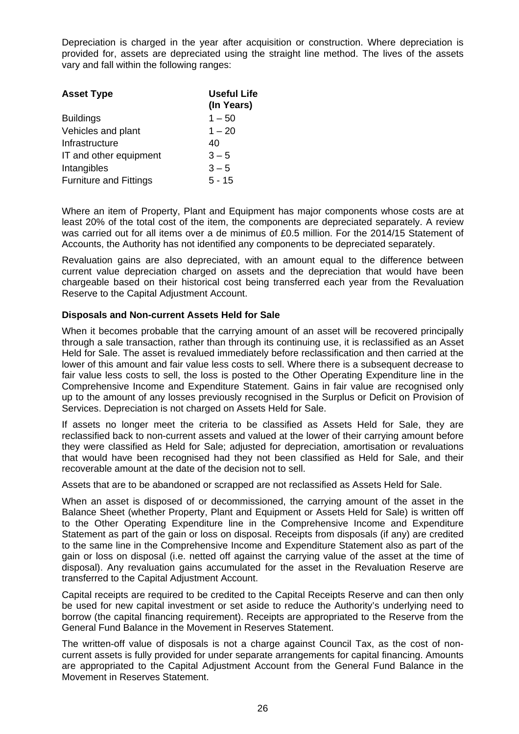Depreciation is charged in the year after acquisition or construction. Where depreciation is provided for, assets are depreciated using the straight line method. The lives of the assets vary and fall within the following ranges:

| <b>Asset Type</b>             | <b>Useful Life</b><br>(In Years) |
|-------------------------------|----------------------------------|
| <b>Buildings</b>              | $1 - 50$                         |
| Vehicles and plant            | $1 - 20$                         |
| Infrastructure                | 40                               |
| IT and other equipment        | $3 - 5$                          |
| Intangibles                   | $3 - 5$                          |
| <b>Furniture and Fittings</b> | $5 - 15$                         |

Where an item of Property, Plant and Equipment has major components whose costs are at least 20% of the total cost of the item, the components are depreciated separately. A review was carried out for all items over a de minimus of £0.5 million. For the 2014/15 Statement of Accounts, the Authority has not identified any components to be depreciated separately.

Revaluation gains are also depreciated, with an amount equal to the difference between current value depreciation charged on assets and the depreciation that would have been chargeable based on their historical cost being transferred each year from the Revaluation Reserve to the Capital Adjustment Account.

#### **Disposals and Non-current Assets Held for Sale**

When it becomes probable that the carrying amount of an asset will be recovered principally through a sale transaction, rather than through its continuing use, it is reclassified as an Asset Held for Sale. The asset is revalued immediately before reclassification and then carried at the lower of this amount and fair value less costs to sell. Where there is a subsequent decrease to fair value less costs to sell, the loss is posted to the Other Operating Expenditure line in the Comprehensive Income and Expenditure Statement. Gains in fair value are recognised only up to the amount of any losses previously recognised in the Surplus or Deficit on Provision of Services. Depreciation is not charged on Assets Held for Sale.

If assets no longer meet the criteria to be classified as Assets Held for Sale, they are reclassified back to non-current assets and valued at the lower of their carrying amount before they were classified as Held for Sale; adjusted for depreciation, amortisation or revaluations that would have been recognised had they not been classified as Held for Sale, and their recoverable amount at the date of the decision not to sell.

Assets that are to be abandoned or scrapped are not reclassified as Assets Held for Sale.

When an asset is disposed of or decommissioned, the carrying amount of the asset in the Balance Sheet (whether Property, Plant and Equipment or Assets Held for Sale) is written off to the Other Operating Expenditure line in the Comprehensive Income and Expenditure Statement as part of the gain or loss on disposal. Receipts from disposals (if any) are credited to the same line in the Comprehensive Income and Expenditure Statement also as part of the gain or loss on disposal (i.e. netted off against the carrying value of the asset at the time of disposal). Any revaluation gains accumulated for the asset in the Revaluation Reserve are transferred to the Capital Adjustment Account.

Capital receipts are required to be credited to the Capital Receipts Reserve and can then only be used for new capital investment or set aside to reduce the Authority's underlying need to borrow (the capital financing requirement). Receipts are appropriated to the Reserve from the General Fund Balance in the Movement in Reserves Statement.

The written-off value of disposals is not a charge against Council Tax, as the cost of noncurrent assets is fully provided for under separate arrangements for capital financing. Amounts are appropriated to the Capital Adjustment Account from the General Fund Balance in the Movement in Reserves Statement.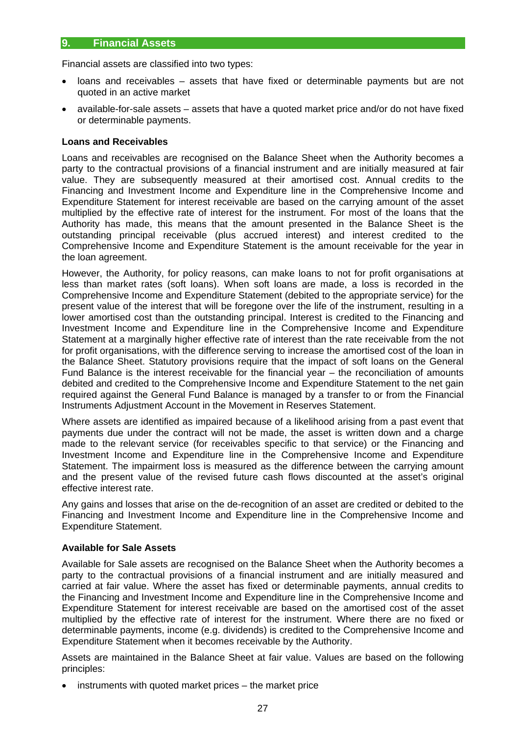# **9. Financial Assets**

Financial assets are classified into two types:

- loans and receivables assets that have fixed or determinable payments but are not quoted in an active market
- available-for-sale assets assets that have a quoted market price and/or do not have fixed or determinable payments.

#### **Loans and Receivables**

Loans and receivables are recognised on the Balance Sheet when the Authority becomes a party to the contractual provisions of a financial instrument and are initially measured at fair value. They are subsequently measured at their amortised cost. Annual credits to the Financing and Investment Income and Expenditure line in the Comprehensive Income and Expenditure Statement for interest receivable are based on the carrying amount of the asset multiplied by the effective rate of interest for the instrument. For most of the loans that the Authority has made, this means that the amount presented in the Balance Sheet is the outstanding principal receivable (plus accrued interest) and interest credited to the Comprehensive Income and Expenditure Statement is the amount receivable for the year in the loan agreement.

However, the Authority, for policy reasons, can make loans to not for profit organisations at less than market rates (soft loans). When soft loans are made, a loss is recorded in the Comprehensive Income and Expenditure Statement (debited to the appropriate service) for the present value of the interest that will be foregone over the life of the instrument, resulting in a lower amortised cost than the outstanding principal. Interest is credited to the Financing and Investment Income and Expenditure line in the Comprehensive Income and Expenditure Statement at a marginally higher effective rate of interest than the rate receivable from the not for profit organisations, with the difference serving to increase the amortised cost of the loan in the Balance Sheet. Statutory provisions require that the impact of soft loans on the General Fund Balance is the interest receivable for the financial year – the reconciliation of amounts debited and credited to the Comprehensive Income and Expenditure Statement to the net gain required against the General Fund Balance is managed by a transfer to or from the Financial Instruments Adjustment Account in the Movement in Reserves Statement.

Where assets are identified as impaired because of a likelihood arising from a past event that payments due under the contract will not be made, the asset is written down and a charge made to the relevant service (for receivables specific to that service) or the Financing and Investment Income and Expenditure line in the Comprehensive Income and Expenditure Statement. The impairment loss is measured as the difference between the carrying amount and the present value of the revised future cash flows discounted at the asset's original effective interest rate.

Any gains and losses that arise on the de-recognition of an asset are credited or debited to the Financing and Investment Income and Expenditure line in the Comprehensive Income and Expenditure Statement.

#### **Available for Sale Assets**

Available for Sale assets are recognised on the Balance Sheet when the Authority becomes a party to the contractual provisions of a financial instrument and are initially measured and carried at fair value. Where the asset has fixed or determinable payments, annual credits to the Financing and Investment Income and Expenditure line in the Comprehensive Income and Expenditure Statement for interest receivable are based on the amortised cost of the asset multiplied by the effective rate of interest for the instrument. Where there are no fixed or determinable payments, income (e.g. dividends) is credited to the Comprehensive Income and Expenditure Statement when it becomes receivable by the Authority.

Assets are maintained in the Balance Sheet at fair value. Values are based on the following principles:

instruments with quoted market prices – the market price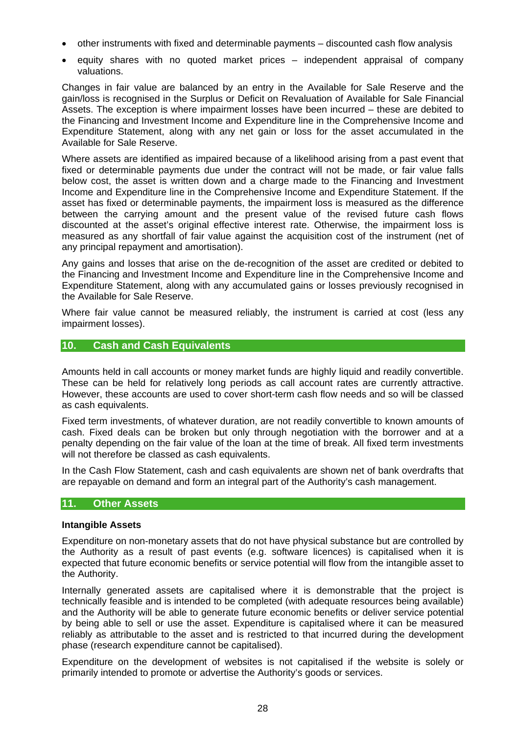- other instruments with fixed and determinable payments discounted cash flow analysis
- equity shares with no quoted market prices independent appraisal of company valuations.

Changes in fair value are balanced by an entry in the Available for Sale Reserve and the gain/loss is recognised in the Surplus or Deficit on Revaluation of Available for Sale Financial Assets. The exception is where impairment losses have been incurred – these are debited to the Financing and Investment Income and Expenditure line in the Comprehensive Income and Expenditure Statement, along with any net gain or loss for the asset accumulated in the Available for Sale Reserve.

Where assets are identified as impaired because of a likelihood arising from a past event that fixed or determinable payments due under the contract will not be made, or fair value falls below cost, the asset is written down and a charge made to the Financing and Investment Income and Expenditure line in the Comprehensive Income and Expenditure Statement. If the asset has fixed or determinable payments, the impairment loss is measured as the difference between the carrying amount and the present value of the revised future cash flows discounted at the asset's original effective interest rate. Otherwise, the impairment loss is measured as any shortfall of fair value against the acquisition cost of the instrument (net of any principal repayment and amortisation).

Any gains and losses that arise on the de-recognition of the asset are credited or debited to the Financing and Investment Income and Expenditure line in the Comprehensive Income and Expenditure Statement, along with any accumulated gains or losses previously recognised in the Available for Sale Reserve.

Where fair value cannot be measured reliably, the instrument is carried at cost (less any impairment losses).

# **10. Cash and Cash Equivalents**

Amounts held in call accounts or money market funds are highly liquid and readily convertible. These can be held for relatively long periods as call account rates are currently attractive. However, these accounts are used to cover short-term cash flow needs and so will be classed as cash equivalents.

Fixed term investments, of whatever duration, are not readily convertible to known amounts of cash. Fixed deals can be broken but only through negotiation with the borrower and at a penalty depending on the fair value of the loan at the time of break. All fixed term investments will not therefore be classed as cash equivalents.

In the Cash Flow Statement, cash and cash equivalents are shown net of bank overdrafts that are repayable on demand and form an integral part of the Authority's cash management.

#### **11. Other Assets**

#### **Intangible Assets**

Expenditure on non-monetary assets that do not have physical substance but are controlled by the Authority as a result of past events (e.g. software licences) is capitalised when it is expected that future economic benefits or service potential will flow from the intangible asset to the Authority.

Internally generated assets are capitalised where it is demonstrable that the project is technically feasible and is intended to be completed (with adequate resources being available) and the Authority will be able to generate future economic benefits or deliver service potential by being able to sell or use the asset. Expenditure is capitalised where it can be measured reliably as attributable to the asset and is restricted to that incurred during the development phase (research expenditure cannot be capitalised).

Expenditure on the development of websites is not capitalised if the website is solely or primarily intended to promote or advertise the Authority's goods or services.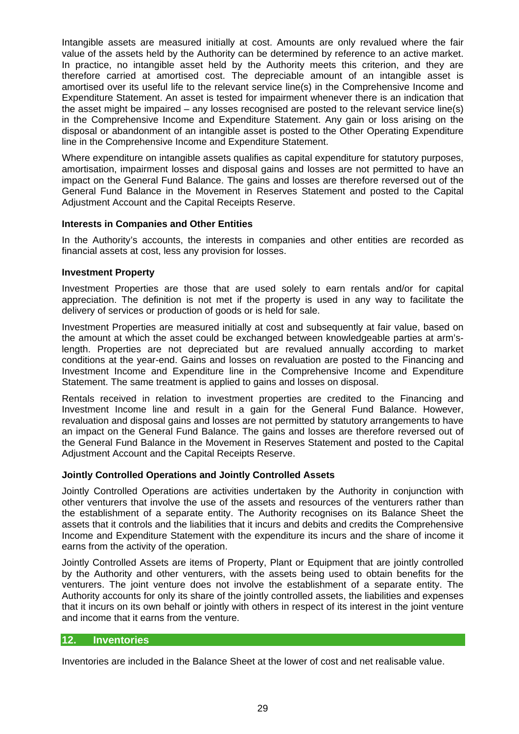Intangible assets are measured initially at cost. Amounts are only revalued where the fair value of the assets held by the Authority can be determined by reference to an active market. In practice, no intangible asset held by the Authority meets this criterion, and they are therefore carried at amortised cost. The depreciable amount of an intangible asset is amortised over its useful life to the relevant service line(s) in the Comprehensive Income and Expenditure Statement. An asset is tested for impairment whenever there is an indication that the asset might be impaired – any losses recognised are posted to the relevant service line(s) in the Comprehensive Income and Expenditure Statement. Any gain or loss arising on the disposal or abandonment of an intangible asset is posted to the Other Operating Expenditure line in the Comprehensive Income and Expenditure Statement.

Where expenditure on intangible assets qualifies as capital expenditure for statutory purposes, amortisation, impairment losses and disposal gains and losses are not permitted to have an impact on the General Fund Balance. The gains and losses are therefore reversed out of the General Fund Balance in the Movement in Reserves Statement and posted to the Capital Adjustment Account and the Capital Receipts Reserve.

#### **Interests in Companies and Other Entities**

In the Authority's accounts, the interests in companies and other entities are recorded as financial assets at cost, less any provision for losses.

#### **Investment Property**

Investment Properties are those that are used solely to earn rentals and/or for capital appreciation. The definition is not met if the property is used in any way to facilitate the delivery of services or production of goods or is held for sale.

Investment Properties are measured initially at cost and subsequently at fair value, based on the amount at which the asset could be exchanged between knowledgeable parties at arm'slength. Properties are not depreciated but are revalued annually according to market conditions at the year-end. Gains and losses on revaluation are posted to the Financing and Investment Income and Expenditure line in the Comprehensive Income and Expenditure Statement. The same treatment is applied to gains and losses on disposal.

Rentals received in relation to investment properties are credited to the Financing and Investment Income line and result in a gain for the General Fund Balance. However, revaluation and disposal gains and losses are not permitted by statutory arrangements to have an impact on the General Fund Balance. The gains and losses are therefore reversed out of the General Fund Balance in the Movement in Reserves Statement and posted to the Capital Adjustment Account and the Capital Receipts Reserve.

#### **Jointly Controlled Operations and Jointly Controlled Assets**

Jointly Controlled Operations are activities undertaken by the Authority in conjunction with other venturers that involve the use of the assets and resources of the venturers rather than the establishment of a separate entity. The Authority recognises on its Balance Sheet the assets that it controls and the liabilities that it incurs and debits and credits the Comprehensive Income and Expenditure Statement with the expenditure its incurs and the share of income it earns from the activity of the operation.

Jointly Controlled Assets are items of Property, Plant or Equipment that are jointly controlled by the Authority and other venturers, with the assets being used to obtain benefits for the venturers. The joint venture does not involve the establishment of a separate entity. The Authority accounts for only its share of the jointly controlled assets, the liabilities and expenses that it incurs on its own behalf or jointly with others in respect of its interest in the joint venture and income that it earns from the venture.

# **12. Inventories**

Inventories are included in the Balance Sheet at the lower of cost and net realisable value.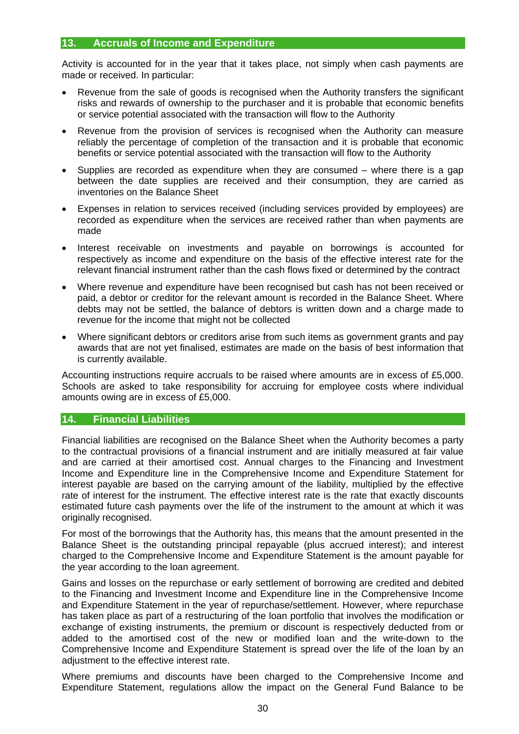# **13. Accruals of Income and Expenditure**

Activity is accounted for in the year that it takes place, not simply when cash payments are made or received. In particular:

- Revenue from the sale of goods is recognised when the Authority transfers the significant risks and rewards of ownership to the purchaser and it is probable that economic benefits or service potential associated with the transaction will flow to the Authority
- Revenue from the provision of services is recognised when the Authority can measure reliably the percentage of completion of the transaction and it is probable that economic benefits or service potential associated with the transaction will flow to the Authority
- Supplies are recorded as expenditure when they are consumed where there is a gap between the date supplies are received and their consumption, they are carried as inventories on the Balance Sheet
- Expenses in relation to services received (including services provided by employees) are recorded as expenditure when the services are received rather than when payments are made
- Interest receivable on investments and payable on borrowings is accounted for respectively as income and expenditure on the basis of the effective interest rate for the relevant financial instrument rather than the cash flows fixed or determined by the contract
- Where revenue and expenditure have been recognised but cash has not been received or paid, a debtor or creditor for the relevant amount is recorded in the Balance Sheet. Where debts may not be settled, the balance of debtors is written down and a charge made to revenue for the income that might not be collected
- Where significant debtors or creditors arise from such items as government grants and pay awards that are not yet finalised, estimates are made on the basis of best information that is currently available.

Accounting instructions require accruals to be raised where amounts are in excess of £5,000. Schools are asked to take responsibility for accruing for employee costs where individual amounts owing are in excess of £5,000.

# **14. Financial Liabilities**

Financial liabilities are recognised on the Balance Sheet when the Authority becomes a party to the contractual provisions of a financial instrument and are initially measured at fair value and are carried at their amortised cost. Annual charges to the Financing and Investment Income and Expenditure line in the Comprehensive Income and Expenditure Statement for interest payable are based on the carrying amount of the liability, multiplied by the effective rate of interest for the instrument. The effective interest rate is the rate that exactly discounts estimated future cash payments over the life of the instrument to the amount at which it was originally recognised.

For most of the borrowings that the Authority has, this means that the amount presented in the Balance Sheet is the outstanding principal repayable (plus accrued interest); and interest charged to the Comprehensive Income and Expenditure Statement is the amount payable for the year according to the loan agreement.

Gains and losses on the repurchase or early settlement of borrowing are credited and debited to the Financing and Investment Income and Expenditure line in the Comprehensive Income and Expenditure Statement in the year of repurchase/settlement. However, where repurchase has taken place as part of a restructuring of the loan portfolio that involves the modification or exchange of existing instruments, the premium or discount is respectively deducted from or added to the amortised cost of the new or modified loan and the write-down to the Comprehensive Income and Expenditure Statement is spread over the life of the loan by an adiustment to the effective interest rate.

Where premiums and discounts have been charged to the Comprehensive Income and Expenditure Statement, regulations allow the impact on the General Fund Balance to be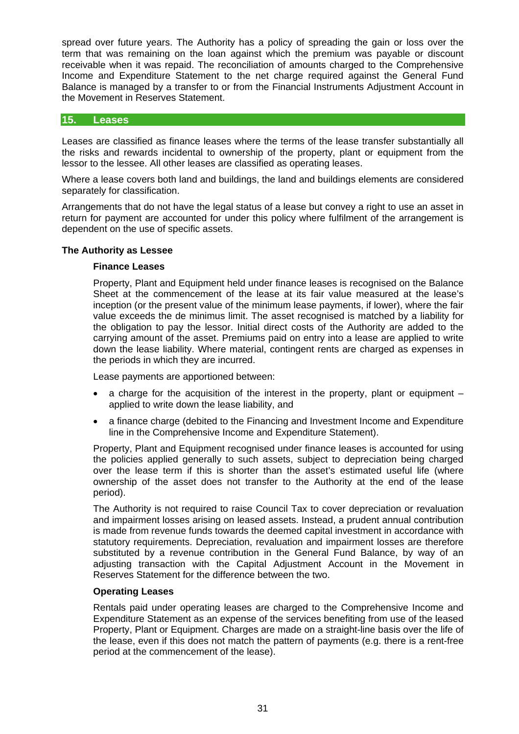spread over future years. The Authority has a policy of spreading the gain or loss over the term that was remaining on the loan against which the premium was payable or discount receivable when it was repaid. The reconciliation of amounts charged to the Comprehensive Income and Expenditure Statement to the net charge required against the General Fund Balance is managed by a transfer to or from the Financial Instruments Adjustment Account in the Movement in Reserves Statement.

#### **15. Leases**

Leases are classified as finance leases where the terms of the lease transfer substantially all the risks and rewards incidental to ownership of the property, plant or equipment from the lessor to the lessee. All other leases are classified as operating leases.

Where a lease covers both land and buildings, the land and buildings elements are considered separately for classification.

Arrangements that do not have the legal status of a lease but convey a right to use an asset in return for payment are accounted for under this policy where fulfilment of the arrangement is dependent on the use of specific assets.

#### **The Authority as Lessee**

#### **Finance Leases**

Property, Plant and Equipment held under finance leases is recognised on the Balance Sheet at the commencement of the lease at its fair value measured at the lease's inception (or the present value of the minimum lease payments, if lower), where the fair value exceeds the de minimus limit. The asset recognised is matched by a liability for the obligation to pay the lessor. Initial direct costs of the Authority are added to the carrying amount of the asset. Premiums paid on entry into a lease are applied to write down the lease liability. Where material, contingent rents are charged as expenses in the periods in which they are incurred.

Lease payments are apportioned between:

- a charge for the acquisition of the interest in the property, plant or equipment  $$ applied to write down the lease liability, and
- a finance charge (debited to the Financing and Investment Income and Expenditure line in the Comprehensive Income and Expenditure Statement).

Property, Plant and Equipment recognised under finance leases is accounted for using the policies applied generally to such assets, subject to depreciation being charged over the lease term if this is shorter than the asset's estimated useful life (where ownership of the asset does not transfer to the Authority at the end of the lease period).

The Authority is not required to raise Council Tax to cover depreciation or revaluation and impairment losses arising on leased assets. Instead, a prudent annual contribution is made from revenue funds towards the deemed capital investment in accordance with statutory requirements. Depreciation, revaluation and impairment losses are therefore substituted by a revenue contribution in the General Fund Balance, by way of an adjusting transaction with the Capital Adjustment Account in the Movement in Reserves Statement for the difference between the two.

#### **Operating Leases**

Rentals paid under operating leases are charged to the Comprehensive Income and Expenditure Statement as an expense of the services benefiting from use of the leased Property, Plant or Equipment. Charges are made on a straight-line basis over the life of the lease, even if this does not match the pattern of payments (e.g. there is a rent-free period at the commencement of the lease).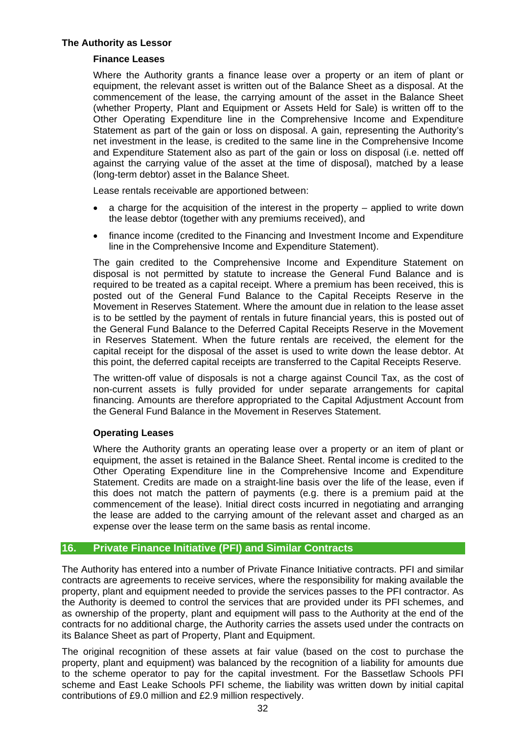# **The Authority as Lessor**

#### **Finance Leases**

Where the Authority grants a finance lease over a property or an item of plant or equipment, the relevant asset is written out of the Balance Sheet as a disposal. At the commencement of the lease, the carrying amount of the asset in the Balance Sheet (whether Property, Plant and Equipment or Assets Held for Sale) is written off to the Other Operating Expenditure line in the Comprehensive Income and Expenditure Statement as part of the gain or loss on disposal. A gain, representing the Authority's net investment in the lease, is credited to the same line in the Comprehensive Income and Expenditure Statement also as part of the gain or loss on disposal (i.e. netted off against the carrying value of the asset at the time of disposal), matched by a lease (long-term debtor) asset in the Balance Sheet.

Lease rentals receivable are apportioned between:

- a charge for the acquisition of the interest in the property applied to write down the lease debtor (together with any premiums received), and
- finance income (credited to the Financing and Investment Income and Expenditure line in the Comprehensive Income and Expenditure Statement).

The gain credited to the Comprehensive Income and Expenditure Statement on disposal is not permitted by statute to increase the General Fund Balance and is required to be treated as a capital receipt. Where a premium has been received, this is posted out of the General Fund Balance to the Capital Receipts Reserve in the Movement in Reserves Statement. Where the amount due in relation to the lease asset is to be settled by the payment of rentals in future financial years, this is posted out of the General Fund Balance to the Deferred Capital Receipts Reserve in the Movement in Reserves Statement. When the future rentals are received, the element for the capital receipt for the disposal of the asset is used to write down the lease debtor. At this point, the deferred capital receipts are transferred to the Capital Receipts Reserve.

The written-off value of disposals is not a charge against Council Tax, as the cost of non-current assets is fully provided for under separate arrangements for capital financing. Amounts are therefore appropriated to the Capital Adjustment Account from the General Fund Balance in the Movement in Reserves Statement.

# **Operating Leases**

Where the Authority grants an operating lease over a property or an item of plant or equipment, the asset is retained in the Balance Sheet. Rental income is credited to the Other Operating Expenditure line in the Comprehensive Income and Expenditure Statement. Credits are made on a straight-line basis over the life of the lease, even if this does not match the pattern of payments (e.g. there is a premium paid at the commencement of the lease). Initial direct costs incurred in negotiating and arranging the lease are added to the carrying amount of the relevant asset and charged as an expense over the lease term on the same basis as rental income.

# **16. Private Finance Initiative (PFI) and Similar Contracts**

The Authority has entered into a number of Private Finance Initiative contracts. PFI and similar contracts are agreements to receive services, where the responsibility for making available the property, plant and equipment needed to provide the services passes to the PFI contractor. As the Authority is deemed to control the services that are provided under its PFI schemes, and as ownership of the property, plant and equipment will pass to the Authority at the end of the contracts for no additional charge, the Authority carries the assets used under the contracts on its Balance Sheet as part of Property, Plant and Equipment.

The original recognition of these assets at fair value (based on the cost to purchase the property, plant and equipment) was balanced by the recognition of a liability for amounts due to the scheme operator to pay for the capital investment. For the Bassetlaw Schools PFI scheme and East Leake Schools PFI scheme, the liability was written down by initial capital contributions of £9.0 million and £2.9 million respectively.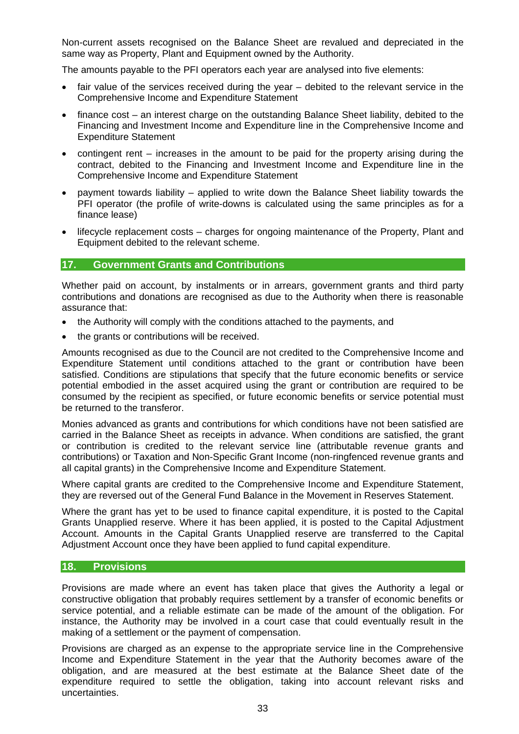Non-current assets recognised on the Balance Sheet are revalued and depreciated in the same way as Property, Plant and Equipment owned by the Authority.

The amounts payable to the PFI operators each year are analysed into five elements:

- fair value of the services received during the year debited to the relevant service in the Comprehensive Income and Expenditure Statement
- finance cost an interest charge on the outstanding Balance Sheet liability, debited to the Financing and Investment Income and Expenditure line in the Comprehensive Income and Expenditure Statement
- contingent rent increases in the amount to be paid for the property arising during the contract, debited to the Financing and Investment Income and Expenditure line in the Comprehensive Income and Expenditure Statement
- payment towards liability applied to write down the Balance Sheet liability towards the PFI operator (the profile of write-downs is calculated using the same principles as for a finance lease)
- lifecycle replacement costs charges for ongoing maintenance of the Property, Plant and Equipment debited to the relevant scheme.

#### **17. Government Grants and Contributions**

Whether paid on account, by instalments or in arrears, government grants and third party contributions and donations are recognised as due to the Authority when there is reasonable assurance that:

- the Authority will comply with the conditions attached to the payments, and
- the grants or contributions will be received.

Amounts recognised as due to the Council are not credited to the Comprehensive Income and Expenditure Statement until conditions attached to the grant or contribution have been satisfied. Conditions are stipulations that specify that the future economic benefits or service potential embodied in the asset acquired using the grant or contribution are required to be consumed by the recipient as specified, or future economic benefits or service potential must be returned to the transferor.

Monies advanced as grants and contributions for which conditions have not been satisfied are carried in the Balance Sheet as receipts in advance. When conditions are satisfied, the grant or contribution is credited to the relevant service line (attributable revenue grants and contributions) or Taxation and Non-Specific Grant Income (non-ringfenced revenue grants and all capital grants) in the Comprehensive Income and Expenditure Statement.

Where capital grants are credited to the Comprehensive Income and Expenditure Statement, they are reversed out of the General Fund Balance in the Movement in Reserves Statement.

Where the grant has yet to be used to finance capital expenditure, it is posted to the Capital Grants Unapplied reserve. Where it has been applied, it is posted to the Capital Adjustment Account. Amounts in the Capital Grants Unapplied reserve are transferred to the Capital Adjustment Account once they have been applied to fund capital expenditure.

# **18. Provisions**

Provisions are made where an event has taken place that gives the Authority a legal or constructive obligation that probably requires settlement by a transfer of economic benefits or service potential, and a reliable estimate can be made of the amount of the obligation. For instance, the Authority may be involved in a court case that could eventually result in the making of a settlement or the payment of compensation.

Provisions are charged as an expense to the appropriate service line in the Comprehensive Income and Expenditure Statement in the year that the Authority becomes aware of the obligation, and are measured at the best estimate at the Balance Sheet date of the expenditure required to settle the obligation, taking into account relevant risks and uncertainties.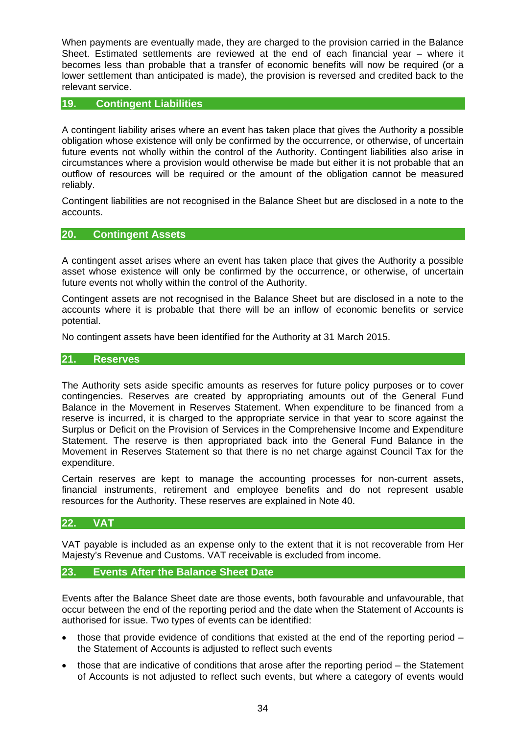When payments are eventually made, they are charged to the provision carried in the Balance Sheet. Estimated settlements are reviewed at the end of each financial year – where it becomes less than probable that a transfer of economic benefits will now be required (or a lower settlement than anticipated is made), the provision is reversed and credited back to the relevant service.

# **19. Contingent Liabilities**

A contingent liability arises where an event has taken place that gives the Authority a possible obligation whose existence will only be confirmed by the occurrence, or otherwise, of uncertain future events not wholly within the control of the Authority. Contingent liabilities also arise in circumstances where a provision would otherwise be made but either it is not probable that an outflow of resources will be required or the amount of the obligation cannot be measured reliably.

Contingent liabilities are not recognised in the Balance Sheet but are disclosed in a note to the accounts.

# **20. Contingent Assets**

A contingent asset arises where an event has taken place that gives the Authority a possible asset whose existence will only be confirmed by the occurrence, or otherwise, of uncertain future events not wholly within the control of the Authority.

Contingent assets are not recognised in the Balance Sheet but are disclosed in a note to the accounts where it is probable that there will be an inflow of economic benefits or service potential.

No contingent assets have been identified for the Authority at 31 March 2015.

#### **21. Reserves**

The Authority sets aside specific amounts as reserves for future policy purposes or to cover contingencies. Reserves are created by appropriating amounts out of the General Fund Balance in the Movement in Reserves Statement. When expenditure to be financed from a reserve is incurred, it is charged to the appropriate service in that year to score against the Surplus or Deficit on the Provision of Services in the Comprehensive Income and Expenditure Statement. The reserve is then appropriated back into the General Fund Balance in the Movement in Reserves Statement so that there is no net charge against Council Tax for the expenditure.

Certain reserves are kept to manage the accounting processes for non-current assets, financial instruments, retirement and employee benefits and do not represent usable resources for the Authority. These reserves are explained in Note 40.

#### **22. VAT**

VAT payable is included as an expense only to the extent that it is not recoverable from Her Majesty's Revenue and Customs. VAT receivable is excluded from income.

# **23. Events After the Balance Sheet Date**

Events after the Balance Sheet date are those events, both favourable and unfavourable, that occur between the end of the reporting period and the date when the Statement of Accounts is authorised for issue. Two types of events can be identified:

- those that provide evidence of conditions that existed at the end of the reporting period  $$ the Statement of Accounts is adjusted to reflect such events
- those that are indicative of conditions that arose after the reporting period the Statement of Accounts is not adjusted to reflect such events, but where a category of events would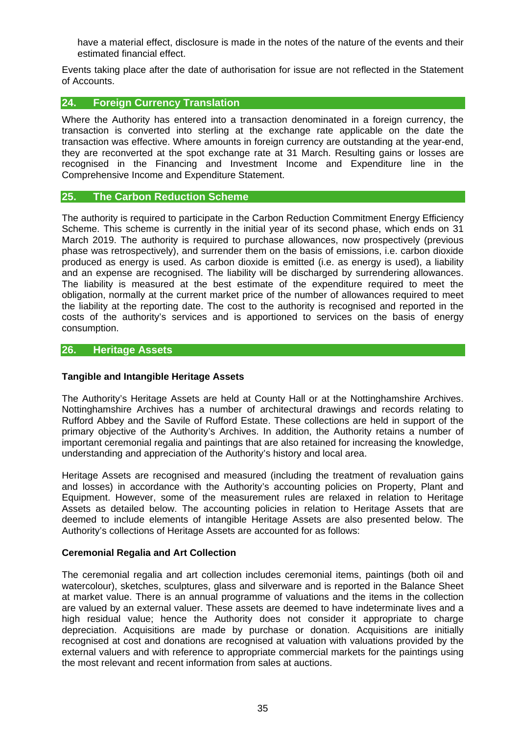have a material effect, disclosure is made in the notes of the nature of the events and their estimated financial effect.

Events taking place after the date of authorisation for issue are not reflected in the Statement of Accounts.

# **24. Foreign Currency Translation**

Where the Authority has entered into a transaction denominated in a foreign currency, the transaction is converted into sterling at the exchange rate applicable on the date the transaction was effective. Where amounts in foreign currency are outstanding at the year-end, they are reconverted at the spot exchange rate at 31 March. Resulting gains or losses are recognised in the Financing and Investment Income and Expenditure line in the Comprehensive Income and Expenditure Statement.

#### **25. The Carbon Reduction Scheme**

The authority is required to participate in the Carbon Reduction Commitment Energy Efficiency Scheme. This scheme is currently in the initial year of its second phase, which ends on 31 March 2019. The authority is required to purchase allowances, now prospectively (previous phase was retrospectively), and surrender them on the basis of emissions, i.e. carbon dioxide produced as energy is used. As carbon dioxide is emitted (i.e. as energy is used), a liability and an expense are recognised. The liability will be discharged by surrendering allowances. The liability is measured at the best estimate of the expenditure required to meet the obligation, normally at the current market price of the number of allowances required to meet the liability at the reporting date. The cost to the authority is recognised and reported in the costs of the authority's services and is apportioned to services on the basis of energy consumption.

# **26. Heritage Assets**

#### **Tangible and Intangible Heritage Assets**

The Authority's Heritage Assets are held at County Hall or at the Nottinghamshire Archives. Nottinghamshire Archives has a number of architectural drawings and records relating to Rufford Abbey and the Savile of Rufford Estate. These collections are held in support of the primary objective of the Authority's Archives. In addition, the Authority retains a number of important ceremonial regalia and paintings that are also retained for increasing the knowledge, understanding and appreciation of the Authority's history and local area.

Heritage Assets are recognised and measured (including the treatment of revaluation gains and losses) in accordance with the Authority's accounting policies on Property, Plant and Equipment. However, some of the measurement rules are relaxed in relation to Heritage Assets as detailed below. The accounting policies in relation to Heritage Assets that are deemed to include elements of intangible Heritage Assets are also presented below. The Authority's collections of Heritage Assets are accounted for as follows:

#### **Ceremonial Regalia and Art Collection**

The ceremonial regalia and art collection includes ceremonial items, paintings (both oil and watercolour), sketches, sculptures, glass and silverware and is reported in the Balance Sheet at market value. There is an annual programme of valuations and the items in the collection are valued by an external valuer. These assets are deemed to have indeterminate lives and a high residual value; hence the Authority does not consider it appropriate to charge depreciation. Acquisitions are made by purchase or donation. Acquisitions are initially recognised at cost and donations are recognised at valuation with valuations provided by the external valuers and with reference to appropriate commercial markets for the paintings using the most relevant and recent information from sales at auctions.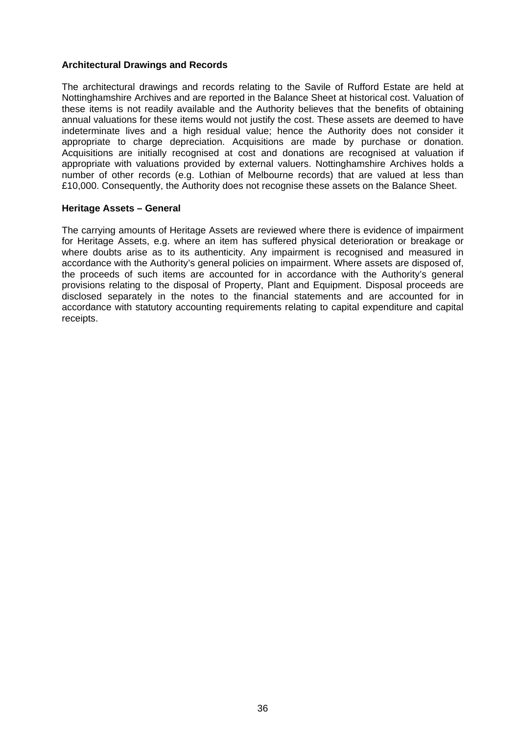# **Architectural Drawings and Records**

The architectural drawings and records relating to the Savile of Rufford Estate are held at Nottinghamshire Archives and are reported in the Balance Sheet at historical cost. Valuation of these items is not readily available and the Authority believes that the benefits of obtaining annual valuations for these items would not justify the cost. These assets are deemed to have indeterminate lives and a high residual value; hence the Authority does not consider it appropriate to charge depreciation. Acquisitions are made by purchase or donation. Acquisitions are initially recognised at cost and donations are recognised at valuation if appropriate with valuations provided by external valuers. Nottinghamshire Archives holds a number of other records (e.g. Lothian of Melbourne records) that are valued at less than £10,000. Consequently, the Authority does not recognise these assets on the Balance Sheet.

#### **Heritage Assets – General**

The carrying amounts of Heritage Assets are reviewed where there is evidence of impairment for Heritage Assets, e.g. where an item has suffered physical deterioration or breakage or where doubts arise as to its authenticity. Any impairment is recognised and measured in accordance with the Authority's general policies on impairment. Where assets are disposed of, the proceeds of such items are accounted for in accordance with the Authority's general provisions relating to the disposal of Property, Plant and Equipment. Disposal proceeds are disclosed separately in the notes to the financial statements and are accounted for in accordance with statutory accounting requirements relating to capital expenditure and capital receipts.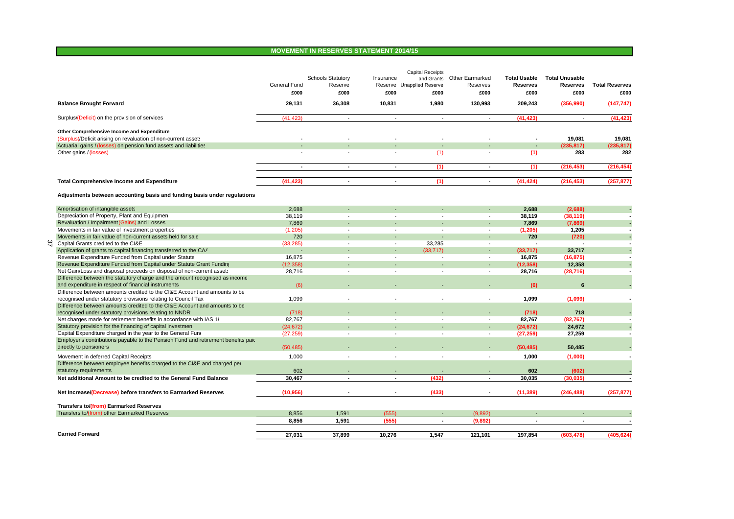#### **MOVEMENT IN RESERVES STATEMENT 2014/15**

|   |                                                                                   | General Fund<br>£000     | <b>Schools Statutory</b><br>Reserve<br>£000 | Insurance<br>£000        | <b>Capital Receipts</b><br>and Grants<br>Reserve Unapplied Reserve<br>£000 | <b>Other Earmarked</b><br>Reserves<br>£000 | <b>Total Usable</b><br><b>Reserves</b><br>£000 | <b>Total Unusable</b><br><b>Reserves</b><br>£000 | <b>Total Reserves</b><br>£000 |
|---|-----------------------------------------------------------------------------------|--------------------------|---------------------------------------------|--------------------------|----------------------------------------------------------------------------|--------------------------------------------|------------------------------------------------|--------------------------------------------------|-------------------------------|
|   | <b>Balance Brought Forward</b>                                                    | 29,131                   | 36,308                                      | 10,831                   | 1,980                                                                      | 130,993                                    | 209,243                                        | (356,990)                                        | (147, 747)                    |
|   | Surplus/(Deficit) on the provision of services                                    | (41.423)                 | $\overline{\phantom{a}}$                    | $\overline{\phantom{a}}$ | $\overline{\phantom{a}}$                                                   | $\overline{\phantom{a}}$                   | (41.423)                                       | $\overline{\phantom{a}}$                         | (41, 423)                     |
|   | Other Comprehensive Income and Expenditure                                        |                          |                                             |                          |                                                                            |                                            |                                                |                                                  |                               |
|   | (Surplus)/Deficit arising on revaluation of non-current assets                    |                          |                                             |                          |                                                                            |                                            |                                                | 19,081                                           | 19,081                        |
|   | Actuarial gains / (losses) on pension fund assets and liabilities                 |                          |                                             |                          |                                                                            |                                            |                                                | (235, 817)                                       | (235, 817)                    |
|   | Other gains / (losses)                                                            |                          |                                             |                          | (1)                                                                        |                                            | (1)                                            | 283                                              | 282                           |
|   |                                                                                   | $\overline{\phantom{a}}$ | $\blacksquare$                              | $\blacksquare$           | (1)                                                                        | $\blacksquare$                             | (1)                                            | (216, 453)                                       | (216, 454)                    |
|   | <b>Total Comprehensive Income and Expenditure</b>                                 | (41.423)                 | $\overline{\phantom{a}}$                    | $\blacksquare$           | (1)                                                                        | $\blacksquare$                             | (41, 424)                                      | (216, 453)                                       | (257, 877)                    |
|   | Adjustments between accounting basis and funding basis under regulations          |                          |                                             |                          |                                                                            |                                            |                                                |                                                  |                               |
|   | Amortisation of intangible assets                                                 | 2,688                    |                                             |                          |                                                                            |                                            | 2,688                                          | (2,688)                                          |                               |
|   | Depreciation of Property, Plant and Equipmen                                      | 38,119                   | $\overline{\phantom{a}}$                    | $\overline{\phantom{a}}$ |                                                                            | $\overline{\phantom{a}}$                   | 38,119                                         | (38, 119)                                        |                               |
|   | Revaluation / Impairment (Gains) and Losses                                       | 7.869                    |                                             |                          |                                                                            |                                            | 7,869                                          | (7,869)                                          |                               |
|   | Movements in fair value of investment properties                                  | (1,205)                  | $\overline{\phantom{a}}$                    | $\overline{\phantom{a}}$ |                                                                            | $\overline{\phantom{a}}$                   | (1, 205)                                       | 1,205                                            |                               |
|   | Movements in fair value of non-current assets held for sale                       | 720                      |                                             |                          |                                                                            |                                            | 720                                            | (720)                                            |                               |
| ೪ | Capital Grants credited to the CI&E                                               | (33, 285)                | $\overline{\phantom{a}}$                    | $\overline{\phantom{a}}$ | 33,285                                                                     | $\blacksquare$                             | $\sim$                                         | $\overline{\phantom{a}}$                         |                               |
|   | Application of grants to capital financing transferred to the CA/                 |                          |                                             |                          | (33, 717)                                                                  |                                            | (33, 717)                                      | 33,717                                           |                               |
|   | Revenue Expenditure Funded from Capital under Statute                             | 16,875                   | $\overline{\phantom{a}}$                    | $\overline{\phantom{a}}$ | $\overline{\phantom{a}}$                                                   | $\overline{\phantom{a}}$                   | 16,875                                         | (16, 875)                                        |                               |
|   | Revenue Expenditure Funded from Capital under Statute Grant Funding               | (12, 358)                |                                             |                          |                                                                            |                                            | (12, 358)                                      | 12,358                                           |                               |
|   | Net Gain/Loss and disposal proceeds on disposal of non-current assets             | 28,716                   | $\overline{\phantom{a}}$                    | $\overline{\phantom{a}}$ | $\overline{\phantom{a}}$                                                   | $\overline{\phantom{a}}$                   | 28,716                                         | (28, 716)                                        |                               |
|   | Difference between the statutory charge and the amount recognised as income       |                          |                                             |                          |                                                                            |                                            |                                                |                                                  |                               |
|   | and expenditure in respect of financial instruments                               | (6)                      |                                             |                          |                                                                            |                                            | (6)                                            | 6                                                |                               |
|   | Difference between amounts credited to the CI&E Account and amounts to be         |                          |                                             |                          |                                                                            |                                            |                                                |                                                  |                               |
|   | recognised under statutory provisions relating to Council Tax                     | 1.099                    |                                             |                          |                                                                            | $\overline{a}$                             | 1,099                                          | (1,099)                                          |                               |
|   | Difference between amounts credited to the CI&E Account and amounts to be         |                          |                                             |                          |                                                                            |                                            |                                                |                                                  |                               |
|   | recognised under statutory provisions relating to NNDR                            | (718)                    |                                             |                          |                                                                            |                                            | (718)                                          | 718                                              |                               |
|   | Net charges made for retirement benefits in accordance with IAS 19                | 82,767                   |                                             |                          |                                                                            | $\overline{a}$                             | 82,767                                         | (82, 767)                                        |                               |
|   | Statutory provision for the financing of capital investmen                        | (24, 672)                |                                             |                          |                                                                            | ÷                                          | (24, 672)                                      | 24,672                                           |                               |
|   | Capital Expenditure charged in the year to the General Fund                       | (27, 259)                | $\overline{\phantom{a}}$                    | $\overline{\phantom{a}}$ | $\overline{\phantom{a}}$                                                   | $\blacksquare$                             | (27, 259)                                      | 27,259                                           |                               |
|   | Employer's contributions payable to the Pension Fund and retirement benefits pair |                          |                                             |                          |                                                                            |                                            |                                                |                                                  |                               |
|   | directly to pensioners                                                            | (50, 485)                |                                             |                          |                                                                            | $\overline{\phantom{a}}$                   | (50, 485)                                      | 50,485                                           |                               |
|   | Movement in deferred Capital Receipts                                             | 1,000                    |                                             | $\overline{\phantom{a}}$ |                                                                            | $\overline{a}$                             | 1,000                                          | (1,000)                                          |                               |
|   | Difference between employee benefits charged to the CI&E and charged per          |                          |                                             |                          |                                                                            |                                            |                                                |                                                  |                               |
|   | statutory requirements                                                            | 602                      |                                             |                          |                                                                            |                                            | 602                                            | (602)                                            |                               |
|   | Net additional Amount to be credited to the General Fund Balance                  | 30,467                   | $\blacksquare$                              | $\sim$                   | (432)                                                                      | $\sim$                                     | 30,035                                         | (30, 035)                                        |                               |
|   | Net Increase/(Decrease) before transfers to Earmarked Reserves                    | (10, 956)                | $\sim$                                      | $\sim$                   | (433)                                                                      | $\sim$                                     | (11, 389)                                      | (246, 488)                                       | (257, 877)                    |
|   | <b>Transfers to/(from) Earmarked Reserves</b>                                     |                          |                                             |                          |                                                                            |                                            |                                                |                                                  |                               |
|   | Transfers to/(from) other Earmarked Reserves                                      | 8,856                    | 1,591                                       | (555)                    |                                                                            | (9,892)                                    |                                                |                                                  |                               |
|   |                                                                                   | 8,856                    | 1,591                                       | (555)                    | $\overline{\phantom{a}}$                                                   | (9,892)                                    | $\blacksquare$                                 | $\sim$                                           |                               |
|   | <b>Carried Forward</b>                                                            | 27.031                   | 37.899                                      | 10.276                   | 1.547                                                                      | 121.101                                    | 197.854                                        | (603.478)                                        | (405.624)                     |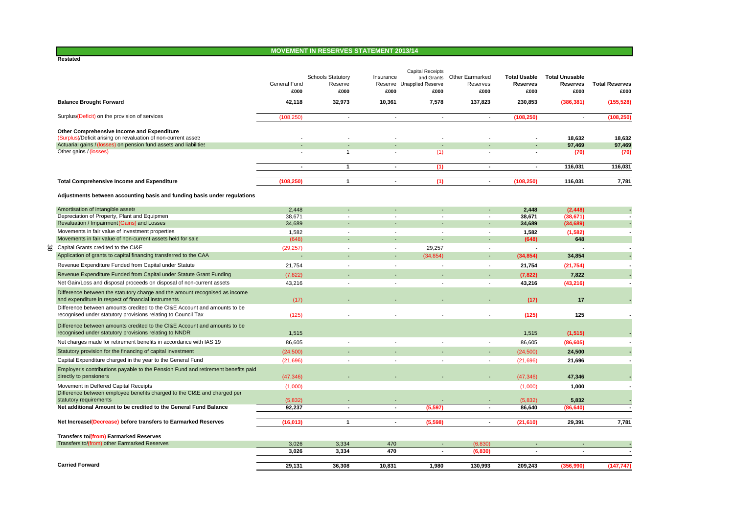#### **MOVEMENT IN RESERVES STATEMENT 2013/14**

|     |                                                                                                                                            | General Fund<br>£000     | <b>Schools Statutory</b><br>Reserve<br>£000 | Insurance<br>£000                          | Capital Receipts<br>and Grants<br>Reserve Unapplied Reserve<br>£000 | Other Earmarked<br>Reserves<br>£000 | <b>Total Usable</b><br><b>Reserves</b><br>£000 | <b>Total Unusable</b><br>Reserves<br>£000 | <b>Total Reserves</b><br>£000 |
|-----|--------------------------------------------------------------------------------------------------------------------------------------------|--------------------------|---------------------------------------------|--------------------------------------------|---------------------------------------------------------------------|-------------------------------------|------------------------------------------------|-------------------------------------------|-------------------------------|
|     | <b>Balance Brought Forward</b>                                                                                                             | 42,118                   | 32,973                                      | 10,361                                     | 7,578                                                               | 137,823                             | 230,853                                        | (386, 381)                                | (155, 528)                    |
|     | Surplus/(Deficit) on the provision of services                                                                                             | (108, 250)               | $\overline{\phantom{a}}$                    | $\overline{\phantom{a}}$                   | $\overline{\phantom{a}}$                                            | $\overline{\phantom{a}}$            | (108, 250)                                     | $\blacksquare$                            | (108, 250)                    |
|     | Other Comprehensive Income and Expenditure                                                                                                 |                          |                                             |                                            |                                                                     |                                     |                                                |                                           |                               |
|     | (Surplus)/Deficit arising on revaluation of non-current assets                                                                             |                          |                                             |                                            |                                                                     |                                     |                                                | 18.632                                    | 18.632                        |
|     | Actuarial gains / (losses) on pension fund assets and liabilities                                                                          |                          |                                             |                                            |                                                                     |                                     |                                                | 97,469                                    | 97,469                        |
|     | Other gains / (losses)                                                                                                                     |                          | $\mathbf{1}$                                |                                            | (1)                                                                 | $\overline{\phantom{a}}$            |                                                | (70)                                      | (70)                          |
|     |                                                                                                                                            | $\overline{\phantom{a}}$ | $\mathbf{1}$                                | $\blacksquare$                             | (1)                                                                 | $\sim$                              | $\sim$                                         | 116,031                                   | 116,031                       |
|     | <b>Total Comprehensive Income and Expenditure</b>                                                                                          | (108, 250)               | $\mathbf{1}$                                | $\sim$                                     | (1)                                                                 | $\blacksquare$                      | (108, 250)                                     | 116,031                                   | 7,781                         |
|     | Adjustments between accounting basis and funding basis under regulations                                                                   |                          |                                             |                                            |                                                                     |                                     |                                                |                                           |                               |
|     | Amortisation of intangible assets                                                                                                          | 2,448                    |                                             |                                            |                                                                     |                                     | 2,448                                          | (2, 448)                                  |                               |
|     | Depreciation of Property, Plant and Equipmen                                                                                               | 38,671                   |                                             |                                            |                                                                     | $\overline{\phantom{a}}$            | 38,671                                         | (38, 671)                                 | $\blacksquare$                |
|     | Revaluation / Impairment (Gains) and Losses                                                                                                | 34,689                   |                                             |                                            |                                                                     |                                     | 34,689                                         | (34, 689)                                 |                               |
|     | Movements in fair value of investment properties<br>Movements in fair value of non-current assets held for sale                            | 1,582                    |                                             |                                            |                                                                     | $\overline{\phantom{a}}$            | 1,582                                          | (1, 582)<br>648                           |                               |
|     |                                                                                                                                            | (648)                    |                                             |                                            |                                                                     |                                     | (648)                                          |                                           |                               |
| င္က | Capital Grants credited to the CI&E<br>Application of grants to capital financing transferred to the CAA                                   | (29, 257)                |                                             | $\overline{\phantom{a}}$<br>$\blacksquare$ | 29,257<br>(34, 854)                                                 | $\overline{\phantom{a}}$<br>$\sim$  | (34, 854)                                      | 34,854                                    |                               |
|     |                                                                                                                                            |                          |                                             |                                            |                                                                     |                                     |                                                |                                           |                               |
|     | Revenue Expenditure Funded from Capital under Statute                                                                                      | 21,754                   |                                             |                                            |                                                                     | $\overline{\phantom{a}}$            | 21,754                                         | (21, 754)                                 |                               |
|     | Revenue Expenditure Funded from Capital under Statute Grant Funding                                                                        | (7, 822)                 |                                             |                                            |                                                                     |                                     | (7, 822)                                       | 7,822                                     | $\overline{\phantom{a}}$      |
|     | Net Gain/Loss and disposal proceeds on disposal of non-current assets                                                                      | 43,216                   | $\overline{\phantom{a}}$                    | $\overline{\phantom{a}}$                   | $\overline{\phantom{a}}$                                            | $\overline{\phantom{a}}$            | 43,216                                         | (43, 216)                                 | $\blacksquare$                |
|     | Difference between the statutory charge and the amount recognised as income<br>and expenditure in respect of financial instruments         | (17)                     |                                             |                                            |                                                                     |                                     | (17)                                           | 17                                        | $\overline{\phantom{a}}$      |
|     | Difference between amounts credited to the CI&E Account and amounts to be<br>recognised under statutory provisions relating to Council Tax | (125)                    |                                             |                                            |                                                                     |                                     | (125)                                          | 125                                       |                               |
|     | Difference between amounts credited to the CI&E Account and amounts to be<br>recognised under statutory provisions relating to NNDR        | 1,515                    |                                             |                                            |                                                                     |                                     | 1,515                                          | (1, 515)                                  |                               |
|     | Net charges made for retirement benefits in accordance with IAS 19                                                                         | 86,605                   | $\overline{\phantom{a}}$                    | $\overline{\phantom{a}}$                   | $\sim$                                                              | $\blacksquare$                      | 86,605                                         | (86, 605)                                 |                               |
|     | Statutory provision for the financing of capital investment                                                                                | (24, 500)                |                                             |                                            |                                                                     |                                     | (24, 500)                                      | 24,500                                    |                               |
|     | Capital Expenditure charged in the year to the General Fund                                                                                | (21, 696)                |                                             |                                            |                                                                     | $\overline{\phantom{a}}$            | (21, 696)                                      | 21,696                                    | $\blacksquare$                |
|     | Employer's contributions payable to the Pension Fund and retirement benefits paid                                                          |                          |                                             |                                            |                                                                     |                                     |                                                |                                           |                               |
|     | directly to pensioners                                                                                                                     | (47, 346)                |                                             |                                            |                                                                     |                                     | (47, 346)                                      | 47,346                                    |                               |
|     | Movement in Deffered Capital Receipts                                                                                                      | (1,000)                  |                                             |                                            |                                                                     |                                     | (1,000)                                        | 1,000                                     | $\overline{\phantom{a}}$      |
|     | Difference between employee benefits charged to the CI&E and charged per<br>statutory requirements                                         |                          |                                             |                                            |                                                                     |                                     |                                                |                                           |                               |
|     | Net additional Amount to be credited to the General Fund Balance                                                                           | (5,832)<br>92,237        | $\sim$                                      | $\sim$                                     | (5, 597)                                                            | $\blacksquare$                      | (5,832)<br>86,640                              | 5,832<br>(86, 640)                        | $\blacksquare$                |
|     |                                                                                                                                            |                          |                                             |                                            |                                                                     |                                     |                                                |                                           |                               |
|     | Net Increase/(Decrease) before transfers to Earmarked Reserves                                                                             | (16, 013)                | $\mathbf{1}$                                | $\sim$                                     | (5,598)                                                             | $\sim$                              | (21, 610)                                      | 29,391                                    | 7,781                         |
|     | <b>Transfers to/(from) Earmarked Reserves</b>                                                                                              |                          |                                             |                                            |                                                                     |                                     |                                                |                                           |                               |
|     | Transfers to/(from) other Earmarked Reserves                                                                                               | 3,026                    | 3,334                                       | 470                                        |                                                                     | (6.830)                             |                                                |                                           |                               |
|     |                                                                                                                                            | 3,026                    | 3,334                                       | 470                                        | $\blacksquare$                                                      | (6, 830)                            | $\blacksquare$                                 | $\blacksquare$                            | $\overline{\phantom{a}}$      |
|     | <b>Carried Forward</b>                                                                                                                     | 29.131                   | 36.308                                      | 10.831                                     | 1.980                                                               | 130.993                             | 209.243                                        | (356.990)                                 | (147.747)                     |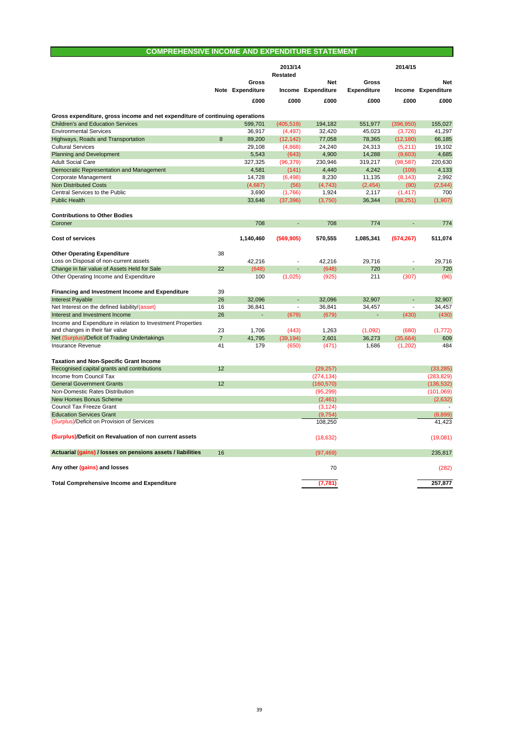## **COMPREHENSIVE INCOME AND EXPENDITURE STATEMENT**

|                                                                              |                |                  | 2013/14<br>Restated |                    |                    | 2014/15        |                    |
|------------------------------------------------------------------------------|----------------|------------------|---------------------|--------------------|--------------------|----------------|--------------------|
|                                                                              |                | Gross            |                     | <b>Net</b>         | Gross              |                | <b>Net</b>         |
|                                                                              |                | Note Expenditure |                     | Income Expenditure | <b>Expenditure</b> |                | Income Expenditure |
|                                                                              |                | £000             | £000                | £000               | £000               | £000           | £000               |
| Gross expenditure, gross income and net expenditure of continuing operations |                |                  |                     |                    |                    |                |                    |
| <b>Children's and Education Services</b>                                     |                | 599,701          | (405, 519)          | 194,182            | 551,977            | (396, 950)     | 155.027            |
| <b>Environmental Services</b>                                                |                | 36.917           | (4, 497)            | 32.420             | 45.023             | (3,726)        | 41.297             |
| Highways, Roads and Transportation                                           | 8              | 89,200           | (12, 142)           | 77,058             | 78,365             | (12, 180)      | 66,185             |
| <b>Cultural Services</b>                                                     |                | 29,108           | (4,868)             | 24,240             | 24,313             | (5,211)        | 19,102             |
| <b>Planning and Development</b>                                              |                | 5,543            | (643)               | 4,900              | 14,288             | (9,603)        | 4,685              |
| <b>Adult Social Care</b>                                                     |                | 327,325          | (96, 379)           | 230,946            | 319,217            | (98, 587)      | 220,630            |
| Democratic Representation and Management                                     |                | 4.581            | (141)               | 4.440              | 4.242              | (109)          | 4,133              |
| <b>Corporate Management</b>                                                  |                | 14.728           | (6, 498)            | 8,230              | 11,135             | (8, 143)       | 2,992              |
| <b>Non Distributed Costs</b>                                                 |                | (4,687)          | (56)                | (4,743)            | (2, 454)           | (90)           | (2, 544)           |
| Central Services to the Public                                               |                | 3,690            | (1,766)             | 1,924              | 2,117              | (1, 417)       | 700                |
| <b>Public Health</b>                                                         |                | 33,646           | (37, 396)           | (3,750)            | 36,344             | (38, 251)      | (1, 907)           |
| <b>Contributions to Other Bodies</b>                                         |                |                  |                     |                    |                    |                |                    |
| Coroner                                                                      |                | 708              |                     | 708                | 774                |                | 774                |
| <b>Cost of services</b>                                                      |                | 1,140,460        | (569, 905)          | 570,555            | 1,085,341          | (574, 267)     | 511,074            |
| <b>Other Operating Expenditure</b>                                           | 38             |                  |                     |                    |                    |                |                    |
| Loss on Disposal of non-current assets                                       |                | 42,216           |                     | 42.216             | 29.716             |                | 29.716             |
| Change in fair value of Assets Held for Sale                                 | 22             | (648)            |                     | (648)              | 720                |                | 720                |
| Other Operating Income and Expenditure                                       |                | 100              | (1,025)             | (925)              | 211                | (307)          | (96)               |
| Financing and Investment Income and Expenditure                              | 39             |                  |                     |                    |                    |                |                    |
| <b>Interest Payable</b>                                                      | 26             | 32,096           | ÷.                  | 32,096             | 32,907             | L.             | 32,907             |
| Net Interest on the defined liability/(asset)                                | 16             | 36,841           | $\blacksquare$      | 36,841             | 34,457             | $\blacksquare$ | 34,457             |
| Interest and Investment Income                                               | 26             | ÷,               | (679)               | (679)              |                    | (430)          | (430)              |
| Income and Expenditure in relation to Investment Properties                  |                |                  |                     |                    |                    |                |                    |
| and changes in their fair value                                              | 23             | 1,706            | (443)               | 1,263              | (1,092)            | (680)          | (1, 772)           |
| Net (Surplus)/Deficit of Trading Undertakings                                | $\overline{7}$ | 41,795           | (39, 194)           | 2,601              | 36,273             | (35, 664)      | 609                |
| Insurance Revenue                                                            | 41             | 179              | (650)               | (471)              | 1,686              | (1, 202)       | 484                |
| <b>Taxation and Non-Specific Grant Income</b>                                |                |                  |                     |                    |                    |                |                    |
| Recognised capital grants and contributions                                  | 12             |                  |                     | (29, 257)          |                    |                | (33, 285)          |
| Income from Council Tax                                                      |                |                  |                     | (274, 134)         |                    |                | (283, 829)         |
| <b>General Government Grants</b>                                             | 12             |                  |                     | (160, 570)         |                    |                | (136, 532)         |
| Non-Domestic Rates Distribution                                              |                |                  |                     | (95, 299)          |                    |                | (101,069)          |
| <b>New Homes Bonus Scheme</b>                                                |                |                  |                     | (2,461)            |                    |                | (2,632)            |
| <b>Council Tax Freeze Grant</b>                                              |                |                  |                     | (3, 124)           |                    |                |                    |
| <b>Education Services Grant</b>                                              |                |                  |                     | (9,754)            |                    |                | (8,899)            |
| (Surplus)/Deficit on Provision of Services                                   |                |                  |                     | 108,250            |                    |                | 41.423             |
| (Surplus)/Deficit on Revaluation of non current assets                       |                |                  |                     | (18, 632)          |                    |                | (19,081)           |
| Actuarial (gains) / losses on pensions assets / liabilities                  | 16             |                  |                     | (97, 469)          |                    |                | 235,817            |
| Any other (gains) and losses                                                 |                |                  |                     | 70                 |                    |                | (282)              |
| <b>Total Comprehensive Income and Expenditure</b>                            |                |                  |                     | (7,781)            |                    |                | 257,877            |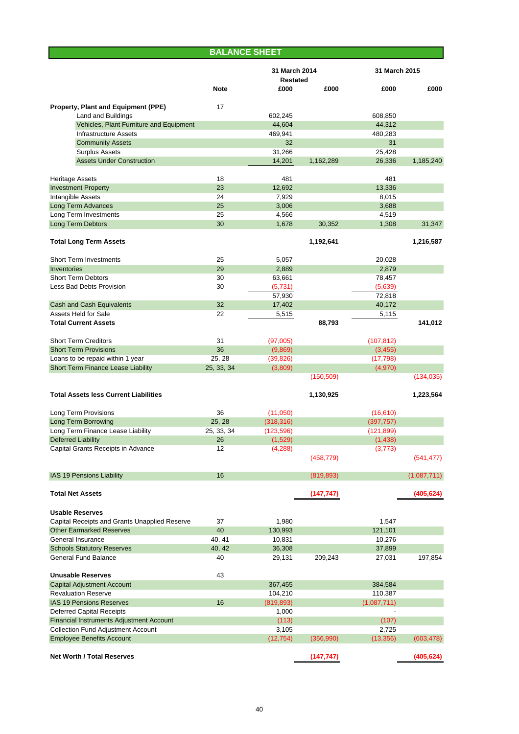# **Note £000 £000 £000 £000 Property, Plant and Equipment (PPE)** 17 Land and Buildings 602,245 608,850 Vehicles, Plant Furniture and Equipment 44,604 44,312 Infrastructure Assets 469,941 480,283 Community Assets 32 31 Surplus Assets 31,266 25,428 Assets Under Construction 14,201 1,162,289 26,336 1,185,240 Heritage Assets 18 481 481 Investment Property 23 12,692 13,336 Intangible Assets 24 7,929 8,015 Long Term Advances 25 3,006 3,688 Long Term Investments 25 4,566 4,519 Long Term Debtors 30 1,678 30,352 1,308 31,347 **Total Long Term Assets 1,192,641** 1,216,587 Short Term Investments 25 5,057 20,028 Inventories 29 2,889 2,879 Short Term Debtors 30 63,661 78,457 Less Bad Debts Provision 30 (5,731) (5,639) 57,930 72,818 Cash and Cash Equivalents 32 17,402 40,172 Assets Held for Sale 6,115 5,115 5,115 5,115 5,115 5,115 5,115 5,115 5,115 5,115 5,115 5,115 5,115 5,115 5,115 **Total Current Assets** 88,793 **141,012** Short Term Creditors 31 (97,005) (107,812) Short Term Provisions 36 (9,869) (3,455) Loans to be repaid within 1 year 25, 28 (39,826) (17,798) Short Term Finance Lease Liability 25, 33, 34 (3,809) (4,970) (150,509) (134,035) **Total Assets less Current Liabilities 1,130,925 1,223,564** Long Term Provisions 36 (11,050) (16,610) Long Term Borrowing 25, 28 (318,316) (397,757) Long Term Finance Lease Liability 25, 33, 34 (123,596) (121,899) Deferred Liability 26 (1,529) (1,438) Capital Grants Receipts in Advance 12 (4,288) (3,773) (458,779) (541,477) IAS 19 Pensions Liability 16 (819,893) (1,087,711) **Total Net Assets (147,747) (405,624) Usable Reserves** Capital Receipts and Grants Unapplied Reserve  $37$  1,980 1,547 Other Earmarked Reserves 121,101 130,993 121,101 General Insurance 10, 276 and 2008 10, 40, 41 10,831 10,276 Schools Statutory Reserves 27,899 37,899 General Fund Balance **1998** 2001 197,854 209,243 27,031 197,854 **Unusable Reserves** 43 Capital Adjustment Account 367,455 384,584 Revaluation Reserve 104,210 110,387 IAS 19 Pensions Reserves 16 (819,893) (1,087,711) Deferred Capital Receipts 1,000 Financial Instruments Adjustment Account (113) (107) Collection Fund Adjustment Account 3,105 2,725 Employee Benefits Account (12,754) (356,990) (13,356) (603,478) **BALANCE SHEET 31 March 2014 31 March 2015 Restated**

**Net Worth / Total Reserves (147,747) (405,624)**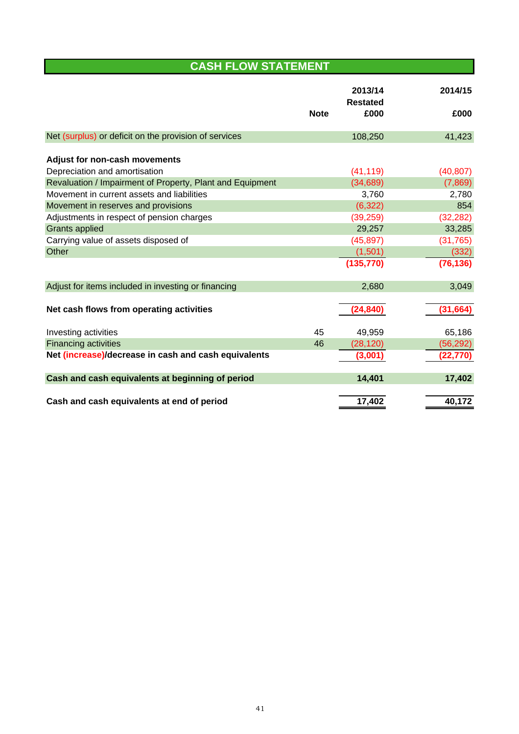# **CASH FLOW STATEMENT**

|                                                           |             | 2013/14<br><b>Restated</b> | 2014/15   |
|-----------------------------------------------------------|-------------|----------------------------|-----------|
|                                                           | <b>Note</b> | £000                       | £000      |
| Net (surplus) or deficit on the provision of services     |             | 108,250                    | 41,423    |
| <b>Adjust for non-cash movements</b>                      |             |                            |           |
| Depreciation and amortisation                             |             | (41, 119)                  | (40, 807) |
| Revaluation / Impairment of Property, Plant and Equipment |             | (34, 689)                  | (7,869)   |
| Movement in current assets and liabilities                |             | 3,760                      | 2,780     |
| Movement in reserves and provisions                       |             | (6, 322)                   | 854       |
| Adjustments in respect of pension charges                 |             | (39, 259)                  | (32, 282) |
| <b>Grants applied</b>                                     |             | 29,257                     | 33,285    |
| Carrying value of assets disposed of                      |             | (45, 897)                  | (31, 765) |
| Other                                                     |             | (1,501)                    | (332)     |
|                                                           |             | (135, 770)                 | (76, 136) |
| Adjust for items included in investing or financing       |             | 2,680                      | 3,049     |
| Net cash flows from operating activities                  |             | (24, 840)                  | (31, 664) |
| Investing activities                                      | 45          | 49,959                     | 65,186    |
| <b>Financing activities</b>                               | 46          | (28, 120)                  | (56, 292) |
| Net (increase)/decrease in cash and cash equivalents      |             | (3,001)                    | (22,770)  |
| Cash and cash equivalents at beginning of period          |             | 14,401                     | 17,402    |
| Cash and cash equivalents at end of period                |             | 17,402                     | 40,172    |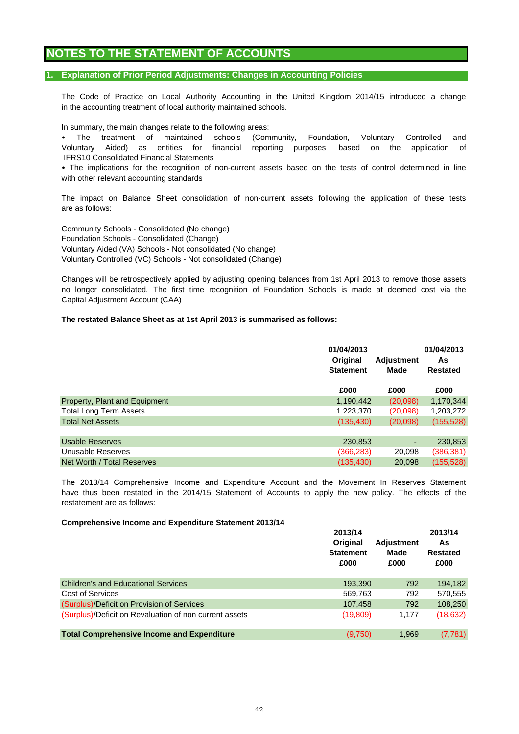# **NOTES TO THE STATEMENT OF ACCOUNTS**

#### **1. Explanation of Prior Period Adjustments: Changes in Accounting Policies**

The Code of Practice on Local Authority Accounting in the United Kingdom 2014/15 introduced a change in the accounting treatment of local authority maintained schools.

In summary, the main changes relate to the following areas:

• The treatment of maintained schools (Community, Foundation, Voluntary Controlled and Voluntary Aided) as entities for financial reporting purposes based on the application of IFRS10 Consolidated Financial Statements

with other relevant accounting standards • The implications for the recognition of non-current assets based on the tests of control determined in line

are as follows: The impact on Balance Sheet consolidation of non-current assets following the application of these tests

Community Schools - Consolidated (No change) Foundation Schools - Consolidated (Change) Voluntary Aided (VA) Schools - Not consolidated (No change) Voluntary Controlled (VC) Schools - Not consolidated (Change)

Capital Adjustment Account (CAA) no longer consolidated. The first time recognition of Foundation Schools is made at deemed cost via the Changes will be retrospectively applied by adjusting opening balances from 1st April 2013 to remove those assets

#### **The restated Balance Sheet as at 1st April 2013 is summarised as follows:**

|                               | 01/04/2013<br>Original<br><b>Statement</b> | <b>Adjustment</b><br>Made | 01/04/2013<br>As<br><b>Restated</b> |  |
|-------------------------------|--------------------------------------------|---------------------------|-------------------------------------|--|
|                               | £000                                       | £000                      | £000                                |  |
| Property, Plant and Equipment | 1,190,442                                  | (20,098)                  | 1,170,344                           |  |
| <b>Total Long Term Assets</b> | 1,223,370                                  | (20,098)                  | 1,203,272                           |  |
| <b>Total Net Assets</b>       | (135, 430)                                 | (20,098)                  | (155, 528)                          |  |
|                               |                                            |                           |                                     |  |
| Usable Reserves               | 230,853                                    |                           | 230,853                             |  |
| Unusable Reserves             | (366, 283)                                 | 20,098                    | (386, 381)                          |  |
| Net Worth / Total Reserves    | (135, 430)                                 | 20,098                    | (155, 528)                          |  |

restatement are as follows: The 2013/14 Comprehensive Income and Expenditure Account and the Movement In Reserves Statement have thus been restated in the 2014/15 Statement of Accounts to apply the new policy. The effects of the

#### **Comprehensive Income and Expenditure Statement 2013/14**

|                                                        | 2013/14<br>Original<br><b>Statement</b><br>£000 | <b>Adjustment</b><br>Made<br>£000 | 2013/14<br>As<br><b>Restated</b><br>£000 |
|--------------------------------------------------------|-------------------------------------------------|-----------------------------------|------------------------------------------|
| <b>Children's and Educational Services</b>             | 193,390                                         | 792                               | 194,182                                  |
| Cost of Services                                       | 569,763                                         | 792                               | 570,555                                  |
| (Surplus)/Deficit on Provision of Services             | 107,458                                         | 792                               | 108,250                                  |
| (Surplus)/Deficit on Revaluation of non current assets | (19,809)                                        | 1.177                             | (18, 632)                                |
| <b>Total Comprehensive Income and Expenditure</b>      | (9,750)                                         | 1,969                             | (7,781)                                  |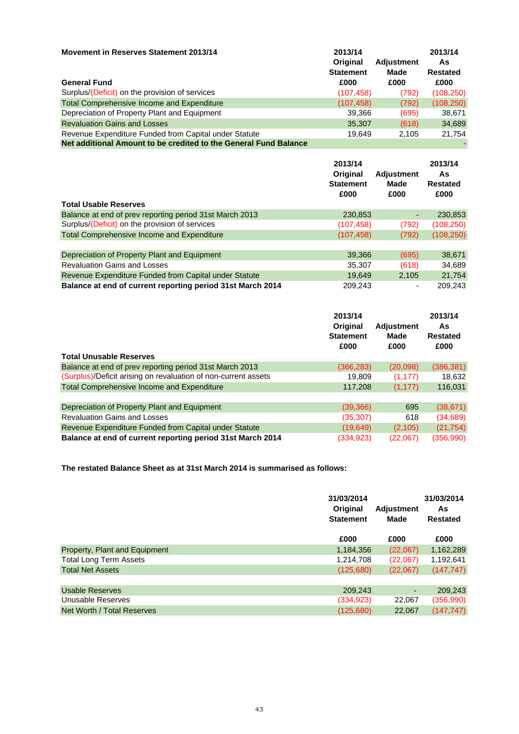| Movement in Reserves Statement 2013/14                           | 2013/14<br>Original<br><b>Statement</b> | <b>Adjustment</b><br>Made | 2013/14<br>As<br><b>Restated</b> |
|------------------------------------------------------------------|-----------------------------------------|---------------------------|----------------------------------|
| <b>General Fund</b>                                              | £000                                    | £000                      | £000                             |
| Surplus/(Deficit) on the provision of services                   | (107, 458)                              | (792)                     | (108, 250)                       |
| <b>Total Comprehensive Income and Expenditure</b>                | (107, 458)                              | (792)                     | (108, 250)                       |
| Depreciation of Property Plant and Equipment                     | 39.366                                  | (695)                     | 38,671                           |
| <b>Revaluation Gains and Losses</b>                              | 35,307                                  | (618)                     | 34,689                           |
| Revenue Expenditure Funded from Capital under Statute            | 19.649                                  | 2,105                     | 21,754                           |
| Net additional Amount to be credited to the General Fund Balance |                                         |                           |                                  |

|                                                            | 2013/14<br>Original<br><b>Statement</b><br>£000 | <b>Adjustment</b><br>Made<br>£000 | 2013/14<br>As<br><b>Restated</b><br>£000 |
|------------------------------------------------------------|-------------------------------------------------|-----------------------------------|------------------------------------------|
| <b>Total Usable Reserves</b>                               |                                                 |                                   |                                          |
| Balance at end of prev reporting period 31st March 2013    | 230,853                                         | ۰                                 | 230,853                                  |
| Surplus/(Deficit) on the provision of services             | (107, 458)                                      | (792)                             | (108, 250)                               |
| <b>Total Comprehensive Income and Expenditure</b>          | (107, 458)                                      | (792)                             | (108, 250)                               |
|                                                            |                                                 |                                   |                                          |
| Depreciation of Property Plant and Equipment               | 39.366                                          | (695)                             | 38,671                                   |
| <b>Revaluation Gains and Losses</b>                        | 35,307                                          | (618)                             | 34,689                                   |
| Revenue Expenditure Funded from Capital under Statute      | 19.649                                          | 2.105                             | 21,754                                   |
| Balance at end of current reporting period 31st March 2014 | 209,243                                         | ۰                                 | 209.243                                  |

|                                                                | 2013/14<br>Original<br><b>Statement</b><br>£000 | <b>Adjustment</b><br>Made<br>£000 | 2013/14<br>As<br><b>Restated</b><br>£000 |
|----------------------------------------------------------------|-------------------------------------------------|-----------------------------------|------------------------------------------|
| <b>Total Unusable Reserves</b>                                 |                                                 |                                   |                                          |
| Balance at end of prev reporting period 31st March 2013        | (366, 283)                                      | (20,098)                          | (386, 381)                               |
| (Surplus)/Deficit arising on revaluation of non-current assets | 19.809                                          | (1, 177)                          | 18,632                                   |
| <b>Total Comprehensive Income and Expenditure</b>              | 117,208                                         | (1, 177)                          | 116,031                                  |
|                                                                |                                                 |                                   |                                          |
| Depreciation of Property Plant and Equipment                   | (39, 366)                                       | 695                               | (38, 671)                                |
| <b>Revaluation Gains and Losses</b>                            | (35, 307)                                       | 618                               | (34, 689)                                |
| Revenue Expenditure Funded from Capital under Statute          | (19,649)                                        | (2, 105)                          | (21, 754)                                |
| Balance at end of current reporting period 31st March 2014     | (334,923)                                       | (22,067)                          | (356,990)                                |

## **The restated Balance Sheet as at 31st March 2014 is summarised as follows:**

|                               | 31/03/2014<br>Original<br><b>Statement</b> | <b>Adjustment</b><br>Made | 31/03/2014<br>As<br><b>Restated</b> |  |
|-------------------------------|--------------------------------------------|---------------------------|-------------------------------------|--|
|                               | £000                                       | £000                      | £000                                |  |
| Property, Plant and Equipment | 1,184,356                                  | (22,067)                  | 1,162,289                           |  |
| <b>Total Long Term Assets</b> | 1,214,708                                  | (22,067)                  | 1,192,641                           |  |
| <b>Total Net Assets</b>       | (125,680)                                  | (22,067)                  | (147, 747)                          |  |
|                               |                                            |                           |                                     |  |
| Usable Reserves               | 209,243                                    | ٠                         | 209,243                             |  |
| Unusable Reserves             | (334, 923)                                 | 22,067                    | (356, 990)                          |  |
| Net Worth / Total Reserves    | (125,680)                                  | 22,067                    | (147, 747)                          |  |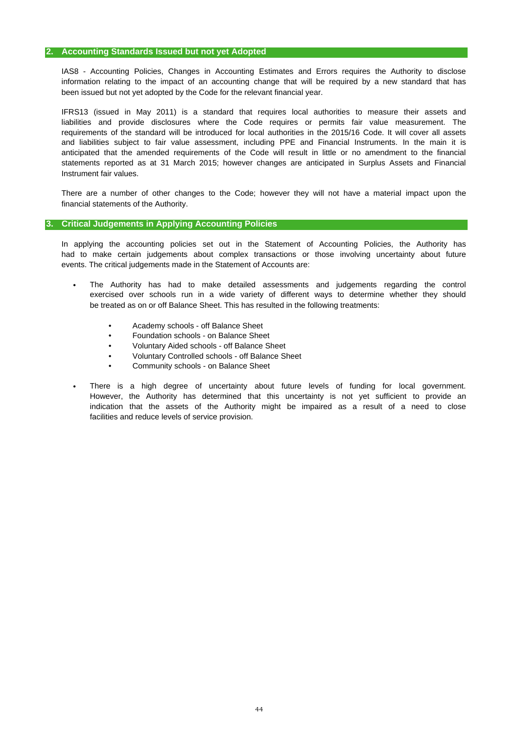## **2. Accounting Standards Issued but not yet Adopted**

been issued but not yet adopted by the Code for the relevant financial year. information relating to the impact of an accounting change that will be required by a new standard that has IAS8 - Accounting Policies, Changes in Accounting Estimates and Errors requires the Authority to disclose

IFRS13 (issued in May 2011) is a standard that requires local authorities to measure their assets and liabilities and provide disclosures where the Code requires or permits fair value measurement. The requirements of the standard will be introduced for local authorities in the 2015/16 Code. It will cover all assets and liabilities subject to fair value assessment, including PPE and Financial Instruments. In the main it is anticipated that the amended requirements of the Code will result in little or no amendment to the financial statements reported as at 31 March 2015; however changes are anticipated in Surplus Assets and Financial Instrument fair values.

There are a number of other changes to the Code; however they will not have a material impact upon the financial statements of the Authority.

## **3. Critical Judgements in Applying Accounting Policies**

events. The critical judgements made in the Statement of Accounts are: In applying the accounting policies set out in the Statement of Accounting Policies, the Authority has had to make certain judgements about complex transactions or those involving uncertainty about future

- be treated as on or off Balance Sheet. This has resulted in the following treatments: The Authority has had to make detailed assessments and judgements regarding the control exercised over schools run in a wide variety of different ways to determine whether they should
	- Academy schools off Balance Sheet
	- Foundation schools on Balance Sheet
	- Voluntary Aided schools off Balance Sheet
	- Voluntary Controlled schools off Balance Sheet
	- Community schools on Balance Sheet
- facilities and reduce levels of service provision. There is a high degree of uncertainty about future levels of funding for local government. However, the Authority has determined that this uncertainty is not yet sufficient to provide an indication that the assets of the Authority might be impaired as a result of a need to close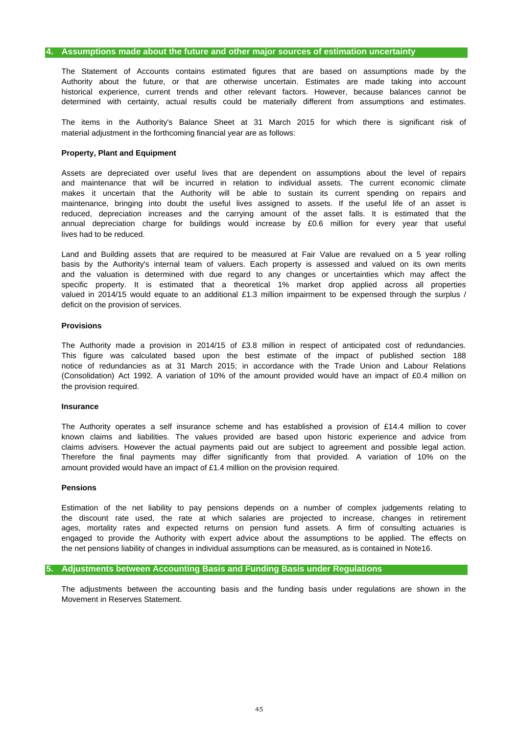determined with certainty, actual results could be materially different from assumptions and estimates. The Statement of Accounts contains estimated figures that are based on assumptions made by the Authority about the future, or that are otherwise uncertain. Estimates are made taking into account historical experience, current trends and other relevant factors. However, because balances cannot be

material adjustment in the forthcoming financial year are as follows: The items in the Authority's Balance Sheet at 31 March 2015 for which there is significant risk of

#### **Property, Plant and Equipment**

lives had to be reduced. and maintenance that will be incurred in relation to individual assets. The current economic climate makes it uncertain that the Authority will be able to sustain its current spending on repairs and maintenance, bringing into doubt the useful lives assigned to assets. If the useful life of an asset is Assets are depreciated over useful lives that are dependent on assumptions about the level of repairs reduced, depreciation increases and the carrying amount of the asset falls. It is estimated that the annual depreciation charge for buildings would increase by £0.6 million for every year that useful

Land and Building assets that are required to be measured at Fair Value are revalued on a 5 year rolling basis by the Authority's internal team of valuers. Each property is assessed and valued on its own merits and the valuation is determined with due regard to any changes or uncertainties which may affect the specific property. It is estimated that a theoretical 1% market drop applied across all properties valued in 2014/15 would equate to an additional £1.3 million impairment to be expensed through the surplus / deficit on the provision of services.

#### **Provisions**

the provision required. This figure was calculated based upon the best estimate of the impact of published section 188 notice of redundancies as at 31 March 2015; in accordance with the Trade Union and Labour Relations The Authority made a provision in 2014/15 of £3.8 million in respect of anticipated cost of redundancies. (Consolidation) Act 1992. A variation of 10% of the amount provided would have an impact of £0.4 million on

#### **Insurance**

amount provided would have an impact of £1.4 million on the provision required. The Authority operates a self insurance scheme and has established a provision of £14.4 million to cover Therefore the final payments may differ significantly from that provided. A variation of 10% on the known claims and liabilities. The values provided are based upon historic experience and advice from claims advisers. However the actual payments paid out are subject to agreement and possible legal action.

#### **Pensions**

the net pensions liability of changes in individual assumptions can be measured, as is contained in Note16. the discount rate used, the rate at which salaries are projected to increase, changes in retirement ages, mortality rates and expected returns on pension fund assets. A firm of consulting actuaries is engaged to provide the Authority with expert advice about the assumptions to be applied. The effects on Estimation of the net liability to pay pensions depends on a number of complex judgements relating to

## **5. Adjustments between Accounting Basis and Funding Basis under Regulations**

Movement in Reserves Statement. The adjustments between the accounting basis and the funding basis under regulations are shown in the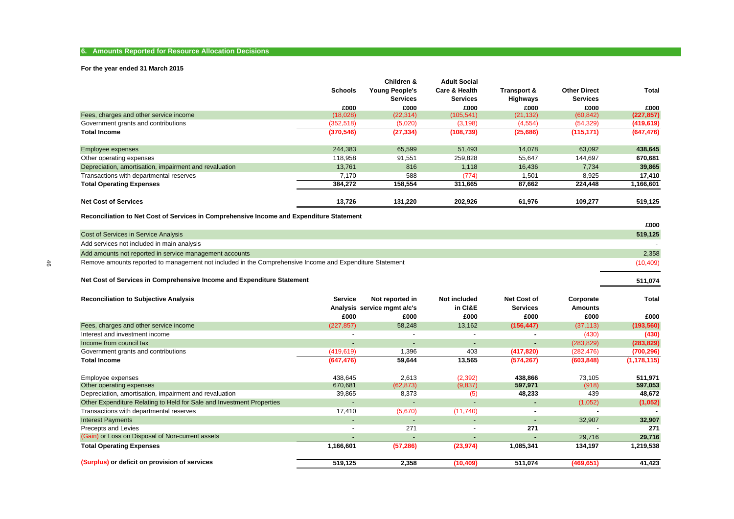#### **6. Amounts Reported for Resource Allocation Decisions**

#### **For the year ended 31 March 2015**

|                                                        |                | Children &            | <b>Adult Social</b>      |             |                     |            |
|--------------------------------------------------------|----------------|-----------------------|--------------------------|-------------|---------------------|------------|
|                                                        | <b>Schools</b> | <b>Young People's</b> | <b>Care &amp; Health</b> | Transport & | <b>Other Direct</b> | Total      |
|                                                        |                | <b>Services</b>       | <b>Services</b>          | Highways    | <b>Services</b>     |            |
|                                                        | £000           | £000                  | £000                     | £000        | £000                | £000       |
| Fees, charges and other service income                 | (18,028)       | (22, 314)             | (105, 541)               | (21, 132)   | (60, 842)           | (227, 857) |
| Government grants and contributions                    | (352, 518)     | (5,020)               | (3, 198)                 | (4, 554)    | (54, 329)           | (419, 619) |
| <b>Total Income</b>                                    | (370, 546)     | (27, 334)             | (108, 739)               | (25, 686)   | (115, 171)          | (647, 476) |
| Employee expenses                                      | 244,383        | 65,599                | 51,493                   | 14,078      | 63,092              | 438,645    |
| Other operating expenses                               | 118,958        | 91,551                | 259,828                  | 55,647      | 144,697             | 670,681    |
| Depreciation, amortisation, impairment and revaluation | 13,761         | 816                   | 1,118                    | 16,436      | 7,734               | 39,865     |
| Transactions with departmental reserves                | 7,170          | 588                   | (774)                    | 1,501       | 8,925               | 17,410     |
| <b>Total Operating Expenses</b>                        | 384,272        | 158,554               | 311,665                  | 87,662      | 224,448             | 1,166,601  |
| <b>Net Cost of Services</b>                            | 13,726         | 131,220               | 202,926                  | 61,976      | 109,277             | 519,125    |

**Reconciliation to Net Cost of Services in Comprehensive Income and Expenditure Statement**

|               |                                                                                                          | £000      |
|---------------|----------------------------------------------------------------------------------------------------------|-----------|
|               | Cost of Services in Service Analysis                                                                     | 519,125   |
|               | Add services not included in main analysis                                                               |           |
|               | Add amounts not reported in service management accounts                                                  | 2,358     |
| $\frac{4}{6}$ | Remove amounts reported to management not included in the Comprehensive Income and Expenditure Statement | (10, 409) |
|               | Net Cost of Services in Comprehensive Income and Expenditure Statement                                   | 511.074   |

#### **Net Cost of Services in Comprehensive Income and Expenditure Statement**

| <b>Reconciliation to Subjective Analysis</b>                          | <b>Service</b><br>£000   | Not reported in<br>Analysis service mgmt a/c's<br>£000 | Not included<br>in CI&E<br>£000 | <b>Net Cost of</b><br><b>Services</b><br>£000 | Corporate<br><b>Amounts</b><br>£000 | Total<br>£000 |
|-----------------------------------------------------------------------|--------------------------|--------------------------------------------------------|---------------------------------|-----------------------------------------------|-------------------------------------|---------------|
| Fees, charges and other service income                                | (227, 857)               | 58,248                                                 | 13,162                          | (156, 447)                                    | (37, 113)                           | (193, 560)    |
| Interest and investment income                                        | $\overline{\phantom{a}}$ | $\overline{\phantom{a}}$                               |                                 | $\blacksquare$                                | (430)                               | (430)         |
| Income from council tax                                               | $\overline{\phantom{a}}$ | $\overline{\phantom{a}}$                               | $\overline{\phantom{0}}$        | ٠                                             | (283, 829)                          | (283, 829)    |
| Government grants and contributions                                   | (419, 619)               | 1,396                                                  | 403                             | (417, 820)                                    | (282, 476)                          | (700, 296)    |
| <b>Total Income</b>                                                   | (647, 476)               | 59,644                                                 | 13,565                          | (574, 267)                                    | (603, 848)                          | (1, 178, 115) |
| Employee expenses                                                     | 438,645                  | 2,613                                                  | (2, 392)                        | 438,866                                       | 73,105                              | 511,971       |
| Other operating expenses                                              | 670,681                  | (62, 873)                                              | (9,837)                         | 597,971                                       | (918)                               | 597,053       |
| Depreciation, amortisation, impairment and revaluation                | 39,865                   | 8,373                                                  | (5)                             | 48,233                                        | 439                                 | 48,672        |
| Other Expenditure Relating to Held for Sale and Investment Properties | $\blacksquare$           | $\overline{\phantom{0}}$                               | $\overline{a}$                  | ٠                                             | (1,052)                             | (1,052)       |
| Transactions with departmental reserves                               | 17,410                   | (5,670)                                                | (11, 740)                       |                                               | $\overline{\phantom{0}}$            |               |
| <b>Interest Payments</b>                                              | $\overline{a}$           | $\overline{a}$                                         |                                 | ۰                                             | 32,907                              | 32,907        |
| Precepts and Levies                                                   | $\overline{\phantom{a}}$ | 271                                                    |                                 | 271                                           |                                     | 271           |
| (Gain) or Loss on Disposal of Non-current assets                      | $\overline{\phantom{a}}$ |                                                        |                                 | ٠                                             | 29,716                              | 29,716        |
| <b>Total Operating Expenses</b>                                       | 1,166,601                | (57, 286)                                              | (23, 974)                       | 1,085,341                                     | 134,197                             | 1,219,538     |
| (Surplus) or deficit on provision of services                         | 519,125                  | 2,358                                                  | (10, 409)                       | 511,074                                       | (469, 651)                          | 41,423        |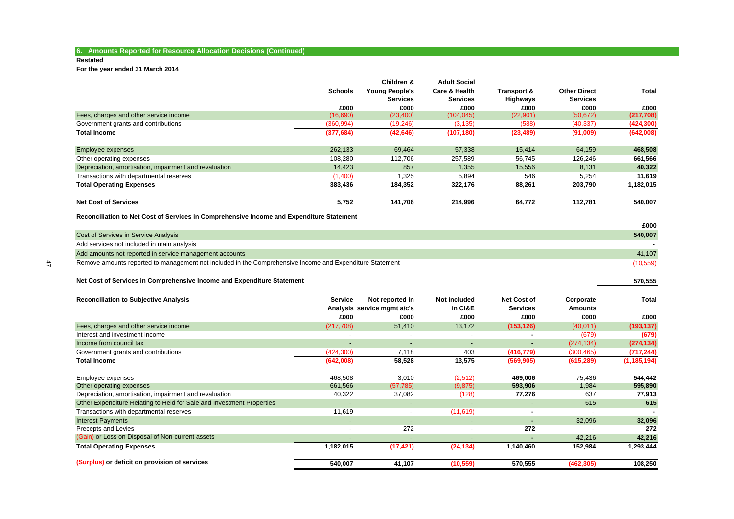#### **6. Amounts Reported for Resource Allocation Decisions (Continued)**

#### **Restated**

**For the year ended 31 March 2014**

|                                                        |                | Children &            | <b>Adult Social</b>      |             |                     |            |
|--------------------------------------------------------|----------------|-----------------------|--------------------------|-------------|---------------------|------------|
|                                                        | <b>Schools</b> | <b>Young People's</b> | <b>Care &amp; Health</b> | Transport & | <b>Other Direct</b> | Total      |
|                                                        |                | <b>Services</b>       | <b>Services</b>          | Highways    | <b>Services</b>     |            |
|                                                        | £000           | £000                  | £000                     | £000        | £000                | £000       |
| Fees, charges and other service income                 | (16, 690)      | (23, 400)             | (104, 045)               | (22,901)    | (50, 672)           | (217, 708) |
| Government grants and contributions                    | (360, 994)     | (19, 246)             | (3, 135)                 | (588)       | (40, 337)           | (424, 300) |
| <b>Total Income</b>                                    | (377, 684)     | (42, 646)             | (107, 180)               | (23, 489)   | (91,009)            | (642,008)  |
| Employee expenses                                      | 262,133        | 69.464                | 57,338                   | 15,414      | 64,159              | 468,508    |
| Other operating expenses                               | 108,280        | 112.706               | 257,589                  | 56,745      | 126,246             | 661,566    |
| Depreciation, amortisation, impairment and revaluation | 14,423         | 857                   | 1,355                    | 15,556      | 8,131               | 40,322     |
| Transactions with departmental reserves                | (1,400)        | 1,325                 | 5,894                    | 546         | 5,254               | 11,619     |
| <b>Total Operating Expenses</b>                        | 383,436        | 184,352               | 322,176                  | 88,261      | 203,790             | 1,182,015  |
| <b>Net Cost of Services</b>                            | 5,752          | 141,706               | 214,996                  | 64,772      | 112,781             | 540,007    |

**Reconciliation to Net Cost of Services in Comprehensive Income and Expenditure Statement**

|                                                                                                          | £000      |
|----------------------------------------------------------------------------------------------------------|-----------|
| Cost of Services in Service Analysis                                                                     | 540,007   |
| Add services not included in main analysis                                                               |           |
| Add amounts not reported in service management accounts                                                  | 41,107    |
| Remove amounts reported to management not included in the Comprehensive Income and Expenditure Statement | (10, 559) |

**570,555**

**Net Cost of Services in Comprehensive Income and Expenditure Statement**

| <b>Reconciliation to Subjective Analysis</b>                          | <b>Service</b>           | Not reported in<br>Analysis service mgmt a/c's | Not included<br>in CI&E | <b>Net Cost of</b><br><b>Services</b> | Corporate<br>Amounts | Total         |
|-----------------------------------------------------------------------|--------------------------|------------------------------------------------|-------------------------|---------------------------------------|----------------------|---------------|
|                                                                       | £000                     | £000                                           | £000                    | £000                                  | £000                 | £000          |
| Fees, charges and other service income                                | (217,708)                | 51,410                                         | 13,172                  | (153, 126)                            | (40, 011)            | (193, 137)    |
| Interest and investment income                                        | $\overline{\phantom{a}}$ | $\overline{\phantom{a}}$                       |                         | ۰                                     | (679)                | (679)         |
| Income from council tax                                               | $\blacksquare$           | $\overline{\phantom{a}}$                       |                         | ٠                                     | (274, 134)           | (274, 134)    |
| Government grants and contributions                                   | (424, 300)               | 7,118                                          | 403                     | (416, 779)                            | (300, 465)           | (717, 244)    |
| <b>Total Income</b>                                                   | (642,008)                | 58,528                                         | 13,575                  | (569, 905)                            | (615, 289)           | (1, 185, 194) |
| Employee expenses                                                     | 468,508                  | 3,010                                          | (2,512)                 | 469,006                               | 75,436               | 544,442       |
| Other operating expenses                                              | 661,566                  | (57, 785)                                      | (9,875)                 | 593,906                               | 1,984                | 595,890       |
| Depreciation, amortisation, impairment and revaluation                | 40,322                   | 37,082                                         | (128)                   | 77,276                                | 637                  | 77,913        |
| Other Expenditure Relating to Held for Sale and Investment Properties | $\overline{a}$           | $\overline{\phantom{a}}$                       |                         | $\overline{\phantom{a}}$              | 615                  | 615           |
| Transactions with departmental reserves                               | 11,619                   | $\sim$                                         | (11, 619)               | $\blacksquare$                        |                      |               |
| <b>Interest Payments</b>                                              | $\overline{a}$           |                                                |                         |                                       | 32,096               | 32,096        |
| Precepts and Levies                                                   | $\overline{\phantom{a}}$ | 272                                            |                         | 272                                   |                      | 272           |
| (Gain) or Loss on Disposal of Non-current assets                      | $\overline{\phantom{0}}$ | $\overline{\phantom{0}}$                       |                         | $\overline{\phantom{a}}$              | 42,216               | 42,216        |
| <b>Total Operating Expenses</b>                                       | 1,182,015                | (17, 421)                                      | (24, 134)               | 1,140,460                             | 152,984              | 1,293,444     |
| (Surplus) or deficit on provision of services                         | 540,007                  | 41,107                                         | (10, 559)               | 570,555                               | (462, 305)           | 108,250       |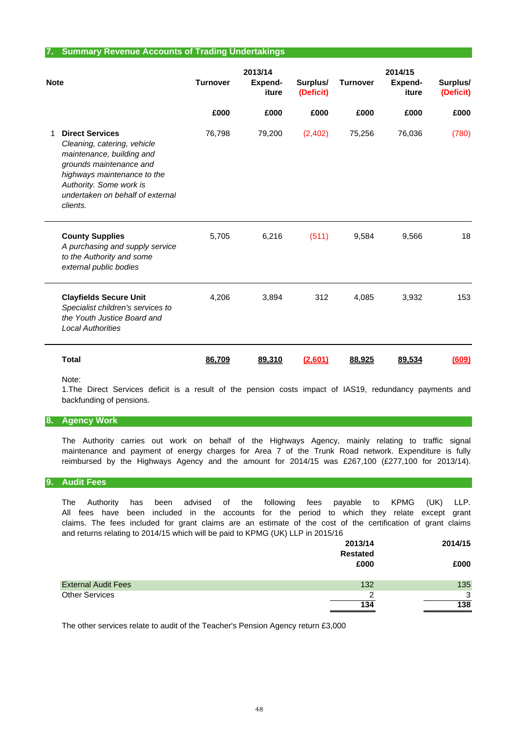## **7. Summary Revenue Accounts of Trading Undertakings**

| <b>Note</b> |                                                                                                                                                                                                                         | <b>Turnover</b> | 2013/14<br>Expend-<br>iture | Surplus/<br>(Deficit) | <b>Turnover</b> | 2014/15<br>Expend-<br>iture | Surplus/<br>(Deficit) |
|-------------|-------------------------------------------------------------------------------------------------------------------------------------------------------------------------------------------------------------------------|-----------------|-----------------------------|-----------------------|-----------------|-----------------------------|-----------------------|
|             |                                                                                                                                                                                                                         | £000            | £000                        | £000                  | £000            | £000                        | £000                  |
| 1           | <b>Direct Services</b><br>Cleaning, catering, vehicle<br>maintenance, building and<br>grounds maintenance and<br>highways maintenance to the<br>Authority. Some work is<br>undertaken on behalf of external<br>clients. | 76,798          | 79,200                      | (2,402)               | 75,256          | 76,036                      | (780)                 |
|             | <b>County Supplies</b><br>A purchasing and supply service<br>to the Authority and some<br>external public bodies                                                                                                        | 5,705           | 6,216                       | (511)                 | 9,584           | 9,566                       | 18                    |
|             | <b>Clayfields Secure Unit</b><br>Specialist children's services to<br>the Youth Justice Board and<br><b>Local Authorities</b>                                                                                           | 4,206           | 3,894                       | 312                   | 4,085           | 3,932                       | 153                   |
|             | <b>Total</b>                                                                                                                                                                                                            | 86,709          | 89,310                      | (2,601)               | 88,925          | 89,534                      | <u>(609)</u>          |

Note:

backfunding of pensions. 1.The Direct Services deficit is a result of the pension costs impact of IAS19, redundancy payments and

#### **8. Agency Work**

The Authority carries out work on behalf of the Highways Agency, mainly relating to traffic signal maintenance and payment of energy charges for Area 7 of the Trunk Road network. Expenditure is fully reimbursed by the Highways Agency and the amount for 2014/15 was £267,100 (£277,100 for 2013/14).

## **9. Audit Fees**

and returns relating to 2014/15 which will be paid to KPMG (UK) LLP in 2015/16 The Authority has been advised of the following fees payable to KPMG (UK) LLP. All fees have been included in the accounts for the period to which they relate except grant claims. The fees included for grant claims are an estimate of the cost of the certification of grant claims

|                            | 2013/14         | 2014/15 |
|----------------------------|-----------------|---------|
|                            | <b>Restated</b> |         |
|                            | £000            | £000    |
|                            |                 |         |
| <b>External Audit Fees</b> | 132             | 135     |
| <b>Other Services</b>      | 2               | 3       |
|                            | 134             | 138     |

The other services relate to audit of the Teacher's Pension Agency return £3,000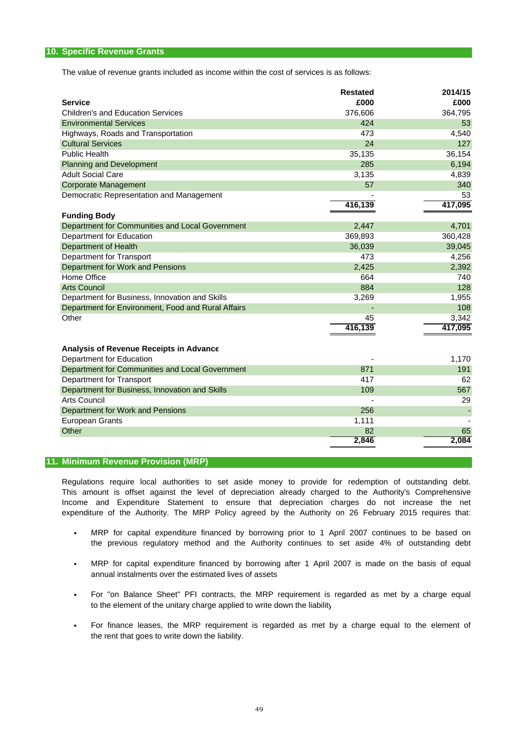The value of revenue grants included as income within the cost of services is as follows:

|                                                    | <b>Restated</b> | 2014/15 |
|----------------------------------------------------|-----------------|---------|
| <b>Service</b>                                     | £000            | £000    |
| <b>Children's and Education Services</b>           | 376,606         | 364,795 |
| <b>Environmental Services</b>                      | 424             | 53      |
| Highways, Roads and Transportation                 | 473             | 4,540   |
| <b>Cultural Services</b>                           | 24              | 127     |
| <b>Public Health</b>                               | 35,135          | 36,154  |
| <b>Planning and Development</b>                    | 285             | 6,194   |
| <b>Adult Social Care</b>                           | 3,135           | 4,839   |
| <b>Corporate Management</b>                        | 57              | 340     |
| Democratic Representation and Management           |                 | 53      |
|                                                    | 416,139         | 417,095 |
| <b>Funding Body</b>                                |                 |         |
| Department for Communities and Local Government    | 2,447           | 4,701   |
| Department for Education                           | 369,893         | 360,428 |
| <b>Department of Health</b>                        | 36,039          | 39,045  |
| Department for Transport                           | 473             | 4,256   |
| Department for Work and Pensions                   | 2,425           | 2,392   |
| Home Office                                        | 664             | 740     |
| <b>Arts Council</b>                                | 884             | 128     |
| Department for Business, Innovation and Skills     | 3,269           | 1,955   |
| Department for Environment, Food and Rural Affairs |                 | 108     |
| Other                                              | 45              | 3,342   |
|                                                    | 416,139         | 417,095 |
|                                                    |                 |         |
| Analysis of Revenue Receipts in Advance            |                 |         |
| Department for Education                           |                 | 1,170   |
| Department for Communities and Local Government    | 871             | 191     |
| Department for Transport                           | 417             | 62      |
| Department for Business, Innovation and Skills     | 109             | 567     |
| <b>Arts Council</b>                                |                 | 29      |
| Department for Work and Pensions                   | 256             |         |
| <b>European Grants</b>                             | 1,111           |         |
| Other                                              | 82              | 65      |
|                                                    | 2,846           | 2,084   |

## **11. Minimum Revenue Provision (MRP)**

Regulations require local authorities to set aside money to provide for redemption of outstanding debt. This amount is offset against the level of depreciation already charged to the Authority's Comprehensive Income and Expenditure Statement to ensure that depreciation charges do not increase the net expenditure of the Authority. The MRP Policy agreed by the Authority on 26 February 2015 requires that:

- the previous regulatory method and the Authority continues to set aside 4% of outstanding debt MRP for capital expenditure financed by borrowing prior to 1 April 2007 continues to be based on
- annual instalments over the estimated lives of assets MRP for capital expenditure financed by borrowing after 1 April 2007 is made on the basis of equal
- to the element of the unitary charge applied to write down the liability For "on Balance Sheet" PFI contracts, the MRP requirement is regarded as met by a charge equal
- the rent that goes to write down the liability. For finance leases, the MRP requirement is regarded as met by a charge equal to the element of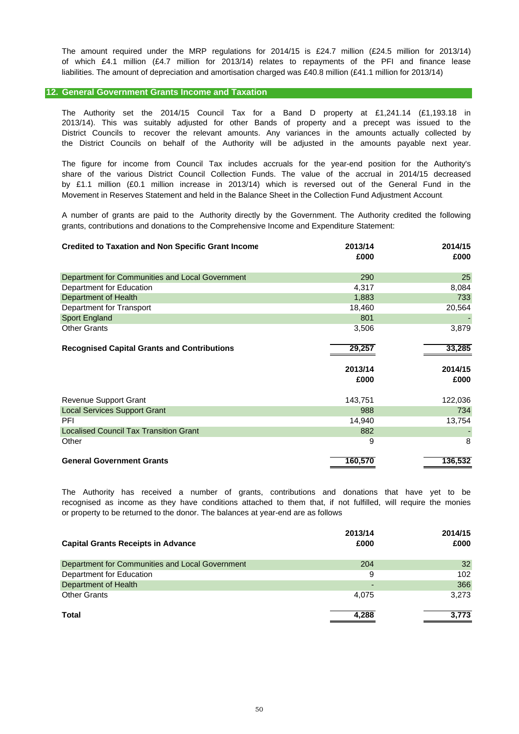liabilities. The amount of depreciation and amortisation charged was £40.8 million (£41.1 million for 2013/14) The amount required under the MRP regulations for 2014/15 is £24.7 million (£24.5 million for 2013/14) of which £4.1 million (£4.7 million for 2013/14) relates to repayments of the PFI and finance lease

## **12. General Government Grants Income and Taxation**

2013/14). This was suitably adjusted for other Bands of property and a precept was issued to the District Councils to recover the relevant amounts. Any variances in the amounts actually collected by the District Councils on behalf of the Authority will be adjusted in the amounts payable next year. The Authority set the 2014/15 Council Tax for a Band D property at £1,241.14 (£1,193.18 in

Movement in Reserves Statement and held in the Balance Sheet in the Collection Fund Adjustment Account. by £1.1 million (£0.1 million increase in 2013/14) which is reversed out of the General Fund in the share of the various District Council Collection Funds. The value of the accrual in 2014/15 decreased The figure for income from Council Tax includes accruals for the year-end position for the Authority's

grants, contributions and donations to the Comprehensive Income and Expenditure Statement: A number of grants are paid to the Authority directly by the Government. The Authority credited the following

| <b>Credited to Taxation and Non Specific Grant Income</b> | 2013/14 | 2014/15 |
|-----------------------------------------------------------|---------|---------|
|                                                           | £000    | £000    |
|                                                           |         |         |
| Department for Communities and Local Government           | 290     | 25      |
| Department for Education                                  | 4,317   | 8,084   |
| Department of Health                                      | 1,883   | 733     |
| Department for Transport                                  | 18,460  | 20,564  |
| Sport England                                             | 801     |         |
| <b>Other Grants</b>                                       | 3,506   | 3,879   |
|                                                           |         |         |
| <b>Recognised Capital Grants and Contributions</b>        | 29,257  | 33,285  |
|                                                           |         |         |
|                                                           | 2013/14 | 2014/15 |
|                                                           | £000    | £000    |
| <b>Revenue Support Grant</b>                              | 143,751 | 122,036 |
| <b>Local Services Support Grant</b>                       | 988     | 734     |
|                                                           |         |         |
| <b>PFI</b>                                                | 14,940  | 13,754  |
| <b>Localised Council Tax Transition Grant</b>             | 882     |         |
| Other                                                     | 9       | 8       |
| <b>General Government Grants</b>                          | 160,570 | 136,532 |
|                                                           |         |         |

or property to be returned to the donor. The balances at year-end are as follows recognised as income as they have conditions attached to them that, if not fulfilled, will require the monies The Authority has received a number of grants, contributions and donations that have yet to be

| <b>Capital Grants Receipts in Advance</b>       | 2013/14<br>£000 | 2014/15<br>£000 |
|-------------------------------------------------|-----------------|-----------------|
| Department for Communities and Local Government | 204             | 32              |
| Department for Education                        | 9               | 102             |
| <b>Department of Health</b>                     | -               | 366             |
| <b>Other Grants</b>                             | 4.075           | 3.273           |
| Total                                           | 4,288           | 3,773           |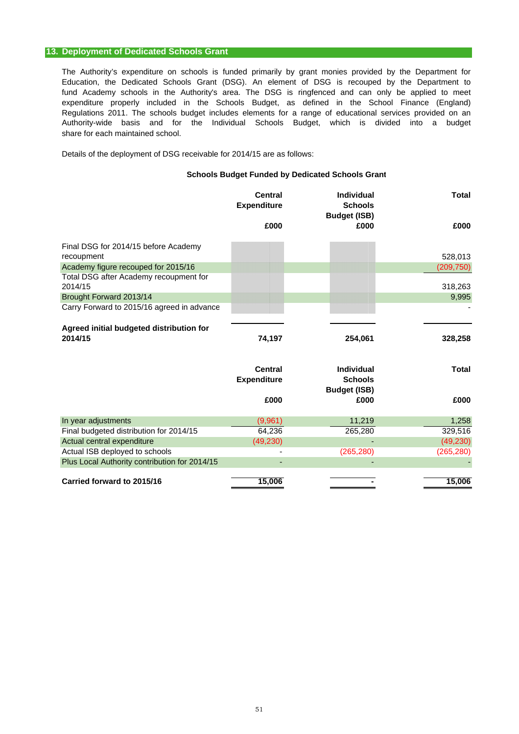## **13. Deployment of Dedicated Schools Grant**

expenditure properly included in the Schools Budget, as defined in the School Finance (England) The Authority's expenditure on schools is funded primarily by grant monies provided by the Department for Education, the Dedicated Schools Grant (DSG). An element of DSG is recouped by the Department to Authority-wide basis and for the Individual Schools Budget, which is divided into a budget share for each maintained school. fund Academy schools in the Authority's area. The DSG is ringfenced and can only be applied to meet Regulations 2011. The schools budget includes elements for a range of educational services provided on an

Details of the deployment of DSG receivable for 2014/15 are as follows:

## **Schools Budget Funded by Dedicated Schools Grant**

|                                                     | <b>Central</b><br><b>Expenditure</b> | <b>Individual</b><br><b>Schools</b><br><b>Budget (ISB)</b> | <b>Total</b> |
|-----------------------------------------------------|--------------------------------------|------------------------------------------------------------|--------------|
|                                                     | £000                                 | £000                                                       | £000         |
| Final DSG for 2014/15 before Academy                |                                      |                                                            |              |
| recoupment                                          |                                      |                                                            | 528,013      |
| Academy figure recouped for 2015/16                 |                                      |                                                            | (209, 750)   |
| Total DSG after Academy recoupment for<br>2014/15   |                                      |                                                            | 318,263      |
| Brought Forward 2013/14                             |                                      |                                                            | 9,995        |
| Carry Forward to 2015/16 agreed in advance          |                                      |                                                            |              |
|                                                     |                                      |                                                            |              |
| Agreed initial budgeted distribution for<br>2014/15 | 74,197                               | 254,061                                                    | 328,258      |
|                                                     | <b>Central</b><br><b>Expenditure</b> | Individual<br><b>Schools</b><br><b>Budget (ISB)</b>        | <b>Total</b> |
|                                                     | £000                                 | £000                                                       | £000         |
| In year adjustments                                 | (9,961)                              | 11,219                                                     | 1,258        |
| Final budgeted distribution for 2014/15             | 64,236                               | 265,280                                                    | 329,516      |
| Actual central expenditure                          | (49, 230)                            |                                                            | (49, 230)    |
| Actual ISB deployed to schools                      |                                      | (265, 280)                                                 | (265, 280)   |
| Plus Local Authority contribution for 2014/15       |                                      |                                                            |              |
| Carried forward to 2015/16                          | 15,006                               |                                                            | 15,006       |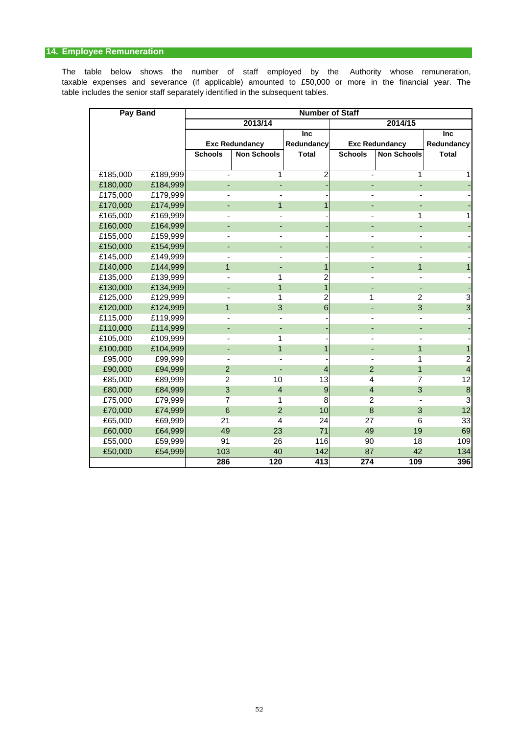## **14. Employee Remuneration**

table includes the senior staff separately identified in the subsequent tables. The table below shows the number of staff employed by the Authority whose remuneration, taxable expenses and severance (if applicable) amounted to £50,000 or more in the financial year. The

| Pay Band |          |                          |                       |                  | <b>Number of Staff</b>   |                       |                |  |
|----------|----------|--------------------------|-----------------------|------------------|--------------------------|-----------------------|----------------|--|
|          |          |                          | 2013/14               |                  |                          | 2014/15               |                |  |
|          |          |                          |                       | Inc              |                          |                       | Inc            |  |
|          |          |                          | <b>Exc Redundancy</b> | Redundancy       |                          | <b>Exc Redundancy</b> | Redundancy     |  |
|          |          | Schools                  | <b>Non Schools</b>    | <b>Total</b>     | <b>Schools</b>           | <b>Non Schools</b>    | <b>Total</b>   |  |
|          |          |                          |                       |                  |                          |                       |                |  |
| £185,000 | £189,999 | $\overline{\phantom{a}}$ | 1                     | $\overline{c}$   |                          | 1                     | 1              |  |
| £180,000 | £184,999 | -                        | ٠                     |                  | $\overline{\phantom{0}}$ |                       |                |  |
| £175,000 | £179,999 | $\overline{\phantom{0}}$ |                       |                  |                          |                       |                |  |
| £170,000 | £174,999 | -                        | $\mathbf{1}$          | 1                | ٠                        | ٠                     |                |  |
| £165,000 | £169,999 |                          |                       |                  |                          | 1                     | 1              |  |
| £160,000 | £164,999 | ٠                        |                       |                  |                          |                       |                |  |
| £155,000 | £159,999 |                          |                       |                  |                          |                       |                |  |
| £150,000 | £154,999 |                          |                       |                  |                          |                       |                |  |
| £145,000 | £149,999 |                          |                       |                  |                          |                       |                |  |
| £140,000 | £144,999 | 1                        |                       | 1                |                          | 1                     | $\mathbf{1}$   |  |
| £135,000 | £139,999 |                          | 1                     | $\overline{c}$   |                          |                       |                |  |
| £130,000 | £134,999 |                          | $\mathbf{1}$          | $\overline{1}$   |                          |                       |                |  |
| £125,000 | £129,999 |                          | 1                     | 2                | 1                        | $\overline{2}$        | $\overline{3}$ |  |
| £120,000 | £124,999 | $\mathbf{1}$             | 3                     | 6                |                          | 3                     | 3              |  |
| £115,000 | £119,999 |                          |                       |                  |                          |                       |                |  |
| £110,000 | £114,999 | ۰                        |                       |                  |                          |                       |                |  |
| £105,000 | £109,999 | $\overline{a}$           | 1                     |                  |                          |                       |                |  |
| £100,000 | £104,999 | ۳                        | $\mathbf{1}$          | 1                |                          | $\mathbf{1}$          | $\mathbf{1}$   |  |
| £95,000  | £99,999  |                          |                       |                  |                          | 1                     | $\overline{2}$ |  |
| £90,000  | £94,999  | $\overline{2}$           |                       | 4                | $\overline{2}$           | $\overline{1}$        | $\overline{4}$ |  |
| £85,000  | £89,999  | $\overline{2}$           | 10                    | 13               | $\overline{4}$           | $\overline{7}$        | 12             |  |
| £80,000  | £84,999  | 3                        | $\overline{4}$        | $\boldsymbol{9}$ | $\overline{4}$           | 3                     | $\bf 8$        |  |
| £75,000  | £79,999  | 7                        | 1                     | 8                | 2                        |                       | $\overline{3}$ |  |
| £70,000  | £74,999  | $6\phantom{1}6$          | $\overline{2}$        | 10               | $\overline{8}$           | 3                     | 12             |  |
| £65,000  | £69,999  | 21                       | 4                     | 24               | 27                       | 6                     | 33             |  |
| £60,000  | £64,999  | 49                       | 23                    | 71               | 49                       | 19                    | 69             |  |
| £55,000  | £59,999  | 91                       | 26                    | 116              | 90                       | 18                    | 109            |  |
| £50,000  | £54,999  | 103                      | 40                    | 142              | 87                       | 42                    | 134            |  |
|          |          | 286                      | 120                   | 413              | 274                      | 109                   | 396            |  |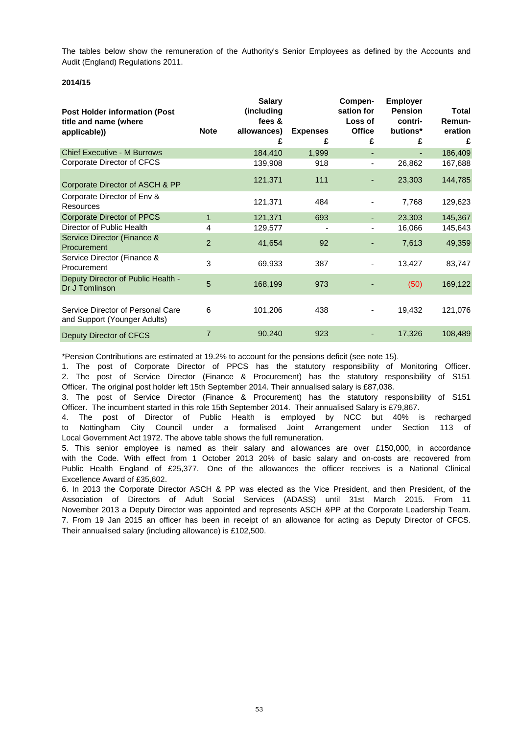The tables below show the remuneration of the Authority's Senior Employees as defined by the Accounts and Audit (England) Regulations 2011.

**2014/15**

| <b>Post Holder information (Post</b><br>title and name (where<br>applicable)) | <b>Note</b>    | <b>Salary</b><br>(including<br>fees &<br>allowances) | <b>Expenses</b>          | Compen-<br>sation for<br>Loss of<br><b>Office</b> | <b>Employer</b><br><b>Pension</b><br>contri-<br>butions* | <b>Total</b><br>Remun-<br>eration |
|-------------------------------------------------------------------------------|----------------|------------------------------------------------------|--------------------------|---------------------------------------------------|----------------------------------------------------------|-----------------------------------|
|                                                                               |                | £                                                    | £                        | £                                                 | £                                                        | £                                 |
| <b>Chief Executive - M Burrows</b>                                            |                | 184,410                                              | 1,999                    |                                                   |                                                          | 186,409                           |
| Corporate Director of CFCS                                                    |                | 139,908                                              | 918                      | $\overline{\phantom{a}}$                          | 26,862                                                   | 167,688                           |
| Corporate Director of ASCH & PP                                               |                | 121,371                                              | 111                      | ٠                                                 | 23,303                                                   | 144,785                           |
| Corporate Director of Env &<br><b>Resources</b>                               |                | 121,371                                              | 484                      |                                                   | 7,768                                                    | 129,623                           |
| <b>Corporate Director of PPCS</b>                                             | $\mathbf{1}$   | 121,371                                              | 693                      | -                                                 | 23,303                                                   | 145,367                           |
| Director of Public Health                                                     | 4              | 129,577                                              | $\overline{\phantom{a}}$ | $\overline{\phantom{a}}$                          | 16,066                                                   | 145,643                           |
| Service Director (Finance &<br>Procurement                                    | 2              | 41,654                                               | 92                       |                                                   | 7,613                                                    | 49,359                            |
| Service Director (Finance &<br>Procurement                                    | 3              | 69,933                                               | 387                      |                                                   | 13,427                                                   | 83,747                            |
| Deputy Director of Public Health -<br>Dr J Tomlinson                          | 5              | 168,199                                              | 973                      |                                                   | (50)                                                     | 169,122                           |
| Service Director of Personal Care<br>and Support (Younger Adults)             | 6              | 101,206                                              | 438                      | -                                                 | 19,432                                                   | 121,076                           |
| Deputy Director of CFCS                                                       | $\overline{7}$ | 90,240                                               | 923                      |                                                   | 17,326                                                   | 108,489                           |

\*Pension Contributions are estimated at 19.2% to account for the pensions deficit (see note 15).

Officer. The original post holder left 15th September 2014. Their annualised salary is £87,038. 1. The post of Corporate Director of PPCS has the statutory responsibility of Monitoring Officer. 2. The post of Service Director (Finance & Procurement) has the statutory responsibility of S151

3. The post of Service Director (Finance & Procurement) has the statutory responsibility of S151 Officer. The incumbent started in this role 15th September 2014. Their annualised Salary is £79,867.

4. The post of Director of Public Health is employed by NCC but 40% is recharged to Nottingham City Council under a formalised Joint Arrangement under Section 113 of Local Government Act 1972. The above table shows the full remuneration.

Excellence Award of £35,602. 5. This senior employee is named as their salary and allowances are over £150,000, in accordance with the Code. With effect from 1 October 2013 20% of basic salary and on-costs are recovered from Public Health England of £25,377. One of the allowances the officer receives is a National Clinical

Their annualised salary (including allowance) is £102,500. 6. In 2013 the Corporate Director ASCH & PP was elected as the Vice President, and then President, of the 7. From 19 Jan 2015 an officer has been in receipt of an allowance for acting as Deputy Director of CFCS. November 2013 a Deputy Director was appointed and represents ASCH &PP at the Corporate Leadership Team. Association of Directors of Adult Social Services (ADASS) until 31st March 2015. From 11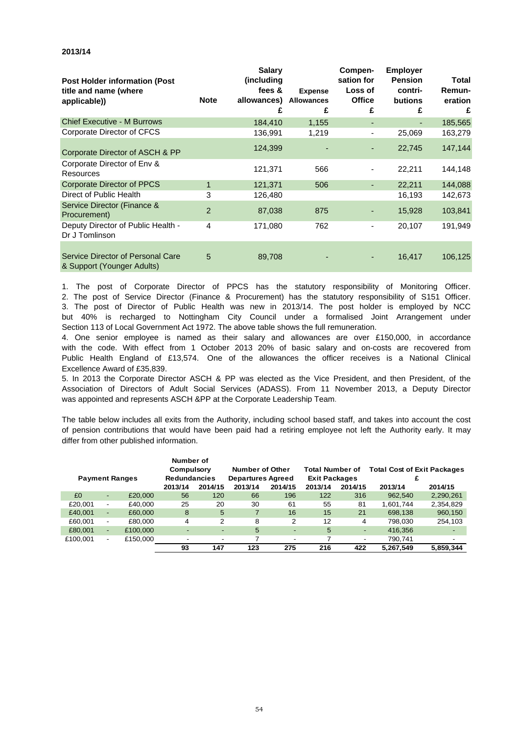| <b>Post Holder information (Post</b><br>title and name (where<br>applicable)) | <b>Note</b>  | <b>Salary</b><br>(including<br>fees &<br>allowances)<br>£ | <b>Expense</b><br><b>Allowances</b><br>£ | Compen-<br>sation for<br>Loss of<br><b>Office</b><br>£ | <b>Employer</b><br><b>Pension</b><br>contri-<br><b>butions</b><br>£ | Total<br>Remun-<br>eration<br>£ |
|-------------------------------------------------------------------------------|--------------|-----------------------------------------------------------|------------------------------------------|--------------------------------------------------------|---------------------------------------------------------------------|---------------------------------|
| <b>Chief Executive - M Burrows</b>                                            |              | 184,410                                                   | 1,155                                    | ٠                                                      |                                                                     | 185,565                         |
| Corporate Director of CFCS                                                    |              | 136,991                                                   | 1,219                                    | $\blacksquare$                                         | 25,069                                                              | 163,279                         |
| Corporate Director of ASCH & PP                                               |              | 124,399                                                   |                                          |                                                        | 22,745                                                              | 147,144                         |
| Corporate Director of Env &<br>Resources                                      |              | 121,371                                                   | 566                                      | $\overline{\phantom{a}}$                               | 22,211                                                              | 144,148                         |
| Corporate Director of PPCS                                                    | $\mathbf{1}$ | 121,371                                                   | 506                                      | ٠                                                      | 22,211                                                              | 144,088                         |
| Direct of Public Health                                                       | 3            | 126,480                                                   |                                          |                                                        | 16,193                                                              | 142,673                         |
| Service Director (Finance &<br>Procurement)                                   | 2            | 87,038                                                    | 875                                      | ٠                                                      | 15,928                                                              | 103,841                         |
| Deputy Director of Public Health -<br>Dr J Tomlinson                          | 4            | 171,080                                                   | 762                                      | $\blacksquare$                                         | 20,107                                                              | 191,949                         |
| Service Director of Personal Care<br>& Support (Younger Adults)               | 5            | 89,708                                                    |                                          | ٠                                                      | 16,417                                                              | 106,125                         |

3. The post of Director of Public Health was new in 2013/14. The post holder is employed by NCC but 40% is recharged to Nottingham City Council under a formalised Joint Arrangement under Section 113 of Local Government Act 1972. The above table shows the full remuneration. 2. The post of Service Director (Finance & Procurement) has the statutory responsibility of S151 Officer. 1. The post of Corporate Director of PPCS has the statutory responsibility of Monitoring Officer.

Excellence Award of £35,839. 4. One senior employee is named as their salary and allowances are over £150,000, in accordance with the code. With effect from 1 October 2013 20% of basic salary and on-costs are recovered from Public Health England of £13,574. One of the allowances the officer receives is a National Clinical

Association of Directors of Adult Social Services (ADASS). From 11 November 2013, a Deputy Director was appointed and represents ASCH &PP at the Corporate Leadership Team. 5. In 2013 the Corporate Director ASCH & PP was elected as the Vice President, and then President, of the

differ from other published information. of pension contributions that would have been paid had a retiring employee not left the Authority early. It may The table below includes all exits from the Authority, including school based staff, and takes into account the cost

|          |                          |                       | Number of           |         |                          |                          |                        |         |                                    |           |
|----------|--------------------------|-----------------------|---------------------|---------|--------------------------|--------------------------|------------------------|---------|------------------------------------|-----------|
|          |                          |                       | Compulsory          |         | Number of Other          |                          | <b>Total Number of</b> |         | <b>Total Cost of Exit Packages</b> |           |
|          |                          | <b>Payment Ranges</b> | <b>Redundancies</b> |         | <b>Departures Agreed</b> |                          | <b>Exit Packages</b>   |         |                                    |           |
|          |                          |                       | 2013/14             | 2014/15 | 2013/14                  | 2014/15                  | 2013/14                | 2014/15 | 2013/14                            | 2014/15   |
| £0       | $\overline{\phantom{a}}$ | £20,000               | 56                  | 120     | 66                       | 196                      | 122                    | 316     | 962,540                            | 2,290,261 |
| £20,001  | $\overline{\phantom{a}}$ | £40.000               | 25                  | 20      | 30                       | 61                       | 55                     | 81      | 1,601,744                          | 2,354,829 |
| £40,001  | ۰.                       | £60,000               | 8                   | 5       | 7                        | 16                       | 15                     | 21      | 698,138                            | 960,150   |
| £60,001  | $\overline{\phantom{a}}$ | £80.000               | 4                   | 2       | 8                        | 2                        | 12                     | 4       | 798.030                            | 254,103   |
| £80,001  | $\overline{\phantom{a}}$ | £100,000              | ٠                   |         | 5                        | $\overline{\phantom{0}}$ | 5                      | ۰.      | 416,356                            |           |
| £100,001 | $\overline{\phantom{0}}$ | £150,000              | ٠                   | -       | ⇁                        | $\overline{\phantom{a}}$ |                        | ٠       | 790.741                            |           |
|          |                          |                       | 93                  | 147     | 123                      | 275                      | 216                    | 422     | 5,267,549                          | 5,859,344 |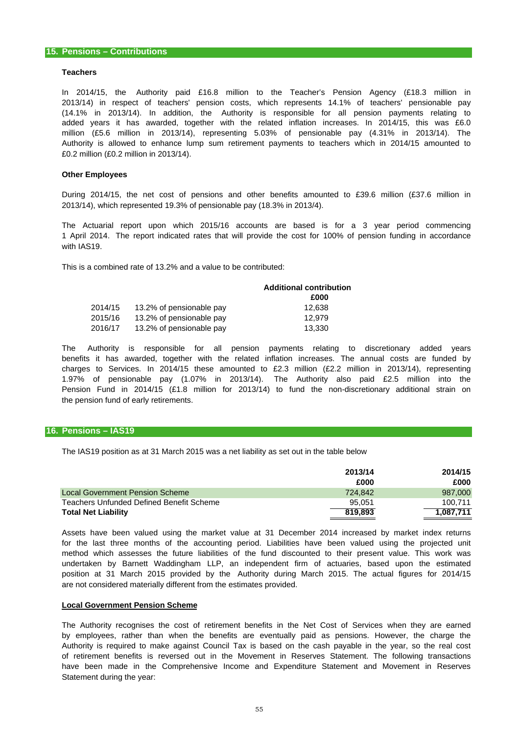#### **Teachers**

£0.2 million (£0.2 million in 2013/14). million (£5.6 million in 2013/14), representing 5.03% of pensionable pay (4.31% in 2013/14). The Authority is allowed to enhance lump sum retirement payments to teachers which in 2014/15 amounted to In 2014/15, the Authority paid £16.8 million to the Teacher's Pension Agency (£18.3 million in (14.1% in 2013/14). In addition, the Authority is responsible for all pension payments relating to added years it has awarded, together with the related inflation increases. In 2014/15, this was £6.0 2013/14) in respect of teachers' pension costs, which represents 14.1% of teachers' pensionable pay

#### **Other Employees**

During 2014/15, the net cost of pensions and other benefits amounted to £39.6 million (£37.6 million in 2013/14), which represented 19.3% of pensionable pay (18.3% in 2013/4).

with IAS<sub>19</sub> The Actuarial report upon which 2015/16 accounts are based is for a 3 year period commencing 1 April 2014. The report indicated rates that will provide the cost for 100% of pension funding in accordance

This is a combined rate of 13.2% and a value to be contributed:

|         |                          | <b>Additional contribution</b> |  |
|---------|--------------------------|--------------------------------|--|
|         |                          | £000                           |  |
| 2014/15 | 13.2% of pensionable pay | 12.638                         |  |
| 2015/16 | 13.2% of pensionable pay | 12.979                         |  |
| 2016/17 | 13.2% of pensionable pay | 13.330                         |  |

the pension fund of early retirements. benefits it has awarded, together with the related inflation increases. The annual costs are funded by charges to Services. In 2014/15 these amounted to £2.3 million (£2.2 million in 2013/14), representing 1.97% of pensionable pay (1.07% in 2013/14). The Authority also paid £2.5 million into the Pension Fund in 2014/15 (£1.8 million for 2013/14) to fund the non-discretionary additional strain on The Authority is responsible for all pension payments relating to discretionary added years

#### **16. Pensions – IAS19**

The IAS19 position as at 31 March 2015 was a net liability as set out in the table below

|                                          | 2013/14 | 2014/15   |  |
|------------------------------------------|---------|-----------|--|
|                                          | £000    | £000      |  |
| <b>Local Government Pension Scheme</b>   | 724.842 | 987.000   |  |
| Teachers Unfunded Defined Benefit Scheme | 95.051  | 100.711   |  |
| <b>Total Net Liability</b>               | 819.893 | 1,087,711 |  |

are not considered materially different from the estimates provided. undertaken by Barnett Waddingham LLP, an independent firm of actuaries, based upon the estimated position at 31 March 2015 provided by the Authority during March 2015. The actual figures for 2014/15 Assets have been valued using the market value at 31 December 2014 increased by market index returns for the last three months of the accounting period. Liabilities have been valued using the projected unit method which assesses the future liabilities of the fund discounted to their present value. This work was

## **Local Government Pension Scheme**

Statement during the year: by employees, rather than when the benefits are eventually paid as pensions. However, the charge the have been made in the Comprehensive Income and Expenditure Statement and Movement in Reserves Authority is required to make against Council Tax is based on the cash payable in the year, so the real cost of retirement benefits is reversed out in the Movement in Reserves Statement. The following transactions The Authority recognises the cost of retirement benefits in the Net Cost of Services when they are earned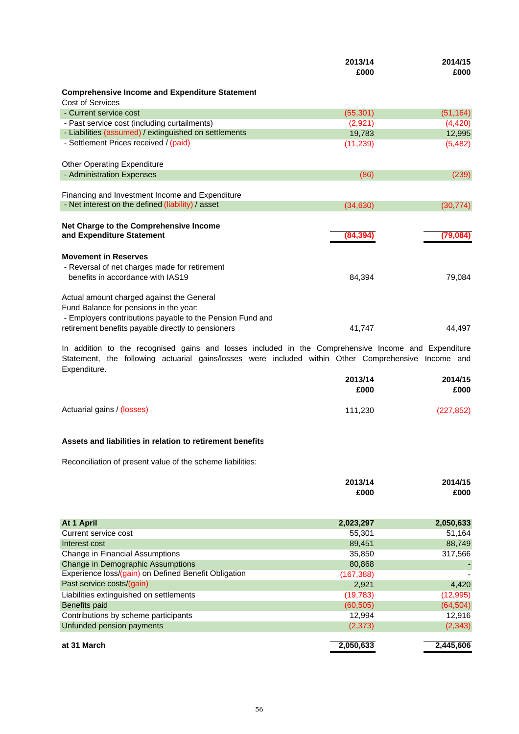|                                                                                                                 | 2013/14<br>£000 | 2014/15<br>£000 |
|-----------------------------------------------------------------------------------------------------------------|-----------------|-----------------|
| <b>Comprehensive Income and Expenditure Statement</b>                                                           |                 |                 |
| <b>Cost of Services</b>                                                                                         |                 |                 |
| - Current service cost                                                                                          | (55, 301)       | (51, 164)       |
| - Past service cost (including curtailments)                                                                    | (2,921)         | (4, 420)        |
| - Liabilities (assumed) / extinguished on settlements                                                           | 19,783          | 12,995          |
| - Settlement Prices received / (paid)                                                                           | (11, 239)       | (5,482)         |
| <b>Other Operating Expenditure</b>                                                                              |                 |                 |
| - Administration Expenses                                                                                       | (86)            | (239)           |
| Financing and Investment Income and Expenditure                                                                 |                 |                 |
| - Net interest on the defined (liability) / asset                                                               | (34, 630)       | (30, 774)       |
| Net Charge to the Comprehensive Income<br>and Expenditure Statement                                             | (84,394         | (79,084)        |
| <b>Movement in Reserves</b><br>- Reversal of net charges made for retirement                                    |                 |                 |
| benefits in accordance with IAS19                                                                               | 84,394          | 79,084          |
| Actual amount charged against the General<br>Fund Balance for pensions in the year:                             |                 |                 |
| - Employers contributions payable to the Pension Fund and<br>retirement benefits payable directly to pensioners | 41,747          | 44.497          |

Expenditure. In addition to the recognised gains and losses included in the Comprehensive Income and Expenditure Statement, the following actuarial gains/losses were included within Other Comprehensive Income and

|                            | 2013/14 | 2014/15    |
|----------------------------|---------|------------|
|                            | £000    | £000       |
| Actuarial gains / (losses) | 111.230 | (227, 852) |

## **Assets and liabilities in relation to retirement benefits**

Reconciliation of present value of the scheme liabilities:

| 2013/14 | 2014/15 |
|---------|---------|
| £000    | £000    |

| At 1 April                                           | 2,023,297  | 2,050,633 |
|------------------------------------------------------|------------|-----------|
| Current service cost                                 | 55,301     | 51,164    |
| Interest cost                                        | 89,451     | 88,749    |
| Change in Financial Assumptions                      | 35,850     | 317,566   |
| Change in Demographic Assumptions                    | 80,868     |           |
| Experience loss/(gain) on Defined Benefit Obligation | (167, 388) |           |
| Past service costs/(gain)                            | 2,921      | 4,420     |
| Liabilities extinguished on settlements              | (19, 783)  | (12, 995) |
| Benefits paid                                        | (60, 505)  | (64, 504) |
| Contributions by scheme participants                 | 12.994     | 12,916    |
| Unfunded pension payments                            | (2, 373)   | (2, 343)  |
|                                                      |            |           |
| at 31 March                                          | 2,050,633  | 2,445,606 |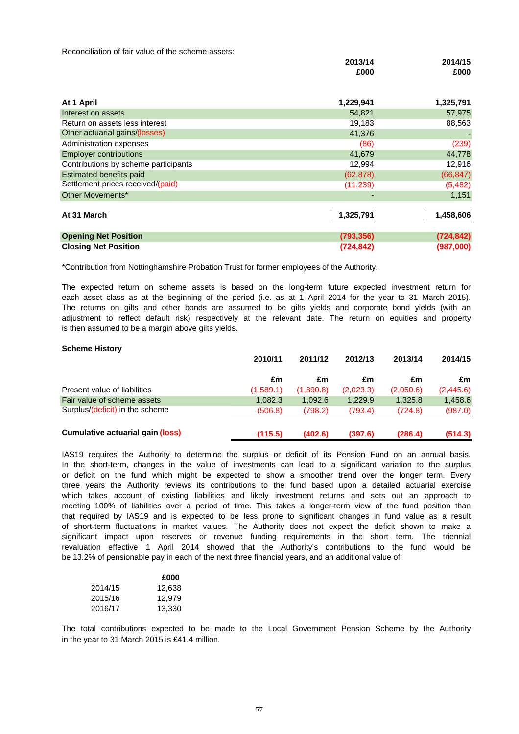Reconciliation of fair value of the scheme assets:

|                                      | 2013/14    | 2014/15    |
|--------------------------------------|------------|------------|
|                                      | £000       | £000       |
|                                      |            |            |
| At 1 April                           | 1,229,941  | 1,325,791  |
| Interest on assets                   | 54,821     | 57,975     |
| Return on assets less interest       | 19,183     | 88,563     |
| Other actuarial gains/(losses)       | 41,376     |            |
| Administration expenses              | (86)       | (239)      |
| <b>Employer contributions</b>        | 41,679     | 44,778     |
| Contributions by scheme participants | 12,994     | 12,916     |
| Estimated benefits paid              | (62, 878)  | (66, 847)  |
| Settlement prices received/(paid)    | (11, 239)  | (5,482)    |
| Other Movements*                     |            | 1,151      |
| At 31 March                          | 1,325,791  | 1,458,606  |
|                                      |            |            |
| <b>Opening Net Position</b>          | (793, 356) | (724, 842) |
| <b>Closing Net Position</b>          | (724, 842) | (987,000)  |

\*Contribution from Nottinghamshire Probation Trust for former employees of the Authority.

is then assumed to be a margin above gilts yields. The returns on gilts and other bonds are assumed to be gilts yields and corporate bond yields (with an adjustment to reflect default risk) respectively at the relevant date. The return on equities and property The expected return on scheme assets is based on the long-term future expected investment return for each asset class as at the beginning of the period (i.e. as at 1 April 2014 for the year to 31 March 2015).

## **Scheme History**

|                                         | 2010/11   | 2011/12   | 2012/13   | 2013/14   | 2014/15   |
|-----------------------------------------|-----------|-----------|-----------|-----------|-----------|
|                                         | £m        | £m        | £m        | £m        | £m.       |
| Present value of liabilities            | (1,589.1) | (1,890.8) | (2,023.3) | (2,050.6) | (2,445.6) |
| Fair value of scheme assets             | 1.082.3   | 1,092.6   | 1,229.9   | 1,325.8   | 1,458.6   |
| Surplus/(deficit) in the scheme         | (506.8)   | (798.2)   | (793.4)   | (724.8)   | (987.0)   |
| <b>Cumulative actuarial gain (loss)</b> | (115.5)   | (402.6)   | (397.6)   | (286.4)   | (514.3)   |

be 13.2% of pensionable pay in each of the next three financial years, and an additional value of: significant impact upon reserves or revenue funding requirements in the short term. The triennial that required by IAS19 and is expected to be less prone to significant changes in fund value as a result of short-term fluctuations in market values. The Authority does not expect the deficit shown to make a meeting 100% of liabilities over a period of time. This takes a longer-term view of the fund position than IAS19 requires the Authority to determine the surplus or deficit of its Pension Fund on an annual basis. revaluation effective 1 April 2014 showed that the Authority's contributions to the fund would be In the short-term, changes in the value of investments can lead to a significant variation to the surplus or deficit on the fund which might be expected to show a smoother trend over the longer term. Every three years the Authority reviews its contributions to the fund based upon a detailed actuarial exercise which takes account of existing liabilities and likely investment returns and sets out an approach to

|         | £000   |
|---------|--------|
| 2014/15 | 12,638 |
| 2015/16 | 12,979 |
| 2016/17 | 13,330 |

in the year to 31 March 2015 is £41.4 million. The total contributions expected to be made to the Local Government Pension Scheme by the Authority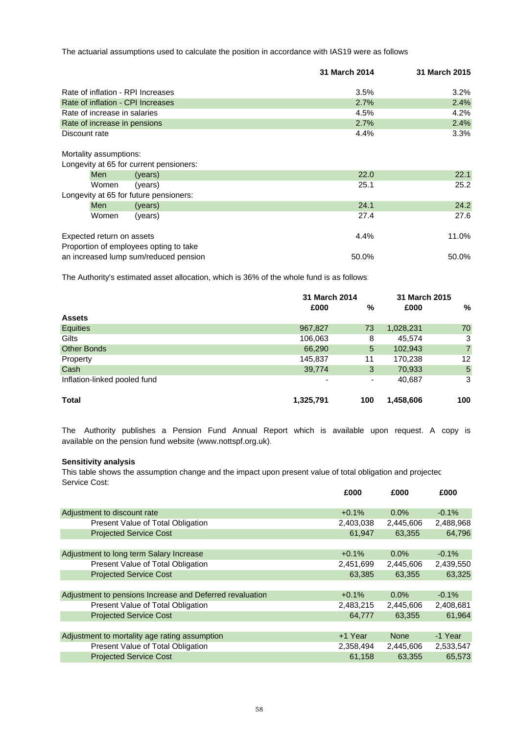The actuarial assumptions used to calculate the position in accordance with IAS19 were as follows

|                                   | 31 March 2014 | 31 March 2015 |
|-----------------------------------|---------------|---------------|
| Rate of inflation - RPI Increases | 3.5%          | $3.2\%$       |
| Rate of inflation - CPI Increases | 2.7%          | 2.4%          |
| Rate of increase in salaries      | 4.5%          | 4.2%          |
| Rate of increase in pensions      | 2.7%          | 2.4%          |
| Discount rate                     | 4.4%          | 3.3%          |
|                                   |               |               |

Mortality assumptions: Longevity at 65 for current pensioners:

|                                                                                 |                           | Longevity at ou for carrent perioditers. |       |       |
|---------------------------------------------------------------------------------|---------------------------|------------------------------------------|-------|-------|
|                                                                                 | Men                       | (years)                                  | 22.0  | 22.1  |
|                                                                                 | Women                     | (vears)                                  | 25.1  | 25.2  |
|                                                                                 |                           | Longevity at 65 for future pensioners:   |       |       |
|                                                                                 | Men                       | (years)                                  | 24.1  | 24.2  |
|                                                                                 | Women                     | (vears)                                  | 27.4  | 27.6  |
|                                                                                 |                           |                                          | 4.4%  | 11.0% |
|                                                                                 | Expected return on assets |                                          |       |       |
| Proportion of employees opting to take<br>an increased lump sum/reduced pension |                           | 50.0%                                    | 50.0% |       |
|                                                                                 |                           |                                          |       |       |

The Authority's estimated asset allocation, which is 36% of the whole fund is as follows:

|                              | 31 March 2014 |                | 31 March 2015 |                |
|------------------------------|---------------|----------------|---------------|----------------|
|                              | £000          | %              | £000          | %              |
| <b>Assets</b>                |               |                |               |                |
| Equities                     | 967,827       | 73             | 1,028,231     | 70             |
| Gilts                        | 106,063       | 8              | 45,574        | 3              |
| <b>Other Bonds</b>           | 66,290        | 5              | 102,943       | $\overline{7}$ |
| Property                     | 145,837       | 11             | 170,238       | 12             |
| Cash                         | 39,774        | 3              | 70,933        | $\overline{5}$ |
| Inflation-linked pooled fund | -             | $\blacksquare$ | 40,687        | 3              |
| <b>Total</b>                 | 1,325,791     | 100            | 1,458,606     | 100            |

available on the pension fund website (www.nottspf.org.uk). The Authority publishes a Pension Fund Annual Report which is available upon request. A copy is

#### **Sensitivity analysis**

This table shows the assumption change and the impact upon present value of total obligation and projectec Service Cost:

|                                                          | £000      | £000        | £000      |
|----------------------------------------------------------|-----------|-------------|-----------|
| Adjustment to discount rate                              | $+0.1%$   | $0.0\%$     | $-0.1\%$  |
| Present Value of Total Obligation                        | 2,403,038 | 2,445,606   | 2,488,968 |
| <b>Projected Service Cost</b>                            | 61,947    | 63,355      | 64,796    |
|                                                          |           |             |           |
| Adjustment to long term Salary Increase                  | $+0.1%$   | $0.0\%$     | $-0.1%$   |
| Present Value of Total Obligation                        | 2,451,699 | 2,445,606   | 2,439,550 |
| <b>Projected Service Cost</b>                            | 63,385    | 63,355      | 63,325    |
|                                                          |           |             |           |
| Adjustment to pensions Increase and Deferred revaluation | $+0.1%$   | $0.0\%$     | $-0.1%$   |
| Present Value of Total Obligation                        | 2,483,215 | 2,445,606   | 2,408,681 |
| <b>Projected Service Cost</b>                            | 64,777    | 63,355      | 61,964    |
|                                                          |           |             |           |
| Adjustment to mortality age rating assumption            | +1 Year   | <b>None</b> | -1 Year   |
| Present Value of Total Obligation                        | 2,358,494 | 2,445,606   | 2,533,547 |
| <b>Projected Service Cost</b>                            | 61,158    | 63,355      | 65,573    |
|                                                          |           |             |           |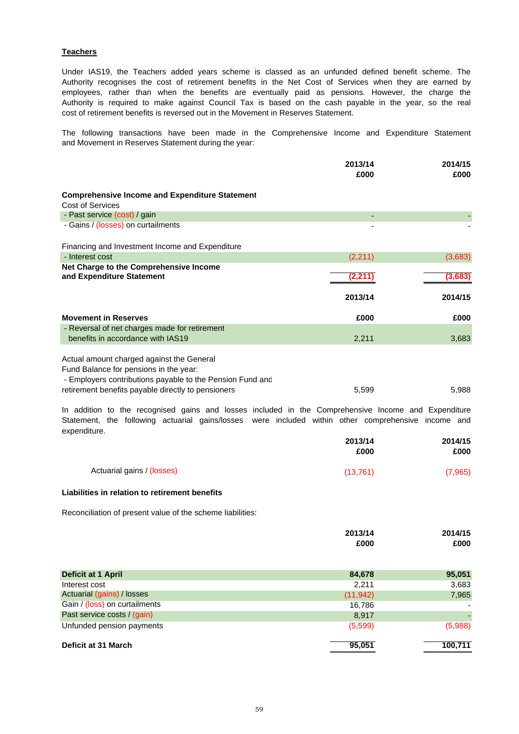## **Teachers**

cost of retirement benefits is reversed out in the Movement in Reserves Statement. Under IAS19, the Teachers added years scheme is classed as an unfunded defined benefit scheme. The Authority recognises the cost of retirement benefits in the Net Cost of Services when they are earned by employees, rather than when the benefits are eventually paid as pensions. However, the charge the Authority is required to make against Council Tax is based on the cash payable in the year, so the real

and Movement in Reserves Statement during the year: The following transactions have been made in the Comprehensive Income and Expenditure Statement

|                                                                                                                                                  | 2013/14<br>£000          | 2014/15<br>£000 |
|--------------------------------------------------------------------------------------------------------------------------------------------------|--------------------------|-----------------|
|                                                                                                                                                  |                          |                 |
| <b>Comprehensive Income and Expenditure Statement</b>                                                                                            |                          |                 |
| Cost of Services                                                                                                                                 |                          |                 |
| - Past service (cost) / gain                                                                                                                     |                          |                 |
| - Gains / (losses) on curtailments                                                                                                               | $\overline{\phantom{0}}$ |                 |
| Financing and Investment Income and Expenditure                                                                                                  |                          |                 |
| - Interest cost                                                                                                                                  | (2, 211)                 | (3,683)         |
| Net Charge to the Comprehensive Income                                                                                                           |                          |                 |
| and Expenditure Statement                                                                                                                        | (2,21                    | (3,683)         |
|                                                                                                                                                  | 2013/14                  | 2014/15         |
| <b>Movement in Reserves</b>                                                                                                                      | £000                     | £000            |
| - Reversal of net charges made for retirement                                                                                                    |                          |                 |
| benefits in accordance with IAS19                                                                                                                | 2,211                    | 3,683           |
| Actual amount charged against the General<br>Fund Balance for pensions in the year:<br>- Employers contributions payable to the Pension Fund and |                          |                 |
| retirement benefits payable directly to pensioners                                                                                               | 5,599                    | 5,988           |

expenditure. Statement, the following actuarial gains/losses were included within other comprehensive income and In addition to the recognised gains and losses included in the Comprehensive Income and Expenditure

|                            | 2013/14<br>£000 | 2014/15<br>£000 |
|----------------------------|-----------------|-----------------|
| Actuarial gains / (losses) | (13,761)        | (7, 965)        |

## **Liabilities in relation to retirement benefits**

Reconciliation of present value of the scheme liabilities:

|                               | 2013/14   | 2014/15 |
|-------------------------------|-----------|---------|
|                               | £000      | £000    |
|                               |           |         |
|                               |           |         |
| <b>Deficit at 1 April</b>     | 84,678    | 95,051  |
| Interest cost                 | 2.211     | 3,683   |
| Actuarial (gains) / losses    | (11, 942) | 7,965   |
| Gain / (loss) on curtailments | 16,786    |         |
| Past service costs / (gain)   | 8,917     |         |
| Unfunded pension payments     | (5,599)   | (5,988) |
| Deficit at 31 March           | 95,051    | 100,711 |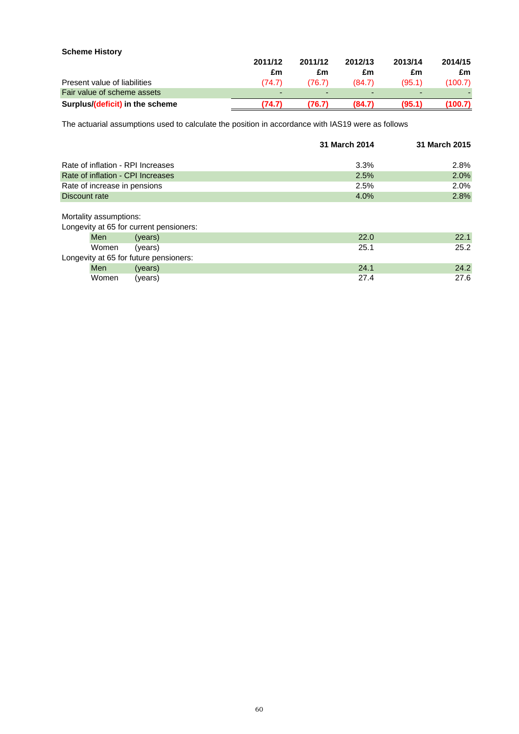# **Scheme History**

|                                 | 2011/12 | 2011/12                  | 2012/13  | 2013/14 | 2014/15 |
|---------------------------------|---------|--------------------------|----------|---------|---------|
|                                 | £m      | £m                       | £m       | £m      | £m      |
| Present value of liabilities    | (74.7)  | (76.7)                   | (84.7)   | (95.1)  | (100.7) |
| Fair value of scheme assets     |         | $\overline{\phantom{0}}$ | <b>.</b> | -       |         |
| Surplus/(deficit) in the scheme | (74.7)  | (76.7)                   | (84.7)   | (95.1)  | (100.7) |

The actuarial assumptions used to calculate the position in accordance with IAS19 were as follows

|                                   |                                         | 31 March 2014 | 31 March 2015 |
|-----------------------------------|-----------------------------------------|---------------|---------------|
| Rate of inflation - RPI Increases |                                         | 3.3%          | 2.8%          |
| Rate of inflation - CPI Increases |                                         | 2.5%          | 2.0%          |
| Rate of increase in pensions      |                                         | 2.5%          | 2.0%          |
| Discount rate                     |                                         | 4.0%          | 2.8%          |
| Mortality assumptions:            | Longevity at 65 for current pensioners: |               |               |
| <b>Men</b>                        | (years)                                 | 22.0          | 22.1          |
| Women                             | (years)                                 | 25.1          | 25.2          |
|                                   | Longevity at 65 for future pensioners:  |               |               |
| <b>Men</b>                        | (years)                                 | 24.1          | 24.2          |
| Women                             | (years)                                 | 27.4          | 27.6          |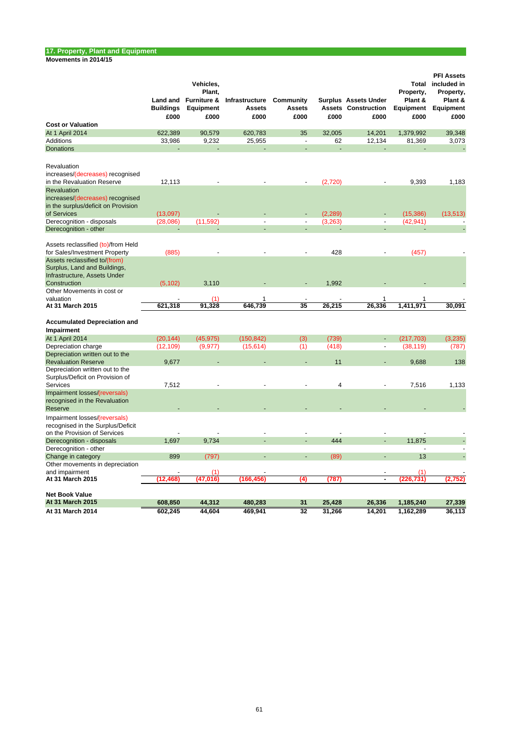**Movements in 2014/15**

|                                                                                                                                | Land and<br><b>Buildings</b><br>£000 | Vehicles,<br>Plant.<br>Furniture &<br>Equipment<br>£000 | Infrastructure<br><b>Assets</b><br>£000 | Community<br><b>Assets</b><br>£000 | £000     | Surplus Assets Under<br><b>Assets Construction</b><br>£000 | Property,<br>Plant &<br>Equipment<br>£000 | <b>PFI Assets</b><br>Total included in<br>Property,<br>Plant &<br>Equipment<br>£000 |
|--------------------------------------------------------------------------------------------------------------------------------|--------------------------------------|---------------------------------------------------------|-----------------------------------------|------------------------------------|----------|------------------------------------------------------------|-------------------------------------------|-------------------------------------------------------------------------------------|
| <b>Cost or Valuation</b>                                                                                                       |                                      |                                                         |                                         |                                    |          |                                                            |                                           |                                                                                     |
| At 1 April 2014                                                                                                                | 622,389                              | 90,579                                                  | 620,783                                 | 35                                 | 32,005   | 14,201                                                     | 1,379,992                                 | 39,348                                                                              |
| Additions                                                                                                                      | 33,986                               | 9,232                                                   | 25,955                                  | $\sim$                             | 62       | 12,134                                                     | 81,369                                    | 3,073                                                                               |
| <b>Donations</b>                                                                                                               |                                      |                                                         |                                         | ÷,                                 | ÷,       |                                                            |                                           |                                                                                     |
| Revaluation<br>increases/(decreases) recognised<br>in the Revaluation Reserve                                                  | 12,113                               |                                                         |                                         |                                    | (2,720)  |                                                            | 9,393                                     | 1,183                                                                               |
| Revaluation<br>increases/(decreases) recognised<br>in the surplus/deficit on Provision<br>of Services                          | (13,097)                             |                                                         |                                         |                                    | (2, 289) |                                                            | (15, 386)                                 | (13,513)                                                                            |
| Derecognition - disposals                                                                                                      | (28,086)                             | (11, 592)                                               |                                         | ÷,                                 | (3,263)  | ÷,                                                         | (42, 941)                                 |                                                                                     |
| Derecognition - other                                                                                                          |                                      |                                                         |                                         |                                    |          |                                                            |                                           |                                                                                     |
| Assets reclassified (to)/from Held                                                                                             |                                      |                                                         |                                         |                                    |          |                                                            |                                           |                                                                                     |
| for Sales/Investment Property<br>Assets reclassified to/(from)<br>Surplus, Land and Buildings,<br>Infrastructure, Assets Under | (885)                                |                                                         |                                         |                                    | 428      |                                                            | (457)                                     |                                                                                     |
| Construction<br>Other Movements in cost or                                                                                     | (5, 102)                             | 3,110                                                   |                                         |                                    | 1,992    |                                                            |                                           |                                                                                     |
| valuation                                                                                                                      |                                      | (1)                                                     | 1                                       |                                    |          | 1                                                          | 1                                         |                                                                                     |
| At 31 March 2015                                                                                                               | 621,318                              | 91,328                                                  | 646,739                                 | 35                                 | 26,215   | 26,336                                                     | 1,411,971                                 | 30,091                                                                              |
| <b>Accumulated Depreciation and</b><br>Impairment                                                                              |                                      |                                                         |                                         |                                    |          |                                                            |                                           |                                                                                     |
| At 1 April 2014                                                                                                                | (20, 144)                            | (45, 975)                                               | (150, 842)                              | (3)                                | (739)    | ÷,                                                         | (217, 703)                                | (3, 235)                                                                            |
| Depreciation charge                                                                                                            | (12, 109)                            | (9, 977)                                                | (15, 614)                               | (1)                                | (418)    | $\overline{a}$                                             | (38, 119)                                 | (787)                                                                               |
| Depreciation written out to the<br><b>Revaluation Reserve</b>                                                                  | 9,677                                |                                                         |                                         |                                    | 11       |                                                            | 9,688                                     | 138                                                                                 |
| Depreciation written out to the<br>Surplus/Deficit on Provision of<br>Services                                                 | 7,512                                |                                                         |                                         |                                    | 4        |                                                            | 7,516                                     | 1,133                                                                               |
| Impairment losses/(reversals)<br>recognised in the Revaluation<br>Reserve                                                      |                                      |                                                         |                                         |                                    |          |                                                            |                                           |                                                                                     |
| Impairment losses/(reversals)<br>recognised in the Surplus/Deficit<br>on the Provision of Services                             |                                      |                                                         |                                         |                                    |          |                                                            |                                           |                                                                                     |
| Derecognition - disposals                                                                                                      | 1,697                                | 9,734                                                   |                                         |                                    | 444      |                                                            | 11,875                                    |                                                                                     |
| Derecognition - other                                                                                                          |                                      |                                                         |                                         |                                    |          |                                                            | $\blacksquare$                            |                                                                                     |
| Change in category                                                                                                             | 899                                  | (797)                                                   |                                         | $\overline{a}$                     | (89)     | L.                                                         | 13                                        |                                                                                     |
| Other movements in depreciation                                                                                                |                                      |                                                         |                                         |                                    |          |                                                            |                                           |                                                                                     |
| and impairment<br>At 31 March 2015                                                                                             | (12, 468)                            | (1)<br>(47, 016)                                        | (166, 456)                              | (4)                                | (787)    | $\blacksquare$                                             | (1)<br>(226, 731)                         | (2,752)                                                                             |
|                                                                                                                                |                                      |                                                         |                                         |                                    |          |                                                            |                                           |                                                                                     |
| <b>Net Book Value</b><br>At 31 March 2015                                                                                      | 608,850                              | 44,312                                                  | 480,283                                 | 31                                 | 25,428   | 26,336                                                     | 1,185,240                                 | 27,339                                                                              |
|                                                                                                                                |                                      |                                                         |                                         |                                    |          |                                                            |                                           |                                                                                     |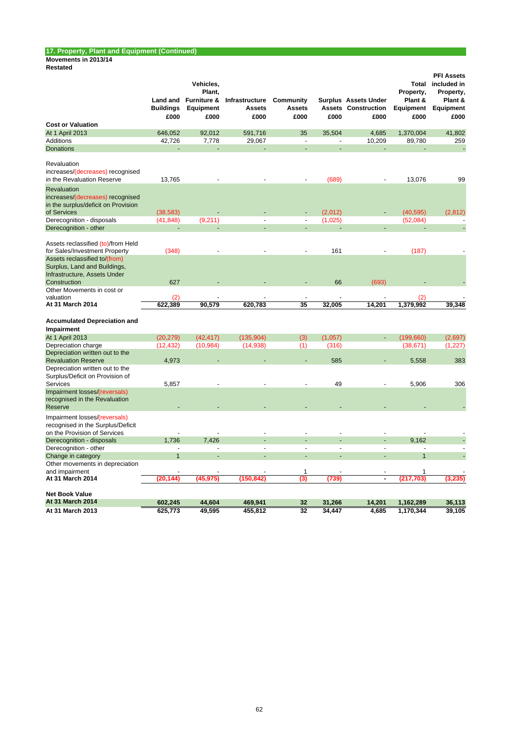#### **17. Property, Plant and Equipment (Continued)**

**Movements in 2013/14**

| Vehicles,<br>Total<br>included in<br>Plant,<br>Property,<br>Property,<br><b>Land and</b><br>Furniture &<br>Plant &<br>Plant &<br>Infrastructure<br>Community<br><b>Surplus</b> Assets Under<br><b>Buildings</b><br>Equipment<br><b>Assets</b><br><b>Assets</b><br><b>Assets Construction</b><br>Equipment<br>Equipment<br>£000<br>£000<br>£000<br>£000<br>£000<br>£000<br>£000<br>£000<br><b>Cost or Valuation</b><br>At 1 April 2013<br>646,052<br>92,012<br>591,716<br>35<br>35,504<br>4,685<br>1,370,004<br>41,802<br>Additions<br>42,726<br>7,778<br>29,067<br>10,209<br>89,780<br>259<br>$\overline{a}$<br>$\overline{a}$<br><b>Donations</b><br>$\overline{a}$<br>L.<br>Revaluation<br>in the Revaluation Reserve<br>13,765<br>(689)<br>13,076<br>99<br>Revaluation<br>increases/(decreases) recognised<br>in the surplus/deficit on Provision<br>of Services<br>(2,012)<br>(40, 595)<br>(38, 583)<br>(2,812)<br>Derecognition - disposals<br>(41, 848)<br>(9,211)<br>(1,025)<br>(52,084)<br>$\overline{a}$<br>÷,<br>Derecognition - other<br>Assets reclassified (to)/from Held<br>for Sales/Investment Property<br>161<br>(348)<br>(187)<br>Assets reclassified to/(from)<br>Infrastructure, Assets Under<br>Construction<br>627<br>66<br>(693)<br>Other Movements in cost or<br>valuation<br>(2)<br>(2)<br>٠<br>At 31 March 2014<br>622,389<br>35<br>14.201<br>90.579<br>620.783<br>32.005<br>1.379.992<br>39.348<br><b>Accumulated Depreciation and</b><br>At 1 April 2013<br>(20, 279)<br>(42, 417)<br>(135, 904)<br>(199,660)<br>(3)<br>(1,057)<br>(2,697)<br>Depreciation charge<br>(12, 432)<br>(10, 984)<br>(14, 938)<br>(1)<br>(316)<br>(38, 671)<br>(1,227)<br>Depreciation written out to the<br><b>Revaluation Reserve</b><br>4,973<br>585<br>5,558<br>383<br>Depreciation written out to the<br>49<br>5,906<br>306<br>5,857<br>Impairment losses/(reversals)<br>recognised in the Revaluation<br>Reserve<br>Impairment losses/(reversals)<br>recognised in the Surplus/Deficit<br>on the Provision of Services<br>1,736<br>7,426<br>9,162<br>Derecognition - disposals<br>Derecognition - other<br>÷,<br>$\overline{a}$<br>$\blacksquare$<br>$\overline{\phantom{a}}$<br>$\overline{\phantom{a}}$<br>٠<br>$\overline{\phantom{a}}$<br>$\mathbf{1}$<br>$\mathbf{1}$<br>Change in category<br>Other movements in depreciation<br>1<br>1<br>$\overline{a}$<br>(3, 235)<br>(20,144)<br>(45,975)<br>(150,842)<br>(3)<br>(739)<br>$\overline{\phantom{a}}$<br>(217,703)<br><b>Net Book Value</b><br>At 31 March 2014<br>44,604<br>469,941<br>31,266<br>602,245<br>32<br>14,201<br>1,162,289<br>36,113<br>39,105<br>At 31 March 2013<br>625,773<br>49,595<br>455,812<br>32<br>34,447<br>4,685<br>1,170,344 | Restated |  |  |  |                   |
|-------------------------------------------------------------------------------------------------------------------------------------------------------------------------------------------------------------------------------------------------------------------------------------------------------------------------------------------------------------------------------------------------------------------------------------------------------------------------------------------------------------------------------------------------------------------------------------------------------------------------------------------------------------------------------------------------------------------------------------------------------------------------------------------------------------------------------------------------------------------------------------------------------------------------------------------------------------------------------------------------------------------------------------------------------------------------------------------------------------------------------------------------------------------------------------------------------------------------------------------------------------------------------------------------------------------------------------------------------------------------------------------------------------------------------------------------------------------------------------------------------------------------------------------------------------------------------------------------------------------------------------------------------------------------------------------------------------------------------------------------------------------------------------------------------------------------------------------------------------------------------------------------------------------------------------------------------------------------------------------------------------------------------------------------------------------------------------------------------------------------------------------------------------------------------------------------------------------------------------------------------------------------------------------------------------------------------------------------------------------------------------------------------------------------------------------------------------------------------------------------------------------------------------------------------------------------------------------------------------------------------------------------------------------------------------------------------------------------|----------|--|--|--|-------------------|
| increases/(decreases) recognised<br>Surplus, Land and Buildings,<br>Impairment<br>Surplus/Deficit on Provision of<br>Services<br>and impairment<br>At 31 March 2014                                                                                                                                                                                                                                                                                                                                                                                                                                                                                                                                                                                                                                                                                                                                                                                                                                                                                                                                                                                                                                                                                                                                                                                                                                                                                                                                                                                                                                                                                                                                                                                                                                                                                                                                                                                                                                                                                                                                                                                                                                                                                                                                                                                                                                                                                                                                                                                                                                                                                                                                                     |          |  |  |  | <b>PFI Assets</b> |
|                                                                                                                                                                                                                                                                                                                                                                                                                                                                                                                                                                                                                                                                                                                                                                                                                                                                                                                                                                                                                                                                                                                                                                                                                                                                                                                                                                                                                                                                                                                                                                                                                                                                                                                                                                                                                                                                                                                                                                                                                                                                                                                                                                                                                                                                                                                                                                                                                                                                                                                                                                                                                                                                                                                         |          |  |  |  |                   |
|                                                                                                                                                                                                                                                                                                                                                                                                                                                                                                                                                                                                                                                                                                                                                                                                                                                                                                                                                                                                                                                                                                                                                                                                                                                                                                                                                                                                                                                                                                                                                                                                                                                                                                                                                                                                                                                                                                                                                                                                                                                                                                                                                                                                                                                                                                                                                                                                                                                                                                                                                                                                                                                                                                                         |          |  |  |  |                   |
|                                                                                                                                                                                                                                                                                                                                                                                                                                                                                                                                                                                                                                                                                                                                                                                                                                                                                                                                                                                                                                                                                                                                                                                                                                                                                                                                                                                                                                                                                                                                                                                                                                                                                                                                                                                                                                                                                                                                                                                                                                                                                                                                                                                                                                                                                                                                                                                                                                                                                                                                                                                                                                                                                                                         |          |  |  |  |                   |
|                                                                                                                                                                                                                                                                                                                                                                                                                                                                                                                                                                                                                                                                                                                                                                                                                                                                                                                                                                                                                                                                                                                                                                                                                                                                                                                                                                                                                                                                                                                                                                                                                                                                                                                                                                                                                                                                                                                                                                                                                                                                                                                                                                                                                                                                                                                                                                                                                                                                                                                                                                                                                                                                                                                         |          |  |  |  |                   |
|                                                                                                                                                                                                                                                                                                                                                                                                                                                                                                                                                                                                                                                                                                                                                                                                                                                                                                                                                                                                                                                                                                                                                                                                                                                                                                                                                                                                                                                                                                                                                                                                                                                                                                                                                                                                                                                                                                                                                                                                                                                                                                                                                                                                                                                                                                                                                                                                                                                                                                                                                                                                                                                                                                                         |          |  |  |  |                   |
|                                                                                                                                                                                                                                                                                                                                                                                                                                                                                                                                                                                                                                                                                                                                                                                                                                                                                                                                                                                                                                                                                                                                                                                                                                                                                                                                                                                                                                                                                                                                                                                                                                                                                                                                                                                                                                                                                                                                                                                                                                                                                                                                                                                                                                                                                                                                                                                                                                                                                                                                                                                                                                                                                                                         |          |  |  |  |                   |
|                                                                                                                                                                                                                                                                                                                                                                                                                                                                                                                                                                                                                                                                                                                                                                                                                                                                                                                                                                                                                                                                                                                                                                                                                                                                                                                                                                                                                                                                                                                                                                                                                                                                                                                                                                                                                                                                                                                                                                                                                                                                                                                                                                                                                                                                                                                                                                                                                                                                                                                                                                                                                                                                                                                         |          |  |  |  |                   |
|                                                                                                                                                                                                                                                                                                                                                                                                                                                                                                                                                                                                                                                                                                                                                                                                                                                                                                                                                                                                                                                                                                                                                                                                                                                                                                                                                                                                                                                                                                                                                                                                                                                                                                                                                                                                                                                                                                                                                                                                                                                                                                                                                                                                                                                                                                                                                                                                                                                                                                                                                                                                                                                                                                                         |          |  |  |  |                   |
|                                                                                                                                                                                                                                                                                                                                                                                                                                                                                                                                                                                                                                                                                                                                                                                                                                                                                                                                                                                                                                                                                                                                                                                                                                                                                                                                                                                                                                                                                                                                                                                                                                                                                                                                                                                                                                                                                                                                                                                                                                                                                                                                                                                                                                                                                                                                                                                                                                                                                                                                                                                                                                                                                                                         |          |  |  |  |                   |
|                                                                                                                                                                                                                                                                                                                                                                                                                                                                                                                                                                                                                                                                                                                                                                                                                                                                                                                                                                                                                                                                                                                                                                                                                                                                                                                                                                                                                                                                                                                                                                                                                                                                                                                                                                                                                                                                                                                                                                                                                                                                                                                                                                                                                                                                                                                                                                                                                                                                                                                                                                                                                                                                                                                         |          |  |  |  |                   |
|                                                                                                                                                                                                                                                                                                                                                                                                                                                                                                                                                                                                                                                                                                                                                                                                                                                                                                                                                                                                                                                                                                                                                                                                                                                                                                                                                                                                                                                                                                                                                                                                                                                                                                                                                                                                                                                                                                                                                                                                                                                                                                                                                                                                                                                                                                                                                                                                                                                                                                                                                                                                                                                                                                                         |          |  |  |  |                   |
|                                                                                                                                                                                                                                                                                                                                                                                                                                                                                                                                                                                                                                                                                                                                                                                                                                                                                                                                                                                                                                                                                                                                                                                                                                                                                                                                                                                                                                                                                                                                                                                                                                                                                                                                                                                                                                                                                                                                                                                                                                                                                                                                                                                                                                                                                                                                                                                                                                                                                                                                                                                                                                                                                                                         |          |  |  |  |                   |
|                                                                                                                                                                                                                                                                                                                                                                                                                                                                                                                                                                                                                                                                                                                                                                                                                                                                                                                                                                                                                                                                                                                                                                                                                                                                                                                                                                                                                                                                                                                                                                                                                                                                                                                                                                                                                                                                                                                                                                                                                                                                                                                                                                                                                                                                                                                                                                                                                                                                                                                                                                                                                                                                                                                         |          |  |  |  |                   |
|                                                                                                                                                                                                                                                                                                                                                                                                                                                                                                                                                                                                                                                                                                                                                                                                                                                                                                                                                                                                                                                                                                                                                                                                                                                                                                                                                                                                                                                                                                                                                                                                                                                                                                                                                                                                                                                                                                                                                                                                                                                                                                                                                                                                                                                                                                                                                                                                                                                                                                                                                                                                                                                                                                                         |          |  |  |  |                   |
|                                                                                                                                                                                                                                                                                                                                                                                                                                                                                                                                                                                                                                                                                                                                                                                                                                                                                                                                                                                                                                                                                                                                                                                                                                                                                                                                                                                                                                                                                                                                                                                                                                                                                                                                                                                                                                                                                                                                                                                                                                                                                                                                                                                                                                                                                                                                                                                                                                                                                                                                                                                                                                                                                                                         |          |  |  |  |                   |
|                                                                                                                                                                                                                                                                                                                                                                                                                                                                                                                                                                                                                                                                                                                                                                                                                                                                                                                                                                                                                                                                                                                                                                                                                                                                                                                                                                                                                                                                                                                                                                                                                                                                                                                                                                                                                                                                                                                                                                                                                                                                                                                                                                                                                                                                                                                                                                                                                                                                                                                                                                                                                                                                                                                         |          |  |  |  |                   |
|                                                                                                                                                                                                                                                                                                                                                                                                                                                                                                                                                                                                                                                                                                                                                                                                                                                                                                                                                                                                                                                                                                                                                                                                                                                                                                                                                                                                                                                                                                                                                                                                                                                                                                                                                                                                                                                                                                                                                                                                                                                                                                                                                                                                                                                                                                                                                                                                                                                                                                                                                                                                                                                                                                                         |          |  |  |  |                   |
|                                                                                                                                                                                                                                                                                                                                                                                                                                                                                                                                                                                                                                                                                                                                                                                                                                                                                                                                                                                                                                                                                                                                                                                                                                                                                                                                                                                                                                                                                                                                                                                                                                                                                                                                                                                                                                                                                                                                                                                                                                                                                                                                                                                                                                                                                                                                                                                                                                                                                                                                                                                                                                                                                                                         |          |  |  |  |                   |
|                                                                                                                                                                                                                                                                                                                                                                                                                                                                                                                                                                                                                                                                                                                                                                                                                                                                                                                                                                                                                                                                                                                                                                                                                                                                                                                                                                                                                                                                                                                                                                                                                                                                                                                                                                                                                                                                                                                                                                                                                                                                                                                                                                                                                                                                                                                                                                                                                                                                                                                                                                                                                                                                                                                         |          |  |  |  |                   |
|                                                                                                                                                                                                                                                                                                                                                                                                                                                                                                                                                                                                                                                                                                                                                                                                                                                                                                                                                                                                                                                                                                                                                                                                                                                                                                                                                                                                                                                                                                                                                                                                                                                                                                                                                                                                                                                                                                                                                                                                                                                                                                                                                                                                                                                                                                                                                                                                                                                                                                                                                                                                                                                                                                                         |          |  |  |  |                   |
|                                                                                                                                                                                                                                                                                                                                                                                                                                                                                                                                                                                                                                                                                                                                                                                                                                                                                                                                                                                                                                                                                                                                                                                                                                                                                                                                                                                                                                                                                                                                                                                                                                                                                                                                                                                                                                                                                                                                                                                                                                                                                                                                                                                                                                                                                                                                                                                                                                                                                                                                                                                                                                                                                                                         |          |  |  |  |                   |
|                                                                                                                                                                                                                                                                                                                                                                                                                                                                                                                                                                                                                                                                                                                                                                                                                                                                                                                                                                                                                                                                                                                                                                                                                                                                                                                                                                                                                                                                                                                                                                                                                                                                                                                                                                                                                                                                                                                                                                                                                                                                                                                                                                                                                                                                                                                                                                                                                                                                                                                                                                                                                                                                                                                         |          |  |  |  |                   |
|                                                                                                                                                                                                                                                                                                                                                                                                                                                                                                                                                                                                                                                                                                                                                                                                                                                                                                                                                                                                                                                                                                                                                                                                                                                                                                                                                                                                                                                                                                                                                                                                                                                                                                                                                                                                                                                                                                                                                                                                                                                                                                                                                                                                                                                                                                                                                                                                                                                                                                                                                                                                                                                                                                                         |          |  |  |  |                   |
|                                                                                                                                                                                                                                                                                                                                                                                                                                                                                                                                                                                                                                                                                                                                                                                                                                                                                                                                                                                                                                                                                                                                                                                                                                                                                                                                                                                                                                                                                                                                                                                                                                                                                                                                                                                                                                                                                                                                                                                                                                                                                                                                                                                                                                                                                                                                                                                                                                                                                                                                                                                                                                                                                                                         |          |  |  |  |                   |
|                                                                                                                                                                                                                                                                                                                                                                                                                                                                                                                                                                                                                                                                                                                                                                                                                                                                                                                                                                                                                                                                                                                                                                                                                                                                                                                                                                                                                                                                                                                                                                                                                                                                                                                                                                                                                                                                                                                                                                                                                                                                                                                                                                                                                                                                                                                                                                                                                                                                                                                                                                                                                                                                                                                         |          |  |  |  |                   |
|                                                                                                                                                                                                                                                                                                                                                                                                                                                                                                                                                                                                                                                                                                                                                                                                                                                                                                                                                                                                                                                                                                                                                                                                                                                                                                                                                                                                                                                                                                                                                                                                                                                                                                                                                                                                                                                                                                                                                                                                                                                                                                                                                                                                                                                                                                                                                                                                                                                                                                                                                                                                                                                                                                                         |          |  |  |  |                   |
|                                                                                                                                                                                                                                                                                                                                                                                                                                                                                                                                                                                                                                                                                                                                                                                                                                                                                                                                                                                                                                                                                                                                                                                                                                                                                                                                                                                                                                                                                                                                                                                                                                                                                                                                                                                                                                                                                                                                                                                                                                                                                                                                                                                                                                                                                                                                                                                                                                                                                                                                                                                                                                                                                                                         |          |  |  |  |                   |
|                                                                                                                                                                                                                                                                                                                                                                                                                                                                                                                                                                                                                                                                                                                                                                                                                                                                                                                                                                                                                                                                                                                                                                                                                                                                                                                                                                                                                                                                                                                                                                                                                                                                                                                                                                                                                                                                                                                                                                                                                                                                                                                                                                                                                                                                                                                                                                                                                                                                                                                                                                                                                                                                                                                         |          |  |  |  |                   |
|                                                                                                                                                                                                                                                                                                                                                                                                                                                                                                                                                                                                                                                                                                                                                                                                                                                                                                                                                                                                                                                                                                                                                                                                                                                                                                                                                                                                                                                                                                                                                                                                                                                                                                                                                                                                                                                                                                                                                                                                                                                                                                                                                                                                                                                                                                                                                                                                                                                                                                                                                                                                                                                                                                                         |          |  |  |  |                   |
|                                                                                                                                                                                                                                                                                                                                                                                                                                                                                                                                                                                                                                                                                                                                                                                                                                                                                                                                                                                                                                                                                                                                                                                                                                                                                                                                                                                                                                                                                                                                                                                                                                                                                                                                                                                                                                                                                                                                                                                                                                                                                                                                                                                                                                                                                                                                                                                                                                                                                                                                                                                                                                                                                                                         |          |  |  |  |                   |
|                                                                                                                                                                                                                                                                                                                                                                                                                                                                                                                                                                                                                                                                                                                                                                                                                                                                                                                                                                                                                                                                                                                                                                                                                                                                                                                                                                                                                                                                                                                                                                                                                                                                                                                                                                                                                                                                                                                                                                                                                                                                                                                                                                                                                                                                                                                                                                                                                                                                                                                                                                                                                                                                                                                         |          |  |  |  |                   |
|                                                                                                                                                                                                                                                                                                                                                                                                                                                                                                                                                                                                                                                                                                                                                                                                                                                                                                                                                                                                                                                                                                                                                                                                                                                                                                                                                                                                                                                                                                                                                                                                                                                                                                                                                                                                                                                                                                                                                                                                                                                                                                                                                                                                                                                                                                                                                                                                                                                                                                                                                                                                                                                                                                                         |          |  |  |  |                   |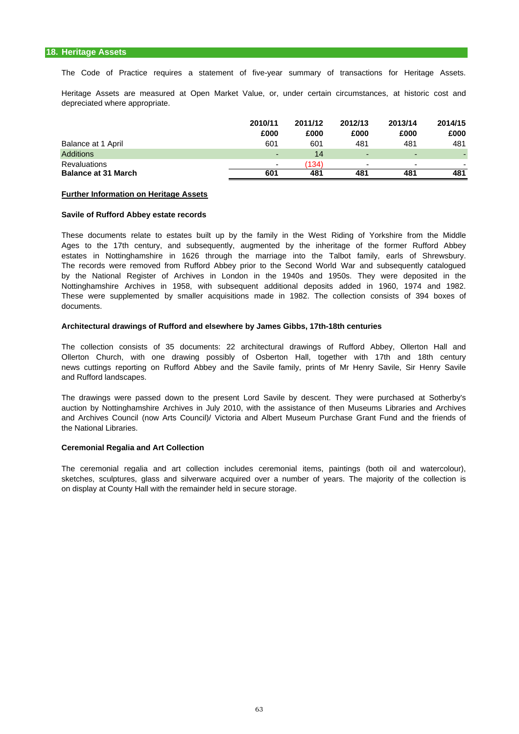The Code of Practice requires a statement of five-year summary of transactions for Heritage Assets.

Heritage Assets are measured at Open Market Value, or, under certain circumstances, at historic cost and depreciated where appropriate.

|                            | 2010/11<br>£000 | 2011/12<br>£000 | 2012/13<br>£000          | 2013/14<br>£000          | 2014/15<br>£000 |
|----------------------------|-----------------|-----------------|--------------------------|--------------------------|-----------------|
| Balance at 1 April         | 601             | 601             | 481                      | 481                      | 481             |
| <b>Additions</b>           | -               | 14              | $\overline{\phantom{0}}$ | $\overline{\phantom{0}}$ |                 |
| <b>Revaluations</b>        |                 | (134)           | $\overline{\phantom{0}}$ | $\overline{\phantom{0}}$ |                 |
| <b>Balance at 31 March</b> | 601             | 481             | 481                      | 481                      | 481             |

#### **Further Information on Heritage Assets**

#### **Savile of Rufford Abbey estate records**

These documents relate to estates built up by the family in the West Riding of Yorkshire from the Middle Nottinghamshire Archives in 1958, with subsequent additional deposits added in 1960, 1974 and 1982. These were supplemented by smaller acquisitions made in 1982. The collection consists of 394 boxes of documents. Ages to the 17th century, and subsequently, augmented by the inheritage of the former Rufford Abbey estates in Nottinghamshire in 1626 through the marriage into the Talbot family, earls of Shrewsbury. The records were removed from Rufford Abbey prior to the Second World War and subsequently catalogued by the National Register of Archives in London in the 1940s and 1950s. They were deposited in the

#### **Architectural drawings of Rufford and elsewhere by James Gibbs, 17th-18th centuries**

The collection consists of 35 documents: 22 architectural drawings of Rufford Abbey, Ollerton Hall and Ollerton Church, with one drawing possibly of Osberton Hall, together with 17th and 18th century news cuttings reporting on Rufford Abbey and the Savile family, prints of Mr Henry Savile, Sir Henry Savile and Rufford landscapes.

and Archives Council (now Arts Council)/ Victoria and Albert Museum Purchase Grant Fund and the friends of The drawings were passed down to the present Lord Savile by descent. They were purchased at Sotherby's auction by Nottinghamshire Archives in July 2010, with the assistance of then Museums Libraries and Archives the National Libraries.

#### **Ceremonial Regalia and Art Collection**

The ceremonial regalia and art collection includes ceremonial items, paintings (both oil and watercolour), sketches, sculptures, glass and silverware acquired over a number of years. The majority of the collection is on display at County Hall with the remainder held in secure storage.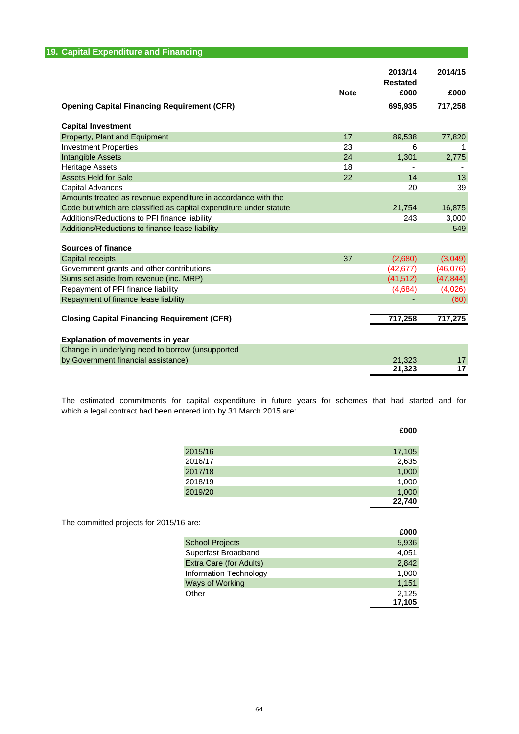| 19. Capital Expenditure and Financing                              |             |                                               |                            |
|--------------------------------------------------------------------|-------------|-----------------------------------------------|----------------------------|
| <b>Opening Capital Financing Requirement (CFR)</b>                 | <b>Note</b> | 2013/14<br><b>Restated</b><br>£000<br>695,935 | 2014/15<br>£000<br>717,258 |
| <b>Capital Investment</b>                                          |             |                                               |                            |
| Property, Plant and Equipment                                      | 17          | 89,538                                        | 77,820                     |
| <b>Investment Properties</b>                                       | 23          | 6                                             |                            |
| <b>Intangible Assets</b>                                           | 24          | 1,301                                         | 2,775                      |
| <b>Heritage Assets</b>                                             | 18          |                                               |                            |
| <b>Assets Held for Sale</b>                                        | 22          | 14                                            | 13                         |
| <b>Capital Advances</b>                                            |             | 20                                            | 39                         |
| Amounts treated as revenue expenditure in accordance with the      |             |                                               |                            |
| Code but which are classified as capital expenditure under statute |             | 21,754                                        | 16,875                     |
| Additions/Reductions to PFI finance liability                      |             | 243                                           | 3,000                      |
| Additions/Reductions to finance lease liability                    |             |                                               | 549                        |
| <b>Sources of finance</b>                                          |             |                                               |                            |
| <b>Capital receipts</b>                                            | 37          | (2,680)                                       | (3,049)                    |
| Government grants and other contributions                          |             | (42, 677)                                     | (46,076)                   |
| Sums set aside from revenue (inc. MRP)                             |             | (41, 512)                                     | (47, 844)                  |
| Repayment of PFI finance liability                                 |             | (4,684)                                       | (4,026)                    |
| Repayment of finance lease liability                               |             |                                               | (60)                       |
| <b>Closing Capital Financing Requirement (CFR)</b>                 |             | 717,258                                       | 717,275                    |
| Explanation of movements in year                                   |             |                                               |                            |
| Change in underlying need to borrow (unsupported                   |             |                                               |                            |
| by Government financial assistance)                                |             | 21,323                                        | 17                         |
|                                                                    |             | 21,323                                        | $\overline{17}$            |

which a legal contract had been entered into by 31 March 2015 are: The estimated commitments for capital expenditure in future years for schemes that had started and for

| 2015/16 | 17,105 |
|---------|--------|
| 2016/17 | 2,635  |
| 2017/18 | 1,000  |
| 2018/19 | 1,000  |
| 2019/20 | 1,000  |
|         | 22,740 |

**£000**

The committed projects for 2015/16 are:

|                         | £000   |
|-------------------------|--------|
| <b>School Projects</b>  | 5,936  |
| Superfast Broadband     | 4,051  |
| Extra Care (for Adults) | 2,842  |
| Information Technology  | 1,000  |
| Ways of Working         | 1,151  |
| Other                   | 2,125  |
|                         | 17,105 |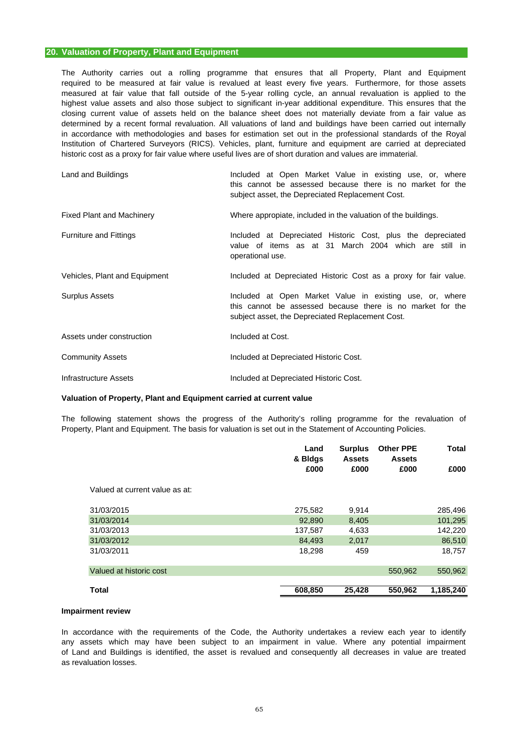#### **20. Valuation of Property, Plant and Equipment**

historic cost as a proxy for fair value where useful lives are of short duration and values are immaterial. The Authority carries out a rolling programme that ensures that all Property, Plant and Equipment measured at fair value that fall outside of the 5-year rolling cycle, an annual revaluation is applied to the highest value assets and also those subject to significant in-year additional expenditure. This ensures that the closing current value of assets held on the balance sheet does not materially deviate from a fair value as determined by a recent formal revaluation. All valuations of land and buildings have been carried out internally Institution of Chartered Surveyors (RICS). Vehicles, plant, furniture and equipment are carried at depreciated required to be measured at fair value is revalued at least every five years. Furthermore, for those assets in accordance with methodologies and bases for estimation set out in the professional standards of the Royal

| Land and Buildings               | Included at Open Market Value in existing use, or, where<br>this cannot be assessed because there is no market for the<br>subject asset, the Depreciated Replacement Cost. |
|----------------------------------|----------------------------------------------------------------------------------------------------------------------------------------------------------------------------|
| <b>Fixed Plant and Machinery</b> | Where appropiate, included in the valuation of the buildings.                                                                                                              |
| <b>Furniture and Fittings</b>    | Included at Depreciated Historic Cost, plus the depreciated<br>value of items as at 31 March 2004 which are still in<br>operational use.                                   |
| Vehicles, Plant and Equipment    | Included at Depreciated Historic Cost as a proxy for fair value.                                                                                                           |
| Surplus Assets                   | Included at Open Market Value in existing use, or, where<br>this cannot be assessed because there is no market for the<br>subject asset, the Depreciated Replacement Cost. |
| Assets under construction        | Included at Cost.                                                                                                                                                          |
| <b>Community Assets</b>          | Included at Depreciated Historic Cost.                                                                                                                                     |
| Infrastructure Assets            | Included at Depreciated Historic Cost.                                                                                                                                     |

#### **Valuation of Property, Plant and Equipment carried at current value**

The following statement shows the progress of the Authority's rolling programme for the revaluation of Property, Plant and Equipment. The basis for valuation is set out in the Statement of Accounting Policies.

|                                | Land<br>& Bldgs | <b>Surplus</b><br><b>Assets</b> | <b>Other PPE</b><br><b>Assets</b> | Total     |
|--------------------------------|-----------------|---------------------------------|-----------------------------------|-----------|
|                                | £000            | £000                            | £000                              | £000      |
| Valued at current value as at: |                 |                                 |                                   |           |
| 31/03/2015                     | 275,582         | 9,914                           |                                   | 285,496   |
| 31/03/2014                     | 92,890          | 8,405                           |                                   | 101,295   |
| 31/03/2013                     | 137,587         | 4,633                           |                                   | 142,220   |
| 31/03/2012                     | 84,493          | 2,017                           |                                   | 86,510    |
| 31/03/2011                     | 18,298          | 459                             |                                   | 18,757    |
| Valued at historic cost        |                 |                                 | 550,962                           | 550,962   |
|                                |                 |                                 |                                   |           |
| <b>Total</b>                   | 608,850         | 25,428                          | 550,962                           | 1,185,240 |

#### **Impairment review**

as revaluation losses. of Land and Buildings is identified, the asset is revalued and consequently all decreases in value are treated In accordance with the requirements of the Code, the Authority undertakes a review each year to identify any assets which may have been subject to an impairment in value. Where any potential impairment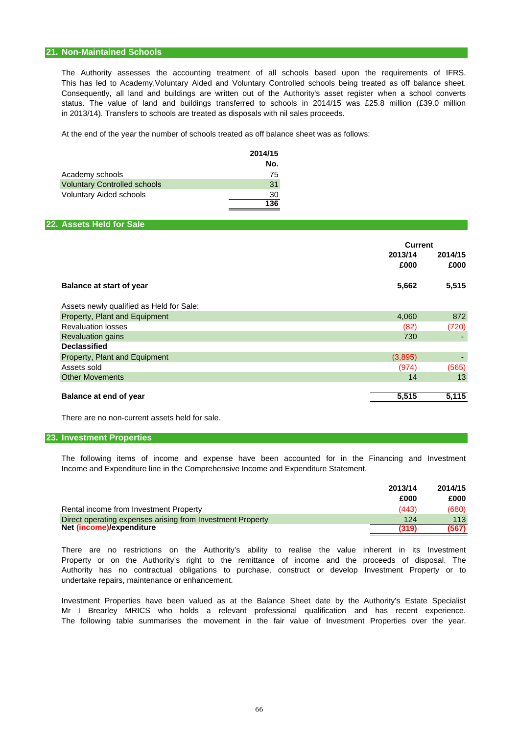## **21. Non-Maintained Schools**

in 2013/14). Transfers to schools are treated as disposals with nil sales proceeds. status. The value of land and buildings transferred to schools in 2014/15 was £25.8 million (£39.0 million The Authority assesses the accounting treatment of all schools based upon the requirements of IFRS. This has led to Academy,Voluntary Aided and Voluntary Controlled schools being treated as off balance sheet. Consequently, all land and buildings are written out of the Authority's asset register when a school converts

At the end of the year the number of schools treated as off balance sheet was as follows:

|                                     | 2014/15 |
|-------------------------------------|---------|
|                                     | No.     |
| Academy schools                     | 75      |
| <b>Voluntary Controlled schools</b> | 31      |
| <b>Voluntary Aided schools</b>      | 30      |
|                                     | 136     |

## **22. Assets Held for Sale**

|                                          | Current<br>2013/14<br>2014/15 |       |
|------------------------------------------|-------------------------------|-------|
|                                          |                               |       |
|                                          | £000                          | £000  |
| <b>Balance at start of year</b>          | 5,662                         | 5,515 |
| Assets newly qualified as Held for Sale: |                               |       |
| Property, Plant and Equipment            | 4,060                         | 872   |
| <b>Revaluation losses</b>                | (82)                          | (720) |
| <b>Revaluation gains</b>                 | 730                           |       |
| <b>Declassified</b>                      |                               |       |
| Property, Plant and Equipment            | (3,895)                       | ٠     |
| Assets sold                              | (974)                         | (565) |
| <b>Other Movements</b>                   | 14                            | 13    |
| Balance at end of year                   | 5,515                         | 5,115 |

There are no non-current assets held for sale.

#### **23. Investment Properties**

Income and Expenditure line in the Comprehensive Income and Expenditure Statement. The following items of income and expense have been accounted for in the Financing and Investment

|                                                            | 2013/14 | 2014/15 |
|------------------------------------------------------------|---------|---------|
|                                                            | £000    | £000    |
| Rental income from Investment Property                     | (443)   | (680)   |
| Direct operating expenses arising from Investment Property | 124     | 113     |
| Net (income)/expenditure                                   | (319)   | (567)   |

undertake repairs, maintenance or enhancement. Property or on the Authority's right to the remittance of income and the proceeds of disposal. The Authority has no contractual obligations to purchase, construct or develop Investment Property or to There are no restrictions on the Authority's ability to realise the value inherent in its Investment

Investment Properties have been valued as at the Balance Sheet date by the Authority's Estate Specialist Mr I Brearley MRICS who holds a relevant professional qualification and has recent experience. The following table summarises the movement in the fair value of Investment Properties over the year.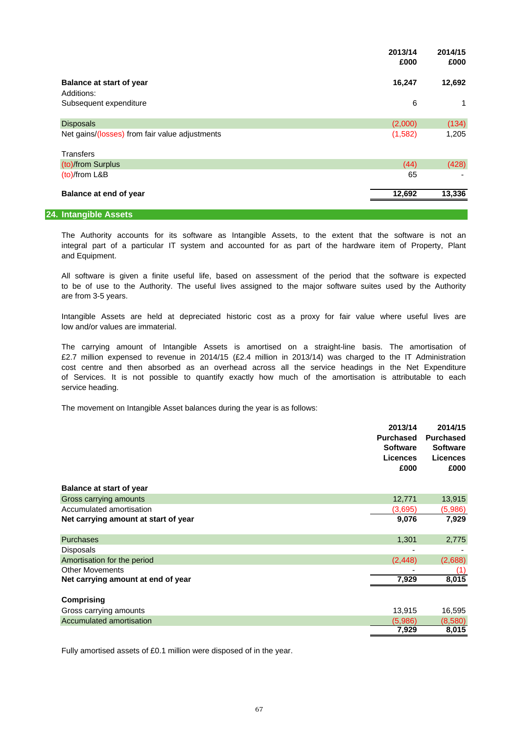|                                                | 2013/14<br>£000 | 2014/15<br>£000 |
|------------------------------------------------|-----------------|-----------------|
| <b>Balance at start of year</b><br>Additions:  | 16,247          | 12,692          |
| Subsequent expenditure                         | 6               | $\mathbf{1}$    |
| <b>Disposals</b>                               | (2,000)         | (134)           |
| Net gains/(losses) from fair value adjustments | (1,582)         | 1,205           |
| <b>Transfers</b>                               |                 |                 |
| (to)/from Surplus                              | (44)            | (428)           |
| (to)/from L&B                                  | 65              |                 |
| Balance at end of year                         | 12,692          | 13,336          |

## **24. Intangible Assets**

and Equipment. The Authority accounts for its software as Intangible Assets, to the extent that the software is not an integral part of a particular IT system and accounted for as part of the hardware item of Property, Plant

are from 3-5 years. All software is given a finite useful life, based on assessment of the period that the software is expected to be of use to the Authority. The useful lives assigned to the major software suites used by the Authority

low and/or values are immaterial. Intangible Assets are held at depreciated historic cost as a proxy for fair value where useful lives are

service heading. cost centre and then absorbed as an overhead across all the service headings in the Net Expenditure £2.7 million expensed to revenue in 2014/15 (£2.4 million in 2013/14) was charged to the IT Administration of Services. It is not possible to quantify exactly how much of the amortisation is attributable to each The carrying amount of Intangible Assets is amortised on a straight-line basis. The amortisation of

The movement on Intangible Asset balances during the year is as follows:

|                                      | 2013/14<br><b>Purchased</b><br><b>Software</b><br><b>Licences</b><br>£000 | 2014/15<br><b>Purchased</b><br><b>Software</b><br><b>Licences</b><br>£000 |
|--------------------------------------|---------------------------------------------------------------------------|---------------------------------------------------------------------------|
| <b>Balance at start of year</b>      |                                                                           |                                                                           |
| Gross carrying amounts               | 12,771                                                                    | 13,915                                                                    |
| Accumulated amortisation             | (3,695)                                                                   | (5,986)                                                                   |
| Net carrying amount at start of year | 9,076                                                                     | 7,929                                                                     |
| <b>Purchases</b>                     | 1,301                                                                     | 2,775                                                                     |
| <b>Disposals</b>                     |                                                                           |                                                                           |
| Amortisation for the period          | (2, 448)                                                                  | (2,688)                                                                   |
| <b>Other Movements</b>               |                                                                           | (1)                                                                       |
| Net carrying amount at end of year   | 7,929                                                                     | 8,015                                                                     |
| Comprising                           |                                                                           |                                                                           |
| Gross carrying amounts               | 13,915                                                                    | 16,595                                                                    |
| Accumulated amortisation             | (5,986)                                                                   | (8,580)                                                                   |
|                                      | 7,929                                                                     | 8,015                                                                     |

Fully amortised assets of £0.1 million were disposed of in the year.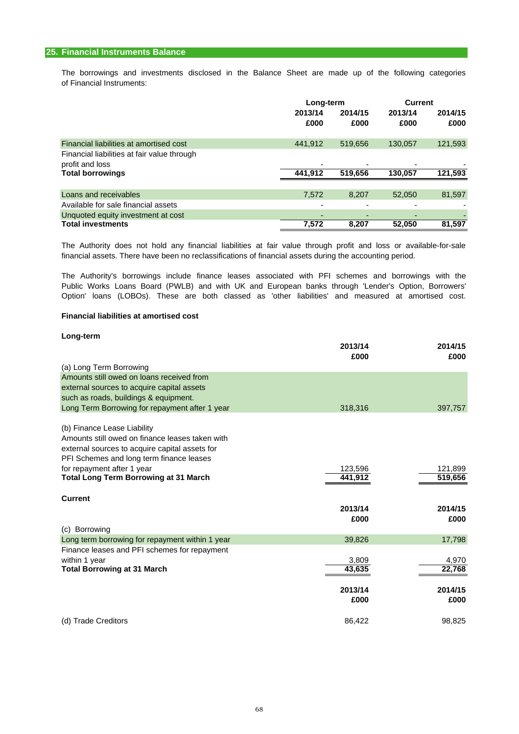of Financial Instruments: The borrowings and investments disclosed in the Balance Sheet are made up of the following categories

|                                             | Long-term |         | <b>Current</b> |         |         |
|---------------------------------------------|-----------|---------|----------------|---------|---------|
|                                             | 2013/14   |         | 2014/15        | 2013/14 | 2014/15 |
|                                             | £000      | £000    | £000           | £000    |         |
|                                             |           |         |                |         |         |
| Financial liabilities at amortised cost     | 441.912   | 519.656 | 130.057        | 121,593 |         |
| Financial liabilities at fair value through |           |         |                |         |         |
| profit and loss                             |           |         |                |         |         |
| <b>Total borrowings</b>                     | 441,912   | 519,656 | 130,057        | 121,593 |         |
|                                             |           |         |                |         |         |
| Loans and receivables                       | 7,572     | 8.207   | 52,050         | 81,597  |         |
| Available for sale financial assets         |           |         |                |         |         |
| Unquoted equity investment at cost          |           |         |                |         |         |
| <b>Total investments</b>                    | 7.572     | 8.207   | 52.050         | 81.597  |         |

financial assets. There have been no reclassifications of financial assets during the accounting period. The Authority does not hold any financial liabilities at fair value through profit and loss or available-for-sale

Public Works Loans Board (PWLB) and with UK and European banks through 'Lender's Option, Borrowers' Option' loans (LOBOs). These are both classed as 'other liabilities' and measured at amortised cost. The Authority's borrowings include finance leases associated with PFI schemes and borrowings with the

#### **Financial liabilities at amortised cost**

| Long-term                                       |                 |                 |
|-------------------------------------------------|-----------------|-----------------|
|                                                 | 2013/14<br>£000 | 2014/15<br>£000 |
| (a) Long Term Borrowing                         |                 |                 |
| Amounts still owed on loans received from       |                 |                 |
| external sources to acquire capital assets      |                 |                 |
| such as roads, buildings & equipment.           |                 |                 |
| Long Term Borrowing for repayment after 1 year  | 318,316         | 397,757         |
| (b) Finance Lease Liability                     |                 |                 |
| Amounts still owed on finance leases taken with |                 |                 |
| external sources to acquire capital assets for  |                 |                 |
| PFI Schemes and long term finance leases        |                 |                 |
| for repayment after 1 year                      | 123,596         | 121,899         |
| <b>Total Long Term Borrowing at 31 March</b>    | 441,912         | 519,656         |
| <b>Current</b>                                  |                 |                 |
|                                                 | 2013/14         | 2014/15         |
|                                                 | £000            | £000            |
| (c) Borrowing                                   |                 |                 |
| Long term borrowing for repayment within 1 year | 39,826          | 17,798          |
| Finance leases and PFI schemes for repayment    |                 |                 |
| within 1 year                                   | 3,809           | 4,970           |
| <b>Total Borrowing at 31 March</b>              | 43,635          | 22,768          |
|                                                 | 2013/14         | 2014/15         |
|                                                 | £000            | £000            |
| (d) Trade Creditors                             | 86,422          | 98,825          |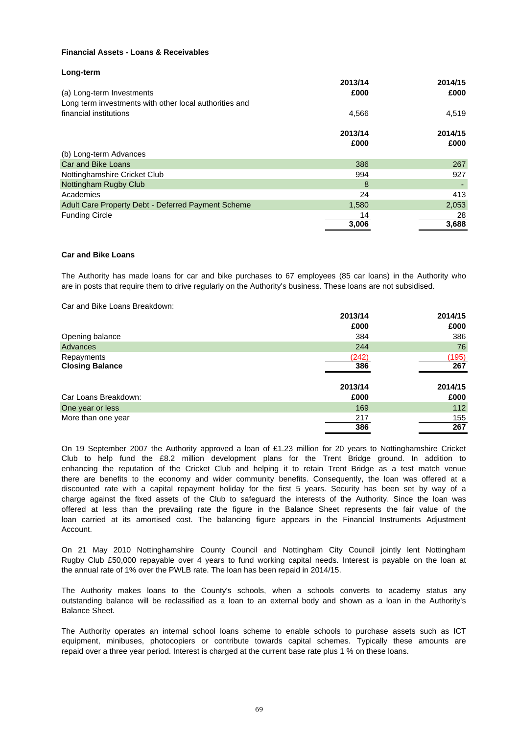## **Financial Assets - Loans & Receivables**

## **Long-term 2013/14 2014/15** (a) Long-term Investments **£000 £000** Long term investments with other local authorities and financial institutions 4,566 4,519 **2013/14 2014/15 £000 £000** (b) Long-term Advances Car and Bike Loans 386 267 267 267 267 268 267 268 267 268 267 268 267 267 268 267 268 267 268 267 267 268 267 Nottinghamshire Cricket Club 827 Nottingham Rugby Club 8 - 1999 September 2008 September 2008 September 2008 September 2008 September 2008 September 2008 September 2008 September 2008 September 2008 September 2008 September 2008 September 2008 September 2 Academies 24 413 Adult Care Property Debt - Deferred Payment Scheme 1,580 1,580 2,053 Funding Circle 28 28 **3,006 3,688**

#### **Car and Bike Loans**

The Authority has made loans for car and bike purchases to 67 employees (85 car loans) in the Authority who are in posts that require them to drive regularly on the Authority's business. These loans are not subsidised.

Car and Bike Loans Breakdown:

|                        | 2013/14 | 2014/15 |
|------------------------|---------|---------|
|                        | £000    | £000    |
| Opening balance        | 384     | 386     |
| Advances               | 244     | 76      |
| Repayments             | (242)   | (195)   |
| <b>Closing Balance</b> | 386     | 267     |
|                        | 2013/14 |         |
|                        |         | 2014/15 |
| Car Loans Breakdown:   | £000    | £000    |
| One year or less       | 169     | 112     |
| More than one year     | 217     | 155     |
|                        | 386     | 267     |

Account. loan carried at its amortised cost. The balancing figure appears in the Financial Instruments Adjustment charge against the fixed assets of the Club to safeguard the interests of the Authority. Since the loan was enhancing the reputation of the Cricket Club and helping it to retain Trent Bridge as a test match venue On 19 September 2007 the Authority approved a loan of £1.23 million for 20 years to Nottinghamshire Cricket Club to help fund the £8.2 million development plans for the Trent Bridge ground. In addition to there are benefits to the economy and wider community benefits. Consequently, the loan was offered at a discounted rate with a capital repayment holiday for the first 5 years. Security has been set by way of a offered at less than the prevailing rate the figure in the Balance Sheet represents the fair value of the

the annual rate of 1% over the PWLB rate. The loan has been repaid in 2014/15. On 21 May 2010 Nottinghamshire County Council and Nottingham City Council jointly lent Nottingham Rugby Club £50,000 repayable over 4 years to fund working capital needs. Interest is payable on the loan at

Balance Sheet. The Authority makes loans to the County's schools, when a schools converts to academy status any outstanding balance will be reclassified as a loan to an external body and shown as a loan in the Authority's

repaid over a three year period. Interest is charged at the current base rate plus 1 % on these loans. The Authority operates an internal school loans scheme to enable schools to purchase assets such as ICT equipment, minibuses, photocopiers or contribute towards capital schemes. Typically these amounts are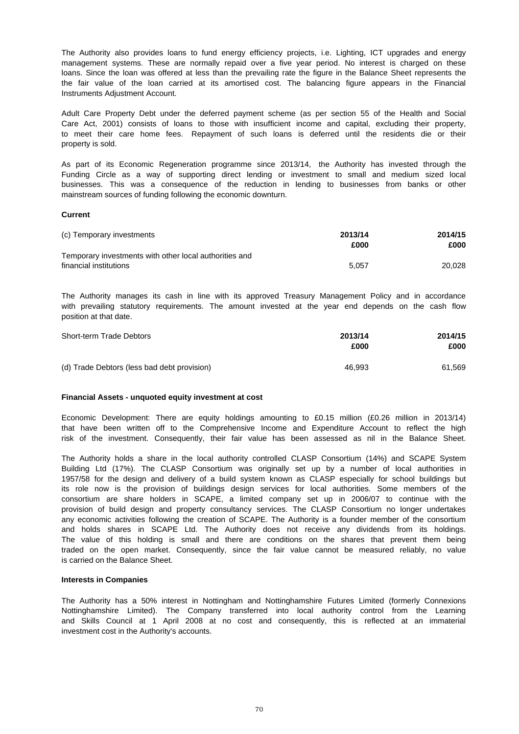Instruments Adjustment Account. The Authority also provides loans to fund energy efficiency projects, i.e. Lighting, ICT upgrades and energy loans. Since the loan was offered at less than the prevailing rate the figure in the Balance Sheet represents the the fair value of the loan carried at its amortised cost. The balancing figure appears in the Financial management systems. These are normally repaid over a five year period. No interest is charged on these

property is sold. to meet their care home fees. Repayment of such loans is deferred until the residents die or their Adult Care Property Debt under the deferred payment scheme (as per section 55 of the Health and Social Care Act, 2001) consists of loans to those with insufficient income and capital, excluding their property,

mainstream sources of funding following the economic downturn. As part of its Economic Regeneration programme since 2013/14, the Authority has invested through the Funding Circle as a way of supporting direct lending or investment to small and medium sized local businesses. This was a consequence of the reduction in lending to businesses from banks or other

## **Current**

| (c) Temporary investments                              | 2013/14 | 2014/15 |
|--------------------------------------------------------|---------|---------|
|                                                        | £000    | £000    |
| Temporary investments with other local authorities and |         |         |
| financial institutions                                 | 5.057   | 20.028  |

position at that date. The Authority manages its cash in line with its approved Treasury Management Policy and in accordance with prevailing statutory requirements. The amount invested at the year end depends on the cash flow

| Short-term Trade Debtors                    | 2013/14<br>£000 | 2014/15<br>£000 |  |
|---------------------------------------------|-----------------|-----------------|--|
| (d) Trade Debtors (less bad debt provision) | 46.993          | 61.569          |  |

#### **Financial Assets - unquoted equity investment at cost**

Economic Development: There are equity holdings amounting to £0.15 million (£0.26 million in 2013/14) that have been written off to the Comprehensive Income and Expenditure Account to reflect the high risk of the investment. Consequently, their fair value has been assessed as nil in the Balance Sheet.

is carried on the Balance Sheet. traded on the open market. Consequently, since the fair value cannot be measured reliably, no value consortium are share holders in SCAPE, a limited company set up in 2006/07 to continue with the its role now is the provision of buildings design services for local authorities. Some members of the and holds shares in SCAPE Ltd. The Authority does not receive any dividends from its holdings. The value of this holding is small and there are conditions on the shares that prevent them being The Authority holds a share in the local authority controlled CLASP Consortium (14%) and SCAPE System Building Ltd (17%). The CLASP Consortium was originally set up by a number of local authorities in 1957/58 for the design and delivery of a build system known as CLASP especially for school buildings but provision of build design and property consultancy services. The CLASP Consortium no longer undertakes any economic activities following the creation of SCAPE. The Authority is a founder member of the consortium

#### **Interests in Companies**

investment cost in the Authority's accounts. The Authority has a 50% interest in Nottingham and Nottinghamshire Futures Limited (formerly Connexions Nottinghamshire Limited). The Company transferred into local authority control from the Learning and Skills Council at 1 April 2008 at no cost and consequently, this is reflected at an immaterial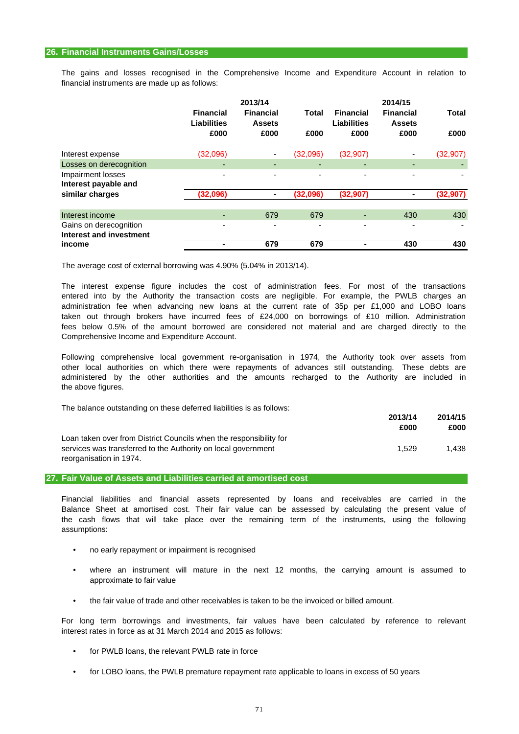financial instruments are made up as follows: The gains and losses recognised in the Comprehensive Income and Expenditure Account in relation to

|                                                   |                                        | 2013/14                           |                          |                                        | 2014/15                           |              |
|---------------------------------------------------|----------------------------------------|-----------------------------------|--------------------------|----------------------------------------|-----------------------------------|--------------|
|                                                   | <b>Financial</b><br><b>Liabilities</b> | <b>Financial</b><br><b>Assets</b> | Total                    | <b>Financial</b><br><b>Liabilities</b> | <b>Financial</b><br><b>Assets</b> | <b>Total</b> |
|                                                   | £000                                   | £000                              | £000                     | £000                                   | £000                              | £000         |
| Interest expense                                  | (32,096)                               |                                   | (32,096)                 | (32, 907)                              |                                   | (32, 907)    |
| Losses on derecognition                           |                                        | $\overline{\phantom{0}}$          | $\overline{\phantom{a}}$ |                                        | ٠                                 |              |
| Impairment losses                                 |                                        |                                   |                          |                                        |                                   |              |
| Interest payable and                              |                                        |                                   |                          |                                        |                                   |              |
| similar charges                                   | (32,096)                               | Ξ.                                | (32,096)                 | (32, 907)                              | $\blacksquare$                    | (32, 907)    |
| Interest income                                   |                                        | 679                               | 679                      |                                        | 430                               | 430          |
| Gains on derecognition<br>Interest and investment |                                        |                                   |                          |                                        |                                   |              |
| income                                            |                                        | 679                               | 679                      |                                        | 430                               | 430          |

The average cost of external borrowing was 4.90% (5.04% in 2013/14).

Comprehensive Income and Expenditure Account. entered into by the Authority the transaction costs are negligible. For example, the PWLB charges an fees below 0.5% of the amount borrowed are considered not material and are charged directly to the The interest expense figure includes the cost of administration fees. For most of the transactions taken out through brokers have incurred fees of £24,000 on borrowings of £10 million. Administration administration fee when advancing new loans at the current rate of 35p per £1,000 and LOBO loans

the above figures. Following comprehensive local government re-organisation in 1974, the Authority took over assets from other local authorities on which there were repayments of advances still outstanding. These debts are administered by the other authorities and the amounts recharged to the Authority are included in

The balance outstanding on these deferred liabilities is as follows:

|                                                                    | 2013/14<br>£000 | 2014/15<br>£000 |
|--------------------------------------------------------------------|-----------------|-----------------|
|                                                                    |                 |                 |
| Loan taken over from District Councils when the responsibility for |                 |                 |
| services was transferred to the Authority on local government      | 1.529           | 1.438           |
| reorganisation in 1974.                                            |                 |                 |

**27. Fair Value of Assets and Liabilities carried at amortised cost**

assumptions: Balance Sheet at amortised cost. Their fair value can be assessed by calculating the present value of the cash flows that will take place over the remaining term of the instruments, using the following Financial liabilities and financial assets represented by loans and receivables are carried in the

- no early repayment or impairment is recognised
- approximate to fair value where an instrument will mature in the next 12 months, the carrying amount is assumed to
- the fair value of trade and other receivables is taken to be the invoiced or billed amount.

interest rates in force as at 31 March 2014 and 2015 as follows: For long term borrowings and investments, fair values have been calculated by reference to relevant

- for PWLB loans, the relevant PWLB rate in force
- for LOBO loans, the PWLB premature repayment rate applicable to loans in excess of 50 years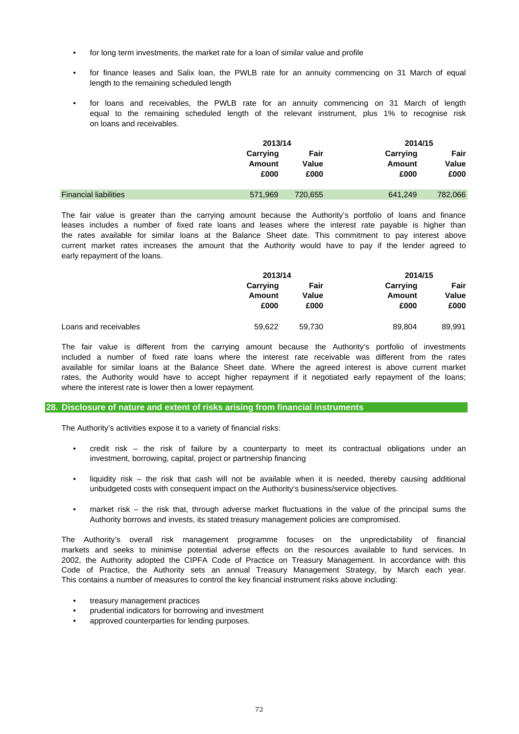- for long term investments, the market rate for a loan of similar value and profile
- length to the remaining scheduled length for finance leases and Salix loan, the PWLB rate for an annuity commencing on 31 March of equal
- on loans and receivables. for loans and receivables, the PWLB rate for an annuity commencing on 31 March of length equal to the remaining scheduled length of the relevant instrument, plus 1% to recognise risk

|                              |                            | 2013/14               |                            | 2014/15               |  |
|------------------------------|----------------------------|-----------------------|----------------------------|-----------------------|--|
|                              | Carrying<br>Amount<br>£000 | Fair<br>Value<br>£000 | Carrying<br>Amount<br>£000 | Fair<br>Value<br>£000 |  |
|                              |                            |                       |                            |                       |  |
| <b>Financial liabilities</b> | 571.969                    | 720,655               | 641.249                    | 782,066               |  |

early repayment of the loans. leases includes a number of fixed rate loans and leases where the interest rate payable is higher than The fair value is greater than the carrying amount because the Authority's portfolio of loans and finance the rates available for similar loans at the Balance Sheet date. This commitment to pay interest above current market rates increases the amount that the Authority would have to pay if the lender agreed to

|                       | 2013/14        |               | 2014/15        |               |
|-----------------------|----------------|---------------|----------------|---------------|
|                       | Carrying       | Fair          | Carrying       | Fair          |
|                       | Amount<br>£000 | Value<br>£000 | Amount<br>£000 | Value<br>£000 |
| Loans and receivables | 59,622         | 59,730        | 89,804         | 89,991        |

where the interest rate is lower then a lower repayment. rates, the Authority would have to accept higher repayment if it negotiated early repayment of the loans; The fair value is different from the carrying amount because the Authority's portfolio of investments included a number of fixed rate loans where the interest rate receivable was different from the rates available for similar loans at the Balance Sheet date. Where the agreed interest is above current market

## **28. Disclosure of nature and extent of risks arising from financial instruments**

The Authority's activities expose it to a variety of financial risks:

- investment, borrowing, capital, project or partnership financing credit risk – the risk of failure by a counterparty to meet its contractual obligations under an
- liquidity risk – the risk that cash will not be available when it is needed, thereby causing additional unbudgeted costs with consequent impact on the Authority's business/service objectives.
- market risk – the risk that, through adverse market fluctuations in the value of the principal sums the Authority borrows and invests, its stated treasury management policies are compromised.

This contains a number of measures to control the key financial instrument risks above including: Code of Practice, the Authority sets an annual Treasury Management Strategy, by March each year. 2002, the Authority adopted the CIPFA Code of Practice on Treasury Management. In accordance with this The Authority's overall risk management programme focuses on the unpredictability of financial markets and seeks to minimise potential adverse effects on the resources available to fund services. In

- treasury management practices
- prudential indicators for borrowing and investment
- approved counterparties for lending purposes.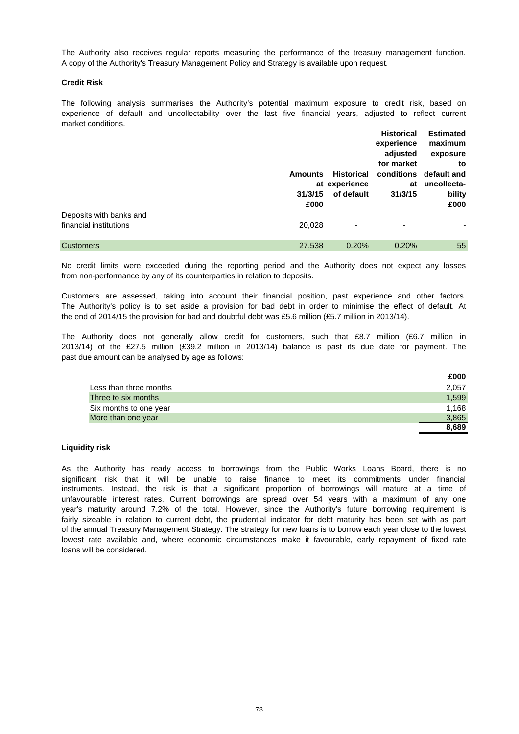The Authority also receives regular reports measuring the performance of the treasury management function. A copy of the Authority's Treasury Management Policy and Strategy is available upon request.

### **Credit Risk**

market conditions. experience of default and uncollectability over the last five financial years, adjusted to reflect current The following analysis summarises the Authority's potential maximum exposure to credit risk, based on

|                         |         |                          | <b>Historical</b> | <b>Estimated</b>       |
|-------------------------|---------|--------------------------|-------------------|------------------------|
|                         |         |                          | experience        | maximum                |
|                         |         |                          | adjusted          | exposure               |
|                         |         |                          | for market        | to                     |
|                         | Amounts | <b>Historical</b>        |                   | conditions default and |
|                         |         | at experience            | at                | uncollecta-            |
|                         | 31/3/15 | of default               | 31/3/15           | bility                 |
|                         | £000    |                          |                   | £000                   |
| Deposits with banks and |         |                          |                   |                        |
| financial institutions  | 20,028  | $\overline{\phantom{a}}$ | -                 | ۰                      |
|                         |         |                          |                   |                        |
| <b>Customers</b>        | 27,538  | 0.20%                    | 0.20%             | 55                     |

from non-performance by any of its counterparties in relation to deposits. No credit limits were exceeded during the reporting period and the Authority does not expect any losses

the end of 2014/15 the provision for bad and doubtful debt was £5.6 million (£5.7 million in 2013/14). Customers are assessed, taking into account their financial position, past experience and other factors. The Authority's policy is to set aside a provision for bad debt in order to minimise the effect of default. At

past due amount can be analysed by age as follows: 2013/14) of the £27.5 million (£39.2 million in 2013/14) balance is past its due date for payment. The The Authority does not generally allow credit for customers, such that £8.7 million (£6.7 million in

|                        | £000  |
|------------------------|-------|
| Less than three months | 2,057 |
| Three to six months    | 1,599 |
| Six months to one year | 1.168 |
| More than one year     | 3,865 |
|                        | 8,689 |

### **Liquidity risk**

loans will be considered. instruments. Instead, the risk is that a significant proportion of borrowings will mature at a time of As the Authority has ready access to borrowings from the Public Works Loans Board, there is no significant risk that it will be unable to raise finance to meet its commitments under financial of the annual Treasury Management Strategy. The strategy for new loans is to borrow each year close to the lowest lowest rate available and, where economic circumstances make it favourable, early repayment of fixed rate unfavourable interest rates. Current borrowings are spread over 54 years with a maximum of any one fairly sizeable in relation to current debt, the prudential indicator for debt maturity has been set with as part year's maturity around 7.2% of the total. However, since the Authority's future borrowing requirement is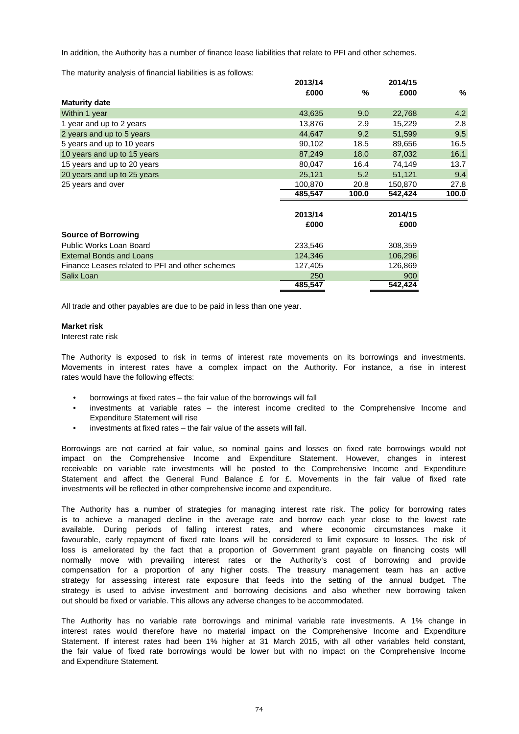In addition, the Authority has a number of finance lease liabilities that relate to PFI and other schemes.

The maturity analysis of financial liabilities is as follows:

|                                                 | 2013/14 |               | 2014/15 |       |
|-------------------------------------------------|---------|---------------|---------|-------|
|                                                 | £000    | $\frac{0}{0}$ | £000    | %     |
| <b>Maturity date</b>                            |         |               |         |       |
| Within 1 year                                   | 43,635  | 9.0           | 22,768  | 4.2   |
| 1 year and up to 2 years                        | 13,876  | 2.9           | 15,229  | 2.8   |
| 2 years and up to 5 years                       | 44,647  | 9.2           | 51,599  | 9.5   |
| 5 years and up to 10 years                      | 90,102  | 18.5          | 89,656  | 16.5  |
| 10 years and up to 15 years                     | 87,249  | 18.0          | 87,032  | 16.1  |
| 15 years and up to 20 years                     | 80,047  | 16.4          | 74,149  | 13.7  |
| 20 years and up to 25 years                     | 25,121  | 5.2           | 51,121  | 9.4   |
| 25 years and over                               | 100,870 | 20.8          | 150,870 | 27.8  |
|                                                 | 485,547 | 100.0         | 542,424 | 100.0 |
|                                                 |         |               |         |       |
|                                                 | 2013/14 |               | 2014/15 |       |
|                                                 | £000    |               | £000    |       |
| <b>Source of Borrowing</b>                      |         |               |         |       |
| Public Works Loan Board                         | 233,546 |               | 308,359 |       |
| <b>External Bonds and Loans</b>                 | 124,346 |               | 106,296 |       |
| Finance Leases related to PFI and other schemes | 127,405 |               | 126,869 |       |
| Salix Loan                                      | 250     |               | 900     |       |
|                                                 | 485,547 |               | 542,424 |       |
|                                                 |         |               |         |       |

All trade and other payables are due to be paid in less than one year.

#### **Market risk**

Interest rate risk

rates would have the following effects: The Authority is exposed to risk in terms of interest rate movements on its borrowings and investments. Movements in interest rates have a complex impact on the Authority. For instance, a rise in interest

- borrowings at fixed rates the fair value of the borrowings will fall
- Expenditure Statement will rise investments at variable rates – the interest income credited to the Comprehensive Income and
- investments at fixed rates the fair value of the assets will fall.

investments will be reflected in other comprehensive income and expenditure. Statement and affect the General Fund Balance £ for £. Movements in the fair value of fixed rate impact on the Comprehensive Income and Expenditure Statement. However, changes in interest receivable on variable rate investments will be posted to the Comprehensive Income and Expenditure Borrowings are not carried at fair value, so nominal gains and losses on fixed rate borrowings would not

out should be fixed or variable. This allows any adverse changes to be accommodated. favourable, early repayment of fixed rate loans will be considered to limit exposure to losses. The risk of strategy for assessing interest rate exposure that feeds into the setting of the annual budget. The loss is ameliorated by the fact that a proportion of Government grant payable on financing costs will The Authority has a number of strategies for managing interest rate risk. The policy for borrowing rates is to achieve a managed decline in the average rate and borrow each year close to the lowest rate normally move with prevailing interest rates or the Authority's cost of borrowing and provide compensation for a proportion of any higher costs. The treasury management team has an active strategy is used to advise investment and borrowing decisions and also whether new borrowing taken available. During periods of falling interest rates, and where economic circumstances make it

and Expenditure Statement. Statement. If interest rates had been 1% higher at 31 March 2015, with all other variables held constant, the fair value of fixed rate borrowings would be lower but with no impact on the Comprehensive Income The Authority has no variable rate borrowings and minimal variable rate investments. A 1% change in interest rates would therefore have no material impact on the Comprehensive Income and Expenditure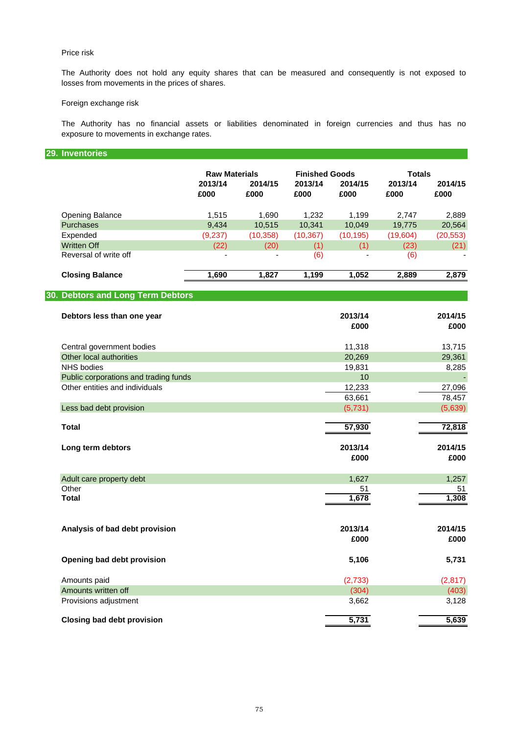## Price risk

losses from movements in the prices of shares. The Authority does not hold any equity shares that can be measured and consequently is not exposed to

## Foreign exchange risk

exposure to movements in exchange rates. The Authority has no financial assets or liabilities denominated in foreign currencies and thus has no

## **29. Inventories**

|                                       | <b>Raw Materials</b><br>2013/14<br>£000 | 2014/15<br>£000 | <b>Finished Goods</b><br>2013/14<br>£000 | 2014/15<br>£000 | <b>Totals</b><br>2013/14<br>£000 | 2014/15<br>£000 |
|---------------------------------------|-----------------------------------------|-----------------|------------------------------------------|-----------------|----------------------------------|-----------------|
| Opening Balance                       | 1,515                                   | 1,690           | 1,232                                    | 1,199           | 2,747                            | 2,889           |
| Purchases                             | 9,434                                   | 10,515          | 10,341                                   | 10,049          | 19,775                           | 20,564          |
| Expended                              | (9,237)                                 | (10, 358)       | (10, 367)                                | (10, 195)       | (19,604)                         | (20, 553)       |
| <b>Written Off</b>                    | (22)                                    | (20)            | (1)                                      | (1)             | (23)                             | (21)            |
| Reversal of write off                 |                                         |                 | (6)                                      |                 | (6)                              |                 |
| <b>Closing Balance</b>                | 1,690                                   | 1,827           | 1,199                                    | 1,052           | 2,889                            | 2,879           |
| 30. Debtors and Long Term Debtors     |                                         |                 |                                          |                 |                                  |                 |
| Debtors less than one year            |                                         |                 |                                          | 2013/14<br>£000 |                                  | 2014/15<br>£000 |
| Central government bodies             |                                         |                 |                                          | 11,318          |                                  | 13,715          |
| Other local authorities               |                                         |                 |                                          | 20,269          |                                  | 29,361          |
| <b>NHS</b> bodies                     |                                         |                 |                                          | 19,831          |                                  | 8,285           |
| Public corporations and trading funds |                                         |                 |                                          | 10              |                                  |                 |
| Other entities and individuals        |                                         |                 |                                          | 12,233          |                                  | 27,096          |
|                                       |                                         |                 |                                          | 63,661          |                                  | 78,457          |
| Less bad debt provision               |                                         |                 |                                          | (5,731)         |                                  | (5,639)         |
| <b>Total</b>                          |                                         |                 |                                          | 57,930          |                                  | 72,818          |
| Long term debtors                     |                                         |                 |                                          | 2013/14         |                                  | 2014/15         |
|                                       |                                         |                 |                                          | £000            |                                  | £000            |
| Adult care property debt              |                                         |                 |                                          | 1,627           |                                  | 1,257           |
| Other                                 |                                         |                 |                                          | 51              |                                  | 51              |
| <b>Total</b>                          |                                         |                 |                                          | 1,678           |                                  | 1,308           |
| Analysis of bad debt provision        |                                         |                 |                                          | 2013/14         |                                  | 2014/15         |
|                                       |                                         |                 |                                          | £000            |                                  | £000            |
| Opening bad debt provision            |                                         |                 |                                          | 5,106           |                                  | 5,731           |
| Amounts paid                          |                                         |                 |                                          | (2,733)         |                                  | (2, 817)        |
| Amounts written off                   |                                         |                 |                                          | (304)           |                                  | (403)           |
| Provisions adjustment                 |                                         |                 |                                          | 3,662           |                                  | 3,128           |
| <b>Closing bad debt provision</b>     |                                         |                 |                                          | 5,731           |                                  | 5,639           |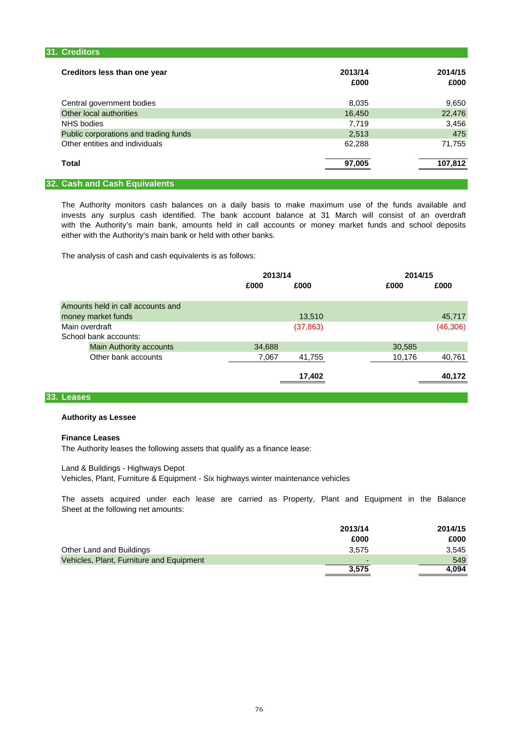## **31. Creditors**

| Creditors less than one year          | 2013/14<br>£000 | 2014/15<br>£000 |
|---------------------------------------|-----------------|-----------------|
| Central government bodies             | 8,035           | 9,650           |
| Other local authorities               | 16,450          | 22,476          |
| NHS bodies                            | 7,719           | 3,456           |
| Public corporations and trading funds | 2,513           | 475             |
| Other entities and individuals        | 62,288          | 71,755          |
| Total                                 | 97,005          | 107,812         |

## **32. Cash and Cash Equivalents**

either with the Authority's main bank or held with other banks. The Authority monitors cash balances on a daily basis to make maximum use of the funds available and invests any surplus cash identified. The bank account balance at 31 March will consist of an overdraft with the Authority's main bank, amounts held in call accounts or money market funds and school deposits

The analysis of cash and cash equivalents is as follows:

|                                         | 2013/14 |           | 2014/15 |           |
|-----------------------------------------|---------|-----------|---------|-----------|
|                                         | £000    | £000      | £000    | £000      |
| Amounts held in call accounts and       |         |           |         |           |
| money market funds                      |         | 13,510    |         | 45,717    |
| Main overdraft<br>School bank accounts: |         | (37, 863) |         | (46, 306) |
| <b>Main Authority accounts</b>          | 34,688  |           | 30,585  |           |
| Other bank accounts                     | 7,067   | 41,755    | 10,176  | 40,761    |
|                                         |         | 17,402    |         | 40,172    |

#### **33. Leases**

#### **Authority as Lessee**

#### **Finance Leases**

The Authority leases the following assets that qualify as a finance lease:

#### Land & Buildings - Highways Depot

Vehicles, Plant, Furniture & Equipment - Six highways winter maintenance vehicles

Sheet at the following net amounts: The assets acquired under each lease are carried as Property, Plant and Equipment in the Balance

|                                          | 2013/14                  | 2014/15 |
|------------------------------------------|--------------------------|---------|
|                                          | £000                     | £000    |
| Other Land and Buildings                 | 3.575                    | 3.545   |
| Vehicles, Plant, Furniture and Equipment | $\overline{\phantom{0}}$ | 549     |
|                                          | 3.575                    | 4.094   |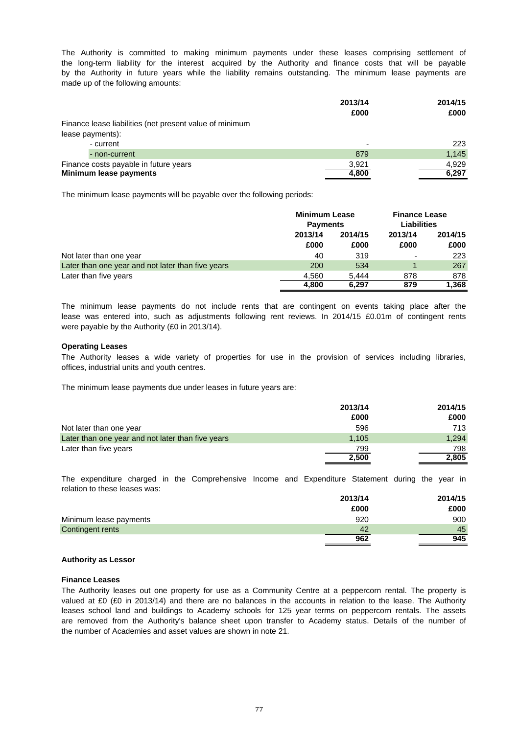made up of the following amounts: The Authority is committed to making minimum payments under these leases comprising settlement of the long-term liability for the interest acquired by the Authority and finance costs that will be payable by the Authority in future years while the liability remains outstanding. The minimum lease payments are

|                                                         | 2013/14 | 2014/15 |
|---------------------------------------------------------|---------|---------|
|                                                         | £000    | £000    |
| Finance lease liabilities (net present value of minimum |         |         |
| lease payments):                                        |         |         |
| - current                                               | ۰       | 223     |
| - non-current                                           | 879     | 1,145   |
| Finance costs payable in future years                   | 3,921   | 4.929   |
| <b>Minimum lease payments</b>                           | 4,800   | 6,297   |

The minimum lease payments will be payable over the following periods:

|                                                   |                 | <b>Minimum Lease</b><br><b>Payments</b> |                 | <b>Finance Lease</b><br><b>Liabilities</b> |  |
|---------------------------------------------------|-----------------|-----------------------------------------|-----------------|--------------------------------------------|--|
|                                                   | 2013/14<br>£000 | 2014/15<br>£000                         | 2013/14<br>£000 | 2014/15<br>£000                            |  |
| Not later than one year                           | 40              | 319                                     | -               | 223                                        |  |
| Later than one year and not later than five years | 200             | 534                                     |                 | 267                                        |  |
| Later than five years                             | 4.560           | 5.444                                   | 878             | 878                                        |  |
|                                                   | 4,800           | 6,297                                   | 879             | 1.368                                      |  |

were payable by the Authority (£0 in 2013/14). The minimum lease payments do not include rents that are contingent on events taking place after the lease was entered into, such as adjustments following rent reviews. In 2014/15 £0.01m of contingent rents

### **Operating Leases**

offices, industrial units and youth centres. The Authority leases a wide variety of properties for use in the provision of services including libraries,

The minimum lease payments due under leases in future years are:

|                                                   | 2013/14 | 2014/15 |
|---------------------------------------------------|---------|---------|
|                                                   | £000    | £000    |
| Not later than one year                           | 596     | 713     |
| Later than one year and not later than five years | 1,105   | 1,294   |
| Later than five years                             | 799     | 798     |
|                                                   | 2,500   | 2,805   |

relation to these leases was: The expenditure charged in the Comprehensive Income and Expenditure Statement during the year in

|                        | 2013/14 | 2014/15 |
|------------------------|---------|---------|
|                        | £000    | £000    |
| Minimum lease payments | 920     | 900     |
| Contingent rents       | 42      | 45      |
|                        | 962     | 945     |

### **Authority as Lessor**

#### **Finance Leases**

the number of Academies and asset values are shown in note 21. The Authority leases out one property for use as a Community Centre at a peppercorn rental. The property is valued at £0 (£0 in 2013/14) and there are no balances in the accounts in relation to the lease. The Authority leases school land and buildings to Academy schools for 125 year terms on peppercorn rentals. The assets are removed from the Authority's balance sheet upon transfer to Academy status. Details of the number of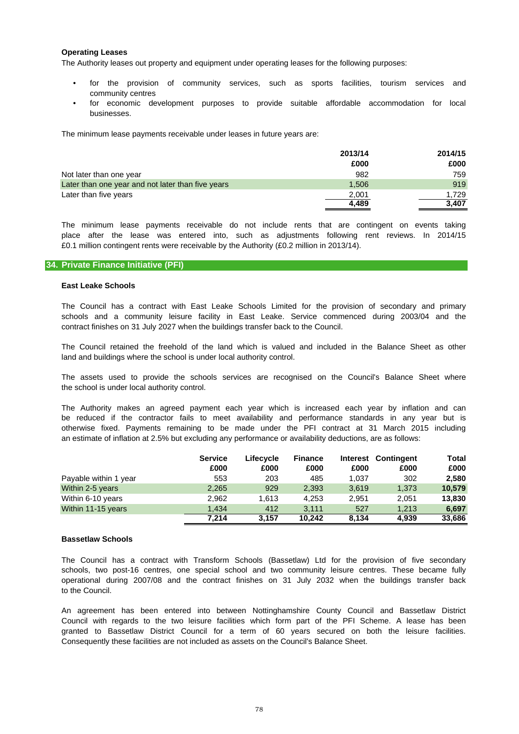## **Operating Leases**

The Authority leases out property and equipment under operating leases for the following purposes:

- community centres for the provision of community services, such as sports facilities, tourism services and
- businesses. for economic development purposes to provide suitable affordable accommodation for local

The minimum lease payments receivable under leases in future years are:

|                                                   | 2013/14 | 2014/15 |
|---------------------------------------------------|---------|---------|
|                                                   | £000    | £000    |
| Not later than one year                           | 982     | 759     |
| Later than one year and not later than five years | 1,506   | 919     |
| Later than five years                             | 2,001   | 1.729   |
|                                                   | 4,489   | 3.407   |

£0.1 million contingent rents were receivable by the Authority (£0.2 million in 2013/14). The minimum lease payments receivable do not include rents that are contingent on events taking place after the lease was entered into, such as adjustments following rent reviews. In 2014/15

### **34. Private Finance Initiative (PFI)**

#### **East Leake Schools**

contract finishes on 31 July 2027 when the buildings transfer back to the Council. The Council has a contract with East Leake Schools Limited for the provision of secondary and primary schools and a community leisure facility in East Leake. Service commenced during 2003/04 and the

land and buildings where the school is under local authority control. The Council retained the freehold of the land which is valued and included in the Balance Sheet as other

The assets used to provide the schools services are recognised on the Council's Balance Sheet where the school is under local authority control.

The Authority makes an agreed payment each year which is increased each year by inflation and can be reduced if the contractor fails to meet availability and performance standards in any year but is otherwise fixed. Payments remaining to be made under the PFI contract at 31 March 2015 including an estimate of inflation at 2.5% but excluding any performance or availability deductions, are as follows:

|                       | <b>Service</b><br>£000 | Lifecycle<br>£000 | <b>Finance</b><br>£000 | £000  | Interest Contingent<br>£000 | Total<br>£000 |
|-----------------------|------------------------|-------------------|------------------------|-------|-----------------------------|---------------|
| Payable within 1 year | 553                    | 203               | 485                    | 1.037 | 302                         | 2,580         |
| Within 2-5 years      | 2.265                  | 929               | 2,393                  | 3.619 | 1,373                       | 10.579        |
| Within 6-10 years     | 2,962                  | 1.613             | 4.253                  | 2.951 | 2.051                       | 13,830        |
| Within 11-15 years    | 1.434                  | 412               | 3.111                  | 527   | 1,213                       | 6,697         |
|                       | 7.214                  | 3.157             | 10.242                 | 8,134 | 4.939                       | 33,686        |

#### **Bassetlaw Schools**

to the Council. The Council has a contract with Transform Schools (Bassetlaw) Ltd for the provision of five secondary schools, two post-16 centres, one special school and two community leisure centres. These became fully operational during 2007/08 and the contract finishes on 31 July 2032 when the buildings transfer back

An agreement has been entered into between Nottinghamshire County Council and Bassetlaw District Council with regards to the two leisure facilities which form part of the PFI Scheme. A lease has been granted to Bassetlaw District Council for a term of 60 years secured on both the leisure facilities. Consequently these facilities are not included as assets on the Council's Balance Sheet.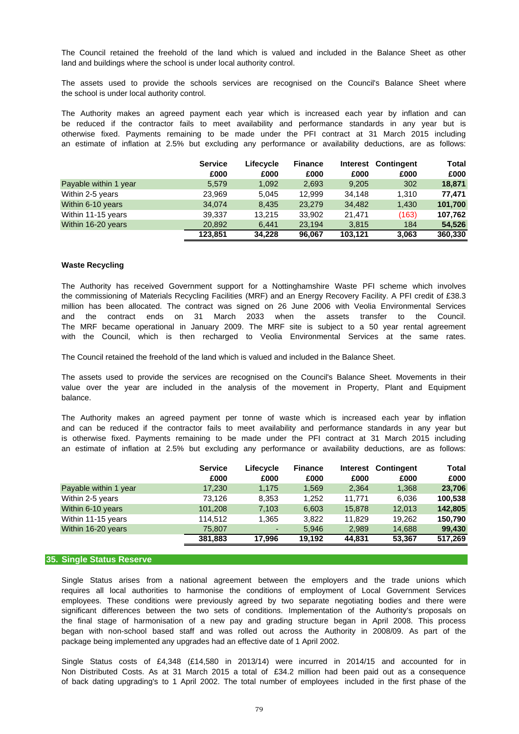land and buildings where the school is under local authority control. The Council retained the freehold of the land which is valued and included in the Balance Sheet as other

The assets used to provide the schools services are recognised on the Council's Balance Sheet where the school is under local authority control.

The Authority makes an agreed payment each year which is increased each year by inflation and can be reduced if the contractor fails to meet availability and performance standards in any year but is otherwise fixed. Payments remaining to be made under the PFI contract at 31 March 2015 including an estimate of inflation at 2.5% but excluding any performance or availability deductions, are as follows:

|                       | <b>Service</b> | Lifecycle | <b>Finance</b> |         | Interest Contingent | Total   |
|-----------------------|----------------|-----------|----------------|---------|---------------------|---------|
|                       | £000           | £000      | £000           | £000    | £000                | £000    |
| Payable within 1 year | 5.579          | 1,092     | 2,693          | 9.205   | 302                 | 18,871  |
| Within 2-5 years      | 23.969         | 5.045     | 12.999         | 34.148  | 1.310               | 77.471  |
| Within 6-10 years     | 34,074         | 8,435     | 23,279         | 34.482  | 1,430               | 101,700 |
| Within 11-15 years    | 39,337         | 13,215    | 33.902         | 21.471  | (163)               | 107,762 |
| Within 16-20 years    | 20,892         | 6,441     | 23.194         | 3.815   | 184                 | 54,526  |
|                       | 123.851        | 34.228    | 96.067         | 103.121 | 3,063               | 360,330 |

#### **Waste Recycling**

and the contract ends on 31 March 2033 when the assets transfer to the Council. with the Council, which is then recharged to Veolia Environmental Services at the same rates. The MRF became operational in January 2009. The MRF site is subject to a 50 year rental agreement The Authority has received Government support for a Nottinghamshire Waste PFI scheme which involves the commissioning of Materials Recycling Facilities (MRF) and an Energy Recovery Facility. A PFI credit of £38.3 million has been allocated. The contract was signed on 26 June 2006 with Veolia Environmental Services

The Council retained the freehold of the land which is valued and included in the Balance Sheet.

balance. The assets used to provide the services are recognised on the Council's Balance Sheet. Movements in their value over the year are included in the analysis of the movement in Property, Plant and Equipment

and can be reduced if the contractor fails to meet availability and performance standards in any year but is otherwise fixed. Payments remaining to be made under the PFI contract at 31 March 2015 including an estimate of inflation at 2.5% but excluding any performance or availability deductions, are as follows: The Authority makes an agreed payment per tonne of waste which is increased each year by inflation

|                       | <b>Service</b> | Lifecycle | <b>Finance</b> |        | Interest Contingent | Total   |
|-----------------------|----------------|-----------|----------------|--------|---------------------|---------|
|                       | £000           | £000      | £000           | £000   | £000                | £000    |
| Payable within 1 year | 17,230         | 1.175     | 1,569          | 2.364  | 1,368               | 23,706  |
| Within 2-5 years      | 73.126         | 8,353     | 1.252          | 11.771 | 6,036               | 100,538 |
| Within 6-10 years     | 101,208        | 7,103     | 6,603          | 15,878 | 12,013              | 142,805 |
| Within 11-15 years    | 114.512        | 1.365     | 3.822          | 11,829 | 19.262              | 150,790 |
| Within 16-20 years    | 75.807         | ٠         | 5.946          | 2.989  | 14.688              | 99.430  |
|                       | 381,883        | 17,996    | 19.192         | 44.831 | 53,367              | 517,269 |

#### **35. Single Status Reserve**

package being implemented any upgrades had an effective date of 1 April 2002. significant differences between the two sets of conditions. Implementation of the Authority's proposals on the final stage of harmonisation of a new pay and grading structure began in April 2008. This process began with non-school based staff and was rolled out across the Authority in 2008/09. As part of the Single Status arises from a national agreement between the employers and the trade unions which requires all local authorities to harmonise the conditions of employment of Local Government Services employees. These conditions were previously agreed by two separate negotiating bodies and there were

Single Status costs of £4,348 (£14,580 in 2013/14) were incurred in 2014/15 and accounted for in of back dating upgrading's to 1 April 2002. The total number of employees included in the first phase of the Non Distributed Costs. As at 31 March 2015 a total of £34.2 million had been paid out as a consequence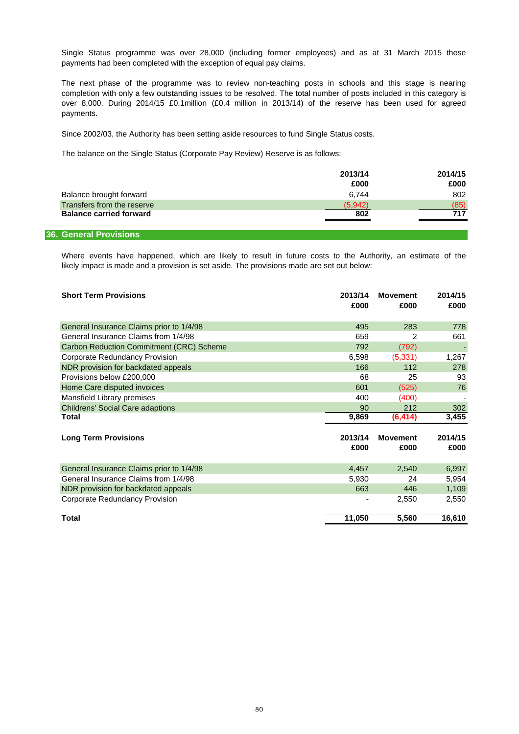payments had been completed with the exception of equal pay claims. Single Status programme was over 28,000 (including former employees) and as at 31 March 2015 these

payments. The next phase of the programme was to review non-teaching posts in schools and this stage is nearing completion with only a few outstanding issues to be resolved. The total number of posts included in this category is over 8,000. During 2014/15 £0.1million (£0.4 million in 2013/14) of the reserve has been used for agreed

Since 2002/03, the Authority has been setting aside resources to fund Single Status costs.

The balance on the Single Status (Corporate Pay Review) Reserve is as follows:

|                                | 2013/14 | 2014/15 |
|--------------------------------|---------|---------|
|                                | £000    | £000    |
| Balance brought forward        | 6.744   | 802     |
| Transfers from the reserve     | (5.942) | (85)    |
| <b>Balance carried forward</b> | 802     | 717     |
|                                |         |         |

## **36. General Provisions**

likely impact is made and a provision is set aside. The provisions made are set out below: Where events have happened, which are likely to result in future costs to the Authority, an estimate of the

| <b>Short Term Provisions</b>                    | 2013/14<br>£000 | <b>Movement</b><br>£000 | 2014/15<br>£000 |
|-------------------------------------------------|-----------------|-------------------------|-----------------|
| General Insurance Claims prior to 1/4/98        | 495             | 283                     | 778             |
| General Insurance Claims from 1/4/98            | 659             | 2                       | 661             |
| <b>Carbon Reduction Commitment (CRC) Scheme</b> | 792             | (792)                   |                 |
| <b>Corporate Redundancy Provision</b>           | 6,598           | (5, 331)                | 1,267           |
| NDR provision for backdated appeals             | 166             | 112                     | 278             |
| Provisions below £200,000                       | 68              | 25                      | 93              |
| Home Care disputed invoices                     | 601             | (525)                   | 76              |
| Mansfield Library premises                      | 400             | (400)                   |                 |
| <b>Childrens' Social Care adaptions</b>         | 90              | 212                     | 302             |
| Total                                           | 9,869           | (6,414)                 | 3,455           |
| <b>Long Term Provisions</b>                     | 2013/14<br>£000 | <b>Movement</b><br>£000 | 2014/15<br>£000 |
| General Insurance Claims prior to 1/4/98        | 4,457           | 2,540                   | 6,997           |
| General Insurance Claims from 1/4/98            | 5,930           | 24                      | 5,954           |
| NDR provision for backdated appeals             | 663             | 446                     | 1,109           |
| Corporate Redundancy Provision                  |                 | 2,550                   | 2,550           |
| Total                                           | 11,050          | 5,560                   | 16,610          |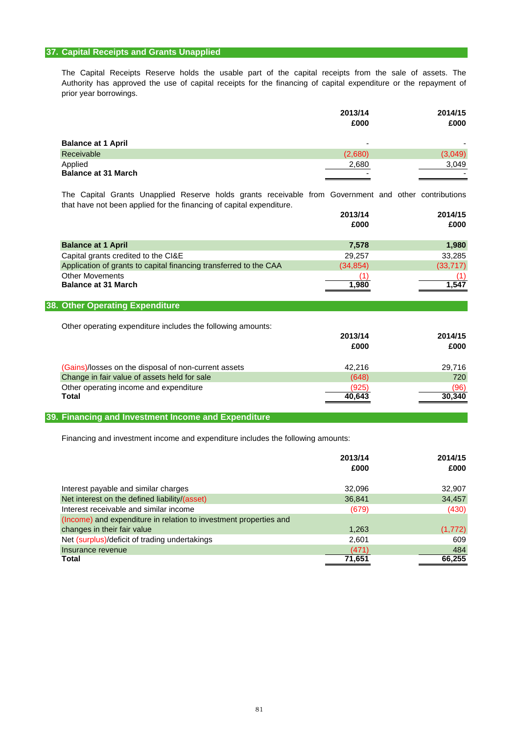## **37. Capital Receipts and Grants Unapplied**

prior year borrowings. The Capital Receipts Reserve holds the usable part of the capital receipts from the sale of assets. The Authority has approved the use of capital receipts for the financing of capital expenditure or the repayment of

|                                                               | 2013/14 | 2014/15                  |  |
|---------------------------------------------------------------|---------|--------------------------|--|
|                                                               | £000    | £000                     |  |
| <b>Balance at 1 April</b>                                     | ٠       |                          |  |
| <b>Receivable</b>                                             | (2,680) | (3,049)                  |  |
| Applied                                                       | 2,680   | 3,049                    |  |
| <b>Balance at 31 March</b>                                    | -       | $\overline{\phantom{0}}$ |  |
|                                                               |         |                          |  |
| 고 이 어디에 어디에 있는 어디에 있는 사람들은 아이들이 없었다. 이 사람들은 어디에 가지 않을 것이 없어요. |         |                          |  |

that have not been applied for the financing of capital expenditure. The Capital Grants Unapplied Reserve holds grants receivable from Government and other contributions

|                                                                   | 2013/14   | 2014/15   |
|-------------------------------------------------------------------|-----------|-----------|
|                                                                   | £000      | £000      |
| <b>Balance at 1 April</b>                                         | 7.578     | 1.980     |
| Capital grants credited to the CI&E                               | 29.257    | 33.285    |
| Application of grants to capital financing transferred to the CAA | (34, 854) | (33, 717) |
| <b>Other Movements</b><br><b>Balance at 31 March</b>              | 1.980     | 1.547     |

### **38. Other Operating Expenditure**

Other operating expenditure includes the following amounts:

|                                                      | 2013/14 | 2014/15 |
|------------------------------------------------------|---------|---------|
|                                                      | £000    | £000    |
| (Gains)/losses on the disposal of non-current assets | 42.216  | 29.716  |
| Change in fair value of assets held for sale         | (648)   | 720     |
| Other operating income and expenditure               | (925)   | (96)    |
| Total                                                | 40,643  | 30,340  |

## **39. Financing and Investment Income and Expenditure**

Financing and investment income and expenditure includes the following amounts:

|                                                                   | 2013/14<br>£000 | 2014/15<br>£000 |
|-------------------------------------------------------------------|-----------------|-----------------|
| Interest payable and similar charges                              | 32.096          | 32,907          |
| Net interest on the defined liability/(asset)                     | 36.841          | 34,457          |
| Interest receivable and similar income                            | (679)           | (430)           |
| (Income) and expenditure in relation to investment properties and |                 |                 |
| changes in their fair value                                       | 1,263           | (1,772)         |
| Net (surplus)/deficit of trading undertakings                     | 2,601           | 609             |
| Insurance revenue                                                 | (471)           | 484             |
| Total                                                             | 71,651          | 66,255          |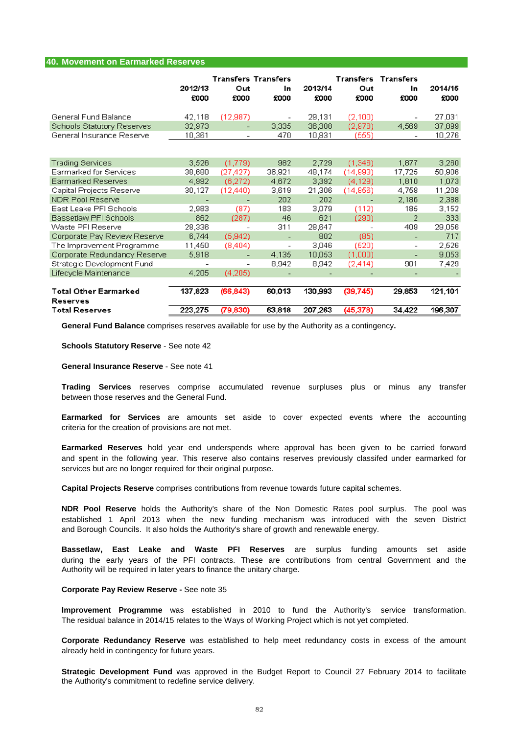### **40. Movement on Earmarked Reserves**

|                                          | 2012/13<br>£000 | <b>Transfers Transfers</b><br>Out<br>£000 | In<br>£000               | 2013/14<br>£000 | <b>Transfers Transfers</b><br>Out<br>£000 | In<br>£000               | 2014/15<br>£000 |
|------------------------------------------|-----------------|-------------------------------------------|--------------------------|-----------------|-------------------------------------------|--------------------------|-----------------|
| General Fund Balance                     | 42,118          | (12,987)                                  |                          | 29,131          | (2,100)                                   |                          | 27,031          |
| Schools Statutory Reserves               | 32,973          |                                           | 3,335                    | 36,308          | (2,978)                                   | 4,569                    | 37,899          |
| General Insurance Reserve                | 10,361          | -                                         | 470                      | 10,831          | (555)                                     |                          | 10,276          |
|                                          |                 |                                           |                          |                 |                                           |                          |                 |
| <b>Trading Services</b>                  | 3,526           | (1,779)                                   | 982                      | 2,729           | (1,346)                                   | 1,877                    | 3,260           |
| Earmarked for Services                   | 38,680          | (27,427)                                  | 36,921                   | 48,174          | (14, 993)                                 | 17,725                   | 50,906          |
| <b>Earmarked Reserves</b>                | 4,992           | (6, 272)                                  | 4,672                    | 3,392           | (4, 129)                                  | 1,810                    | 1,073           |
| Capital Projects Reserve                 | 30,127          | (12, 440)                                 | 3,619                    | 21,306          | (14, 856)                                 | 4,758                    | 11,208          |
| <b>NDR Pool Reserve</b>                  |                 |                                           | 202                      | 202             |                                           | 2,186                    | 2,388           |
| East Leake PFI Schools                   | 2,983           | (87)                                      | 183                      | 3,079           | (112)                                     | 185                      | 3,152           |
| Bassetlaw PFI Schools                    | 862             | (287)                                     | 46                       | 621             | (290)                                     | $\overline{2}$           | 333             |
| Waste PFI Reserve                        | 28,336          |                                           | 311                      | 28,647          |                                           | 409                      | 29,056          |
| Corporate Pay Review Reserve             | 6,744           | (5,942)                                   | ۰                        | 802             | (85)                                      | -                        | 717             |
| The Improvement Programme                | 11,450          | (8,404)                                   | $\overline{\phantom{a}}$ | 3,046           | (520)                                     | $\overline{\phantom{0}}$ | 2,526           |
| Corporate Redundancy Reserve             | 5,918           |                                           | 4,135                    | 10,053          | (1,000)                                   | $\overline{\phantom{a}}$ | 9,053           |
| Strategic Development Fund               |                 |                                           | 8,942                    | 8,942           | (2, 414)                                  | 901                      | 7,429           |
| Lifecycle Maintenance                    | 4,205           | (4,205)                                   |                          |                 |                                           |                          |                 |
|                                          |                 |                                           |                          |                 |                                           |                          |                 |
| <b>Total Other Earmarked</b><br>Reserves | 137,823         | (66, 843)                                 | 60,013                   | 130,993         | (39, 745)                                 | 29,853                   | 121,101         |
| <b>Total Reserves</b>                    | 223,275         | (79, 830)                                 | 63,818                   | 207,263         | (45, 378)                                 | 34,422                   | 196,307         |

**General Fund Balance** comprises reserves available for use by the Authority as a contingency**.**

**Schools Statutory Reserve** - See note 42

**General Insurance Reserve** - See note 41

between those reserves and the General Fund. **Trading Services** reserves comprise accumulated revenue surpluses plus or minus any transfer

criteria for the creation of provisions are not met. **Earmarked for Services** are amounts set aside to cover expected events where the accounting

services but are no longer required for their original purpose. **Earmarked Reserves** hold year end underspends where approval has been given to be carried forward and spent in the following year. This reserve also contains reserves previously classifed under earmarked for

**Capital Projects Reserve** comprises contributions from revenue towards future capital schemes.

**NDR Pool Reserve** holds the Authority's share of the Non Domestic Rates pool surplus. The pool was established 1 April 2013 when the new funding mechanism was introduced with the seven District and Borough Councils. It also holds the Authority's share of growth and renewable energy.

Authority will be required in later years to finance the unitary charge. **Bassetlaw, East Leake and Waste PFI Reserves** are surplus funding amounts set aside during the early years of the PFI contracts. These are contributions from central Government and the

#### **Corporate Pay Review Reserve -** See note 35

The residual balance in 2014/15 relates to the Ways of Working Project which is not yet completed. **Improvement Programme** was established in 2010 to fund the Authority's service transformation.

already held in contingency for future years. **Corporate Redundancy Reserve** was established to help meet redundancy costs in excess of the amount

the Authority's commitment to redefine service delivery. **Strategic Development Fund** was approved in the Budget Report to Council 27 February 2014 to facilitate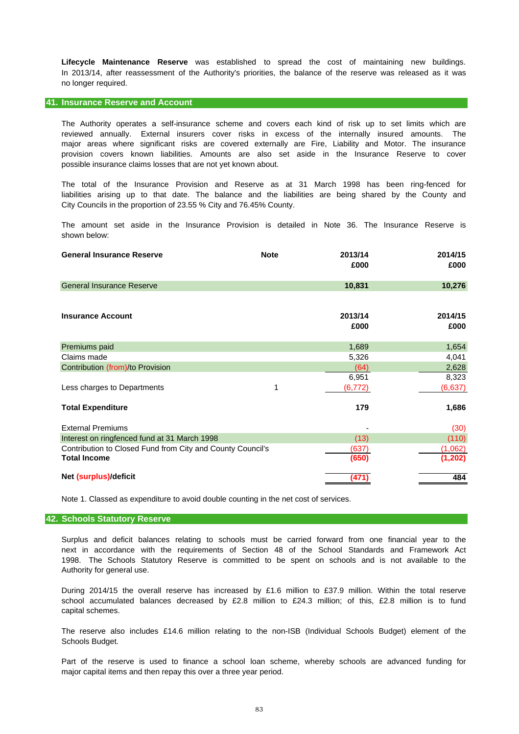no longer required. In 2013/14, after reassessment of the Authority's priorities, the balance of the reserve was released as it was **Lifecycle Maintenance Reserve** was established to spread the cost of maintaining new buildings.

### **41. Insurance Reserve and Account**

possible insurance claims losses that are not yet known about. major areas where significant risks are covered externally are Fire, Liability and Motor. The insurance The Authority operates a self-insurance scheme and covers each kind of risk up to set limits which are reviewed annually. External insurers cover risks in excess of the internally insured amounts. The provision covers known liabilities. Amounts are also set aside in the Insurance Reserve to cover

City Councils in the proportion of 23.55 % City and 76.45% County. liabilities arising up to that date. The balance and the liabilities are being shared by the County and The total of the Insurance Provision and Reserve as at 31 March 1998 has been ring-fenced for

shown below: The amount set aside in the Insurance Provision is detailed in Note 36. The Insurance Reserve is

| <b>General Insurance Reserve</b>                           | <b>Note</b> | 2013/14<br>£000 | 2014/15<br>£000 |
|------------------------------------------------------------|-------------|-----------------|-----------------|
| <b>General Insurance Reserve</b>                           |             | 10,831          | 10,276          |
| <b>Insurance Account</b>                                   |             | 2013/14<br>£000 | 2014/15<br>£000 |
| Premiums paid                                              |             | 1,689           | 1,654           |
| Claims made                                                |             | 5,326           | 4,041           |
| Contribution (from)/to Provision                           |             | (64)            | 2,628           |
|                                                            |             | 6,951           | 8,323           |
| Less charges to Departments                                | 1           | (6,772)         | (6, 637)        |
| <b>Total Expenditure</b>                                   |             | 179             | 1,686           |
| <b>External Premiums</b>                                   |             |                 | (30)            |
| Interest on ringfenced fund at 31 March 1998               |             | (13)            | (110)           |
| Contribution to Closed Fund from City and County Council's |             | (637)           | (1,062)         |
| <b>Total Income</b>                                        |             | (650)           | (1, 202)        |
| Net (surplus)/deficit                                      |             | (471            | 484             |

Note 1. Classed as expenditure to avoid double counting in the net cost of services.

### **42. Schools Statutory Reserve**

Authority for general use. Surplus and deficit balances relating to schools must be carried forward from one financial year to the next in accordance with the requirements of Section 48 of the School Standards and Framework Act 1998. The Schools Statutory Reserve is committed to be spent on schools and is not available to the

During 2014/15 the overall reserve has increased by £1.6 million to £37.9 million. Within the total reserve school accumulated balances decreased by £2.8 million to £24.3 million; of this, £2.8 million is to fund capital schemes.

Schools Budget. The reserve also includes £14.6 million relating to the non-ISB (Individual Schools Budget) element of the

major capital items and then repay this over a three year period. Part of the reserve is used to finance a school loan scheme, whereby schools are advanced funding for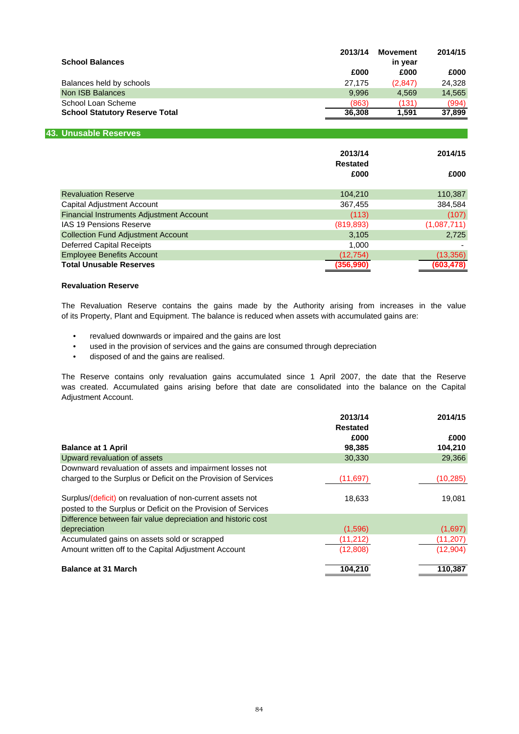| <b>School Balances</b>                | 2013/14 | <b>Movement</b><br>in year | 2014/15 |
|---------------------------------------|---------|----------------------------|---------|
|                                       | £000    | £000                       | £000    |
| Balances held by schools              | 27.175  | (2.847)                    | 24.328  |
| Non ISB Balances                      | 9.996   | 4.569                      | 14,565  |
| School Loan Scheme                    | (863)   | (131)                      | (994)   |
| <b>School Statutory Reserve Total</b> | 36,308  | 1.591                      | 37,899  |

### **43. Unusable Reserves**

|                                           | 2013/14<br><b>Restated</b><br>£000 | 2014/15<br>£000 |
|-------------------------------------------|------------------------------------|-----------------|
| <b>Revaluation Reserve</b>                | 104,210                            | 110,387         |
| Capital Adjustment Account                | 367,455                            | 384,584         |
| Financial Instruments Adjustment Account  | (113)                              | (107)           |
| <b>IAS 19 Pensions Reserve</b>            | (819, 893)                         | (1,087,711)     |
| <b>Collection Fund Adjustment Account</b> | 3,105                              | 2,725           |
| <b>Deferred Capital Receipts</b>          | 1.000                              |                 |
| <b>Employee Benefits Account</b>          | (12, 754)                          | (13, 356)       |
| <b>Total Unusable Reserves</b>            | (356, 990)                         | (603, 478)      |

### **Revaluation Reserve**

The Revaluation Reserve contains the gains made by the Authority arising from increases in the value of its Property, Plant and Equipment. The balance is reduced when assets with accumulated gains are:

- revalued downwards or impaired and the gains are lost
- used in the provision of services and the gains are consumed through depreciation
- disposed of and the gains are realised.

The Reserve contains only revaluation gains accumulated since 1 April 2007, the date that the Reserve was created. Accumulated gains arising before that date are consolidated into the balance on the Capital Adjustment Account.

|                                                                                                                             | 2013/14<br><b>Restated</b> | 2014/15   |
|-----------------------------------------------------------------------------------------------------------------------------|----------------------------|-----------|
|                                                                                                                             | £000                       | £000      |
| <b>Balance at 1 April</b>                                                                                                   | 98,385                     | 104,210   |
| Upward revaluation of assets                                                                                                | 30,330                     | 29,366    |
| Downward revaluation of assets and impairment losses not                                                                    |                            |           |
| charged to the Surplus or Deficit on the Provision of Services                                                              | (11, 697)                  | (10, 285) |
| Surplus/(deficit) on revaluation of non-current assets not<br>posted to the Surplus or Deficit on the Provision of Services | 18,633                     | 19,081    |
| Difference between fair value depreciation and historic cost                                                                |                            |           |
| depreciation                                                                                                                | (1,596)                    | (1,697)   |
| Accumulated gains on assets sold or scrapped                                                                                | (11, 212)                  | (11, 207) |
| Amount written off to the Capital Adjustment Account                                                                        | (12,808)                   | (12,904)  |
| <b>Balance at 31 March</b>                                                                                                  | 104.210                    | 110,387   |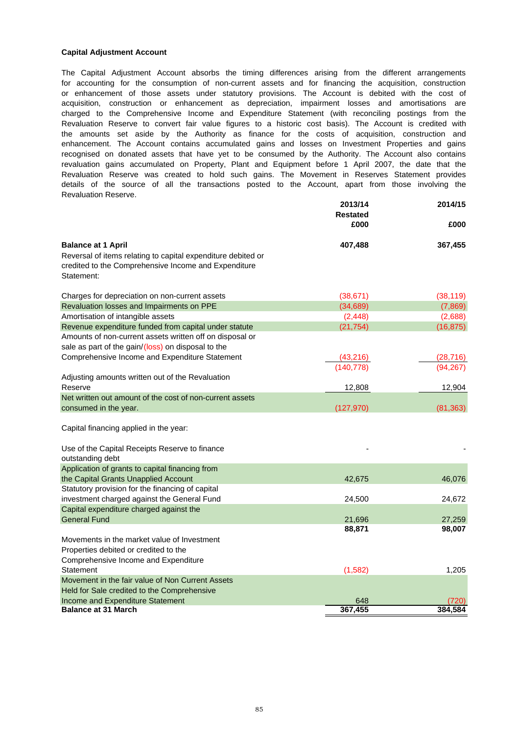### **Capital Adjustment Account**

Revaluation Reserve. for accounting for the consumption of non-current assets and for financing the acquisition, construction enhancement. The Account contains accumulated gains and losses on Investment Properties and gains recognised on donated assets that have yet to be consumed by the Authority. The Account also contains Revaluation Reserve to convert fair value figures to a historic cost basis). The Account is credited with or enhancement of those assets under statutory provisions. The Account is debited with the cost of the amounts set aside by the Authority as finance for the costs of acquisition, construction and The Capital Adjustment Account absorbs the timing differences arising from the different arrangements acquisition, construction or enhancement as depreciation, impairment losses and amortisations are charged to the Comprehensive Income and Expenditure Statement (with reconciling postings from the details of the source of all the transactions posted to the Account, apart from those involving the revaluation gains accumulated on Property, Plant and Equipment before 1 April 2007, the date that the Revaluation Reserve was created to hold such gains. The Movement in Reserves Statement provides

|                                                              | 2013/14         | 2014/15   |
|--------------------------------------------------------------|-----------------|-----------|
|                                                              | <b>Restated</b> |           |
|                                                              | £000            | £000      |
| <b>Balance at 1 April</b>                                    | 407,488         | 367,455   |
| Reversal of items relating to capital expenditure debited or |                 |           |
| credited to the Comprehensive Income and Expenditure         |                 |           |
| Statement:                                                   |                 |           |
| Charges for depreciation on non-current assets               | (38, 671)       | (38, 119) |
| Revaluation losses and Impairments on PPE                    | (34, 689)       | (7,869)   |
| Amortisation of intangible assets                            | (2, 448)        | (2,688)   |
| Revenue expenditure funded from capital under statute        | (21, 754)       | (16, 875) |
| Amounts of non-current assets written off on disposal or     |                 |           |
| sale as part of the gain/(loss) on disposal to the           |                 |           |
| Comprehensive Income and Expenditure Statement               | (43, 216)       | (28, 716) |
|                                                              | (140.778)       | (94, 267) |
| Adjusting amounts written out of the Revaluation             |                 |           |
| Reserve                                                      | 12,808          | 12,904    |
| Net written out amount of the cost of non-current assets     |                 |           |
| consumed in the year.                                        | (127, 970)      | (81, 363) |
|                                                              |                 |           |
| Capital financing applied in the year:                       |                 |           |
|                                                              |                 |           |
| Use of the Capital Receipts Reserve to finance               |                 |           |
| outstanding debt                                             |                 |           |
| Application of grants to capital financing from              |                 |           |
| the Capital Grants Unapplied Account                         | 42,675          | 46,076    |
| Statutory provision for the financing of capital             |                 |           |
| investment charged against the General Fund                  | 24,500          | 24,672    |
| Capital expenditure charged against the                      |                 |           |
| <b>General Fund</b>                                          | 21,696          | 27,259    |
|                                                              | 88,871          | 98,007    |
| Movements in the market value of Investment                  |                 |           |
| Properties debited or credited to the                        |                 |           |
| Comprehensive Income and Expenditure                         |                 |           |
| Statement                                                    | (1, 582)        | 1,205     |
| Movement in the fair value of Non Current Assets             |                 |           |
| Held for Sale credited to the Comprehensive                  |                 |           |
| Income and Expenditure Statement                             | 648             |           |
| <b>Balance at 31 March</b>                                   | 367,455         | 384.584   |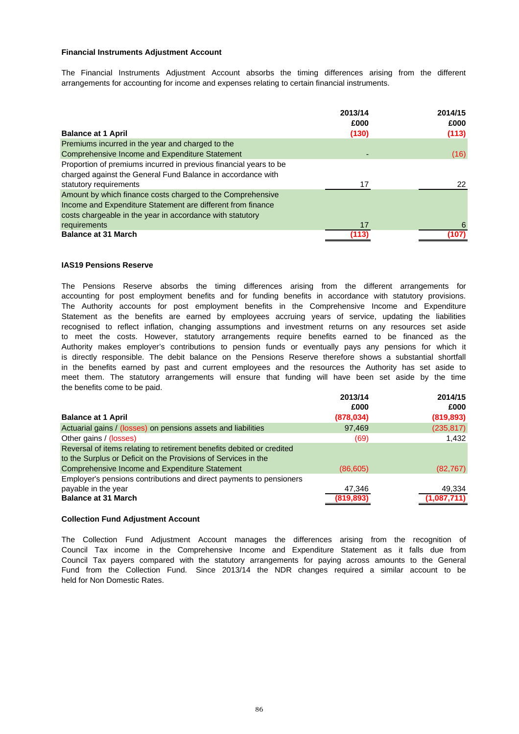### **Financial Instruments Adjustment Account**

arrangements for accounting for income and expenses relating to certain financial instruments. The Financial Instruments Adjustment Account absorbs the timing differences arising from the different

| <b>Balance at 1 April</b>                                         | 2013/14<br>£000<br>(130) | 2014/15<br>£000<br>(113) |
|-------------------------------------------------------------------|--------------------------|--------------------------|
| Premiums incurred in the year and charged to the                  |                          |                          |
| Comprehensive Income and Expenditure Statement                    |                          | (16)                     |
| Proportion of premiums incurred in previous financial years to be |                          |                          |
| charged against the General Fund Balance in accordance with       |                          |                          |
| statutory requirements                                            | 17                       | 22                       |
| Amount by which finance costs charged to the Comprehensive        |                          |                          |
| Income and Expenditure Statement are different from finance       |                          |                          |
| costs chargeable in the year in accordance with statutory         |                          |                          |
| requirements                                                      | 17                       | 6                        |
| <b>Balance at 31 March</b>                                        | (113                     | (107)                    |

#### **IAS19 Pensions Reserve**

the benefits come to be paid. Authority makes employer's contributions to pension funds or eventually pays any pensions for which it is directly responsible. The debit balance on the Pensions Reserve therefore shows a substantial shortfall recognised to reflect inflation, changing assumptions and investment returns on any resources set aside to meet the costs. However, statutory arrangements require benefits earned to be financed as the meet them. The statutory arrangements will ensure that funding will have been set aside by the time in the benefits earned by past and current employees and the resources the Authority has set aside to The Pensions Reserve absorbs the timing differences arising from the different arrangements for accounting for post employment benefits and for funding benefits in accordance with statutory provisions. The Authority accounts for post employment benefits in the Comprehensive Income and Expenditure Statement as the benefits are earned by employees accruing years of service, updating the liabilities

|                                                                       | 2013/14    | 2014/15     |
|-----------------------------------------------------------------------|------------|-------------|
|                                                                       | £000       | £000        |
| <b>Balance at 1 April</b>                                             | (878, 034) | (819, 893)  |
| Actuarial gains / (losses) on pensions assets and liabilities         | 97,469     | (235, 817)  |
| Other gains / (losses)                                                | (69)       | 1,432       |
| Reversal of items relating to retirement benefits debited or credited |            |             |
| to the Surplus or Deficit on the Provisions of Services in the        |            |             |
| Comprehensive Income and Expenditure Statement                        | (86, 605)  | (82, 767)   |
| Employer's pensions contributions and direct payments to pensioners   |            |             |
| payable in the year                                                   | 47,346     | 49,334      |
| <b>Balance at 31 March</b>                                            | (819, 893) | '1,087,711) |

### **Collection Fund Adjustment Account**

The Collection Fund Adjustment Account manages the differences arising from the recognition of Fund from the Collection Fund. Since 2013/14 the NDR changes required a similar account to be held for Non Domestic Rates. Council Tax income in the Comprehensive Income and Expenditure Statement as it falls due from Council Tax payers compared with the statutory arrangements for paying across amounts to the General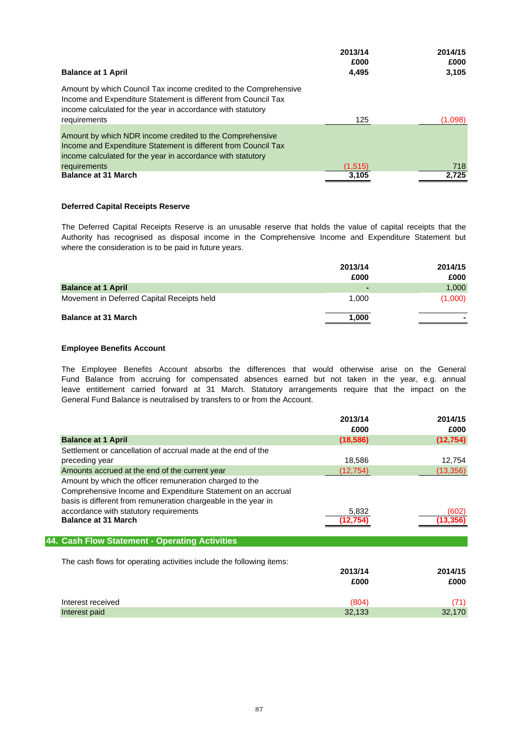|                                                                                                                                                                                                   | 2013/14<br>£000 | 2014/15<br>£000 |
|---------------------------------------------------------------------------------------------------------------------------------------------------------------------------------------------------|-----------------|-----------------|
| <b>Balance at 1 April</b>                                                                                                                                                                         | 4,495           | 3,105           |
| Amount by which Council Tax income credited to the Comprehensive<br>Income and Expenditure Statement is different from Council Tax<br>income calculated for the year in accordance with statutory |                 |                 |
| requirements                                                                                                                                                                                      | 125             | (1,098)         |
| Amount by which NDR income credited to the Comprehensive<br>Income and Expenditure Statement is different from Council Tax<br>income calculated for the year in accordance with statutory         |                 |                 |
| requirements                                                                                                                                                                                      | (1,515)         | 718             |
| <b>Balance at 31 March</b>                                                                                                                                                                        | 3,105           | 2,725           |

## **Deferred Capital Receipts Reserve**

where the consideration is to be paid in future years. The Deferred Capital Receipts Reserve is an unusable reserve that holds the value of capital receipts that the Authority has recognised as disposal income in the Comprehensive Income and Expenditure Statement but

|                                            | 2013/14 | 2014/15 |
|--------------------------------------------|---------|---------|
|                                            | £000    | £000    |
| <b>Balance at 1 April</b>                  |         | 1,000   |
| Movement in Deferred Capital Receipts held | 1.000   | (1,000) |
| <b>Balance at 31 March</b>                 | 1,000   |         |

## **Employee Benefits Account**

General Fund Balance is neutralised by transfers to or from the Account. The Employee Benefits Account absorbs the differences that would otherwise arise on the General Fund Balance from accruing for compensated absences earned but not taken in the year, e.g. annual leave entitlement carried forward at 31 March. Statutory arrangements require that the impact on the

|                                                                                                                                                                                                                                                                   | 2013/14<br>£000 | 2014/15<br>£000 |
|-------------------------------------------------------------------------------------------------------------------------------------------------------------------------------------------------------------------------------------------------------------------|-----------------|-----------------|
| <b>Balance at 1 April</b>                                                                                                                                                                                                                                         | (18, 586)       | (12, 754)       |
| Settlement or cancellation of accrual made at the end of the<br>preceding year                                                                                                                                                                                    | 18,586          | 12,754          |
| Amounts accrued at the end of the current year                                                                                                                                                                                                                    | (12, 754)       | (13, 356)       |
| Amount by which the officer remuneration charged to the<br>Comprehensive Income and Expenditure Statement on an accrual<br>basis is different from remuneration chargeable in the year in<br>accordance with statutory requirements<br><b>Balance at 31 March</b> | 5,832           | (602)           |
| 44. Cash Flow Statement - Operating Activities                                                                                                                                                                                                                    |                 |                 |
| The cash flows for operating activities include the following items:                                                                                                                                                                                              |                 |                 |
|                                                                                                                                                                                                                                                                   | 2013/14         | 2014/15         |
|                                                                                                                                                                                                                                                                   | £000            | £000            |
| Interest received                                                                                                                                                                                                                                                 | (804)           | (71)            |
| Interest paid                                                                                                                                                                                                                                                     | 32,133          | 32,170          |
|                                                                                                                                                                                                                                                                   |                 |                 |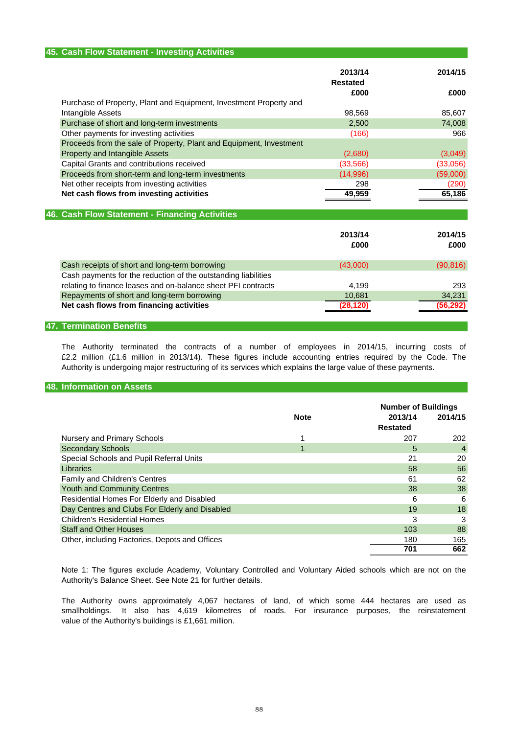| 45. Cash Flow Statement - Investing Activities                      |                                    |                 |
|---------------------------------------------------------------------|------------------------------------|-----------------|
|                                                                     | 2013/14<br><b>Restated</b><br>£000 | 2014/15<br>£000 |
| Purchase of Property, Plant and Equipment, Investment Property and  |                                    |                 |
| Intangible Assets                                                   | 98.569                             | 85,607          |
| Purchase of short and long-term investments                         | 2,500                              | 74,008          |
| Other payments for investing activities                             | (166)                              | 966             |
| Proceeds from the sale of Property, Plant and Equipment, Investment |                                    |                 |
| Property and Intangible Assets                                      | (2,680)                            | (3,049)         |
| Capital Grants and contributions received                           | (33, 566)                          | (33,056)        |
| Proceeds from short-term and long-term investments                  | (14,996)                           | (59,000)        |
| Net other receipts from investing activities                        | 298                                | (290)           |
| Net cash flows from investing activities                            | 49,959                             | 65,186          |
| 46. Cash Flow Statement - Financing Activities                      |                                    |                 |
|                                                                     | 2013/14<br>£000                    | 2014/15<br>£000 |
| Cash receipts of short and long-term borrowing                      | (43,000)                           | (90, 816)       |
| Cash payments for the reduction of the outstanding liabilities      |                                    |                 |
| relating to finance leases and on-balance sheet PFI contracts       | 4,199                              | 293             |
| Repayments of short and long-term borrowing                         | 10,681                             | 34,231          |
| Net cash flows from financing activities                            | (28, 120)                          | (56, 292)       |

### **47. Termination Benefits**

Authority is undergoing major restructuring of its services which explains the large value of these payments. The Authority terminated the contracts of a number of employees in 2014/15, incurring costs of £2.2 million (£1.6 million in 2013/14). These figures include accounting entries required by the Code. The

## **48. Information on Assets**

|                                                |             | <b>Number of Buildings</b> |                |
|------------------------------------------------|-------------|----------------------------|----------------|
|                                                | <b>Note</b> | 2013/14                    | 2014/15        |
|                                                |             | Restated                   |                |
| Nursery and Primary Schools                    |             | 207                        | 202            |
| <b>Secondary Schools</b>                       |             | 5                          | $\overline{4}$ |
| Special Schools and Pupil Referral Units       |             | 21                         | 20             |
| Libraries                                      |             | 58                         | 56             |
| <b>Family and Children's Centres</b>           |             | 61                         | 62             |
| <b>Youth and Community Centres</b>             |             | 38                         | 38             |
| Residential Homes For Elderly and Disabled     |             | 6                          | 6              |
| Day Centres and Clubs For Elderly and Disabled |             | 19                         | 18             |
| Children's Residential Homes                   |             | 3                          | 3              |
| <b>Staff and Other Houses</b>                  |             | 103                        | 88             |
| Other, including Factories, Depots and Offices |             | 180                        | 165            |
|                                                |             | 701                        | 662            |

Authority's Balance Sheet. See Note 21 for further details. Note 1: The figures exclude Academy, Voluntary Controlled and Voluntary Aided schools which are not on the

value of the Authority's buildings is £1,661 million. The Authority owns approximately 4,067 hectares of land, of which some 444 hectares are used as smallholdings. It also has 4,619 kilometres of roads. For insurance purposes, the reinstatement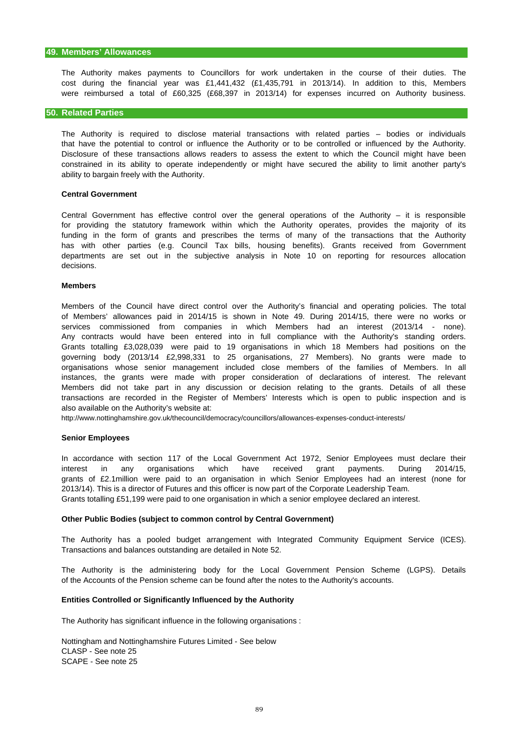cost during the financial year was £1,441,432 (£1,435,791 in 2013/14). In addition to this, Members The Authority makes payments to Councillors for work undertaken in the course of their duties. The were reimbursed a total of £60,325 (£68,397 in 2013/14) for expenses incurred on Authority business.

#### **50. Related Parties**

ability to bargain freely with the Authority. that have the potential to control or influence the Authority or to be controlled or influenced by the Authority. The Authority is required to disclose material transactions with related parties – bodies or individuals constrained in its ability to operate independently or might have secured the ability to limit another party's Disclosure of these transactions allows readers to assess the extent to which the Council might have been

#### **Central Government**

decisions. funding in the form of grants and prescribes the terms of many of the transactions that the Authority departments are set out in the subjective analysis in Note 10 on reporting for resources allocation for providing the statutory framework within which the Authority operates, provides the majority of its has with other parties (e.g. Council Tax bills, housing benefits). Grants received from Government Central Government has effective control over the general operations of the Authority – it is responsible

#### **Members**

also available on the Authority's website at: services commissioned from companies in which Members had an interest (2013/14 - none). Any contracts would have been entered into in full compliance with the Authority's standing orders. Members of the Council have direct control over the Authority's financial and operating policies. The total Members did not take part in any discussion or decision relating to the grants. Details of all these Grants totalling £3,028,039 were paid to 19 organisations in which 18 Members had positions on the governing body (2013/14 £2,998,331 to 25 organisations, 27 Members). No grants were made to of Members' allowances paid in 2014/15 is shown in Note 49. During 2014/15, there were no works or instances, the grants were made with proper consideration of declarations of interest. The relevant transactions are recorded in the Register of Members' Interests which is open to public inspection and is organisations whose senior management included close members of the families of Members. In all

http://www.nottinghamshire.gov.uk/thecouncil/democracy/councillors/allowances-expenses-conduct-interests/

#### **Senior Employees**

2013/14). This is a director of Futures and this officer is now part of the Corporate Leadership Team. Grants totalling £51,199 were paid to one organisation in which a senior employee declared an interest. interest in any organisations which have received grant payments. During 2014/15, In accordance with section 117 of the Local Government Act 1972, Senior Employees must declare their grants of £2.1million were paid to an organisation in which Senior Employees had an interest (none for

#### **Other Public Bodies (subject to common control by Central Government)**

Transactions and balances outstanding are detailed in Note 52. The Authority has a pooled budget arrangement with Integrated Community Equipment Service (ICES).

of the Accounts of the Pension scheme can be found after the notes to the Authority's accounts. The Authority is the administering body for the Local Government Pension Scheme (LGPS). Details

### **Entities Controlled or Significantly Influenced by the Authority**

The Authority has significant influence in the following organisations :

Nottingham and Nottinghamshire Futures Limited - See below CLASP - See note 25 SCAPE - See note 25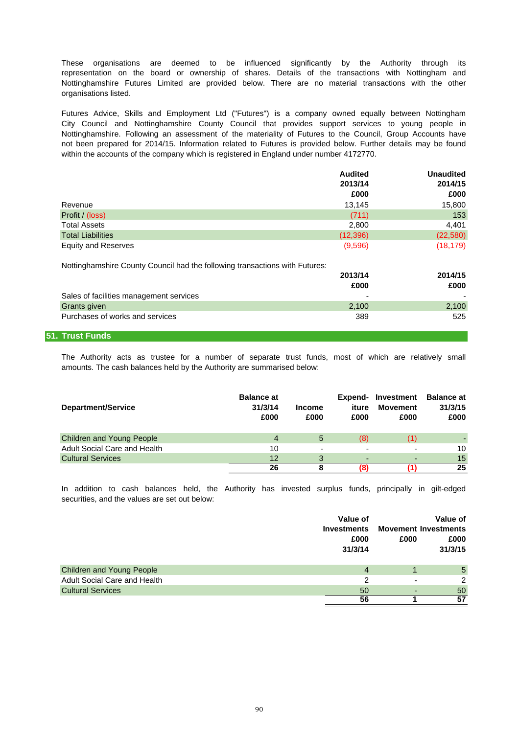organisations listed. These organisations are deemed to be influenced significantly by the Authority through its representation on the board or ownership of shares. Details of the transactions with Nottingham and Nottinghamshire Futures Limited are provided below. There are no material transactions with the other

within the accounts of the company which is registered in England under number 4172770. Futures Advice, Skills and Employment Ltd ("Futures") is a company owned equally between Nottingham City Council and Nottinghamshire County Council that provides support services to young people in Nottinghamshire. Following an assessment of the materiality of Futures to the Council, Group Accounts have not been prepared for 2014/15. Information related to Futures is provided below. Further details may be found

|                            | <b>Audited</b> | <b>Unaudited</b> |
|----------------------------|----------------|------------------|
|                            | 2013/14        | 2014/15          |
|                            | £000           | £000             |
| Revenue                    | 13,145         | 15,800           |
| Profit / (loss)            | (711)          | 153              |
| <b>Total Assets</b>        | 2,800          | 4,401            |
| <b>Total Liabilities</b>   | (12, 396)      | (22, 580)        |
| <b>Equity and Reserves</b> | (9,596)        | (18, 179)        |

Nottinghamshire County Council had the following transactions with Futures:

|                                         | 2013/14                  | 2014/15 |
|-----------------------------------------|--------------------------|---------|
|                                         | £000                     | £000    |
| Sales of facilities management services | $\overline{\phantom{0}}$ |         |
| Grants given                            | 2.100                    | 2,100   |
| Purchases of works and services         | 389                      | 525     |

## **51. Trust Funds**

The Authority acts as trustee for a number of separate trust funds, most of which are relatively small amounts. The cash balances held by the Authority are summarised below:

| <b>Department/Service</b>           | <b>Balance at</b><br>31/3/14<br>£000 | <b>Income</b><br>£000    | Expend-<br>iture<br>£000 | Investment<br><b>Movement</b><br>£000 | <b>Balance at</b><br>31/3/15<br>£000 |
|-------------------------------------|--------------------------------------|--------------------------|--------------------------|---------------------------------------|--------------------------------------|
| <b>Children and Young People</b>    | 4                                    | 5                        | (8)                      |                                       |                                      |
| <b>Adult Social Care and Health</b> | 10                                   | $\overline{\phantom{0}}$ | $\overline{\phantom{a}}$ |                                       | 10                                   |
| <b>Cultural Services</b>            | 12                                   | 3                        | $\overline{\phantom{0}}$ |                                       | 15                                   |
|                                     | 26                                   | 8                        |                          |                                       | 25                                   |

securities, and the values are set out below: In addition to cash balances held, the Authority has invested surplus funds, principally in gilt-edged

|                                  | Value of<br><b>Investments</b><br>£000<br>31/3/14 | Value of<br><b>Movement Investments</b><br>£000<br>£000<br>31/3/15 |                |
|----------------------------------|---------------------------------------------------|--------------------------------------------------------------------|----------------|
| <b>Children and Young People</b> | 4                                                 |                                                                    | 5              |
| Adult Social Care and Health     | 2                                                 |                                                                    | $\mathfrak{p}$ |
| <b>Cultural Services</b>         | 50                                                | -                                                                  | 50             |
|                                  | 56                                                |                                                                    | 57             |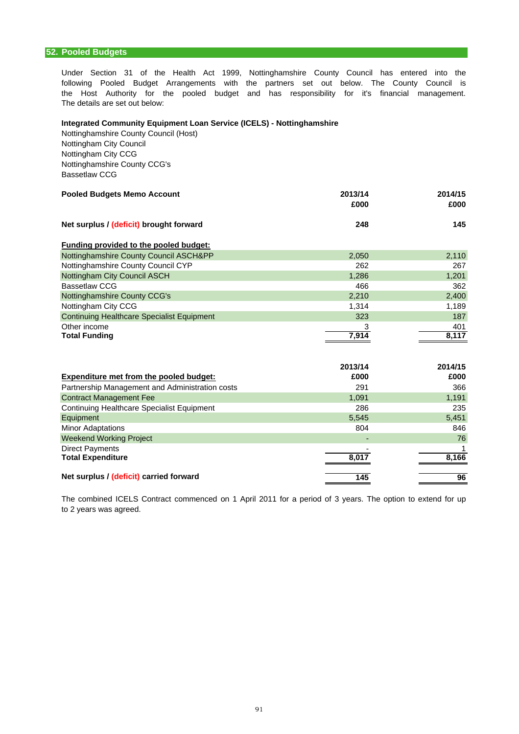## **52. Pooled Budgets**

Under Section 31 of the Health Act 1999, Nottinghamshire County Council has entered into the the Host Authority for the pooled budget and has responsibility for it's financial management. following Pooled Budget Arrangements with the partners set out below. The County Council is The details are set out below:

## **Integrated Community Equipment Loan Service (ICELS) - Nottinghamshire**

Nottinghamshire County Council (Host) Nottingham City Council Nottingham City CCG Nottinghamshire County CCG's Bassetlaw CCG

| <b>Pooled Budgets Memo Account</b>      | 2013/14 | 2014/15 |
|-----------------------------------------|---------|---------|
|                                         | £000    | £000    |
| Net surplus / (deficit) brought forward | 248     | 145     |

| 2,110 |
|-------|
|       |
| 267   |
| 1.201 |
| 362   |
| 2,400 |
| 1,189 |
| 187   |
| 401   |
| 8,117 |
|       |

|                                                 | 2013/14 | 2014/15 |
|-------------------------------------------------|---------|---------|
| <b>Expenditure met from the pooled budget:</b>  | £000    | £000    |
| Partnership Management and Administration costs | 291     | 366     |
| <b>Contract Management Fee</b>                  | 1,091   | 1,191   |
| Continuing Healthcare Specialist Equipment      | 286     | 235     |
| Equipment                                       | 5,545   | 5,451   |
| <b>Minor Adaptations</b>                        | 804     | 846     |
| <b>Weekend Working Project</b>                  | ٠       | 76      |
| <b>Direct Payments</b>                          |         |         |
| <b>Total Expenditure</b>                        | 8.017   | 8,166   |
| Net surplus / (deficit) carried forward         | 145     | 96      |

The combined ICELS Contract commenced on 1 April 2011 for a period of 3 years. The option to extend for up to 2 years was agreed.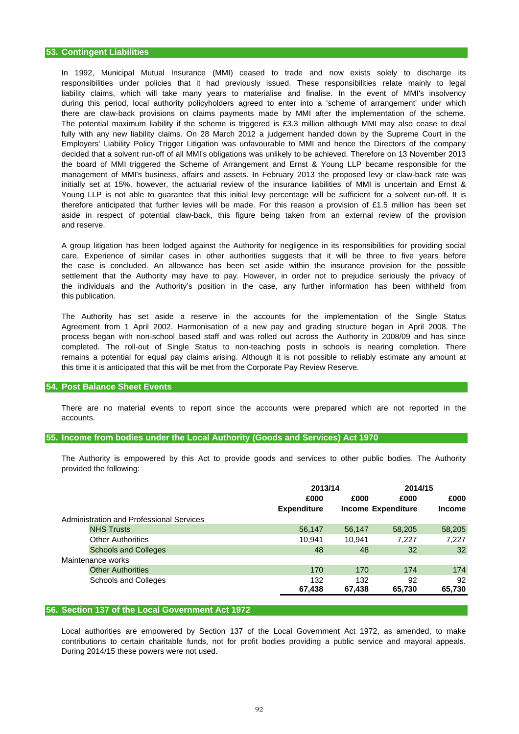aside in respect of potential claw-back, this figure being taken from an external review of the provision The potential maximum liability if the scheme is triggered is £3.3 million although MMI may also cease to deal Employers' Liability Policy Trigger Litigation was unfavourable to MMI and hence the Directors of the company fully with any new liability claims. On 28 March 2012 a judgement handed down by the Supreme Court in the initially set at 15%, however, the actuarial review of the insurance liabilities of MMI is uncertain and Ernst & there are claw-back provisions on claims payments made by MMI after the implementation of the scheme. management of MMI's business, affairs and assets. In February 2013 the proposed levy or claw-back rate was In 1992, Municipal Mutual Insurance (MMI) ceased to trade and now exists solely to discharge its Young LLP is not able to guarantee that this initial levy percentage will be sufficient for a solvent run-off. It is therefore anticipated that further levies will be made. For this reason a provision of £1.5 million has been set and reserve. responsibilities under policies that it had previously issued. These responsibilities relate mainly to legal liability claims, which will take many years to materialise and finalise. In the event of MMI's insolvency during this period, local authority policyholders agreed to enter into a 'scheme of arrangement' under which the board of MMI triggered the Scheme of Arrangement and Ernst & Young LLP became responsible for the decided that a solvent run-off of all MMI's obligations was unlikely to be achieved. Therefore on 13 November 2013

care. Experience of similar cases in other authorities suggests that it will be three to five years before the case is concluded. An allowance has been set aside within the insurance provision for the possible settlement that the Authority may have to pay. However, in order not to prejudice seriously the privacy of the individuals and the Authority's position in the case, any further information has been withheld from this publication. A group litigation has been lodged against the Authority for negligence in its responsibilities for providing social

this time it is anticipated that this will be met from the Corporate Pay Review Reserve. process began with non-school based staff and was rolled out across the Authority in 2008/09 and has since completed. The roll-out of Single Status to non-teaching posts in schools is nearing completion. There remains a potential for equal pay claims arising. Although it is not possible to reliably estimate any amount at The Authority has set aside a reserve in the accounts for the implementation of the Single Status Agreement from 1 April 2002. Harmonisation of a new pay and grading structure began in April 2008. The

#### **54. Post Balance Sheet Events**

accounts. There are no material events to report since the accounts were prepared which are not reported in the

#### **55. Income from bodies under the Local Authority (Goods and Services) Act 1970**

provided the following: The Authority is empowered by this Act to provide goods and services to other public bodies. The Authority

|                                          | 2013/14            |        | 2014/15                   |               |  |
|------------------------------------------|--------------------|--------|---------------------------|---------------|--|
|                                          | £000               | £000   |                           | £000          |  |
|                                          | <b>Expenditure</b> |        | <b>Income Expenditure</b> | <b>Income</b> |  |
| Administration and Professional Services |                    |        |                           |               |  |
| <b>NHS Trusts</b>                        | 56,147             | 56,147 | 58,205                    | 58,205        |  |
| <b>Other Authorities</b>                 | 10.941             | 10.941 | 7.227                     | 7,227         |  |
| <b>Schools and Colleges</b>              | 48                 | 48     | 32                        | 32            |  |
| Maintenance works                        |                    |        |                           |               |  |
| <b>Other Authorities</b>                 | 170                | 170    | 174                       | 174           |  |
| <b>Schools and Colleges</b>              | 132                | 132    | 92                        | 92            |  |
|                                          | 67,438             | 67,438 | 65,730                    | 65,730        |  |

### **56. Section 137 of the Local Government Act 1972**

During 2014/15 these powers were not used. contributions to certain charitable funds, not for profit bodies providing a public service and mayoral appeals. Local authorities are empowered by Section 137 of the Local Government Act 1972, as amended, to make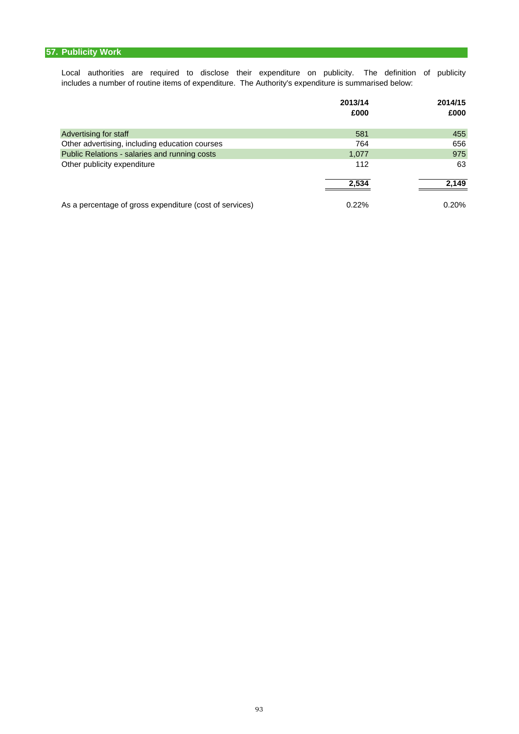## **57. Publicity Work**

Local authorities are required to disclose their expenditure on publicity. The definition of publicity includes a number of routine items of expenditure. The Authority's expenditure is summarised below:

|                                                         | 2013/14<br>£000 | 2014/15<br>£000 |
|---------------------------------------------------------|-----------------|-----------------|
| Advertising for staff                                   | 581             | 455             |
| Other advertising, including education courses          | 764             | 656             |
| Public Relations - salaries and running costs           | 1,077           | 975             |
| Other publicity expenditure                             | 112             | 63              |
|                                                         | 2.534           | 2,149           |
| As a percentage of gross expenditure (cost of services) | 0.22%           | 0.20%           |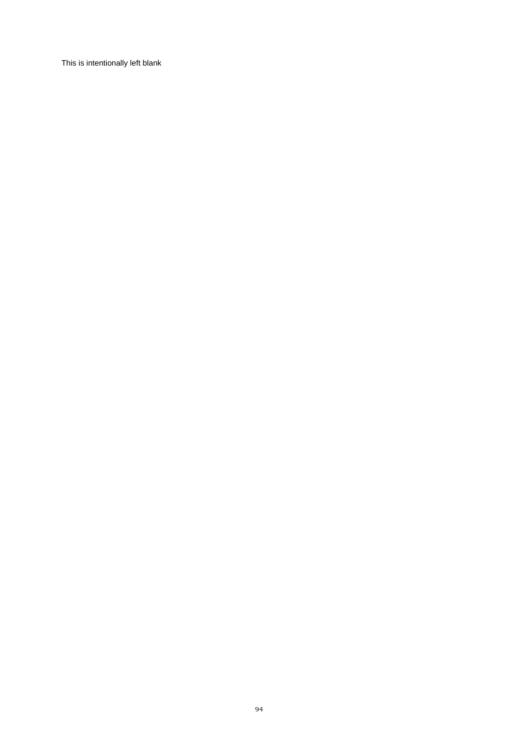This is intentionally left blank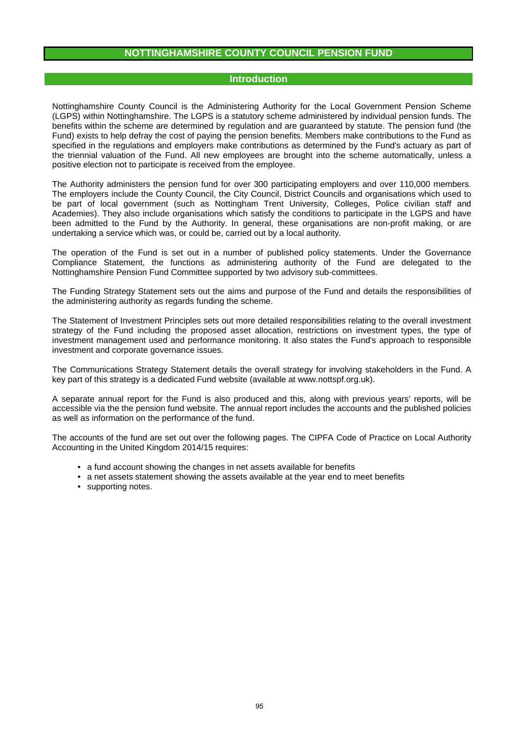## **Introduction**

Nottinghamshire County Council is the Administering Authority for the Local Government Pension Scheme (LGPS) within Nottinghamshire. The LGPS is a statutory scheme administered by individual pension funds. The benefits within the scheme are determined by regulation and are guaranteed by statute. The pension fund (the Fund) exists to help defray the cost of paying the pension benefits. Members make contributions to the Fund as specified in the regulations and employers make contributions as determined by the Fund's actuary as part of the triennial valuation of the Fund. All new employees are brought into the scheme automatically, unless a positive election not to participate is received from the employee.

The Authority administers the pension fund for over 300 participating employers and over 110,000 members. The employers include the County Council, the City Council, District Councils and organisations which used to be part of local government (such as Nottingham Trent University, Colleges, Police civilian staff and Academies). They also include organisations which satisfy the conditions to participate in the LGPS and have been admitted to the Fund by the Authority. In general, these organisations are non-profit making, or are undertaking a service which was, or could be, carried out by a local authority.

The operation of the Fund is set out in a number of published policy statements. Under the Governance Compliance Statement, the functions as administering authority of the Fund are delegated to the Nottinghamshire Pension Fund Committee supported by two advisory sub-committees.

The Funding Strategy Statement sets out the aims and purpose of the Fund and details the responsibilities of the administering authority as regards funding the scheme.

The Statement of Investment Principles sets out more detailed responsibilities relating to the overall investment strategy of the Fund including the proposed asset allocation, restrictions on investment types, the type of investment management used and performance monitoring. It also states the Fund's approach to responsible investment and corporate governance issues.

The Communications Strategy Statement details the overall strategy for involving stakeholders in the Fund. A key part of this strategy is a dedicated Fund website (available at www.nottspf.org.uk).

A separate annual report for the Fund is also produced and this, along with previous years' reports, will be accessible via the the pension fund website. The annual report includes the accounts and the published policies as well as information on the performance of the fund.

The accounts of the fund are set out over the following pages. The CIPFA Code of Practice on Local Authority Accounting in the United Kingdom 2014/15 requires:

- a fund account showing the changes in net assets available for benefits
- a net assets statement showing the assets available at the year end to meet benefits
- supporting notes.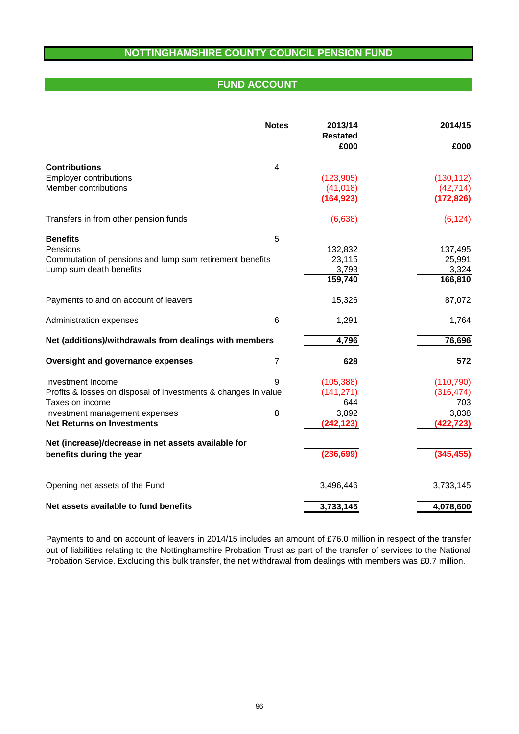# **FUND ACCOUNT**

|                                                                | <b>Notes</b> | 2013/14<br><b>Restated</b> | 2014/15    |
|----------------------------------------------------------------|--------------|----------------------------|------------|
|                                                                |              | £000                       | £000       |
| <b>Contributions</b>                                           | 4            |                            |            |
| <b>Employer contributions</b>                                  |              | (123,905)                  | (130, 112) |
| Member contributions                                           |              | (41, 018)                  | (42, 714)  |
|                                                                |              | (164, 923)                 | (172, 826) |
| Transfers in from other pension funds                          |              | (6,638)                    | (6, 124)   |
| <b>Benefits</b>                                                | 5            |                            |            |
| Pensions                                                       |              | 132,832                    | 137,495    |
| Commutation of pensions and lump sum retirement benefits       |              | 23,115                     | 25,991     |
| Lump sum death benefits                                        |              | 3,793                      | 3,324      |
|                                                                |              | 159,740                    | 166,810    |
| Payments to and on account of leavers                          |              | 15,326                     | 87,072     |
| Administration expenses                                        | 6            | 1,291                      | 1,764      |
| Net (additions)/withdrawals from dealings with members         |              | 4,796                      | 76,696     |
| Oversight and governance expenses                              | 7            | 628                        | 572        |
| Investment Income                                              | 9            | (105, 388)                 | (110, 790) |
| Profits & losses on disposal of investments & changes in value |              | (141, 271)                 | (316, 474) |
| Taxes on income                                                |              | 644                        | 703        |
| Investment management expenses                                 | 8            | 3,892                      | 3,838      |
| <b>Net Returns on Investments</b>                              |              | (242, 123)                 | (422, 723) |
| Net (increase)/decrease in net assets available for            |              |                            |            |
| benefits during the year                                       |              | (236, 699)                 | (345, 455) |
| Opening net assets of the Fund                                 |              | 3,496,446                  | 3,733,145  |
| Net assets available to fund benefits                          |              | 3,733,145                  | 4,078,600  |

Payments to and on account of leavers in 2014/15 includes an amount of £76.0 million in respect of the transfer out of liabilities relating to the Nottinghamshire Probation Trust as part of the transfer of services to the National Probation Service. Excluding this bulk transfer, the net withdrawal from dealings with members was £0.7 million.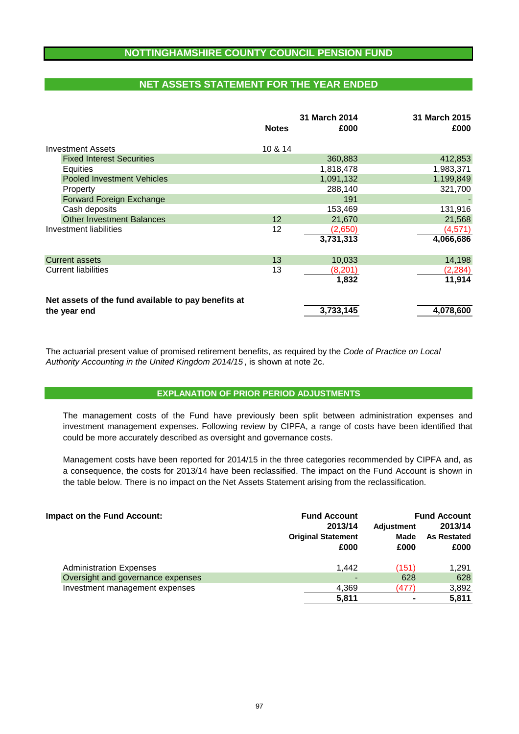# **NET ASSETS STATEMENT FOR THE YEAR ENDED**

|                                                     | <b>Notes</b> | <b>31 March 2014</b><br>£000 | 31 March 2015<br>£000 |
|-----------------------------------------------------|--------------|------------------------------|-----------------------|
| Investment Assets                                   | 10 & 14      |                              |                       |
| <b>Fixed Interest Securities</b>                    |              | 360,883                      | 412,853               |
| Equities                                            |              | 1,818,478                    | 1,983,371             |
| <b>Pooled Investment Vehicles</b>                   |              | 1,091,132                    | 1,199,849             |
| Property                                            |              | 288,140                      | 321,700               |
| Forward Foreign Exchange                            |              | 191                          |                       |
| Cash deposits                                       |              | 153,469                      | 131,916               |
| <b>Other Investment Balances</b>                    | 12           | 21,670                       | 21,568                |
| Investment liabilities                              | 12           | (2,650)                      | (4, 571)              |
|                                                     |              | 3,731,313                    | 4,066,686             |
| <b>Current assets</b>                               | 13           | 10,033                       | 14,198                |
| <b>Current liabilities</b>                          | 13           | (8,201)                      | (2, 284)              |
|                                                     |              | 1,832                        | 11,914                |
| Net assets of the fund available to pay benefits at |              |                              |                       |
| the year end                                        |              | 3,733,145                    | 4,078,600             |

Authority Accounting in the United Kingdom 2014/15 , is shown at note 2c. The actuarial present value of promised retirement benefits, as required by the Code of Practice on Local

## **EXPLANATION OF PRIOR PERIOD ADJUSTMENTS**

The management costs of the Fund have previously been split between administration expenses and investment management expenses. Following review by CIPFA, a range of costs have been identified that could be more accurately described as oversight and governance costs.

Management costs have been reported for 2014/15 in the three categories recommended by CIPFA and, as a consequence, the costs for 2013/14 have been reclassified. The impact on the Fund Account is shown in the table below. There is no impact on the Net Assets Statement arising from the reclassification.

| Impact on the Fund Account:       | <b>Fund Account</b><br>2013/14<br><b>Original Statement</b><br>£000 | <b>Adjustment</b><br>Made<br>£000 | <b>Fund Account</b><br>2013/14<br><b>As Restated</b><br>£000 |
|-----------------------------------|---------------------------------------------------------------------|-----------------------------------|--------------------------------------------------------------|
| <b>Administration Expenses</b>    | 1.442                                                               | (151)                             | 1.291                                                        |
| Oversight and governance expenses | $\overline{\phantom{0}}$                                            | 628                               | 628                                                          |
| Investment management expenses    | 4.369                                                               | (477)                             | 3,892                                                        |
|                                   | 5.811                                                               | $\blacksquare$                    | 5,811                                                        |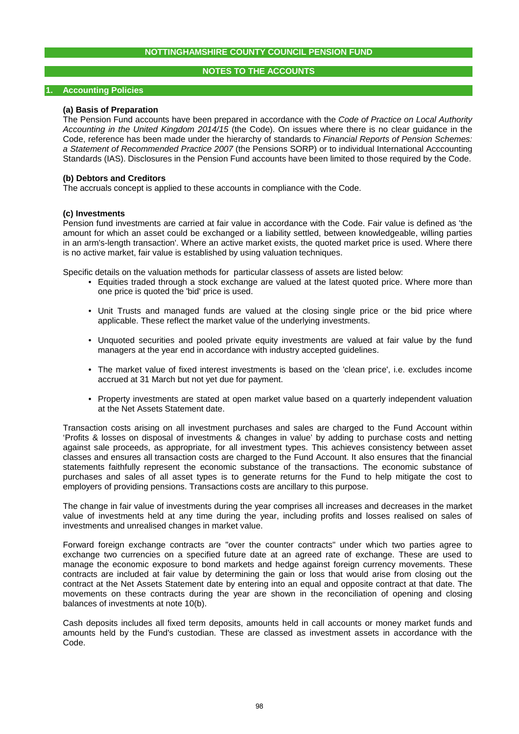## **NOTES TO THE ACCOUNTS**

#### **1. Accounting Policies**

### **(a) Basis of Preparation**

The Pension Fund accounts have been prepared in accordance with the Code of Practice on Local Authority Accounting in the United Kingdom 2014/15 (the Code). On issues where there is no clear guidance in the Code, reference has been made under the hierarchy of standards to Financial Reports of Pension Schemes: a Statement of Recommended Practice 2007 (the Pensions SORP) or to individual International Acccounting Standards (IAS). Disclosures in the Pension Fund accounts have been limited to those required by the Code.

### **(b) Debtors and Creditors**

The accruals concept is applied to these accounts in compliance with the Code.

### **(c) Investments**

Pension fund investments are carried at fair value in accordance with the Code. Fair value is defined as 'the amount for which an asset could be exchanged or a liability settled, between knowledgeable, willing parties in an arm's-length transaction'. Where an active market exists, the quoted market price is used. Where there is no active market, fair value is established by using valuation techniques.

Specific details on the valuation methods for particular classess of assets are listed below:

- Equities traded through a stock exchange are valued at the latest quoted price. Where more than one price is quoted the 'bid' price is used.
- Unit Trusts and managed funds are valued at the closing single price or the bid price where applicable. These reflect the market value of the underlying investments.
- Unquoted securities and pooled private equity investments are valued at fair value by the fund managers at the year end in accordance with industry accepted guidelines.
- The market value of fixed interest investments is based on the 'clean price', i.e. excludes income accrued at 31 March but not yet due for payment.
- Property investments are stated at open market value based on a quarterly independent valuation at the Net Assets Statement date.

Transaction costs arising on all investment purchases and sales are charged to the Fund Account within 'Profits & losses on disposal of investments & changes in value' by adding to purchase costs and netting against sale proceeds, as appropriate, for all investment types. This achieves consistency between asset classes and ensures all transaction costs are charged to the Fund Account. It also ensures that the financial statements faithfully represent the economic substance of the transactions. The economic substance of purchases and sales of all asset types is to generate returns for the Fund to help mitigate the cost to employers of providing pensions. Transactions costs are ancillary to this purpose.

The change in fair value of investments during the year comprises all increases and decreases in the market value of investments held at any time during the year, including profits and losses realised on sales of investments and unrealised changes in market value.

Forward foreign exchange contracts are "over the counter contracts" under which two parties agree to exchange two currencies on a specified future date at an agreed rate of exchange. These are used to manage the economic exposure to bond markets and hedge against foreign currency movements. These contracts are included at fair value by determining the gain or loss that would arise from closing out the contract at the Net Assets Statement date by entering into an equal and opposite contract at that date. The movements on these contracts during the year are shown in the reconciliation of opening and closing balances of investments at note 10(b).

Cash deposits includes all fixed term deposits, amounts held in call accounts or money market funds and amounts held by the Fund's custodian. These are classed as investment assets in accordance with the Code.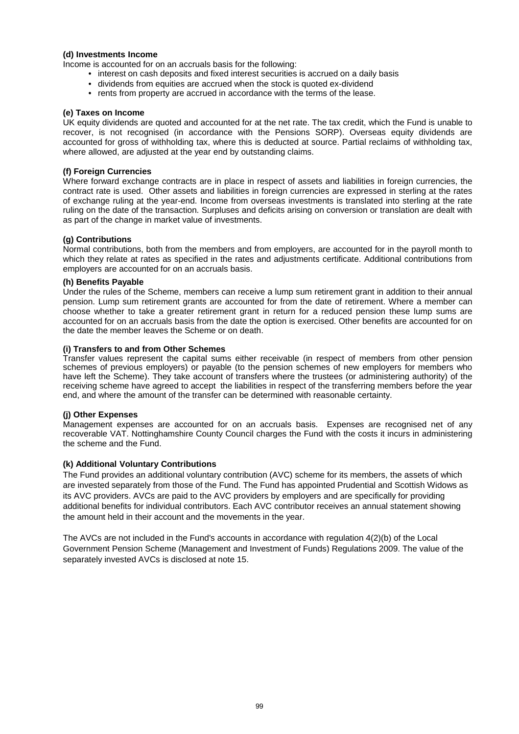## **(d) Investments Income**

Income is accounted for on an accruals basis for the following:

- interest on cash deposits and fixed interest securities is accrued on a daily basis
- dividends from equities are accrued when the stock is quoted ex-dividend
- rents from property are accrued in accordance with the terms of the lease.

## **(e) Taxes on Income**

UK equity dividends are quoted and accounted for at the net rate. The tax credit, which the Fund is unable to recover, is not recognised (in accordance with the Pensions SORP). Overseas equity dividends are accounted for gross of withholding tax, where this is deducted at source. Partial reclaims of withholding tax, where allowed, are adjusted at the year end by outstanding claims.

## **(f) Foreign Currencies**

Where forward exchange contracts are in place in respect of assets and liabilities in foreign currencies, the contract rate is used. Other assets and liabilities in foreign currencies are expressed in sterling at the rates of exchange ruling at the year-end. Income from overseas investments is translated into sterling at the rate ruling on the date of the transaction. Surpluses and deficits arising on conversion or translation are dealt with as part of the change in market value of investments.

## **(g) Contributions**

Normal contributions, both from the members and from employers, are accounted for in the payroll month to which they relate at rates as specified in the rates and adjustments certificate. Additional contributions from employers are accounted for on an accruals basis.

## **(h) Benefits Payable**

Under the rules of the Scheme, members can receive a lump sum retirement grant in addition to their annual pension. Lump sum retirement grants are accounted for from the date of retirement. Where a member can choose whether to take a greater retirement grant in return for a reduced pension these lump sums are accounted for on an accruals basis from the date the option is exercised. Other benefits are accounted for on the date the member leaves the Scheme or on death.

## **(i) Transfers to and from Other Schemes**

Transfer values represent the capital sums either receivable (in respect of members from other pension schemes of previous employers) or payable (to the pension schemes of new employers for members who have left the Scheme). They take account of transfers where the trustees (or administering authority) of the receiving scheme have agreed to accept the liabilities in respect of the transferring members before the year end, and where the amount of the transfer can be determined with reasonable certainty.

## **(j) Other Expenses**

Management expenses are accounted for on an accruals basis. Expenses are recognised net of any recoverable VAT. Nottinghamshire County Council charges the Fund with the costs it incurs in administering the scheme and the Fund.

## **(k) Additional Voluntary Contributions**

The Fund provides an additional voluntary contribution (AVC) scheme for its members, the assets of which are invested separately from those of the Fund. The Fund has appointed Prudential and Scottish Widows as its AVC providers. AVCs are paid to the AVC providers by employers and are specifically for providing additional benefits for individual contributors. Each AVC contributor receives an annual statement showing the amount held in their account and the movements in the year.

The AVCs are not included in the Fund's accounts in accordance with regulation 4(2)(b) of the Local Government Pension Scheme (Management and Investment of Funds) Regulations 2009. The value of the separately invested AVCs is disclosed at note 15.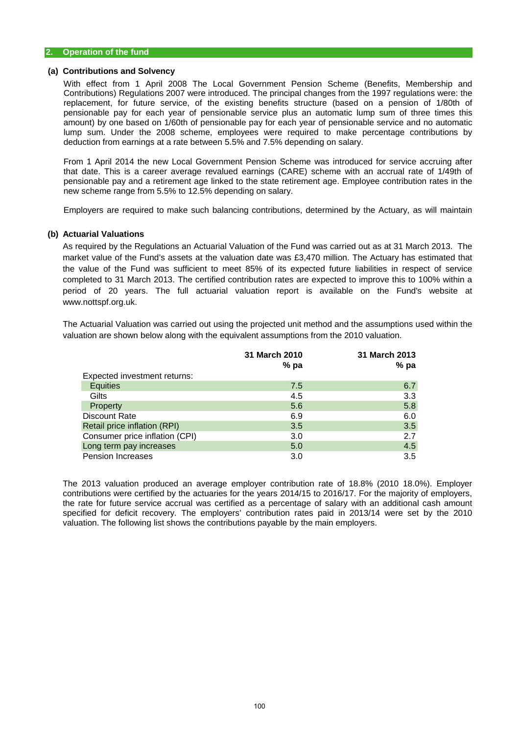### **(a) Contributions and Solvency**

With effect from 1 April 2008 The Local Government Pension Scheme (Benefits, Membership and Contributions) Regulations 2007 were introduced. The principal changes from the 1997 regulations were: the replacement, for future service, of the existing benefits structure (based on a pension of 1/80th of pensionable pay for each year of pensionable service plus an automatic lump sum of three times this amount) by one based on 1/60th of pensionable pay for each year of pensionable service and no automatic lump sum. Under the 2008 scheme, employees were required to make percentage contributions by deduction from earnings at a rate between 5.5% and 7.5% depending on salary.

From 1 April 2014 the new Local Government Pension Scheme was introduced for service accruing after that date. This is a career average revalued earnings (CARE) scheme with an accrual rate of 1/49th of pensionable pay and a retirement age linked to the state retirement age. Employee contribution rates in the new scheme range from 5.5% to 12.5% depending on salary.

Employers are required to make such balancing contributions, determined by the Actuary, as will maintain

## **(b) Actuarial Valuations**

As required by the Regulations an Actuarial Valuation of the Fund was carried out as at 31 March 2013. The market value of the Fund's assets at the valuation date was £3,470 million. The Actuary has estimated that the value of the Fund was sufficient to meet 85% of its expected future liabilities in respect of service completed to 31 March 2013. The certified contribution rates are expected to improve this to 100% within a period of 20 years. The full actuarial valuation report is available on the Fund's website at www.nottspf.org.uk.

The Actuarial Valuation was carried out using the projected unit method and the assumptions used within the valuation are shown below along with the equivalent assumptions from the 2010 valuation.

|                                | 31 March 2010<br>$%$ pa | 31 March 2013<br>$%$ pa |
|--------------------------------|-------------------------|-------------------------|
| Expected investment returns:   |                         |                         |
| <b>Equities</b>                | 7.5                     | 6.7                     |
| Gilts                          | 4.5                     | 3.3                     |
| Property                       | 5.6                     | 5.8                     |
| <b>Discount Rate</b>           | 6.9                     | 6.0                     |
| Retail price inflation (RPI)   | 3.5                     | 3.5                     |
| Consumer price inflation (CPI) | 3.0                     | 2.7                     |
| Long term pay increases        | 5.0                     | 4.5                     |
| <b>Pension Increases</b>       | 3.0                     | 3.5                     |

The 2013 valuation produced an average employer contribution rate of 18.8% (2010 18.0%). Employer contributions were certified by the actuaries for the years 2014/15 to 2016/17. For the majority of employers, the rate for future service accrual was certified as a percentage of salary with an additional cash amount specified for deficit recovery. The employers' contribution rates paid in 2013/14 were set by the 2010 valuation. The following list shows the contributions payable by the main employers.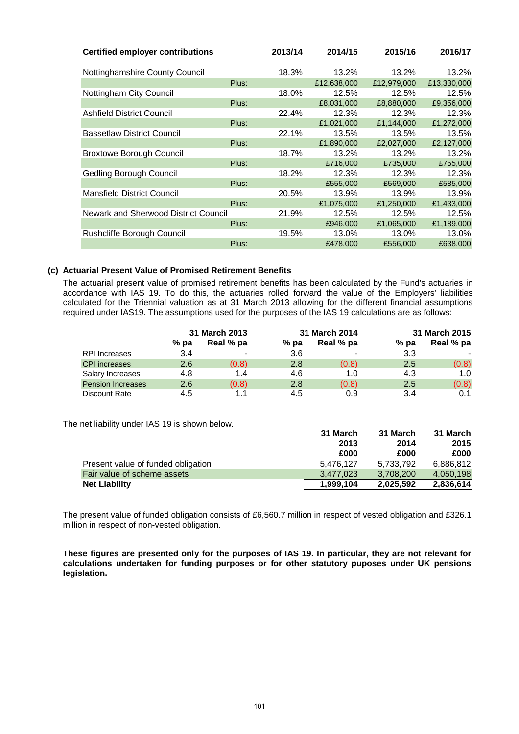| <b>Certified employer contributions</b> |       | 2013/14 | 2014/15     | 2015/16     | 2016/17     |
|-----------------------------------------|-------|---------|-------------|-------------|-------------|
| Nottinghamshire County Council          |       | 18.3%   | 13.2%       | 13.2%       | 13.2%       |
|                                         | Plus: |         | £12,638,000 | £12,979,000 | £13,330,000 |
| Nottingham City Council                 |       | 18.0%   | 12.5%       | 12.5%       | 12.5%       |
|                                         | Plus: |         | £8,031,000  | £8,880,000  | £9,356,000  |
| <b>Ashfield District Council</b>        |       | 22.4%   | 12.3%       | 12.3%       | 12.3%       |
|                                         | Plus: |         | £1,021,000  | £1,144,000  | £1,272,000  |
| <b>Bassetlaw District Council</b>       |       | 22.1%   | 13.5%       | 13.5%       | 13.5%       |
|                                         | Plus: |         | £1,890,000  | £2,027,000  | £2,127,000  |
| <b>Broxtowe Borough Council</b>         |       | 18.7%   | 13.2%       | 13.2%       | 13.2%       |
|                                         | Plus: |         | £716,000    | £735,000    | £755,000    |
| Gedling Borough Council                 |       | 18.2%   | 12.3%       | 12.3%       | 12.3%       |
|                                         | Plus: |         | £555,000    | £569,000    | £585,000    |
| <b>Mansfield District Council</b>       |       | 20.5%   | 13.9%       | 13.9%       | 13.9%       |
|                                         | Plus: |         | £1,075,000  | £1,250,000  | £1,433,000  |
| Newark and Sherwood District Council    |       | 21.9%   | 12.5%       | 12.5%       | 12.5%       |
|                                         | Plus: |         | £946,000    | £1.065.000  | £1,189,000  |
| Rushcliffe Borough Council              |       | 19.5%   | 13.0%       | 13.0%       | 13.0%       |
|                                         | Plus: |         | £478,000    | £556,000    | £638,000    |

## **(c) Actuarial Present Value of Promised Retirement Benefits**

The actuarial present value of promised retirement benefits has been calculated by the Fund's actuaries in accordance with IAS 19. To do this, the actuaries rolled forward the value of the Employers' liabilities calculated for the Triennial valuation as at 31 March 2013 allowing for the different financial assumptions required under IAS19. The assumptions used for the purposes of the IAS 19 calculations are as follows:

|                          |        | 31 March 2013  |        | 31 March 2014  |        | 31 March 2015 |  |
|--------------------------|--------|----------------|--------|----------------|--------|---------------|--|
|                          | $%$ pa | Real % pa      | $%$ pa | Real % pa      | $%$ pa | Real % pa     |  |
| RPI Increases            | 3.4    | $\blacksquare$ | 3.6    | $\blacksquare$ | 3.3    |               |  |
| <b>CPI</b> increases     | 2.6    | (0.8)          | 2.8    | (0.8)          | 2.5    | (0.8)         |  |
| Salary Increases         | 4.8    | 1.4            | 4.6    | 1.0            | 4.3    | 1.0           |  |
| <b>Pension Increases</b> | 2.6    | (0.8)          | 2.8    | (0.8)          | 2.5    | (0.8)         |  |
| Discount Rate            | 4.5    | 1.1            | 4.5    | 0.9            | 3.4    | 0.1           |  |

The net liability under IAS 19 is shown below.

|                                    | 31 March  | 31 March  | 31 March  |
|------------------------------------|-----------|-----------|-----------|
|                                    | 2013      | 2014      | 2015      |
|                                    | £000      | £000      | £000      |
| Present value of funded obligation | 5.476.127 | 5,733,792 | 6,886,812 |
| Fair value of scheme assets        | 3,477,023 | 3,708,200 | 4,050,198 |
| <b>Net Liability</b>               | 1.999.104 | 2.025.592 | 2,836,614 |

The present value of funded obligation consists of £6,560.7 million in respect of vested obligation and £326.1 million in respect of non-vested obligation.

**These figures are presented only for the purposes of IAS 19. In particular, they are not relevant for calculations undertaken for funding purposes or for other statutory puposes under UK pensions legislation.**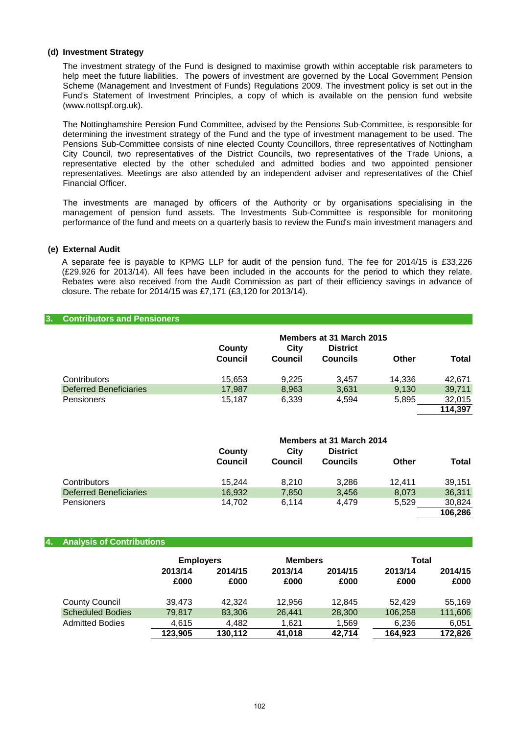### **(d) Investment Strategy**

The investment strategy of the Fund is designed to maximise growth within acceptable risk parameters to help meet the future liabilities. The powers of investment are governed by the Local Government Pension Scheme (Management and Investment of Funds) Regulations 2009. The investment policy is set out in the Fund's Statement of Investment Principles, a copy of which is available on the pension fund website (www.nottspf.org.uk).

The Nottinghamshire Pension Fund Committee, advised by the Pensions Sub-Committee, is responsible for determining the investment strategy of the Fund and the type of investment management to be used. The Pensions Sub-Committee consists of nine elected County Councillors, three representatives of Nottingham City Council, two representatives of the District Councils, two representatives of the Trade Unions, a representative elected by the other scheduled and admitted bodies and two appointed pensioner representatives. Meetings are also attended by an independent adviser and representatives of the Chief Financial Officer.

The investments are managed by officers of the Authority or by organisations specialising in the management of pension fund assets. The Investments Sub-Committee is responsible for monitoring performance of the fund and meets on a quarterly basis to review the Fund's main investment managers and

## **(e) External Audit**

A separate fee is payable to KPMG LLP for audit of the pension fund. The fee for 2014/15 is £33,226 (£29,926 for 2013/14). All fees have been included in the accounts for the period to which they relate. Rebates were also received from the Audit Commission as part of their efficiency savings in advance of closure. The rebate for 2014/15 was £7,171 (£3,120 for 2013/14).

## **3. Contributors and Pensioners**

|                               | Members at 31 March 2015 |                 |                                    |        |         |
|-------------------------------|--------------------------|-----------------|------------------------------------|--------|---------|
|                               | County<br><b>Council</b> | City<br>Council | <b>District</b><br><b>Councils</b> | Other  | Total   |
|                               |                          |                 |                                    |        |         |
| Contributors                  | 15,653                   | 9,225           | 3.457                              | 14,336 | 42,671  |
| <b>Deferred Beneficiaries</b> | 17,987                   | 8,963           | 3,631                              | 9.130  | 39,711  |
| <b>Pensioners</b>             | 15.187                   | 6,339           | 4.594                              | 5,895  | 32,015  |
|                               |                          |                 |                                    |        | 114.397 |

|                               |                   |                 | Members at 31 March 2014           |        |         |
|-------------------------------|-------------------|-----------------|------------------------------------|--------|---------|
|                               | County<br>Council | City<br>Council | <b>District</b><br><b>Councils</b> | Other  | Total   |
| Contributors                  | 15.244            | 8.210           | 3.286                              | 12.411 | 39,151  |
| <b>Deferred Beneficiaries</b> | 16.932            | 7,850           | 3,456                              | 8,073  | 36,311  |
| <b>Pensioners</b>             | 14.702            | 6.114           | 4.479                              | 5.529  | 30,824  |
|                               |                   |                 |                                    |        | 106.286 |

## **4. Analysis of Contributions**

|                         | <b>Employers</b> |                 | <b>Members</b>  |                 | Total           |                 |
|-------------------------|------------------|-----------------|-----------------|-----------------|-----------------|-----------------|
|                         | 2013/14<br>£000  | 2014/15<br>£000 | 2013/14<br>£000 | 2014/15<br>£000 | 2013/14<br>£000 | 2014/15<br>£000 |
| <b>County Council</b>   | 39.473           | 42.324          | 12.956          | 12.845          | 52.429          | 55,169          |
| <b>Scheduled Bodies</b> | 79,817           | 83,306          | 26,441          | 28,300          | 106,258         | 111,606         |
| <b>Admitted Bodies</b>  | 4.615            | 4.482           | 1.621           | 1,569           | 6.236           | 6,051           |
|                         | 123,905          | 130,112         | 41.018          | 42,714          | 164,923         | 172,826         |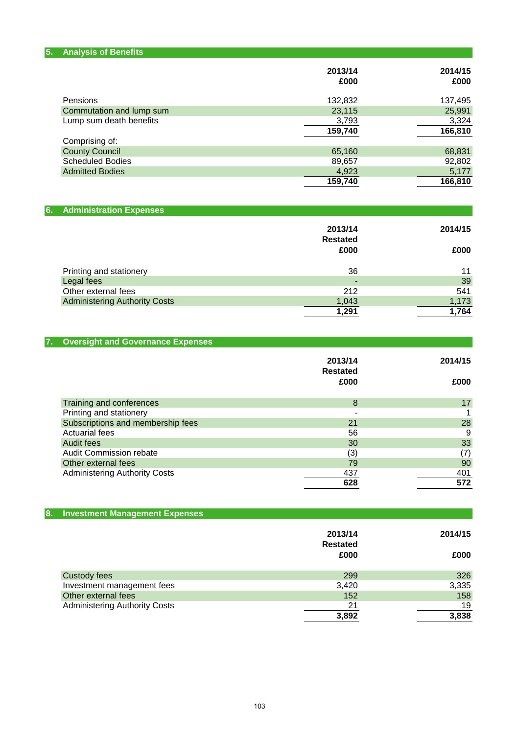| <b>Analysis of Benefits</b><br>5. |                 |                 |
|-----------------------------------|-----------------|-----------------|
|                                   | 2013/14<br>£000 | 2014/15<br>£000 |
| <b>Pensions</b>                   | 132,832         | 137,495         |
| Commutation and lump sum          | 23,115          | 25,991          |
| Lump sum death benefits           | 3,793           | 3,324           |
|                                   | 159,740         | 166,810         |
| Comprising of:                    |                 |                 |
| <b>County Council</b>             | 65,160          | 68,831          |
| <b>Scheduled Bodies</b>           | 89,657          | 92,802          |
| <b>Admitted Bodies</b>            | 4,923           | 5,177           |
|                                   | 159,740         | 166,810         |

| 6. Administration Expenses           |                          |         |
|--------------------------------------|--------------------------|---------|
|                                      | 2013/14                  | 2014/15 |
|                                      | <b>Restated</b>          |         |
|                                      | £000                     | £000    |
|                                      |                          |         |
| Printing and stationery              | 36                       | 11      |
| Legal fees                           | $\overline{\phantom{a}}$ | 39      |
| Other external fees                  | 212                      | 541     |
| <b>Administering Authority Costs</b> | 1,043                    | 1,173   |
|                                      | 1,291                    | 1,764   |

| 7.<br><b>Oversight and Governance Expenses</b> |                            |         |
|------------------------------------------------|----------------------------|---------|
|                                                | 2013/14<br><b>Restated</b> | 2014/15 |
|                                                | £000                       | £000    |
| Training and conferences                       | 8                          | 17      |
| Printing and stationery                        |                            |         |
| Subscriptions and membership fees              | 21                         | 28      |
| <b>Actuarial fees</b>                          | 56                         | 9       |
| Audit fees                                     | 30                         | 33      |
| Audit Commission rebate                        | (3)                        | (7)     |
| Other external fees                            | 79                         | 90      |
| <b>Administering Authority Costs</b>           | 437                        | 401     |
|                                                | 628                        | 572     |

| 8. Investment Management Expenses    |                            |         |
|--------------------------------------|----------------------------|---------|
|                                      | 2013/14<br><b>Restated</b> | 2014/15 |
|                                      | £000                       | £000    |
| <b>Custody fees</b>                  | 299                        | 326     |
| Investment management fees           | 3,420                      | 3,335   |
| Other external fees                  | 152                        | 158     |
| <b>Administering Authority Costs</b> | 21                         | 19      |
|                                      | 3,892                      | 3,838   |
|                                      |                            |         |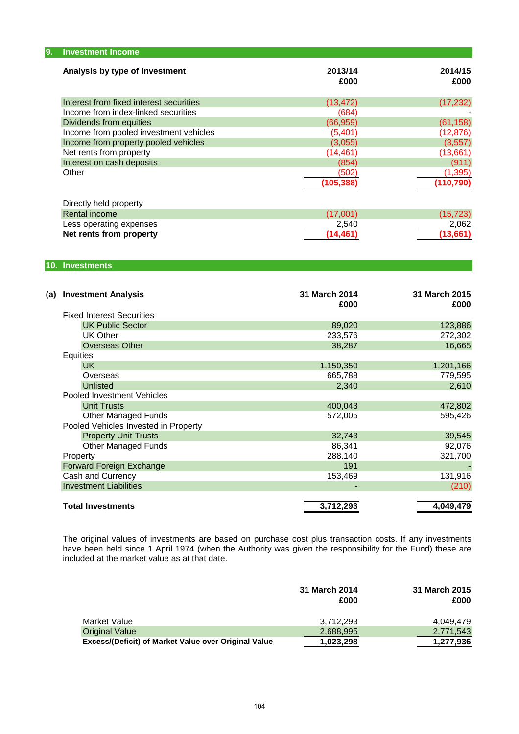| 9.  | <b>Investment Income</b>                |                              |                       |
|-----|-----------------------------------------|------------------------------|-----------------------|
|     | Analysis by type of investment          | 2013/14<br>£000              | 2014/15<br>£000       |
|     | Interest from fixed interest securities | (13, 472)                    | (17, 232)             |
|     | Income from index-linked securities     | (684)                        |                       |
|     | Dividends from equities                 | (66, 959)                    | (61, 158)             |
|     | Income from pooled investment vehicles  | (5,401)                      | (12, 876)             |
|     | Income from property pooled vehicles    | (3,055)                      | (3, 557)              |
|     | Net rents from property                 | (14, 461)                    | (13,661)              |
|     | Interest on cash deposits               | (854)                        | (911)                 |
|     | Other                                   | (502)                        | (1, 395)              |
|     |                                         | (105, 388)                   | (110, 790)            |
|     | Directly held property                  |                              |                       |
|     | <b>Rental income</b>                    | (17,001)                     | (15, 723)             |
|     | Less operating expenses                 | 2,540                        | 2,062                 |
|     | Net rents from property                 | (14,461)                     | (13, 661)             |
|     |                                         |                              |                       |
|     | 10. Investments                         |                              |                       |
| (a) | <b>Investment Analysis</b>              | 31 March 2014<br><b>COOO</b> | 31 March 2015<br>coon |

|                                      | £000      | £000      |
|--------------------------------------|-----------|-----------|
| <b>Fixed Interest Securities</b>     |           |           |
| <b>UK Public Sector</b>              | 89,020    | 123,886   |
| <b>UK Other</b>                      | 233,576   | 272,302   |
| <b>Overseas Other</b>                | 38,287    | 16,665    |
| Equities                             |           |           |
| <b>UK</b>                            | 1,150,350 | 1,201,166 |
| Overseas                             | 665,788   | 779,595   |
| <b>Unlisted</b>                      | 2,340     | 2,610     |
| Pooled Investment Vehicles           |           |           |
| <b>Unit Trusts</b>                   | 400,043   | 472,802   |
| <b>Other Managed Funds</b>           | 572,005   | 595,426   |
| Pooled Vehicles Invested in Property |           |           |
| <b>Property Unit Trusts</b>          | 32,743    | 39,545    |
| <b>Other Managed Funds</b>           | 86,341    | 92,076    |
| Property                             | 288,140   | 321,700   |
| Forward Foreign Exchange             | 191       |           |
| Cash and Currency                    | 153,469   | 131,916   |
| <b>Investment Liabilities</b>        |           | (210)     |
| <b>Total Investments</b>             | 3,712,293 | 4,049,479 |

The original values of investments are based on purchase cost plus transaction costs. If any investments have been held since 1 April 1974 (when the Authority was given the responsibility for the Fund) these are included at the market value as at that date.

|                                                      | 31 March 2014<br>£000 | 31 March 2015<br>£000 |
|------------------------------------------------------|-----------------------|-----------------------|
| Market Value                                         | 3.712.293             | 4.049.479             |
| <b>Original Value</b>                                | 2,688,995             | 2,771,543             |
| Excess/(Deficit) of Market Value over Original Value | 1,023,298             | 1,277,936             |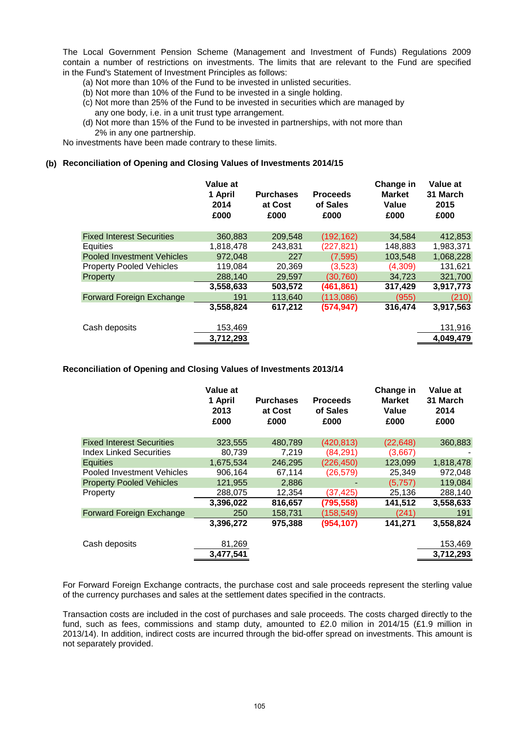in the Fund's Statement of Investment Principles as follows: contain a number of restrictions on investments. The limits that are relevant to the Fund are specified The Local Government Pension Scheme (Management and Investment of Funds) Regulations 2009

- (a) Not more than 10% of the Fund to be invested in unlisted securities.
- (b) Not more than 10% of the Fund to be invested in a single holding.
- (c) Not more than 25% of the Fund to be invested in securities which are managed by any one body, i.e. in a unit trust type arrangement.
- (d) Not more than 15% of the Fund to be invested in partnerships, with not more than 2% in any one partnership.

No investments have been made contrary to these limits.

## **(b) Reconciliation of Opening and Closing Values of Investments 2014/15**

|                                   | Value at<br>1 April<br>2014<br>£000 | <b>Purchases</b><br>at Cost<br>£000 | <b>Proceeds</b><br>of Sales<br>£000 | Change in<br><b>Market</b><br>Value<br>£000 | Value at<br>31 March<br>2015<br>£000 |
|-----------------------------------|-------------------------------------|-------------------------------------|-------------------------------------|---------------------------------------------|--------------------------------------|
| <b>Fixed Interest Securities</b>  | 360,883                             | 209,548                             | (192,162)                           | 34,584                                      | 412,853                              |
| Equities                          | 1,818,478                           | 243,831                             | (227, 821)                          | 148,883                                     | 1,983,371                            |
| <b>Pooled Investment Vehicles</b> | 972,048                             | 227                                 | (7, 595)                            | 103,548                                     | 1,068,228                            |
| <b>Property Pooled Vehicles</b>   | 119,084                             | 20,369                              | (3,523)                             | (4,309)                                     | 131,621                              |
| Property                          | 288.140                             | 29.597                              | (30.760)                            | 34.723                                      | 321,700                              |
|                                   | 3,558,633                           | 503,572                             | (461, 861)                          | 317,429                                     | 3,917,773                            |
| Forward Foreign Exchange          | 191                                 | 113,640                             | (113,086)                           | (955)                                       | (210)                                |
|                                   | 3,558,824                           | 617.212                             | (574, 947)                          | 316.474                                     | 3,917,563                            |
| Cash deposits                     | 153,469                             |                                     |                                     |                                             | 131,916                              |
|                                   | 3,712,293                           |                                     |                                     |                                             | 4,049,479                            |

## **Reconciliation of Opening and Closing Values of Investments 2013/14**

|                                  | Value at<br>1 April<br>2013<br>£000 | <b>Purchases</b><br>at Cost<br>£000 | <b>Proceeds</b><br>of Sales<br>£000 | Change in<br><b>Market</b><br>Value<br>£000 | Value at<br>31 March<br>2014<br>£000 |
|----------------------------------|-------------------------------------|-------------------------------------|-------------------------------------|---------------------------------------------|--------------------------------------|
| <b>Fixed Interest Securities</b> | 323,555                             | 480,789                             | (420, 813)                          | (22, 648)                                   | 360,883                              |
| <b>Index Linked Securities</b>   | 80,739                              | 7,219                               | (84, 291)                           | (3,667)                                     |                                      |
| <b>Equities</b>                  | 1,675,534                           | 246,295                             | (226, 450)                          | 123,099                                     | 1,818,478                            |
| Pooled Investment Vehicles       | 906,164                             | 67,114                              | (26, 579)                           | 25,349                                      | 972,048                              |
| <b>Property Pooled Vehicles</b>  | 121,955                             | 2,886                               |                                     | (5,757)                                     | 119,084                              |
| Property                         | 288,075                             | 12,354                              | (37, 425)                           | 25,136                                      | 288,140                              |
|                                  | 3,396,022                           | 816,657                             | (795, 558)                          | 141,512                                     | 3,558,633                            |
| Forward Foreign Exchange         | 250                                 | 158.731                             | (158.549)                           | (241)                                       | 191                                  |
|                                  | 3,396,272                           | 975.388                             | (954, 107)                          | 141,271                                     | 3,558,824                            |
| Cash deposits                    | 81,269                              |                                     |                                     |                                             | 153,469                              |
|                                  | 3,477,541                           |                                     |                                     |                                             | 3,712,293                            |

For Forward Foreign Exchange contracts, the purchase cost and sale proceeds represent the sterling value of the currency purchases and sales at the settlement dates specified in the contracts.

Transaction costs are included in the cost of purchases and sale proceeds. The costs charged directly to the fund, such as fees, commissions and stamp duty, amounted to £2.0 milion in 2014/15 (£1.9 million in 2013/14). In addition, indirect costs are incurred through the bid-offer spread on investments. This amount is not separately provided.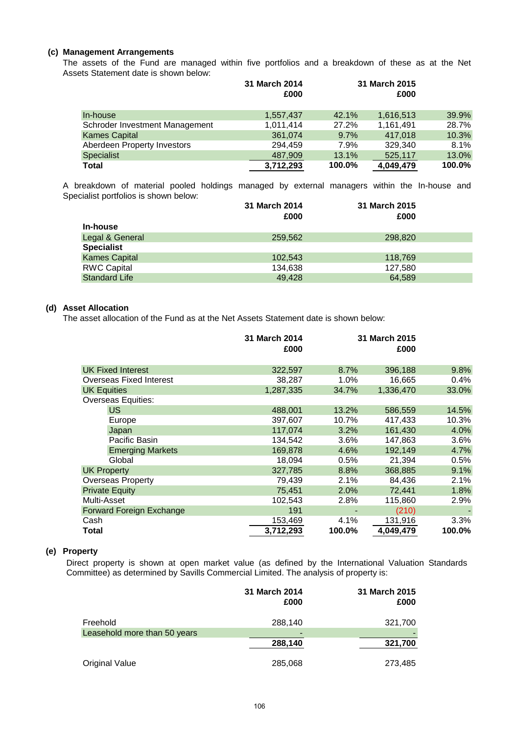## **(c) Management Arrangements**

Assets Statement date is shown below: The assets of the Fund are managed within five portfolios and a breakdown of these as at the Net

|                                | 31 March 2014<br>£000 |         | 31 March 2015<br>£000 |        |
|--------------------------------|-----------------------|---------|-----------------------|--------|
| In-house                       | 1,557,437             | 42.1%   | 1,616,513             | 39.9%  |
| Schroder Investment Management | 1,011,414             | 27.2%   | 1.161.491             | 28.7%  |
| <b>Kames Capital</b>           | 361,074               | $9.7\%$ | 417,018               | 10.3%  |
| Aberdeen Property Investors    | 294.459               | 7.9%    | 329.340               | 8.1%   |
| <b>Specialist</b>              | 487,909               | 13.1%   | 525,117               | 13.0%  |
| Total                          | 3,712,293             | 100.0%  | 4,049,479             | 100.0% |

Specialist portfolios is shown below: A breakdown of material pooled holdings managed by external managers within the In-house and

|                      | 31 March 2014 | 31 March 2015 |  |
|----------------------|---------------|---------------|--|
|                      | £000          | £000          |  |
| In-house             |               |               |  |
| Legal & General      | 259,562       | 298,820       |  |
| <b>Specialist</b>    |               |               |  |
| <b>Kames Capital</b> | 102,543       | 118,769       |  |
| <b>RWC Capital</b>   | 134,638       | 127,580       |  |
| <b>Standard Life</b> | 49.428        | 64.589        |  |

## **(d) Asset Allocation**

The asset allocation of the Fund as at the Net Assets Statement date is shown below:

|                    |                                | 31 March 2014<br>£000 |         | 31 March 2015<br>£000 |        |
|--------------------|--------------------------------|-----------------------|---------|-----------------------|--------|
|                    | <b>UK Fixed Interest</b>       | 322,597               | 8.7%    | 396,188               | 9.8%   |
|                    | <b>Overseas Fixed Interest</b> | 38,287                | $1.0\%$ | 16,665                | 0.4%   |
| <b>UK Equities</b> |                                | 1,287,335             | 34.7%   | 1,336,470             | 33.0%  |
|                    | <b>Overseas Equities:</b>      |                       |         |                       |        |
|                    | US.                            | 488,001               | 13.2%   | 586,559               | 14.5%  |
|                    | Europe                         | 397,607               | 10.7%   | 417,433               | 10.3%  |
|                    | Japan                          | 117,074               | 3.2%    | 161.430               | 4.0%   |
|                    | Pacific Basin                  | 134,542               | 3.6%    | 147,863               | 3.6%   |
|                    | <b>Emerging Markets</b>        | 169,878               | 4.6%    | 192,149               | 4.7%   |
|                    | Global                         | 18,094                | 0.5%    | 21,394                | 0.5%   |
| <b>UK Property</b> |                                | 327,785               | 8.8%    | 368,885               | 9.1%   |
|                    | <b>Overseas Property</b>       | 79,439                | 2.1%    | 84,436                | 2.1%   |
|                    | <b>Private Equity</b>          | 75,451                | 2.0%    | 72,441                | 1.8%   |
| Multi-Asset        |                                | 102,543               | 2.8%    | 115,860               | 2.9%   |
|                    | Forward Foreign Exchange       | 191                   |         | (210)                 |        |
| Cash               |                                | 153,469               | 4.1%    | 131,916               | 3.3%   |
| Total              |                                | 3,712,293             | 100.0%  | 4,049,479             | 100.0% |

## **(e) Property**

Direct property is shown at open market value (as defined by the International Valuation Standards Committee) as determined by Savills Commercial Limited. The analysis of property is:

|                              | 31 March 2014<br>£000 | 31 March 2015<br>£000 |
|------------------------------|-----------------------|-----------------------|
| Freehold                     | 288,140               | 321,700               |
| Leasehold more than 50 years |                       |                       |
|                              | 288,140               | 321,700               |
| <b>Original Value</b>        | 285,068               | 273,485               |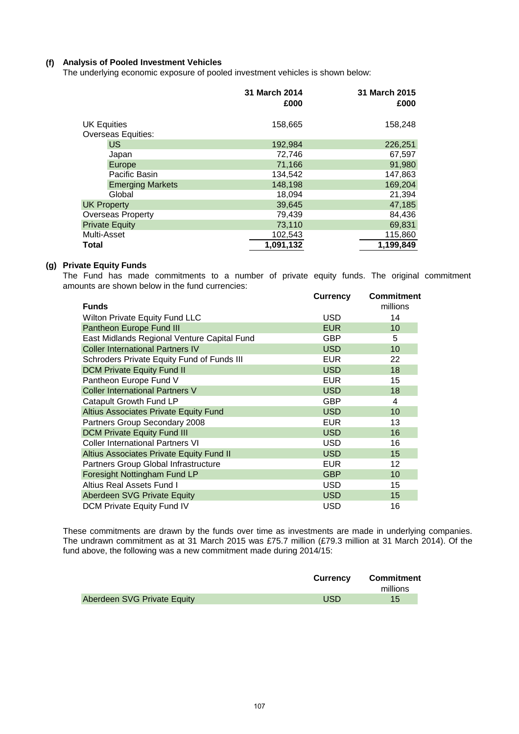# **(f) Analysis of Pooled Investment Vehicles**

The underlying economic exposure of pooled investment vehicles is shown below:

|                    |                           | 31 March 2014<br>£000 | 31 March 2015<br>£000 |
|--------------------|---------------------------|-----------------------|-----------------------|
| <b>UK Equities</b> |                           | 158,665               | 158,248               |
|                    | <b>Overseas Equities:</b> |                       |                       |
|                    | <b>US</b>                 | 192,984               | 226,251               |
|                    | Japan                     | 72.746                | 67,597                |
|                    | Europe                    | 71,166                | 91,980                |
|                    | Pacific Basin             | 134,542               | 147,863               |
|                    | <b>Emerging Markets</b>   | 148,198               | 169,204               |
|                    | Global                    | 18,094                | 21,394                |
| <b>UK Property</b> |                           | 39,645                | 47,185                |
|                    | <b>Overseas Property</b>  | 79,439                | 84,436                |
|                    | <b>Private Equity</b>     | 73,110                | 69,831                |
| Multi-Asset        |                           | 102,543               | 115,860               |
| <b>Total</b>       |                           | 1,091,132             | 1,199,849             |

## **(g) Private Equity Funds**

amounts are shown below in the fund currencies: The Fund has made commitments to a number of private equity funds. The original commitment

|                                             | <b>Currency</b> | <b>Commitment</b> |
|---------------------------------------------|-----------------|-------------------|
| <b>Funds</b>                                |                 | millions          |
| <b>Wilton Private Equity Fund LLC</b>       | <b>USD</b>      | 14                |
| Pantheon Europe Fund III                    | <b>EUR</b>      | 10 <sup>°</sup>   |
| East Midlands Regional Venture Capital Fund | <b>GBP</b>      | 5                 |
| <b>Coller International Partners IV</b>     | <b>USD</b>      | 10 <sup>°</sup>   |
| Schroders Private Equity Fund of Funds III  | <b>EUR</b>      | 22                |
| <b>DCM Private Equity Fund II</b>           | <b>USD</b>      | 18                |
| Pantheon Europe Fund V                      | <b>EUR</b>      | 15                |
| <b>Coller International Partners V</b>      | <b>USD</b>      | 18                |
| Catapult Growth Fund LP                     | <b>GBP</b>      | 4                 |
| Altius Associates Private Equity Fund       | <b>USD</b>      | 10                |
| Partners Group Secondary 2008               | <b>EUR</b>      | 13                |
| <b>DCM Private Equity Fund III</b>          | <b>USD</b>      | 16                |
| <b>Coller International Partners VI</b>     | <b>USD</b>      | 16                |
| Altius Associates Private Equity Fund II    | <b>USD</b>      | 15                |
| Partners Group Global Infrastructure        | <b>EUR</b>      | 12                |
| Foresight Nottingham Fund LP                | <b>GBP</b>      | 10                |
| Altius Real Assets Fund I                   | <b>USD</b>      | 15                |
| Aberdeen SVG Private Equity                 | <b>USD</b>      | 15                |
| <b>DCM Private Equity Fund IV</b>           | USD             | 16                |

These commitments are drawn by the funds over time as investments are made in underlying companies. The undrawn commitment as at 31 March 2015 was £75.7 million (£79.3 million at 31 March 2014). Of the fund above, the following was a new commitment made during 2014/15:

|                             | <b>Currency</b> | Commitment |
|-----------------------------|-----------------|------------|
|                             |                 | millions   |
| Aberdeen SVG Private Equity | USD.            | 15         |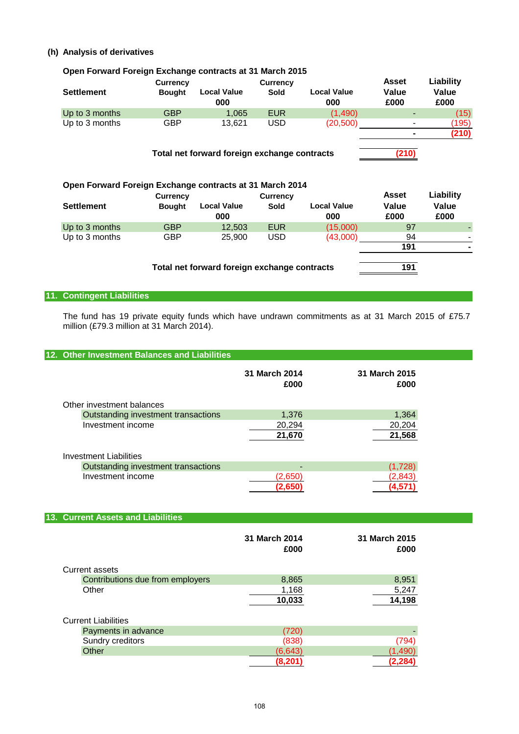# **(h) Analysis of derivatives**

| Open Torward Toreign Exchange contracts at 31 march 2015 |                 |                                              |                 |                    |       |           |
|----------------------------------------------------------|-----------------|----------------------------------------------|-----------------|--------------------|-------|-----------|
|                                                          | <b>Currency</b> |                                              | <b>Currency</b> |                    | Asset | Liability |
| <b>Settlement</b>                                        | <b>Bought</b>   | <b>Local Value</b>                           | Sold            | <b>Local Value</b> | Value | Value     |
|                                                          |                 | 000                                          |                 | 000                | £000  | £000      |
| Up to 3 months                                           | <b>GBP</b>      | 1,065                                        | <b>EUR</b>      | (1,490)            |       | (15)      |
| Up to 3 months                                           | <b>GBP</b>      | 13,621                                       | <b>USD</b>      | (20, 500)          |       | (195)     |
|                                                          |                 |                                              |                 |                    |       | (210)     |
|                                                          |                 |                                              |                 |                    |       |           |
|                                                          |                 | Total net forward foreign exchange contracts |                 |                    | (210) |           |
|                                                          |                 |                                              |                 |                    |       |           |
|                                                          |                 |                                              |                 |                    |       |           |
| Open Forward Foreign Exchange contracts at 31 March 2014 |                 |                                              |                 |                    |       |           |
|                                                          | <b>Currency</b> |                                              | <b>Currency</b> |                    | Asset | Liability |
| <b>Settlement</b>                                        | <b>Bought</b>   | <b>Local Value</b>                           | Sold            | <b>Local Value</b> | Value | Value     |
|                                                          |                 | 000                                          |                 | 000                | £000  | £000      |
| Up to 3 months                                           | <b>GBP</b>      | 12,503                                       | <b>EUR</b>      | (15,000)           | 97    |           |
| Up to 3 months                                           | <b>GBP</b>      | 25,900                                       | <b>USD</b>      | (43,000)           | 94    |           |
|                                                          |                 |                                              |                 |                    |       |           |
|                                                          |                 |                                              |                 |                    | 191   |           |
|                                                          |                 | Total net forward foreign exchange contracts |                 |                    | 191   |           |

# **11. Contingent Liabilities**

The fund has 19 private equity funds which have undrawn commitments as at 31 March 2015 of £75.7 million (£79.3 million at 31 March 2014).

| 12. Other Investment Balances and Liabilities |                       |                       |  |
|-----------------------------------------------|-----------------------|-----------------------|--|
|                                               | 31 March 2014<br>£000 | 31 March 2015<br>£000 |  |
| Other investment balances                     |                       |                       |  |
| Outstanding investment transactions           | 1,376                 | 1,364                 |  |
| Investment income                             | 20,294                | 20,204                |  |
|                                               | 21,670                | 21,568                |  |
|                                               |                       |                       |  |
| <b>Investment Liabilities</b>                 |                       |                       |  |
| Outstanding investment transactions           |                       | (1,728)               |  |
| Investment income                             | (2,650)               | (2,843)               |  |
|                                               | (2,650)               | (4, 571)              |  |
|                                               |                       |                       |  |
|                                               |                       |                       |  |
| 13. Current Assets and Liabilities            |                       |                       |  |
|                                               | 31 March 2014<br>£000 | 31 March 2015<br>£000 |  |

| Current assets                   |          |        |
|----------------------------------|----------|--------|
| Contributions due from employers | 8,865    | 8,951  |
| Other                            | 1,168    | 5,247  |
|                                  | 10,033   | 14,198 |
| <b>Current Liabilities</b>       |          |        |
| Payments in advance              | (720)    |        |
| Sundry creditors                 | (838)    | 794    |
| Other                            | (6.643)  | (1.490 |
|                                  | (8, 201) | (2,284 |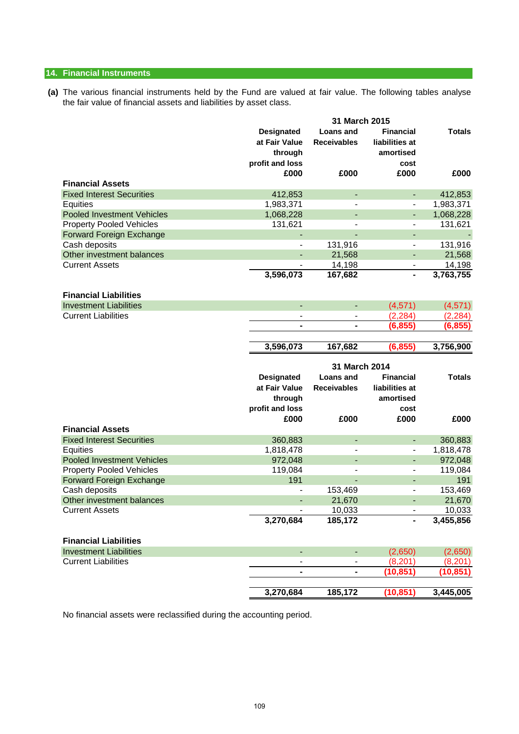# **14. Financial Instruments**

**(a)** The various financial instruments held by the Fund are valued at fair value. The following tables analyse the fair value of financial assets and liabilities by asset class.

|                                   | 31 March 2015                                                    |                                        |                                                         |                      |
|-----------------------------------|------------------------------------------------------------------|----------------------------------------|---------------------------------------------------------|----------------------|
|                                   | <b>Designated</b><br>at Fair Value<br>through<br>profit and loss | <b>Loans and</b><br><b>Receivables</b> | <b>Financial</b><br>liabilities at<br>amortised<br>cost | <b>Totals</b>        |
|                                   | £000                                                             | £000                                   | £000                                                    | £000                 |
| <b>Financial Assets</b>           |                                                                  |                                        |                                                         |                      |
| <b>Fixed Interest Securities</b>  | 412,853                                                          |                                        | $\blacksquare$                                          | 412,853              |
| Equities                          | 1,983,371                                                        |                                        |                                                         | 1,983,371            |
| <b>Pooled Investment Vehicles</b> | 1,068,228                                                        |                                        | $\overline{\phantom{0}}$                                | 1,068,228            |
| <b>Property Pooled Vehicles</b>   | 131,621                                                          |                                        | -                                                       | 131,621              |
| Forward Foreign Exchange          |                                                                  |                                        | -                                                       |                      |
| Cash deposits                     | $\overline{\phantom{0}}$                                         | 131,916                                | $\qquad \qquad \blacksquare$                            | 131,916              |
| Other investment balances         |                                                                  | 21,568                                 | ٠                                                       | 21,568               |
| <b>Current Assets</b>             |                                                                  | 14,198                                 | -                                                       | 14,198               |
|                                   | 3,596,073                                                        | 167,682                                | $\blacksquare$                                          | 3,763,755            |
| <b>Financial Liabilities</b>      |                                                                  |                                        |                                                         |                      |
| <b>Investment Liabilities</b>     | $\blacksquare$                                                   | ٠                                      | (4, 571)                                                | (4, 571)             |
| <b>Current Liabilities</b>        | $\overline{\phantom{0}}$                                         |                                        | (2, 284)                                                | (2, 284)             |
|                                   |                                                                  |                                        | (6, 855)                                                | (6, 855)             |
|                                   |                                                                  |                                        |                                                         |                      |
|                                   | 3,596,073                                                        | 167,682                                | (6, 855)                                                | 3,756,900            |
|                                   |                                                                  |                                        |                                                         |                      |
|                                   |                                                                  |                                        |                                                         |                      |
|                                   |                                                                  | 31 March 2014                          |                                                         |                      |
|                                   | <b>Designated</b>                                                | <b>Loans and</b>                       | <b>Financial</b>                                        | <b>Totals</b>        |
|                                   | at Fair Value                                                    | <b>Receivables</b>                     | liabilities at<br>amortised                             |                      |
|                                   | through                                                          |                                        | cost                                                    |                      |
|                                   | profit and loss<br>£000                                          | £000                                   | £000                                                    | £000                 |
| <b>Financial Assets</b>           |                                                                  |                                        |                                                         |                      |
| <b>Fixed Interest Securities</b>  | 360,883                                                          | ٠                                      | $\blacksquare$                                          | 360,883              |
| Equities                          | 1,818,478                                                        |                                        | -                                                       | 1,818,478            |
| <b>Pooled Investment Vehicles</b> | 972,048                                                          | ٠                                      | -                                                       | 972,048              |
| <b>Property Pooled Vehicles</b>   | 119,084                                                          |                                        | $\overline{\phantom{a}}$                                | 119,084              |
| Forward Foreign Exchange          | 191                                                              |                                        | $\blacksquare$                                          | 191                  |
| Cash deposits                     |                                                                  | 153,469                                | $\overline{\phantom{a}}$                                | 153,469              |
| Other investment balances         |                                                                  | 21,670                                 |                                                         | 21,670               |
| <b>Current Assets</b>             |                                                                  | 10,033                                 |                                                         | 10,033               |
|                                   | 3,270,684                                                        | 185,172                                |                                                         | 3,455,856            |
| <b>Financial Liabilities</b>      |                                                                  |                                        |                                                         |                      |
| <b>Investment Liabilities</b>     | $\blacksquare$                                                   | ٠                                      | (2,650)                                                 | (2,650)              |
| <b>Current Liabilities</b>        |                                                                  |                                        | (8, 201)                                                |                      |
|                                   |                                                                  |                                        | (10, 851)                                               | (8,201)<br>(10, 851) |
|                                   | 3,270,684                                                        | 185,172                                | (10, 851)                                               | 3,445,005            |

No financial assets were reclassified during the accounting period.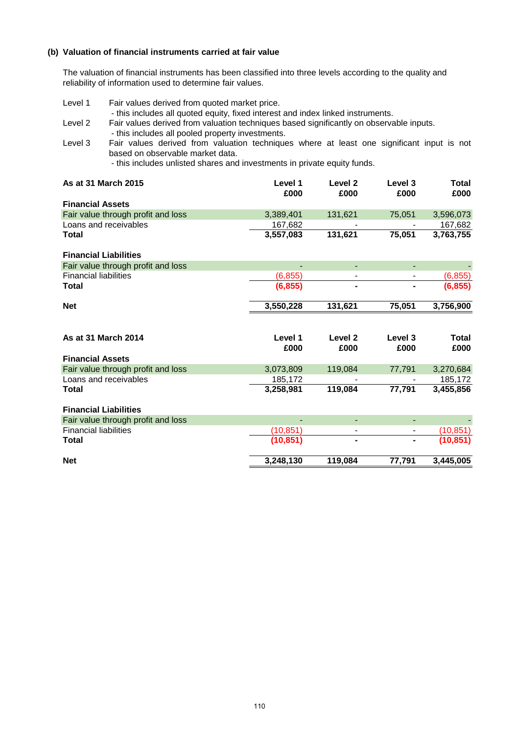# **(b) Valuation of financial instruments carried at fair value**

The valuation of financial instruments has been classified into three levels according to the quality and reliability of information used to determine fair values.

| Level 1                 | Fair values derived from quoted market price.                                                                                                                                                             |                 |                 |                 |                      |
|-------------------------|-----------------------------------------------------------------------------------------------------------------------------------------------------------------------------------------------------------|-----------------|-----------------|-----------------|----------------------|
|                         | - this includes all quoted equity, fixed interest and index linked instruments.                                                                                                                           |                 |                 |                 |                      |
| Level 2                 | Fair values derived from valuation techniques based significantly on observable inputs.<br>- this includes all pooled property investments.                                                               |                 |                 |                 |                      |
| Level 3                 | Fair values derived from valuation techniques where at least one significant input is not<br>based on observable market data.<br>- this includes unlisted shares and investments in private equity funds. |                 |                 |                 |                      |
|                         | As at 31 March 2015                                                                                                                                                                                       | Level 1<br>£000 | Level 2<br>£000 | Level 3<br>£000 | <b>Total</b><br>£000 |
| <b>Financial Assets</b> |                                                                                                                                                                                                           |                 |                 |                 |                      |
|                         | Fair value through profit and loss                                                                                                                                                                        | 3,389,401       | 131,621         | 75.051          | 3,596,073            |
|                         | Loans and receivables                                                                                                                                                                                     | 167.682         |                 |                 | 167.682              |
| Total                   |                                                                                                                                                                                                           | 3.557.083       | 131.621         | 75.051          | 3.763.755            |

| Total                              | 3,557,083 | 131,621 | 75,051  | 3,763,755    |
|------------------------------------|-----------|---------|---------|--------------|
| <b>Financial Liabilities</b>       |           |         |         |              |
| Fair value through profit and loss |           |         |         |              |
| <b>Financial liabilities</b>       | (6, 855)  |         |         | (6, 855)     |
| <b>Total</b>                       | (6, 855)  |         |         | (6, 855)     |
| <b>Net</b>                         | 3,550,228 | 131,621 | 75,051  | 3,756,900    |
|                                    |           |         |         |              |
| As at 31 March 2014                | Level 1   | Level 2 | Level 3 | <b>Total</b> |
|                                    | £000      | £000    | £000    | £000         |
| <b>Financial Assets</b>            |           |         |         |              |
| Fair value through profit and loss | 3,073,809 | 119,084 | 77,791  | 3,270,684    |
| Loans and receivables              | 185,172   |         |         | 185,172      |
| <b>Total</b>                       | 3,258,981 | 119,084 | 77,791  | 3,455,856    |
| <b>Financial Liabilities</b>       |           |         |         |              |
| Fair value through profit and loss |           |         |         |              |
| <b>Financial liabilities</b>       | (10, 851) |         | -       | (10, 851)    |
| Total                              | (10, 851) | ۰       | ۰       | (10, 851)    |
| <b>Net</b>                         | 3,248,130 | 119,084 | 77,791  | 3,445,005    |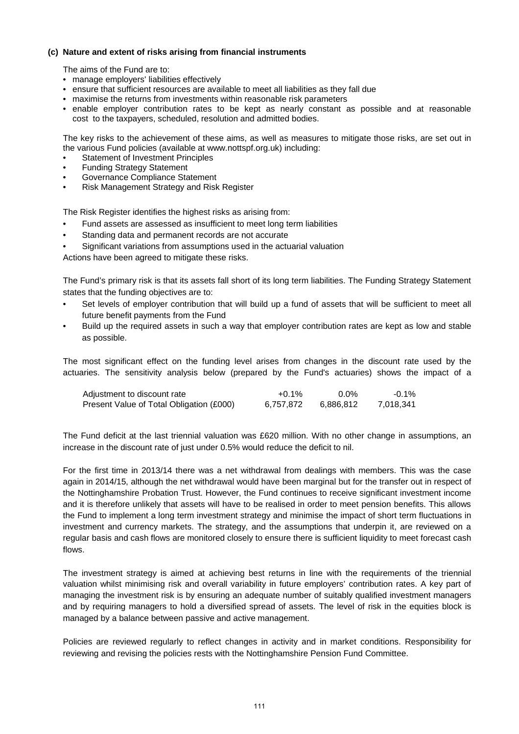## **(c) Nature and extent of risks arising from financial instruments**

The aims of the Fund are to:

- manage employers' liabilities effectively
- ensure that sufficient resources are available to meet all liabilities as they fall due
- maximise the returns from investments within reasonable risk parameters
- enable employer contribution rates to be kept as nearly constant as possible and at reasonable cost to the taxpayers, scheduled, resolution and admitted bodies.

The key risks to the achievement of these aims, as well as measures to mitigate those risks, are set out in the various Fund policies (available at www.nottspf.org.uk) including:

- Statement of Investment Principles
- Funding Strategy Statement
- Governance Compliance Statement
- Risk Management Strategy and Risk Register

The Risk Register identifies the highest risks as arising from:

- Fund assets are assessed as insufficient to meet long term liabilities
- Standing data and permanent records are not accurate
- Significant variations from assumptions used in the actuarial valuation

Actions have been agreed to mitigate these risks.

The Fund's primary risk is that its assets fall short of its long term liabilities. The Funding Strategy Statement states that the funding objectives are to:

- Set levels of employer contribution that will build up a fund of assets that will be sufficient to meet all future benefit payments from the Fund
- Build up the required assets in such a way that employer contribution rates are kept as low and stable as possible.

The most significant effect on the funding level arises from changes in the discount rate used by the actuaries. The sensitivity analysis below (prepared by the Fund's actuaries) shows the impact of a

| Adjustment to discount rate              | $+0.1%$   | $0.0\%$   | $-0.1\%$  |
|------------------------------------------|-----------|-----------|-----------|
| Present Value of Total Obligation (£000) | 6,757,872 | 6,886,812 | 7,018,341 |

The Fund deficit at the last triennial valuation was £620 million. With no other change in assumptions, an increase in the discount rate of just under 0.5% would reduce the deficit to nil.

For the first time in 2013/14 there was a net withdrawal from dealings with members. This was the case again in 2014/15, although the net withdrawal would have been marginal but for the transfer out in respect of the Nottinghamshire Probation Trust. However, the Fund continues to receive significant investment income and it is therefore unlikely that assets will have to be realised in order to meet pension benefits. This allows the Fund to implement a long term investment strategy and minimise the impact of short term fluctuations in investment and currency markets. The strategy, and the assumptions that underpin it, are reviewed on a regular basis and cash flows are monitored closely to ensure there is sufficient liquidity to meet forecast cash flows.

The investment strategy is aimed at achieving best returns in line with the requirements of the triennial valuation whilst minimising risk and overall variability in future employers' contribution rates. A key part of managing the investment risk is by ensuring an adequate number of suitably qualified investment managers and by requiring managers to hold a diversified spread of assets. The level of risk in the equities block is managed by a balance between passive and active management.

Policies are reviewed regularly to reflect changes in activity and in market conditions. Responsibility for reviewing and revising the policies rests with the Nottinghamshire Pension Fund Committee.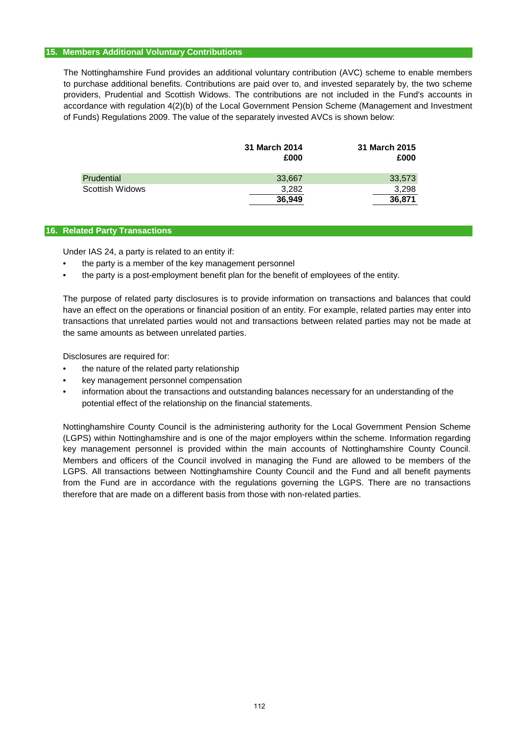#### **15. Members Additional Voluntary Contributions**

The Nottinghamshire Fund provides an additional voluntary contribution (AVC) scheme to enable members to purchase additional benefits. Contributions are paid over to, and invested separately by, the two scheme providers, Prudential and Scottish Widows. The contributions are not included in the Fund's accounts in accordance with regulation 4(2)(b) of the Local Government Pension Scheme (Management and Investment of Funds) Regulations 2009. The value of the separately invested AVCs is shown below:

|                        | 31 March 2014<br>£000 | 31 March 2015<br>£000 |
|------------------------|-----------------------|-----------------------|
| Prudential             | 33,667                | 33,573                |
| <b>Scottish Widows</b> | 3,282                 | 3,298                 |
|                        | 36,949                | 36,871                |

### **16. Related Party Transactions**

Under IAS 24, a party is related to an entity if:

- the party is a member of the key management personnel
- the party is a post-employment benefit plan for the benefit of employees of the entity.

The purpose of related party disclosures is to provide information on transactions and balances that could have an effect on the operations or financial position of an entity. For example, related parties may enter into transactions that unrelated parties would not and transactions between related parties may not be made at the same amounts as between unrelated parties.

Disclosures are required for:

- the nature of the related party relationship
- key management personnel compensation
- information about the transactions and outstanding balances necessary for an understanding of the potential effect of the relationship on the financial statements.

Nottinghamshire County Council is the administering authority for the Local Government Pension Scheme (LGPS) within Nottinghamshire and is one of the major employers within the scheme. Information regarding key management personnel is provided within the main accounts of Nottinghamshire County Council. Members and officers of the Council involved in managing the Fund are allowed to be members of the LGPS. All transactions between Nottinghamshire County Council and the Fund and all benefit payments from the Fund are in accordance with the regulations governing the LGPS. There are no transactions therefore that are made on a different basis from those with non-related parties.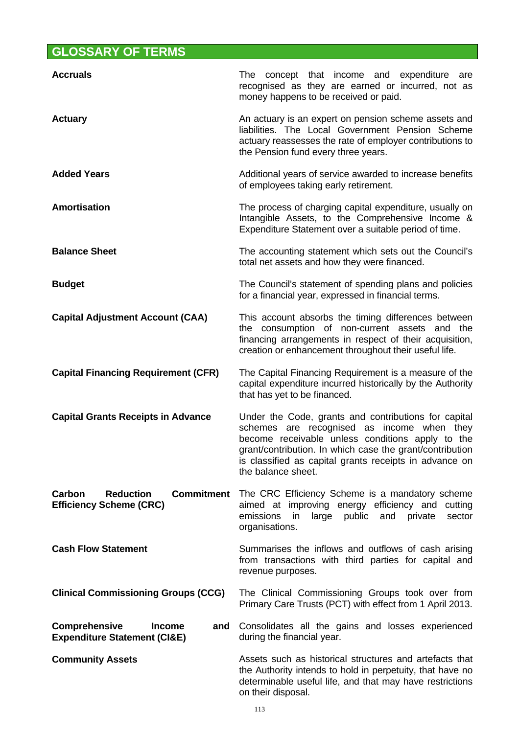# **GLOSSARY OF TERMS**

| <b>Accruals</b>                                                                         | The concept that income and expenditure are<br>recognised as they are earned or incurred, not as<br>money happens to be received or paid.                                                                                                                                                          |
|-----------------------------------------------------------------------------------------|----------------------------------------------------------------------------------------------------------------------------------------------------------------------------------------------------------------------------------------------------------------------------------------------------|
| <b>Actuary</b>                                                                          | An actuary is an expert on pension scheme assets and<br>liabilities. The Local Government Pension Scheme<br>actuary reassesses the rate of employer contributions to<br>the Pension fund every three years.                                                                                        |
| <b>Added Years</b>                                                                      | Additional years of service awarded to increase benefits<br>of employees taking early retirement.                                                                                                                                                                                                  |
| <b>Amortisation</b>                                                                     | The process of charging capital expenditure, usually on<br>Intangible Assets, to the Comprehensive Income &<br>Expenditure Statement over a suitable period of time.                                                                                                                               |
| <b>Balance Sheet</b>                                                                    | The accounting statement which sets out the Council's<br>total net assets and how they were financed.                                                                                                                                                                                              |
| <b>Budget</b>                                                                           | The Council's statement of spending plans and policies<br>for a financial year, expressed in financial terms.                                                                                                                                                                                      |
| <b>Capital Adjustment Account (CAA)</b>                                                 | This account absorbs the timing differences between<br>the consumption of non-current assets and the<br>financing arrangements in respect of their acquisition,<br>creation or enhancement throughout their useful life.                                                                           |
| <b>Capital Financing Requirement (CFR)</b>                                              | The Capital Financing Requirement is a measure of the<br>capital expenditure incurred historically by the Authority<br>that has yet to be financed.                                                                                                                                                |
| <b>Capital Grants Receipts in Advance</b>                                               | Under the Code, grants and contributions for capital<br>schemes are recognised as income when they<br>become receivable unless conditions apply to the<br>grant/contribution. In which case the grant/contribution<br>is classified as capital grants receipts in advance on<br>the balance sheet. |
| <b>Reduction</b><br><b>Commitment</b><br>Carbon<br><b>Efficiency Scheme (CRC)</b>       | The CRC Efficiency Scheme is a mandatory scheme<br>aimed at improving energy efficiency and cutting<br>emissions<br>in<br>large<br>public<br>and<br>private<br>sector<br>organisations.                                                                                                            |
| <b>Cash Flow Statement</b>                                                              | Summarises the inflows and outflows of cash arising<br>from transactions with third parties for capital and<br>revenue purposes.                                                                                                                                                                   |
| <b>Clinical Commissioning Groups (CCG)</b>                                              | The Clinical Commissioning Groups took over from<br>Primary Care Trusts (PCT) with effect from 1 April 2013.                                                                                                                                                                                       |
| <b>Comprehensive</b><br><b>Income</b><br>and<br><b>Expenditure Statement (CI&amp;E)</b> | Consolidates all the gains and losses experienced<br>during the financial year.                                                                                                                                                                                                                    |
| <b>Community Assets</b>                                                                 | Assets such as historical structures and artefacts that<br>the Authority intends to hold in perpetuity, that have no<br>determinable useful life, and that may have restrictions<br>on their disposal.                                                                                             |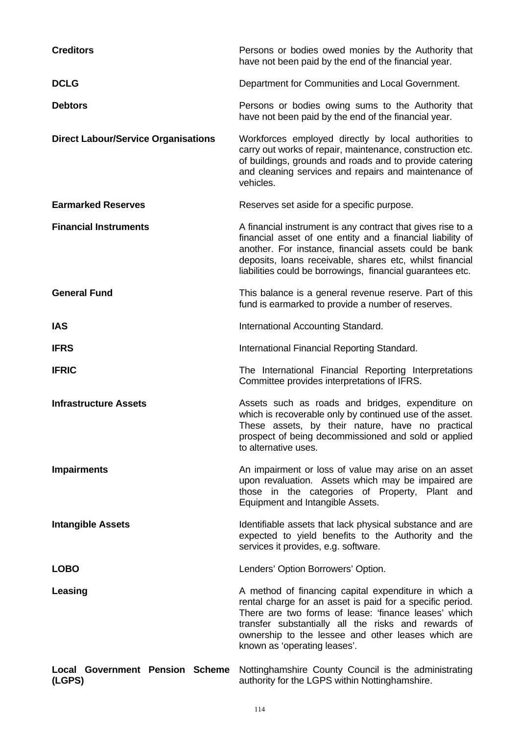| <b>Creditors</b>                                 | Persons or bodies owed monies by the Authority that<br>have not been paid by the end of the financial year.                                                                                                                                                                                                            |
|--------------------------------------------------|------------------------------------------------------------------------------------------------------------------------------------------------------------------------------------------------------------------------------------------------------------------------------------------------------------------------|
| <b>DCLG</b>                                      | Department for Communities and Local Government.                                                                                                                                                                                                                                                                       |
| <b>Debtors</b>                                   | Persons or bodies owing sums to the Authority that<br>have not been paid by the end of the financial year.                                                                                                                                                                                                             |
| <b>Direct Labour/Service Organisations</b>       | Workforces employed directly by local authorities to<br>carry out works of repair, maintenance, construction etc.<br>of buildings, grounds and roads and to provide catering<br>and cleaning services and repairs and maintenance of<br>vehicles.                                                                      |
| <b>Earmarked Reserves</b>                        | Reserves set aside for a specific purpose.                                                                                                                                                                                                                                                                             |
| <b>Financial Instruments</b>                     | A financial instrument is any contract that gives rise to a<br>financial asset of one entity and a financial liability of<br>another. For instance, financial assets could be bank<br>deposits, loans receivable, shares etc, whilst financial<br>liabilities could be borrowings, financial guarantees etc.           |
| <b>General Fund</b>                              | This balance is a general revenue reserve. Part of this<br>fund is earmarked to provide a number of reserves.                                                                                                                                                                                                          |
| <b>IAS</b>                                       | International Accounting Standard.                                                                                                                                                                                                                                                                                     |
| <b>IFRS</b>                                      | International Financial Reporting Standard.                                                                                                                                                                                                                                                                            |
| <b>IFRIC</b>                                     | The International Financial Reporting Interpretations<br>Committee provides interpretations of IFRS.                                                                                                                                                                                                                   |
| <b>Infrastructure Assets</b>                     | Assets such as roads and bridges, expenditure on<br>which is recoverable only by continued use of the asset.<br>These assets, by their nature, have no practical<br>prospect of being decommissioned and sold or applied<br>to alternative uses.                                                                       |
| <b>Impairments</b>                               | An impairment or loss of value may arise on an asset<br>upon revaluation. Assets which may be impaired are<br>those in the categories of Property, Plant and<br>Equipment and Intangible Assets.                                                                                                                       |
| <b>Intangible Assets</b>                         | Identifiable assets that lack physical substance and are<br>expected to yield benefits to the Authority and the<br>services it provides, e.g. software.                                                                                                                                                                |
| <b>LOBO</b>                                      | Lenders' Option Borrowers' Option.                                                                                                                                                                                                                                                                                     |
| Leasing                                          | A method of financing capital expenditure in which a<br>rental charge for an asset is paid for a specific period.<br>There are two forms of lease: 'finance leases' which<br>transfer substantially all the risks and rewards of<br>ownership to the lessee and other leases which are<br>known as 'operating leases'. |
| <b>Local Government Pension Scheme</b><br>(LGPS) | Nottinghamshire County Council is the administrating<br>authority for the LGPS within Nottinghamshire.                                                                                                                                                                                                                 |